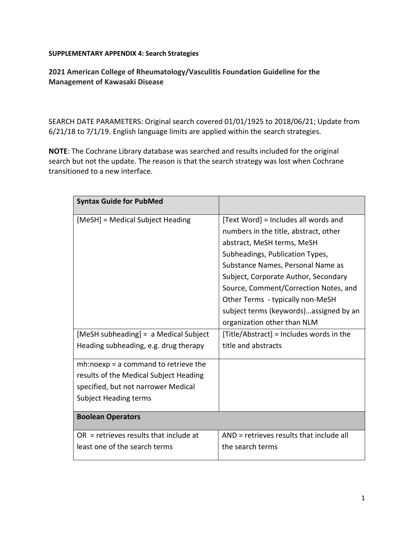### **SUPPLEMENTARY APPENDIX 4: Search Strategies**

**2021 American College of Rheumatology/Vasculitis Foundation Guideline for the Management of Kawasaki Disease**

SEARCH DATE PARAMETERS: Original search covered 01/01/1925 to 2018/06/21; Update from 6/21/18 to 7/1/19. English language limits are applied within the search strategies.

**NOTE**: The Cochrane Library database was searched and results included for the original search but not the update. The reason is that the search strategy was lost when Cochrane transitioned to a new interface.

| <b>Syntax Guide for PubMed</b>           |                                          |
|------------------------------------------|------------------------------------------|
| [MeSH] = Medical Subject Heading         | [Text Word] = Includes all words and     |
|                                          | numbers in the title, abstract, other    |
|                                          | abstract, MeSH terms, MeSH               |
|                                          | Subheadings, Publication Types,          |
|                                          | Substance Names, Personal Name as        |
|                                          | Subject, Corporate Author, Secondary     |
|                                          | Source, Comment/Correction Notes, and    |
|                                          | Other Terms - typically non-MeSH         |
|                                          | subject terms (keywords)assigned by an   |
|                                          | organization other than NLM              |
| [MeSH subheading] = a Medical Subject    | [Title/Abstract] = Includes words in the |
| Heading subheading, e.g. drug therapy    | title and abstracts                      |
| $mh: no exp = a$ command to retrieve the |                                          |
| results of the Medical Subject Heading   |                                          |
| specified, but not narrower Medical      |                                          |
| <b>Subject Heading terms</b>             |                                          |
| <b>Boolean Operators</b>                 |                                          |
| $OR$ = retrieves results that include at | AND = retrieves results that include all |
| least one of the search terms            | the search terms                         |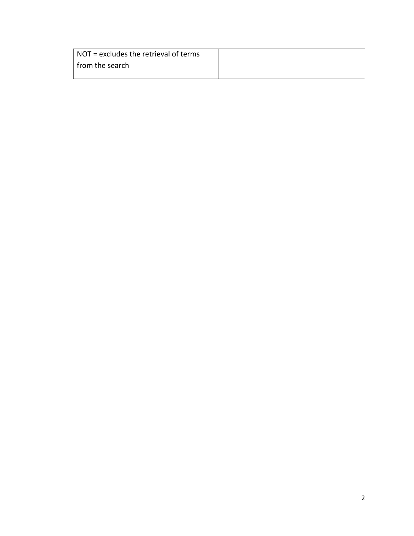| $\vert$ NOT = excludes the retrieval of terms |  |
|-----------------------------------------------|--|
| I from the search                             |  |
|                                               |  |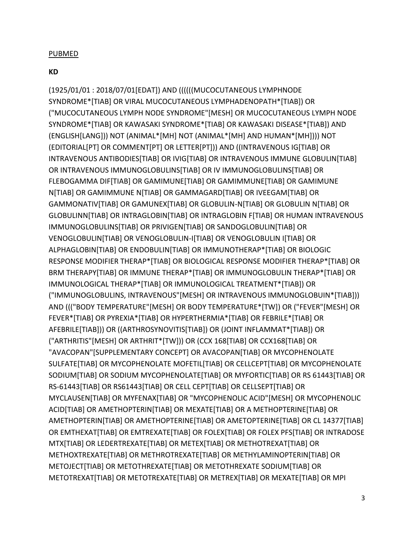### PUBMED

### **KD**

(1925/01/01 : 2018/07/01[EDAT]) AND ((((((MUCOCUTANEOUS LYMPHNODE SYNDROME\*[TIAB] OR VIRAL MUCOCUTANEOUS LYMPHADENOPATH\*[TIAB]) OR ("MUCOCUTANEOUS LYMPH NODE SYNDROME"[MESH] OR MUCOCUTANEOUS LYMPH NODE SYNDROME\*[TIAB] OR KAWASAKI SYNDROME\*[TIAB] OR KAWASAKI DISEASE\*[TIAB]) AND (ENGLISH[LANG])) NOT (ANIMAL\*[MH] NOT (ANIMAL\*[MH] AND HUMAN\*[MH]))) NOT (EDITORIAL[PT] OR COMMENT[PT] OR LETTER[PT])) AND ((INTRAVENOUS IG[TIAB] OR INTRAVENOUS ANTIBODIES[TIAB] OR IVIG[TIAB] OR INTRAVENOUS IMMUNE GLOBULIN[TIAB] OR INTRAVENOUS IMMUNOGLOBULINS[TIAB] OR IV IMMUNOGLOBULINS[TIAB] OR FLEBOGAMMA DIF[TIAB] OR GAMIMUNE[TIAB] OR GAMIMMUNE[TIAB] OR GAMIMUNE N[TIAB] OR GAMIMMUNE N[TIAB] OR GAMMAGARD[TIAB] OR IVEEGAM[TIAB] OR GAMMONATIV[TIAB] OR GAMUNEX[TIAB] OR GLOBULIN-N[TIAB] OR GLOBULIN N[TIAB] OR GLOBULINN[TIAB] OR INTRAGLOBIN[TIAB] OR INTRAGLOBIN F[TIAB] OR HUMAN INTRAVENOUS IMMUNOGLOBULINS[TIAB] OR PRIVIGEN[TIAB] OR SANDOGLOBULIN[TIAB] OR VENOGLOBULIN[TIAB] OR VENOGLOBULIN-I[TIAB] OR VENOGLOBULIN I[TIAB] OR ALPHAGLOBIN[TIAB] OR ENDOBULIN[TIAB] OR IMMUNOTHERAP\*[TIAB] OR BIOLOGIC RESPONSE MODIFIER THERAP\*[TIAB] OR BIOLOGICAL RESPONSE MODIFIER THERAP\*[TIAB] OR BRM THERAPY[TIAB] OR IMMUNE THERAP\*[TIAB] OR IMMUNOGLOBULIN THERAP\*[TIAB] OR IMMUNOLOGICAL THERAP\*[TIAB] OR IMMUNOLOGICAL TREATMENT\*[TIAB]) OR ("IMMUNOGLOBULINS, INTRAVENOUS"[MESH] OR INTRAVENOUS IMMUNOGLOBUIN\*[TIAB])) AND ((("BODY TEMPERATURE"[MESH] OR BODY TEMPERATURE\*[TW]) OR ("FEVER"[MESH] OR FEVER\*[TIAB] OR PYREXIA\*[TIAB] OR HYPERTHERMIA\*[TIAB] OR FEBRILE\*[TIAB] OR AFEBRILE[TIAB])) OR ((ARTHROSYNOVITIS[TIAB]) OR (JOINT INFLAMMAT\*[TIAB]) OR ("ARTHRITIS"[MESH] OR ARTHRIT\*[TW])) OR (CCX 168[TIAB] OR CCX168[TIAB] OR "AVACOPAN"[SUPPLEMENTARY CONCEPT] OR AVACOPAN[TIAB] OR MYCOPHENOLATE SULFATE[TIAB] OR MYCOPHENOLATE MOFETIL[TIAB] OR CELLCEPT[TIAB] OR MYCOPHENOLATE SODIUM[TIAB] OR SODIUM MYCOPHENOLATE[TIAB] OR MYFORTIC[TIAB] OR RS 61443[TIAB] OR RS-61443[TIAB] OR RS61443[TIAB] OR CELL CEPT[TIAB] OR CELLSEPT[TIAB] OR MYCLAUSEN[TIAB] OR MYFENAX[TIAB] OR "MYCOPHENOLIC ACID"[MESH] OR MYCOPHENOLIC ACID[TIAB] OR AMETHOPTERIN[TIAB] OR MEXATE[TIAB] OR A METHOPTERINE[TIAB] OR AMETHOPTERIN[TIAB] OR AMETHOPTERINE[TIAB] OR AMETOPTERINE[TIAB] OR CL 14377[TIAB] OR EMTHEXAT[TIAB] OR EMTREXATE[TIAB] OR FOLEX[TIAB] OR FOLEX PFS[TIAB] OR INTRADOSE MTX[TIAB] OR LEDERTREXATE[TIAB] OR METEX[TIAB] OR METHOTREXAT[TIAB] OR METHOXTREXATE[TIAB] OR METHROTREXATE[TIAB] OR METHYLAMINOPTERIN[TIAB] OR METOJECT[TIAB] OR METOTHREXATE[TIAB] OR METOTHREXATE SODIUM[TIAB] OR METOTREXAT[TIAB] OR METOTREXATE[TIAB] OR METREX[TIAB] OR MEXATE[TIAB] OR MPI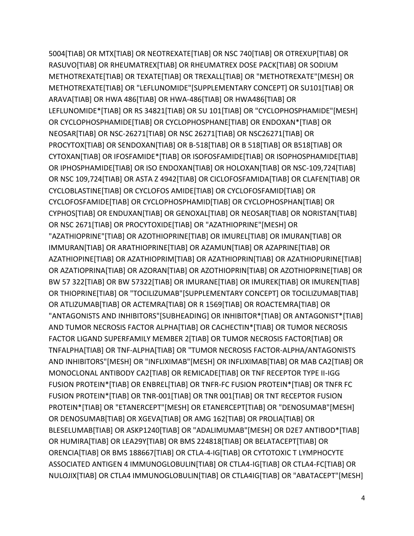5004[TIAB] OR MTX[TIAB] OR NEOTREXATE[TIAB] OR NSC 740[TIAB] OR OTREXUP[TIAB] OR RASUVO[TIAB] OR RHEUMATREX[TIAB] OR RHEUMATREX DOSE PACK[TIAB] OR SODIUM METHOTREXATE[TIAB] OR TEXATE[TIAB] OR TREXALL[TIAB] OR "METHOTREXATE"[MESH] OR METHOTREXATE[TIAB] OR "LEFLUNOMIDE"[SUPPLEMENTARY CONCEPT] OR SU101[TIAB] OR ARAVA[TIAB] OR HWA 486[TIAB] OR HWA-486[TIAB] OR HWA486[TIAB] OR LEFLUNOMIDE\*[TIAB] OR RS 34821[TIAB] OR SU 101[TIAB] OR "CYCLOPHOSPHAMIDE"[MESH] OR CYCLOPHOSPHAMIDE[TIAB] OR CYCLOPHOSPHANE[TIAB] OR ENDOXAN\*[TIAB] OR NEOSAR[TIAB] OR NSC-26271[TIAB] OR NSC 26271[TIAB] OR NSC26271[TIAB] OR PROCYTOX[TIAB] OR SENDOXAN[TIAB] OR B-518[TIAB] OR B 518[TIAB] OR B518[TIAB] OR CYTOXAN[TIAB] OR IFOSFAMIDE\*[TIAB] OR ISOFOSFAMIDE[TIAB] OR ISOPHOSPHAMIDE[TIAB] OR IPHOSPHAMIDE[TIAB] OR ISO ENDOXAN[TIAB] OR HOLOXAN[TIAB] OR NSC-109,724[TIAB] OR NSC 109,724[TIAB] OR ASTA Z 4942[TIAB] OR CICLOFOSFAMIDA[TIAB] OR CLAFEN[TIAB] OR CYCLOBLASTINE[TIAB] OR CYCLOFOS AMIDE[TIAB] OR CYCLOFOSFAMID[TIAB] OR CYCLOFOSFAMIDE[TIAB] OR CYCLOPHOSPHAMID[TIAB] OR CYCLOPHOSPHAN[TIAB] OR CYPHOS[TIAB] OR ENDUXAN[TIAB] OR GENOXAL[TIAB] OR NEOSAR[TIAB] OR NORISTAN[TIAB] OR NSC 2671[TIAB] OR PROCYTOXIDE[TIAB] OR "AZATHIOPRINE"[MESH] OR "AZATHIOPRINE"[TIAB] OR AZOTHIOPRINE[TIAB] OR IMUREL[TIAB] OR IMURAN[TIAB] OR IMMURAN[TIAB] OR ARATHIOPRINE[TIAB] OR AZAMUN[TIAB] OR AZAPRINE[TIAB] OR AZATHIOPINE[TIAB] OR AZATHIOPRIM[TIAB] OR AZATHIOPRIN[TIAB] OR AZATHIOPURINE[TIAB] OR AZATIOPRINA[TIAB] OR AZORAN[TIAB] OR AZOTHIOPRIN[TIAB] OR AZOTHIOPRINE[TIAB] OR BW 57 322[TIAB] OR BW 57322[TIAB] OR IMURANE[TIAB] OR IMUREK[TIAB] OR IMUREN[TIAB] OR THIOPRINE[TIAB] OR "TOCILIZUMAB"[SUPPLEMENTARY CONCEPT] OR TOCILIZUMAB[TIAB] OR ATLIZUMAB[TIAB] OR ACTEMRA[TIAB] OR R 1569[TIAB] OR ROACTEMRA[TIAB] OR "ANTAGONISTS AND INHIBITORS"[SUBHEADING] OR INHIBITOR\*[TIAB] OR ANTAGONIST\*[TIAB] AND TUMOR NECROSIS FACTOR ALPHA[TIAB] OR CACHECTIN\*[TIAB] OR TUMOR NECROSIS FACTOR LIGAND SUPERFAMILY MEMBER 2[TIAB] OR TUMOR NECROSIS FACTOR[TIAB] OR TNFALPHA[TIAB] OR TNF-ALPHA[TIAB] OR "TUMOR NECROSIS FACTOR-ALPHA/ANTAGONISTS AND INHIBITORS"[MESH] OR "INFLIXIMAB"[MESH] OR INFLIXIMAB[TIAB] OR MAB CA2[TIAB] OR MONOCLONAL ANTIBODY CA2[TIAB] OR REMICADE[TIAB] OR TNF RECEPTOR TYPE II-IGG FUSION PROTEIN\*[TIAB] OR ENBREL[TIAB] OR TNFR-FC FUSION PROTEIN\*[TIAB] OR TNFR FC FUSION PROTEIN\*[TIAB] OR TNR-001[TIAB] OR TNR 001[TIAB] OR TNT RECEPTOR FUSION PROTEIN\*[TIAB] OR "ETANERCEPT"[MESH] OR ETANERCEPT[TIAB] OR "DENOSUMAB"[MESH] OR DENOSUMAB[TIAB] OR XGEVA[TIAB] OR AMG 162[TIAB] OR PROLIA[TIAB] OR BLESELUMAB[TIAB] OR ASKP1240[TIAB] OR "ADALIMUMAB"[MESH] OR D2E7 ANTIBOD\*[TIAB] OR HUMIRA[TIAB] OR LEA29Y[TIAB] OR BMS 224818[TIAB] OR BELATACEPT[TIAB] OR ORENCIA[TIAB] OR BMS 188667[TIAB] OR CTLA-4-IG[TIAB] OR CYTOTOXIC T LYMPHOCYTE ASSOCIATED ANTIGEN 4 IMMUNOGLOBULIN[TIAB] OR CTLA4-IG[TIAB] OR CTLA4-FC[TIAB] OR NULOJIX[TIAB] OR CTLA4 IMMUNOGLOBULIN[TIAB] OR CTLA4IG[TIAB] OR "ABATACEPT"[MESH]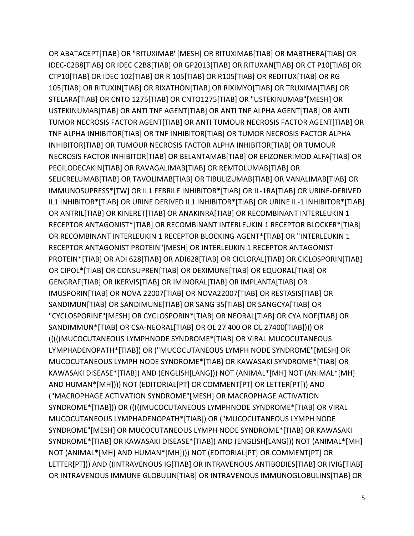OR ABATACEPT[TIAB] OR "RITUXIMAB"[MESH] OR RITUXIMAB[TIAB] OR MABTHERA[TIAB] OR IDEC-C2B8[TIAB] OR IDEC C2B8[TIAB] OR GP2013[TIAB] OR RITUXAN[TIAB] OR CT P10[TIAB] OR CTP10[TIAB] OR IDEC 102[TIAB] OR R 105[TIAB] OR R105[TIAB] OR REDITUX[TIAB] OR RG 105[TIAB] OR RITUXIN[TIAB] OR RIXATHON[TIAB] OR RIXIMYO[TIAB] OR TRUXIMA[TIAB] OR STELARA[TIAB] OR CNTO 1275[TIAB] OR CNTO1275[TIAB] OR "USTEKINUMAB"[MESH] OR USTEKINUMAB[TIAB] OR ANTI TNF AGENT[TIAB] OR ANTI TNF ALPHA AGENT[TIAB] OR ANTI TUMOR NECROSIS FACTOR AGENT[TIAB] OR ANTI TUMOUR NECROSIS FACTOR AGENT[TIAB] OR TNF ALPHA INHIBITOR[TIAB] OR TNF INHIBITOR[TIAB] OR TUMOR NECROSIS FACTOR ALPHA INHIBITOR[TIAB] OR TUMOUR NECROSIS FACTOR ALPHA INHIBITOR[TIAB] OR TUMOUR NECROSIS FACTOR INHIBITOR[TIAB] OR BELANTAMAB[TIAB] OR EFIZONERIMOD ALFA[TIAB] OR PEGILODECAKIN[TIAB] OR RAVAGALIMAB[TIAB] OR REMTOLUMAB[TIAB] OR SELICRELUMAB[TIAB] OR TAVOLIMAB[TIAB] OR TIBULIZUMAB[TIAB] OR VANALIMAB[TIAB] OR IMMUNOSUPRESS\*[TW] OR IL1 FEBRILE INHIBITOR\*[TIAB] OR IL-1RA[TIAB] OR URINE-DERIVED IL1 INHIBITOR\*[TIAB] OR URINE DERIVED IL1 INHIBITOR\*[TIAB] OR URINE IL-1 INHIBITOR\*[TIAB] OR ANTRIL[TIAB] OR KINERET[TIAB] OR ANAKINRA[TIAB] OR RECOMBINANT INTERLEUKIN 1 RECEPTOR ANTAGONIST\*[TIAB] OR RECOMBINANT INTERLEUKIN 1 RECEPTOR BLOCKER\*[TIAB] OR RECOMBINANT INTERLEUKIN 1 RECEPTOR BLOCKING AGENT\*[TIAB] OR "INTERLEUKIN 1 RECEPTOR ANTAGONIST PROTEIN"[MESH] OR INTERLEUKIN 1 RECEPTOR ANTAGONIST PROTEIN\*[TIAB] OR ADI 628[TIAB] OR ADI628[TIAB] OR CICLORAL[TIAB] OR CICLOSPORIN[TIAB] OR CIPOL\*[TIAB] OR CONSUPREN[TIAB] OR DEXIMUNE[TIAB] OR EQUORAL[TIAB] OR GENGRAF[TIAB] OR IKERVIS[TIAB] OR IMINORAL[TIAB] OR IMPLANTA[TIAB] OR IMUSPORIN[TIAB] OR NOVA 22007[TIAB] OR NOVA22007[TIAB] OR RESTASIS[TIAB] OR SANDIMUN[TIAB] OR SANDIMUNE[TIAB] OR SANG 35[TIAB] OR SANGCYA[TIAB] OR "CYCLOSPORINE"[MESH] OR CYCLOSPORIN\*[TIAB] OR NEORAL[TIAB] OR CYA NOF[TIAB] OR SANDIMMUN\*[TIAB] OR CSA-NEORAL[TIAB] OR OL 27 400 OR OL 27400[TIAB]))) OR (((((MUCOCUTANEOUS LYMPHNODE SYNDROME\*[TIAB] OR VIRAL MUCOCUTANEOUS LYMPHADENOPATH\*[TIAB]) OR ("MUCOCUTANEOUS LYMPH NODE SYNDROME"[MESH] OR MUCOCUTANEOUS LYMPH NODE SYNDROME\*[TIAB] OR KAWASAKI SYNDROME\*[TIAB] OR KAWASAKI DISEASE\*[TIAB]) AND (ENGLISH[LANG])) NOT (ANIMAL\*[MH] NOT (ANIMAL\*[MH] AND HUMAN\*[MH]))) NOT (EDITORIAL[PT] OR COMMENT[PT] OR LETTER[PT])) AND ("MACROPHAGE ACTIVATION SYNDROME"[MESH] OR MACROPHAGE ACTIVATION SYNDROME\*[TIAB])) OR (((((MUCOCUTANEOUS LYMPHNODE SYNDROME\*[TIAB] OR VIRAL MUCOCUTANEOUS LYMPHADENOPATH\*[TIAB]) OR ("MUCOCUTANEOUS LYMPH NODE SYNDROME"[MESH] OR MUCOCUTANEOUS LYMPH NODE SYNDROME\*[TIAB] OR KAWASAKI SYNDROME\*[TIAB] OR KAWASAKI DISEASE\*[TIAB]) AND (ENGLISH[LANG])) NOT (ANIMAL\*[MH] NOT (ANIMAL\*[MH] AND HUMAN\*[MH]))) NOT (EDITORIAL[PT] OR COMMENT[PT] OR LETTER[PT])) AND ((INTRAVENOUS IG[TIAB] OR INTRAVENOUS ANTIBODIES[TIAB] OR IVIG[TIAB] OR INTRAVENOUS IMMUNE GLOBULIN[TIAB] OR INTRAVENOUS IMMUNOGLOBULINS[TIAB] OR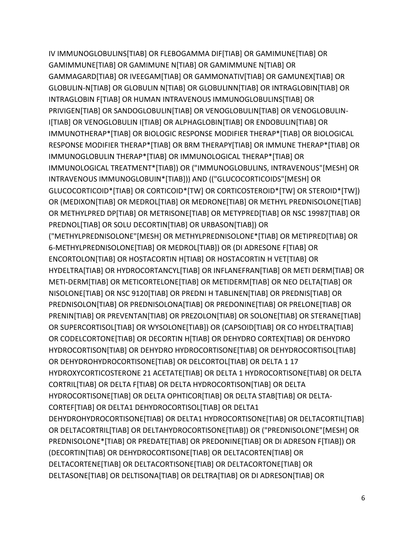IV IMMUNOGLOBULINS[TIAB] OR FLEBOGAMMA DIF[TIAB] OR GAMIMUNE[TIAB] OR GAMIMMUNE[TIAB] OR GAMIMUNE N[TIAB] OR GAMIMMUNE N[TIAB] OR GAMMAGARD[TIAB] OR IVEEGAM[TIAB] OR GAMMONATIV[TIAB] OR GAMUNEX[TIAB] OR GLOBULIN-N[TIAB] OR GLOBULIN N[TIAB] OR GLOBULINN[TIAB] OR INTRAGLOBIN[TIAB] OR INTRAGLOBIN F[TIAB] OR HUMAN INTRAVENOUS IMMUNOGLOBULINS[TIAB] OR PRIVIGEN[TIAB] OR SANDOGLOBULIN[TIAB] OR VENOGLOBULIN[TIAB] OR VENOGLOBULIN-I[TIAB] OR VENOGLOBULIN I[TIAB] OR ALPHAGLOBIN[TIAB] OR ENDOBULIN[TIAB] OR IMMUNOTHERAP\*[TIAB] OR BIOLOGIC RESPONSE MODIFIER THERAP\*[TIAB] OR BIOLOGICAL RESPONSE MODIFIER THERAP\*[TIAB] OR BRM THERAPY[TIAB] OR IMMUNE THERAP\*[TIAB] OR IMMUNOGLOBULIN THERAP\*[TIAB] OR IMMUNOLOGICAL THERAP\*[TIAB] OR IMMUNOLOGICAL TREATMENT\*[TIAB]) OR ("IMMUNOGLOBULINS, INTRAVENOUS"[MESH] OR INTRAVENOUS IMMUNOGLOBUIN\*[TIAB])) AND (("GLUCOCORTICOIDS"[MESH] OR GLUCOCORTICOID\*[TIAB] OR CORTICOID\*[TW] OR CORTICOSTEROID\*[TW] OR STEROID\*[TW]) OR (MEDIXON[TIAB] OR MEDROL[TIAB] OR MEDRONE[TIAB] OR METHYL PREDNISOLONE[TIAB] OR METHYLPRED DP[TIAB] OR METRISONE[TIAB] OR METYPRED[TIAB] OR NSC 19987[TIAB] OR PREDNOL[TIAB] OR SOLU DECORTIN[TIAB] OR URBASON[TIAB]) OR ("METHYLPREDNISOLONE"[MESH] OR METHYLPREDNISOLONE\*[TIAB] OR METIPRED[TIAB] OR 6-METHYLPREDNISOLONE[TIAB] OR MEDROL[TIAB]) OR (DI ADRESONE F[TIAB] OR ENCORTOLON[TIAB] OR HOSTACORTIN H[TIAB] OR HOSTACORTIN H VET[TIAB] OR HYDELTRA[TIAB] OR HYDROCORTANCYL[TIAB] OR INFLANEFRAN[TIAB] OR METI DERM[TIAB] OR METI-DERM[TIAB] OR METICORTELONE[TIAB] OR METIDERM[TIAB] OR NEO DELTA[TIAB] OR NISOLONE[TIAB] OR NSC 9120[TIAB] OR PREDNI H TABLINEN[TIAB] OR PREDNIS[TIAB] OR PREDNISOLON[TIAB] OR PREDNISOLONA[TIAB] OR PREDONINE[TIAB] OR PRELONE[TIAB] OR PRENIN[TIAB] OR PREVENTAN[TIAB] OR PREZOLON[TIAB] OR SOLONE[TIAB] OR STERANE[TIAB] OR SUPERCORTISOL[TIAB] OR WYSOLONE[TIAB]) OR (CAPSOID[TIAB] OR CO HYDELTRA[TIAB] OR CODELCORTONE[TIAB] OR DECORTIN H[TIAB] OR DEHYDRO CORTEX[TIAB] OR DEHYDRO HYDROCORTISON[TIAB] OR DEHYDRO HYDROCORTISONE[TIAB] OR DEHYDROCORTISOL[TIAB] OR DEHYDROHYDROCORTISONE[TIAB] OR DELCORTOL[TIAB] OR DELTA 1 17 HYDROXYCORTICOSTERONE 21 ACETATE[TIAB] OR DELTA 1 HYDROCORTISONE[TIAB] OR DELTA CORTRIL[TIAB] OR DELTA F[TIAB] OR DELTA HYDROCORTISON[TIAB] OR DELTA HYDROCORTISONE[TIAB] OR DELTA OPHTICOR[TIAB] OR DELTA STAB[TIAB] OR DELTA-CORTEF[TIAB] OR DELTA1 DEHYDROCORTISOL[TIAB] OR DELTA1 DEHYDROHYDROCORTISONE[TIAB] OR DELTA1 HYDROCORTISONE[TIAB] OR DELTACORTIL[TIAB] OR DELTACORTRIL[TIAB] OR DELTAHYDROCORTISONE[TIAB]) OR ("PREDNISOLONE"[MESH] OR PREDNISOLONE\*[TIAB] OR PREDATE[TIAB] OR PREDONINE[TIAB] OR DI ADRESON F[TIAB]) OR (DECORTIN[TIAB] OR DEHYDROCORTISONE[TIAB] OR DELTACORTEN[TIAB] OR DELTACORTENE[TIAB] OR DELTACORTISONE[TIAB] OR DELTACORTONE[TIAB] OR DELTASONE[TIAB] OR DELTISONA[TIAB] OR DELTRA[TIAB] OR DI ADRESON[TIAB] OR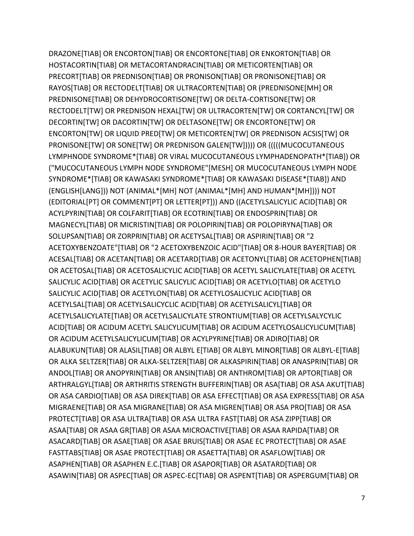DRAZONE[TIAB] OR ENCORTON[TIAB] OR ENCORTONE[TIAB] OR ENKORTON[TIAB] OR HOSTACORTIN[TIAB] OR METACORTANDRACIN[TIAB] OR METICORTEN[TIAB] OR PRECORT[TIAB] OR PREDNISON[TIAB] OR PRONISON[TIAB] OR PRONISONE[TIAB] OR RAYOS[TIAB] OR RECTODELT[TIAB] OR ULTRACORTEN[TIAB] OR (PREDNISONE[MH] OR PREDNISONE[TIAB] OR DEHYDROCORTISONE[TW] OR DELTA-CORTISONE[TW] OR RECTODELT[TW] OR PREDNISON HEXAL[TW] OR ULTRACORTEN[TW] OR CORTANCYL[TW] OR DECORTIN[TW] OR DACORTIN[TW] OR DELTASONE[TW] OR ENCORTONE[TW] OR ENCORTON[TW] OR LIQUID PRED[TW] OR METICORTEN[TW] OR PREDNISON ACSIS[TW] OR PRONISONE[TW] OR SONE[TW] OR PREDNISON GALEN[TW])))) OR (((((MUCOCUTANEOUS LYMPHNODE SYNDROME\*[TIAB] OR VIRAL MUCOCUTANEOUS LYMPHADENOPATH\*[TIAB]) OR ("MUCOCUTANEOUS LYMPH NODE SYNDROME"[MESH] OR MUCOCUTANEOUS LYMPH NODE SYNDROME\*[TIAB] OR KAWASAKI SYNDROME\*[TIAB] OR KAWASAKI DISEASE\*[TIAB]) AND (ENGLISH[LANG])) NOT (ANIMAL\*[MH] NOT (ANIMAL\*[MH] AND HUMAN\*[MH]))) NOT (EDITORIAL[PT] OR COMMENT[PT] OR LETTER[PT])) AND ((ACETYLSALICYLIC ACID[TIAB] OR ACYLPYRIN[TIAB] OR COLFARIT[TIAB] OR ECOTRIN[TIAB] OR ENDOSPRIN[TIAB] OR MAGNECYL[TIAB] OR MICRISTIN[TIAB] OR POLOPIRIN[TIAB] OR POLOPIRYNA[TIAB] OR SOLUPSAN[TIAB] OR ZORPRIN[TIAB] OR ACETYSAL[TIAB] OR ASPIRIN[TIAB] OR "2 ACETOXYBENZOATE"[TIAB] OR "2 ACETOXYBENZOIC ACID"[TIAB] OR 8-HOUR BAYER[TIAB] OR ACESAL[TIAB] OR ACETAN[TIAB] OR ACETARD[TIAB] OR ACETONYL[TIAB] OR ACETOPHEN[TIAB] OR ACETOSAL[TIAB] OR ACETOSALICYLIC ACID[TIAB] OR ACETYL SALICYLATE[TIAB] OR ACETYL SALICYLIC ACID[TIAB] OR ACETYLIC SALICYLIC ACID[TIAB] OR ACETYLO[TIAB] OR ACETYLO SALICYLIC ACID[TIAB] OR ACETYLON[TIAB] OR ACETYLOSALICYLIC ACID[TIAB] OR ACETYLSAL[TIAB] OR ACETYLSALICYCLIC ACID[TIAB] OR ACETYLSALICYL[TIAB] OR ACETYLSALICYLATE[TIAB] OR ACETYLSALICYLATE STRONTIUM[TIAB] OR ACETYLSALYCYLIC ACID[TIAB] OR ACIDUM ACETYL SALICYLICUM[TIAB] OR ACIDUM ACETYLOSALICYLICUM[TIAB] OR ACIDUM ACETYLSALICYLICUM[TIAB] OR ACYLPYRINE[TIAB] OR ADIRO[TIAB] OR ALABUKUN[TIAB] OR ALASIL[TIAB] OR ALBYL E[TIAB] OR ALBYL MINOR[TIAB] OR ALBYL-E[TIAB] OR ALKA SELTZER[TIAB] OR ALKA-SELTZER[TIAB] OR ALKASPIRIN[TIAB] OR ANASPRIN[TIAB] OR ANDOL[TIAB] OR ANOPYRIN[TIAB] OR ANSIN[TIAB] OR ANTHROM[TIAB] OR APTOR[TIAB] OR ARTHRALGYL[TIAB] OR ARTHRITIS STRENGTH BUFFERIN[TIAB] OR ASA[TIAB] OR ASA AKUT[TIAB] OR ASA CARDIO[TIAB] OR ASA DIREK[TIAB] OR ASA EFFECT[TIAB] OR ASA EXPRESS[TIAB] OR ASA MIGRAENE[TIAB] OR ASA MIGRANE[TIAB] OR ASA MIGREN[TIAB] OR ASA PRO[TIAB] OR ASA PROTECT[TIAB] OR ASA ULTRA[TIAB] OR ASA ULTRA FAST[TIAB] OR ASA ZIPP[TIAB] OR ASAA[TIAB] OR ASAA GR[TIAB] OR ASAA MICROACTIVE[TIAB] OR ASAA RAPIDA[TIAB] OR ASACARD[TIAB] OR ASAE[TIAB] OR ASAE BRUIS[TIAB] OR ASAE EC PROTECT[TIAB] OR ASAE FASTTABS[TIAB] OR ASAE PROTECT[TIAB] OR ASAETTA[TIAB] OR ASAFLOW[TIAB] OR ASAPHEN[TIAB] OR ASAPHEN E.C.[TIAB] OR ASAPOR[TIAB] OR ASATARD[TIAB] OR ASAWIN[TIAB] OR ASPEC[TIAB] OR ASPEC-EC[TIAB] OR ASPENT[TIAB] OR ASPERGUM[TIAB] OR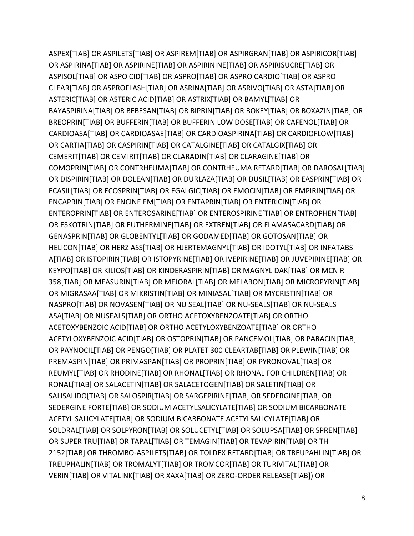ASPEX[TIAB] OR ASPILETS[TIAB] OR ASPIREM[TIAB] OR ASPIRGRAN[TIAB] OR ASPIRICOR[TIAB] OR ASPIRINA[TIAB] OR ASPIRINE[TIAB] OR ASPIRININE[TIAB] OR ASPIRISUCRE[TIAB] OR ASPISOL[TIAB] OR ASPO CID[TIAB] OR ASPRO[TIAB] OR ASPRO CARDIO[TIAB] OR ASPRO CLEAR[TIAB] OR ASPROFLASH[TIAB] OR ASRINA[TIAB] OR ASRIVO[TIAB] OR ASTA[TIAB] OR ASTERIC[TIAB] OR ASTERIC ACID[TIAB] OR ASTRIX[TIAB] OR BAMYL[TIAB] OR BAYASPIRINA[TIAB] OR BEBESAN[TIAB] OR BIPRIN[TIAB] OR BOKEY[TIAB] OR BOXAZIN[TIAB] OR BREOPRIN[TIAB] OR BUFFERIN[TIAB] OR BUFFERIN LOW DOSE[TIAB] OR CAFENOL[TIAB] OR CARDIOASA[TIAB] OR CARDIOASAE[TIAB] OR CARDIOASPIRINA[TIAB] OR CARDIOFLOW[TIAB] OR CARTIA[TIAB] OR CASPIRIN[TIAB] OR CATALGINE[TIAB] OR CATALGIX[TIAB] OR CEMERIT[TIAB] OR CEMIRIT[TIAB] OR CLARADIN[TIAB] OR CLARAGINE[TIAB] OR COMOPRIN[TIAB] OR CONTRHEUMA[TIAB] OR CONTRHEUMA RETARD[TIAB] OR DAROSAL[TIAB] OR DISPIRIN[TIAB] OR DOLEAN[TIAB] OR DURLAZA[TIAB] OR DUSIL[TIAB] OR EASPRIN[TIAB] OR ECASIL[TIAB] OR ECOSPRIN[TIAB] OR EGALGIC[TIAB] OR EMOCIN[TIAB] OR EMPIRIN[TIAB] OR ENCAPRIN[TIAB] OR ENCINE EM[TIAB] OR ENTAPRIN[TIAB] OR ENTERICIN[TIAB] OR ENTEROPRIN[TIAB] OR ENTEROSARINE[TIAB] OR ENTEROSPIRINE[TIAB] OR ENTROPHEN[TIAB] OR ESKOTRIN[TIAB] OR EUTHERMINE[TIAB] OR EXTREN[TIAB] OR FLAMASACARD[TIAB] OR GENASPRIN[TIAB] OR GLOBENTYL[TIAB] OR GODAMED[TIAB] OR GOTOSAN[TIAB] OR HELICON[TIAB] OR HERZ ASS[TIAB] OR HJERTEMAGNYL[TIAB] OR IDOTYL[TIAB] OR INFATABS A[TIAB] OR ISTOPIRIN[TIAB] OR ISTOPYRINE[TIAB] OR IVEPIRINE[TIAB] OR JUVEPIRINE[TIAB] OR KEYPO[TIAB] OR KILIOS[TIAB] OR KINDERASPIRIN[TIAB] OR MAGNYL DAK[TIAB] OR MCN R 358[TIAB] OR MEASURIN[TIAB] OR MEJORAL[TIAB] OR MELABON[TIAB] OR MICROPYRIN[TIAB] OR MIGRASAA[TIAB] OR MIKRISTIN[TIAB] OR MINIASAL[TIAB] OR MYCRISTIN[TIAB] OR NASPRO[TIAB] OR NOVASEN[TIAB] OR NU SEAL[TIAB] OR NU-SEALS[TIAB] OR NU-SEALS ASA[TIAB] OR NUSEALS[TIAB] OR ORTHO ACETOXYBENZOATE[TIAB] OR ORTHO ACETOXYBENZOIC ACID[TIAB] OR ORTHO ACETYLOXYBENZOATE[TIAB] OR ORTHO ACETYLOXYBENZOIC ACID[TIAB] OR OSTOPRIN[TIAB] OR PANCEMOL[TIAB] OR PARACIN[TIAB] OR PAYNOCIL[TIAB] OR PENGO[TIAB] OR PLATET 300 CLEARTAB[TIAB] OR PLEWIN[TIAB] OR PREMASPIN[TIAB] OR PRIMASPAN[TIAB] OR PROPRIN[TIAB] OR PYRONOVAL[TIAB] OR REUMYL[TIAB] OR RHODINE[TIAB] OR RHONAL[TIAB] OR RHONAL FOR CHILDREN[TIAB] OR RONAL[TIAB] OR SALACETIN[TIAB] OR SALACETOGEN[TIAB] OR SALETIN[TIAB] OR SALISALIDO[TIAB] OR SALOSPIR[TIAB] OR SARGEPIRINE[TIAB] OR SEDERGINE[TIAB] OR SEDERGINE FORTE[TIAB] OR SODIUM ACETYLSALICYLATE[TIAB] OR SODIUM BICARBONATE ACETYL SALICYLATE[TIAB] OR SODIUM BICARBONATE ACETYLSALICYLATE[TIAB] OR SOLDRAL[TIAB] OR SOLPYRON[TIAB] OR SOLUCETYL[TIAB] OR SOLUPSA[TIAB] OR SPREN[TIAB] OR SUPER TRU[TIAB] OR TAPAL[TIAB] OR TEMAGIN[TIAB] OR TEVAPIRIN[TIAB] OR TH 2152[TIAB] OR THROMBO-ASPILETS[TIAB] OR TOLDEX RETARD[TIAB] OR TREUPAHLIN[TIAB] OR TREUPHALIN[TIAB] OR TROMALYT[TIAB] OR TROMCOR[TIAB] OR TURIVITAL[TIAB] OR VERIN[TIAB] OR VITALINK[TIAB] OR XAXA[TIAB] OR ZERO-ORDER RELEASE[TIAB]) OR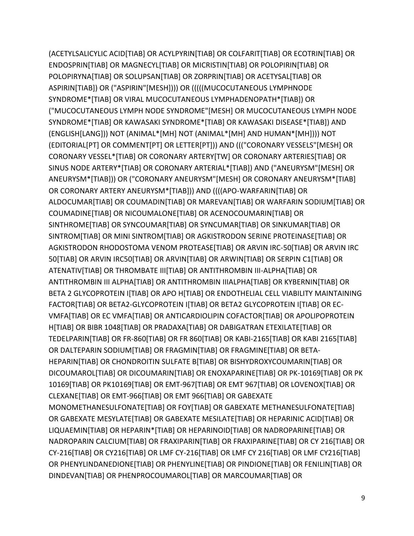(ACETYLSALICYLIC ACID[TIAB] OR ACYLPYRIN[TIAB] OR COLFARIT[TIAB] OR ECOTRIN[TIAB] OR ENDOSPRIN[TIAB] OR MAGNECYL[TIAB] OR MICRISTIN[TIAB] OR POLOPIRIN[TIAB] OR POLOPIRYNA[TIAB] OR SOLUPSAN[TIAB] OR ZORPRIN[TIAB] OR ACETYSAL[TIAB] OR ASPIRIN[TIAB]) OR ("ASPIRIN"[MESH]))) OR (((((MUCOCUTANEOUS LYMPHNODE SYNDROME\*[TIAB] OR VIRAL MUCOCUTANEOUS LYMPHADENOPATH\*[TIAB]) OR ("MUCOCUTANEOUS LYMPH NODE SYNDROME"[MESH] OR MUCOCUTANEOUS LYMPH NODE SYNDROME\*[TIAB] OR KAWASAKI SYNDROME\*[TIAB] OR KAWASAKI DISEASE\*[TIAB]) AND (ENGLISH[LANG])) NOT (ANIMAL\*[MH] NOT (ANIMAL\*[MH] AND HUMAN\*[MH]))) NOT (EDITORIAL[PT] OR COMMENT[PT] OR LETTER[PT])) AND ((("CORONARY VESSELS"[MESH] OR CORONARY VESSEL\*[TIAB] OR CORONARY ARTERY[TW] OR CORONARY ARTERIES[TIAB] OR SINUS NODE ARTERY\*[TIAB] OR CORONARY ARTERIAL\*[TIAB]) AND ("ANEURYSM"[MESH] OR ANEURYSM\*[TIAB])) OR ("CORONARY ANEURYSM"[MESH] OR CORONARY ANEURYSM\*[TIAB] OR CORONARY ARTERY ANEURYSM\*[TIAB])) AND ((((APO-WARFARIN[TIAB] OR ALDOCUMAR[TIAB] OR COUMADIN[TIAB] OR MAREVAN[TIAB] OR WARFARIN SODIUM[TIAB] OR COUMADINE[TIAB] OR NICOUMALONE[TIAB] OR ACENOCOUMARIN[TIAB] OR SINTHROME[TIAB] OR SYNCOUMAR[TIAB] OR SYNCUMAR[TIAB] OR SINKUMAR[TIAB] OR SINTROM[TIAB] OR MINI SINTROM[TIAB] OR AGKISTRODON SERINE PROTEINASE[TIAB] OR AGKISTRODON RHODOSTOMA VENOM PROTEASE[TIAB] OR ARVIN IRC-50[TIAB] OR ARVIN IRC 50[TIAB] OR ARVIN IRC50[TIAB] OR ARVIN[TIAB] OR ARWIN[TIAB] OR SERPIN C1[TIAB] OR ATENATIV[TIAB] OR THROMBATE III[TIAB] OR ANTITHROMBIN III-ALPHA[TIAB] OR ANTITHROMBIN III ALPHA[TIAB] OR ANTITHROMBIN IIIALPHA[TIAB] OR KYBERNIN[TIAB] OR BETA 2 GLYCOPROTEIN I[TIAB] OR APO H[TIAB] OR ENDOTHELIAL CELL VIABILITY MAINTAINING FACTOR[TIAB] OR BETA2-GLYCOPROTEIN I[TIAB] OR BETA2 GLYCOPROTEIN I[TIAB] OR EC-VMFA[TIAB] OR EC VMFA[TIAB] OR ANTICARDIOLIPIN COFACTOR[TIAB] OR APOLIPOPROTEIN H[TIAB] OR BIBR 1048[TIAB] OR PRADAXA[TIAB] OR DABIGATRAN ETEXILATE[TIAB] OR TEDELPARIN[TIAB] OR FR-860[TIAB] OR FR 860[TIAB] OR KABI-2165[TIAB] OR KABI 2165[TIAB] OR DALTEPARIN SODIUM[TIAB] OR FRAGMIN[TIAB] OR FRAGMINE[TIAB] OR BETA-HEPARIN[TIAB] OR CHONDROITIN SULFATE B[TIAB] OR BISHYDROXYCOUMARIN[TIAB] OR DICOUMAROL[TIAB] OR DICOUMARIN[TIAB] OR ENOXAPARINE[TIAB] OR PK-10169[TIAB] OR PK 10169[TIAB] OR PK10169[TIAB] OR EMT-967[TIAB] OR EMT 967[TIAB] OR LOVENOX[TIAB] OR CLEXANE[TIAB] OR EMT-966[TIAB] OR EMT 966[TIAB] OR GABEXATE MONOMETHANESULFONATE[TIAB] OR FOY[TIAB] OR GABEXATE METHANESULFONATE[TIAB] OR GABEXATE MESYLATE[TIAB] OR GABEXATE MESILATE[TIAB] OR HEPARINIC ACID[TIAB] OR LIQUAEMIN[TIAB] OR HEPARIN\*[TIAB] OR HEPARINOID[TIAB] OR NADROPARINE[TIAB] OR NADROPARIN CALCIUM[TIAB] OR FRAXIPARIN[TIAB] OR FRAXIPARINE[TIAB] OR CY 216[TIAB] OR CY-216[TIAB] OR CY216[TIAB] OR LMF CY-216[TIAB] OR LMF CY 216[TIAB] OR LMF CY216[TIAB] OR PHENYLINDANEDIONE[TIAB] OR PHENYLINE[TIAB] OR PINDIONE[TIAB] OR FENILIN[TIAB] OR DINDEVAN[TIAB] OR PHENPROCOUMAROL[TIAB] OR MARCOUMAR[TIAB] OR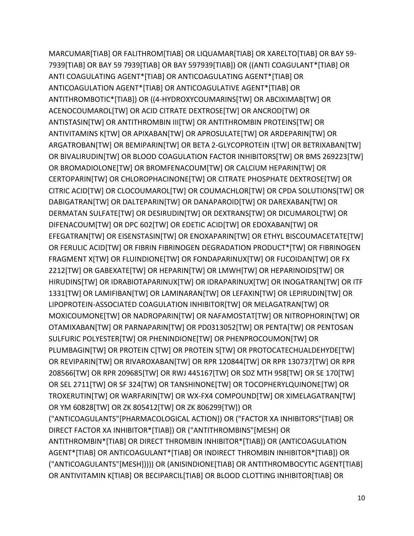MARCUMAR[TIAB] OR FALITHROM[TIAB] OR LIQUAMAR[TIAB] OR XARELTO[TIAB] OR BAY 59- 7939[TIAB] OR BAY 59 7939[TIAB] OR BAY 597939[TIAB]) OR ((ANTI COAGULANT\*[TIAB] OR ANTI COAGULATING AGENT\*[TIAB] OR ANTICOAGULATING AGENT\*[TIAB] OR ANTICOAGULATION AGENT\*[TIAB] OR ANTICOAGULATIVE AGENT\*[TIAB] OR ANTITHROMBOTIC\*[TIAB]) OR ((4-HYDROXYCOUMARINS[TW] OR ABCIXIMAB[TW] OR ACENOCOUMAROL[TW] OR ACID CITRATE DEXTROSE[TW] OR ANCROD[TW] OR ANTISTASIN[TW] OR ANTITHROMBIN III[TW] OR ANTITHROMBIN PROTEINS[TW] OR ANTIVITAMINS K[TW] OR APIXABAN[TW] OR APROSULATE[TW] OR ARDEPARIN[TW] OR ARGATROBAN[TW] OR BEMIPARIN[TW] OR BETA 2-GLYCOPROTEIN I[TW] OR BETRIXABAN[TW] OR BIVALIRUDIN[TW] OR BLOOD COAGULATION FACTOR INHIBITORS[TW] OR BMS 269223[TW] OR BROMADIOLONE[TW] OR BROMFENACOUM[TW] OR CALCIUM HEPARIN[TW] OR CERTOPARIN[TW] OR CHLOROPHACINONE[TW] OR CITRATE PHOSPHATE DEXTROSE[TW] OR CITRIC ACID[TW] OR CLOCOUMAROL[TW] OR COUMACHLOR[TW] OR CPDA SOLUTIONS[TW] OR DABIGATRAN[TW] OR DALTEPARIN[TW] OR DANAPAROID[TW] OR DAREXABAN[TW] OR DERMATAN SULFATE[TW] OR DESIRUDIN[TW] OR DEXTRANS[TW] OR DICUMAROL[TW] OR DIFENACOUM[TW] OR DPC 602[TW] OR EDETIC ACID[TW] OR EDOXABAN[TW] OR EFEGATRAN[TW] OR EISENSTASIN[TW] OR ENOXAPARIN[TW] OR ETHYL BISCOUMACETATE[TW] OR FERULIC ACID[TW] OR FIBRIN FIBRINOGEN DEGRADATION PRODUCT\*[TW] OR FIBRINOGEN FRAGMENT X[TW] OR FLUINDIONE[TW] OR FONDAPARINUX[TW] OR FUCOIDAN[TW] OR FX 2212[TW] OR GABEXATE[TW] OR HEPARIN[TW] OR LMWH[TW] OR HEPARINOIDS[TW] OR HIRUDINS[TW] OR IDRABIOTAPARINUX[TW] OR IDRAPARINUX[TW] OR INOGATRAN[TW] OR ITF 1331[TW] OR LAMIFIBAN[TW] OR LAMINARAN[TW] OR LEFAXIN[TW] OR LEPIRUDIN[TW] OR LIPOPROTEIN-ASSOCIATED COAGULATION INHIBITOR[TW] OR MELAGATRAN[TW] OR MOXICOUMONE[TW] OR NADROPARIN[TW] OR NAFAMOSTAT[TW] OR NITROPHORIN[TW] OR OTAMIXABAN[TW] OR PARNAPARIN[TW] OR PD0313052[TW] OR PENTA[TW] OR PENTOSAN SULFURIC POLYESTER[TW] OR PHENINDIONE[TW] OR PHENPROCOUMON[TW] OR PLUMBAGIN[TW] OR PROTEIN C[TW] OR PROTEIN S[TW] OR PROTOCATECHUALDEHYDE[TW] OR REVIPARIN[TW] OR RIVAROXABAN[TW] OR RPR 120844[TW] OR RPR 130737[TW] OR RPR 208566[TW] OR RPR 209685[TW] OR RWJ 445167[TW] OR SDZ MTH 958[TW] OR SE 170[TW] OR SEL 2711[TW] OR SF 324[TW] OR TANSHINONE[TW] OR TOCOPHERYLQUINONE[TW] OR TROXERUTIN[TW] OR WARFARIN[TW] OR WX-FX4 COMPOUND[TW] OR XIMELAGATRAN[TW] OR YM 60828[TW] OR ZK 805412[TW] OR ZK 806299[TW]) OR ("ANTICOAGULANTS"[PHARMACOLOGICAL ACTION]) OR ("FACTOR XA INHIBITORS"[TIAB] OR DIRECT FACTOR XA INHIBITOR\*[TIAB]) OR ("ANTITHROMBINS"[MESH] OR ANTITHROMBIN\*[TIAB] OR DIRECT THROMBIN INHIBITOR\*[TIAB]) OR (ANTICOAGULATION AGENT\*[TIAB] OR ANTICOAGULANT\*[TIAB] OR INDIRECT THROMBIN INHIBITOR\*[TIAB]) OR ("ANTICOAGULANTS"[MESH])))) OR (ANISINDIONE[TIAB] OR ANTITHROMBOCYTIC AGENT[TIAB] OR ANTIVITAMIN K[TIAB] OR BECIPARCIL[TIAB] OR BLOOD CLOTTING INHIBITOR[TIAB] OR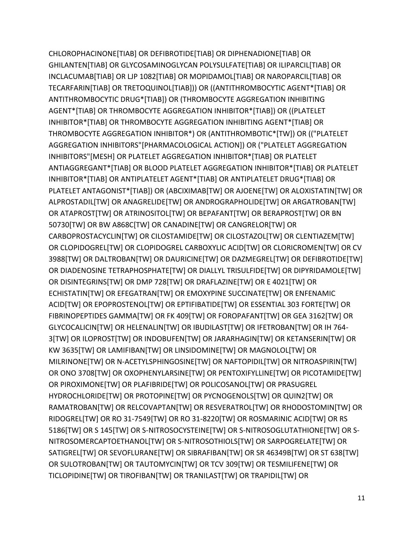CHLOROPHACINONE[TIAB] OR DEFIBROTIDE[TIAB] OR DIPHENADIONE[TIAB] OR GHILANTEN[TIAB] OR GLYCOSAMINOGLYCAN POLYSULFATE[TIAB] OR ILIPARCIL[TIAB] OR INCLACUMAB[TIAB] OR LJP 1082[TIAB] OR MOPIDAMOL[TIAB] OR NAROPARCIL[TIAB] OR TECARFARIN[TIAB] OR TRETOQUINOL[TIAB])) OR ((ANTITHROMBOCYTIC AGENT\*[TIAB] OR ANTITHROMBOCYTIC DRUG\*[TIAB]) OR (THROMBOCYTE AGGREGATION INHIBITING AGENT\*[TIAB] OR THROMBOCYTE AGGREGATION INHIBITOR\*[TIAB]) OR ((PLATELET INHIBITOR\*[TIAB] OR THROMBOCYTE AGGREGATION INHIBITING AGENT\*[TIAB] OR THROMBOCYTE AGGREGATION INHIBITOR\*) OR (ANTITHROMBOTIC\*[TW]) OR (("PLATELET AGGREGATION INHIBITORS"[PHARMACOLOGICAL ACTION]) OR ("PLATELET AGGREGATION INHIBITORS"[MESH] OR PLATELET AGGREGATION INHIBITOR\*[TIAB] OR PLATELET ANTIAGGREGANT\*[TIAB] OR BLOOD PLATELET AGGREGATION INHIBITOR\*[TIAB] OR PLATELET INHIBITOR\*[TIAB] OR ANTIPLATELET AGENT\*[TIAB] OR ANTIPLATELET DRUG\*[TIAB] OR PLATELET ANTAGONIST\*[TIAB]) OR (ABCIXIMAB[TW] OR AJOENE[TW] OR ALOXISTATIN[TW] OR ALPROSTADIL[TW] OR ANAGRELIDE[TW] OR ANDROGRAPHOLIDE[TW] OR ARGATROBAN[TW] OR ATAPROST[TW] OR ATRINOSITOL[TW] OR BEPAFANT[TW] OR BERAPROST[TW] OR BN 50730[TW] OR BW A868C[TW] OR CANADINE[TW] OR CANGRELOR[TW] OR CARBOPROSTACYCLIN[TW] OR CILOSTAMIDE[TW] OR CILOSTAZOL[TW] OR CLENTIAZEM[TW] OR CLOPIDOGREL[TW] OR CLOPIDOGREL CARBOXYLIC ACID[TW] OR CLORICROMEN[TW] OR CV 3988[TW] OR DALTROBAN[TW] OR DAURICINE[TW] OR DAZMEGREL[TW] OR DEFIBROTIDE[TW] OR DIADENOSINE TETRAPHOSPHATE[TW] OR DIALLYL TRISULFIDE[TW] OR DIPYRIDAMOLE[TW] OR DISINTEGRINS[TW] OR DMP 728[TW] OR DRAFLAZINE[TW] OR E 4021[TW] OR ECHISTATIN[TW] OR EFEGATRAN[TW] OR EMOXYPINE SUCCINATE[TW] OR ENFENAMIC ACID[TW] OR EPOPROSTENOL[TW] OR EPTIFIBATIDE[TW] OR ESSENTIAL 303 FORTE[TW] OR FIBRINOPEPTIDES GAMMA[TW] OR FK 409[TW] OR FOROPAFANT[TW] OR GEA 3162[TW] OR GLYCOCALICIN[TW] OR HELENALIN[TW] OR IBUDILAST[TW] OR IFETROBAN[TW] OR IH 764- 3[TW] OR ILOPROST[TW] OR INDOBUFEN[TW] OR JARARHAGIN[TW] OR KETANSERIN[TW] OR KW 3635[TW] OR LAMIFIBAN[TW] OR LINSIDOMINE[TW] OR MAGNOLOL[TW] OR MILRINONE[TW] OR N-ACETYLSPHINGOSINE[TW] OR NAFTOPIDIL[TW] OR NITROASPIRIN[TW] OR ONO 3708[TW] OR OXOPHENYLARSINE[TW] OR PENTOXIFYLLINE[TW] OR PICOTAMIDE[TW] OR PIROXIMONE[TW] OR PLAFIBRIDE[TW] OR POLICOSANOL[TW] OR PRASUGREL HYDROCHLORIDE[TW] OR PROTOPINE[TW] OR PYCNOGENOLS[TW] OR QUIN2[TW] OR RAMATROBAN[TW] OR RELCOVAPTAN[TW] OR RESVERATROL[TW] OR RHODOSTOMIN[TW] OR RIDOGREL[TW] OR RO 31-7549[TW] OR RO 31-8220[TW] OR ROSMARINIC ACID[TW] OR RS 5186[TW] OR S 145[TW] OR S-NITROSOCYSTEINE[TW] OR S-NITROSOGLUTATHIONE[TW] OR S-NITROSOMERCAPTOETHANOL[TW] OR S-NITROSOTHIOLS[TW] OR SARPOGRELATE[TW] OR SATIGREL[TW] OR SEVOFLURANE[TW] OR SIBRAFIBAN[TW] OR SR 46349B[TW] OR ST 638[TW] OR SULOTROBAN[TW] OR TAUTOMYCIN[TW] OR TCV 309[TW] OR TESMILIFENE[TW] OR TICLOPIDINE[TW] OR TIROFIBAN[TW] OR TRANILAST[TW] OR TRAPIDIL[TW] OR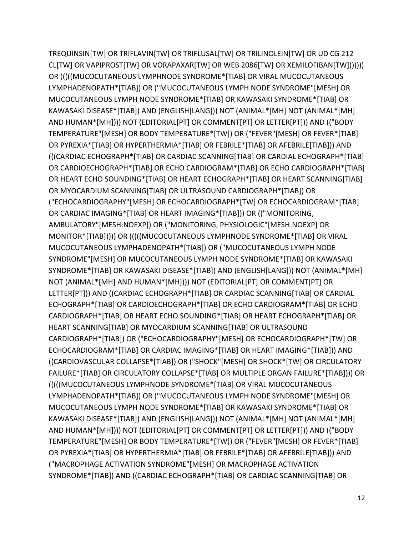TREQUINSIN[TW] OR TRIFLAVIN[TW] OR TRIFLUSAL[TW] OR TRILINOLEIN[TW] OR UD CG 212 CL[TW] OR VAPIPROST[TW] OR VORAPAXAR[TW] OR WEB 2086[TW] OR XEMILOFIBAN[TW])))))) OR (((((MUCOCUTANEOUS LYMPHNODE SYNDROME\*[TIAB] OR VIRAL MUCOCUTANEOUS LYMPHADENOPATH\*[TIAB]) OR ("MUCOCUTANEOUS LYMPH NODE SYNDROME"[MESH] OR MUCOCUTANEOUS LYMPH NODE SYNDROME\*[TIAB] OR KAWASAKI SYNDROME\*[TIAB] OR KAWASAKI DISEASE\*[TIAB]) AND (ENGLISH[LANG])) NOT (ANIMAL\*[MH] NOT (ANIMAL\*[MH] AND HUMAN\*[MH]))) NOT (EDITORIAL[PT] OR COMMENT[PT] OR LETTER[PT])) AND (("BODY TEMPERATURE"[MESH] OR BODY TEMPERATURE\*[TW]) OR ("FEVER"[MESH] OR FEVER\*[TIAB] OR PYREXIA\*[TIAB] OR HYPERTHERMIA\*[TIAB] OR FEBRILE\*[TIAB] OR AFEBRILE[TIAB])) AND (((CARDIAC ECHOGRAPH\*[TIAB] OR CARDIAC SCANNING[TIAB] OR CARDIAL ECHOGRAPH\*[TIAB] OR CARDIOECHOGRAPH\*[TIAB] OR ECHO CARDIOGRAM\*[TIAB] OR ECHO CARDIOGRAPH\*[TIAB] OR HEART ECHO SOUNDING\*[TIAB] OR HEART ECHOGRAPH\*[TIAB] OR HEART SCANNING[TIAB] OR MYOCARDIUM SCANNING[TIAB] OR ULTRASOUND CARDIOGRAPH\*[TIAB]) OR ("ECHOCARDIOGRAPHY"[MESH] OR ECHOCARDIOGRAPH\*[TW] OR ECHOCARDIOGRAM\*[TIAB] OR CARDIAC IMAGING\*[TIAB] OR HEART IMAGING\*[TIAB])) OR (("MONITORING, AMBULATORY"[MESH:NOEXP]) OR ("MONITORING, PHYSIOLOGIC"[MESH:NOEXP] OR MONITOR\*[TIAB])))) OR (((((MUCOCUTANEOUS LYMPHNODE SYNDROME\*[TIAB] OR VIRAL MUCOCUTANEOUS LYMPHADENOPATH\*[TIAB]) OR ("MUCOCUTANEOUS LYMPH NODE SYNDROME"[MESH] OR MUCOCUTANEOUS LYMPH NODE SYNDROME\*[TIAB] OR KAWASAKI SYNDROME\*[TIAB] OR KAWASAKI DISEASE\*[TIAB]) AND (ENGLISH[LANG])) NOT (ANIMAL\*[MH] NOT (ANIMAL\*[MH] AND HUMAN\*[MH]))) NOT (EDITORIAL[PT] OR COMMENT[PT] OR LETTER[PT])) AND ((CARDIAC ECHOGRAPH\*[TIAB] OR CARDIAC SCANNING[TIAB] OR CARDIAL ECHOGRAPH\*[TIAB] OR CARDIOECHOGRAPH\*[TIAB] OR ECHO CARDIOGRAM\*[TIAB] OR ECHO CARDIOGRAPH\*[TIAB] OR HEART ECHO SOUNDING\*[TIAB] OR HEART ECHOGRAPH\*[TIAB] OR HEART SCANNING[TIAB] OR MYOCARDIUM SCANNING[TIAB] OR ULTRASOUND CARDIOGRAPH\*[TIAB]) OR ("ECHOCARDIOGRAPHY"[MESH] OR ECHOCARDIOGRAPH\*[TW] OR ECHOCARDIOGRAM\*[TIAB] OR CARDIAC IMAGING\*[TIAB] OR HEART IMAGING\*[TIAB])) AND ((CARDIOVASCULAR COLLAPSE\*[TIAB]) OR ("SHOCK"[MESH] OR SHOCK\*[TW] OR CIRCULATORY FAILURE\*[TIAB] OR CIRCULATORY COLLAPSE\*[TIAB] OR MULTIPLE ORGAN FAILURE\*[TIAB]))) OR (((((MUCOCUTANEOUS LYMPHNODE SYNDROME\*[TIAB] OR VIRAL MUCOCUTANEOUS LYMPHADENOPATH\*[TIAB]) OR ("MUCOCUTANEOUS LYMPH NODE SYNDROME"[MESH] OR MUCOCUTANEOUS LYMPH NODE SYNDROME\*[TIAB] OR KAWASAKI SYNDROME\*[TIAB] OR KAWASAKI DISEASE\*[TIAB]) AND (ENGLISH[LANG])) NOT (ANIMAL\*[MH] NOT (ANIMAL\*[MH] AND HUMAN\*[MH]))) NOT (EDITORIAL[PT] OR COMMENT[PT] OR LETTER[PT])) AND (("BODY TEMPERATURE"[MESH] OR BODY TEMPERATURE\*[TW]) OR ("FEVER"[MESH] OR FEVER\*[TIAB] OR PYREXIA\*[TIAB] OR HYPERTHERMIA\*[TIAB] OR FEBRILE\*[TIAB] OR AFEBRILE[TIAB])) AND ("MACROPHAGE ACTIVATION SYNDROME"[MESH] OR MACROPHAGE ACTIVATION SYNDROME\*[TIAB]) AND ((CARDIAC ECHOGRAPH\*[TIAB] OR CARDIAC SCANNING[TIAB] OR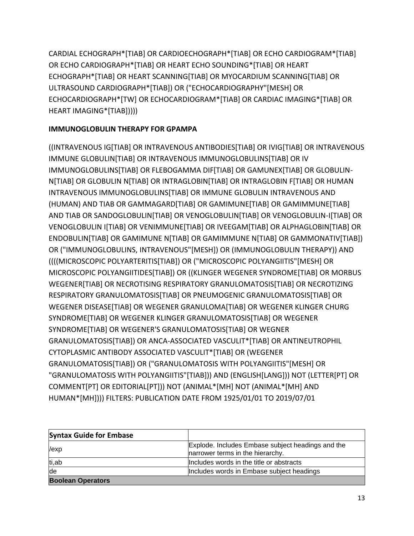CARDIAL ECHOGRAPH\*[TIAB] OR CARDIOECHOGRAPH\*[TIAB] OR ECHO CARDIOGRAM\*[TIAB] OR ECHO CARDIOGRAPH\*[TIAB] OR HEART ECHO SOUNDING\*[TIAB] OR HEART ECHOGRAPH\*[TIAB] OR HEART SCANNING[TIAB] OR MYOCARDIUM SCANNING[TIAB] OR ULTRASOUND CARDIOGRAPH\*[TIAB]) OR ("ECHOCARDIOGRAPHY"[MESH] OR ECHOCARDIOGRAPH\*[TW] OR ECHOCARDIOGRAM\*[TIAB] OR CARDIAC IMAGING\*[TIAB] OR HEART IMAGING\*[TIAB]))))

# **IMMUNOGLOBULIN THERAPY FOR GPAMPA**

((INTRAVENOUS IG[TIAB] OR INTRAVENOUS ANTIBODIES[TIAB] OR IVIG[TIAB] OR INTRAVENOUS IMMUNE GLOBULIN[TIAB] OR INTRAVENOUS IMMUNOGLOBULINS[TIAB] OR IV IMMUNOGLOBULINS[TIAB] OR FLEBOGAMMA DIF[TIAB] OR GAMUNEX[TIAB] OR GLOBULIN-N[TIAB] OR GLOBULIN N[TIAB] OR INTRAGLOBIN[TIAB] OR INTRAGLOBIN F[TIAB] OR HUMAN INTRAVENOUS IMMUNOGLOBULINS[TIAB] OR IMMUNE GLOBULIN INTRAVENOUS AND (HUMAN) AND TIAB OR GAMMAGARD[TIAB] OR GAMIMUNE[TIAB] OR GAMIMMUNE[TIAB] AND TIAB OR SANDOGLOBULIN[TIAB] OR VENOGLOBULIN[TIAB] OR VENOGLOBULIN-I[TIAB] OR VENOGLOBULIN I[TIAB] OR VENIMMUNE[TIAB] OR IVEEGAM[TIAB] OR ALPHAGLOBIN[TIAB] OR ENDOBULIN[TIAB] OR GAMIMUNE N[TIAB] OR GAMIMMUNE N[TIAB] OR GAMMONATIV[TIAB]) OR ("IMMUNOGLOBULINS, INTRAVENOUS"[MESH]) OR (IMMUNOGLOBULIN THERAPY)) AND ((((MICROSCOPIC POLYARTERITIS[TIAB]) OR ("MICROSCOPIC POLYANGIITIS"[MESH] OR MICROSCOPIC POLYANGIITIDES[TIAB]) OR ((KLINGER WEGENER SYNDROME[TIAB] OR MORBUS WEGENER[TIAB] OR NECROTISING RESPIRATORY GRANULOMATOSIS[TIAB] OR NECROTIZING RESPIRATORY GRANULOMATOSIS[TIAB] OR PNEUMOGENIC GRANULOMATOSIS[TIAB] OR WEGENER DISEASE[TIAB] OR WEGENER GRANULOMA[TIAB] OR WEGENER KLINGER CHURG SYNDROME[TIAB] OR WEGENER KLINGER GRANULOMATOSIS[TIAB] OR WEGENER SYNDROME[TIAB] OR WEGENER'S GRANULOMATOSIS[TIAB] OR WEGNER GRANULOMATOSIS[TIAB]) OR ANCA-ASSOCIATED VASCULIT\*[TIAB] OR ANTINEUTROPHIL CYTOPLASMIC ANTIBODY ASSOCIATED VASCULIT\*[TIAB] OR (WEGENER GRANULOMATOSIS[TIAB]) OR ("GRANULOMATOSIS WITH POLYANGIITIS"[MESH] OR "GRANULOMATOSIS WITH POLYANGIITIS"[TIAB])) AND (ENGLISH[LANG])) NOT (LETTER[PT] OR COMMENT[PT] OR EDITORIAL[PT])) NOT (ANIMAL\*[MH] NOT (ANIMAL\*[MH] AND HUMAN\*[MH]))) FILTERS: PUBLICATION DATE FROM 1925/01/01 TO 2019/07/01

| <b>Syntax Guide for Embase</b> |                                                                                       |
|--------------------------------|---------------------------------------------------------------------------------------|
| /exp                           | Explode. Includes Embase subject headings and the<br>narrower terms in the hierarchy. |
| ti,ab                          | Includes words in the title or abstracts                                              |
| de                             | Includes words in Embase subject headings                                             |
| <b>Boolean Operators</b>       |                                                                                       |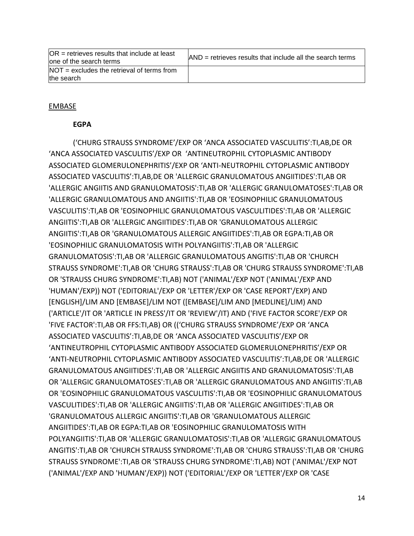| $OR =$ retrieves results that include at least<br>lone of the search terms | $\mathsf{AND}$ = retrieves results that include all the search terms |
|----------------------------------------------------------------------------|----------------------------------------------------------------------|
| $NOT =$ excludes the retrieval of terms from<br>the search                 |                                                                      |

## EMBASE

## **EGPA**

('CHURG STRAUSS SYNDROME'/EXP OR 'ANCA ASSOCIATED VASCULITIS':TI,AB,DE OR 'ANCA ASSOCIATED VASCULITIS'/EXP OR 'ANTINEUTROPHIL CYTOPLASMIC ANTIBODY ASSOCIATED GLOMERULONEPHRITIS'/EXP OR 'ANTI-NEUTROPHIL CYTOPLASMIC ANTIBODY ASSOCIATED VASCULITIS':TI,AB,DE OR 'ALLERGIC GRANULOMATOUS ANGIITIDES':TI,AB OR 'ALLERGIC ANGIITIS AND GRANULOMATOSIS':TI,AB OR 'ALLERGIC GRANULOMATOSES':TI,AB OR 'ALLERGIC GRANULOMATOUS AND ANGIITIS':TI,AB OR 'EOSINOPHILIC GRANULOMATOUS VASCULITIS':TI,AB OR 'EOSINOPHILIC GRANULOMATOUS VASCULITIDES':TI,AB OR 'ALLERGIC ANGIITIS':TI,AB OR 'ALLERGIC ANGIITIDES':TI,AB OR 'GRANULOMATOUS ALLERGIC ANGIITIS':TI,AB OR 'GRANULOMATOUS ALLERGIC ANGIITIDES':TI,AB OR EGPA:TI,AB OR 'EOSINOPHILIC GRANULOMATOSIS WITH POLYANGIITIS':TI,AB OR 'ALLERGIC GRANULOMATOSIS':TI,AB OR 'ALLERGIC GRANULOMATOUS ANGITIS':TI,AB OR 'CHURCH STRAUSS SYNDROME':TI,AB OR 'CHURG STRAUSS':TI,AB OR 'CHURG STRAUSS SYNDROME':TI,AB OR 'STRAUSS CHURG SYNDROME':TI,AB) NOT ('ANIMAL'/EXP NOT ('ANIMAL'/EXP AND 'HUMAN'/EXP)) NOT ('EDITORIAL'/EXP OR 'LETTER'/EXP OR 'CASE REPORT'/EXP) AND [ENGLISH]/LIM AND [EMBASE]/LIM NOT ([EMBASE]/LIM AND [MEDLINE]/LIM) AND ('ARTICLE'/IT OR 'ARTICLE IN PRESS'/IT OR 'REVIEW'/IT) AND ('FIVE FACTOR SCORE'/EXP OR 'FIVE FACTOR':TI,AB OR FFS:TI,AB) OR (('CHURG STRAUSS SYNDROME'/EXP OR 'ANCA ASSOCIATED VASCULITIS':TI,AB,DE OR 'ANCA ASSOCIATED VASCULITIS'/EXP OR 'ANTINEUTROPHIL CYTOPLASMIC ANTIBODY ASSOCIATED GLOMERULONEPHRITIS'/EXP OR 'ANTI-NEUTROPHIL CYTOPLASMIC ANTIBODY ASSOCIATED VASCULITIS':TI,AB,DE OR 'ALLERGIC GRANULOMATOUS ANGIITIDES':TI,AB OR 'ALLERGIC ANGIITIS AND GRANULOMATOSIS':TI,AB OR 'ALLERGIC GRANULOMATOSES':TI,AB OR 'ALLERGIC GRANULOMATOUS AND ANGIITIS':TI,AB OR 'EOSINOPHILIC GRANULOMATOUS VASCULITIS':TI,AB OR 'EOSINOPHILIC GRANULOMATOUS VASCULITIDES':TI,AB OR 'ALLERGIC ANGIITIS':TI,AB OR 'ALLERGIC ANGIITIDES':TI,AB OR 'GRANULOMATOUS ALLERGIC ANGIITIS':TI,AB OR 'GRANULOMATOUS ALLERGIC ANGIITIDES':TI,AB OR EGPA:TI,AB OR 'EOSINOPHILIC GRANULOMATOSIS WITH POLYANGIITIS':TI,AB OR 'ALLERGIC GRANULOMATOSIS':TI,AB OR 'ALLERGIC GRANULOMATOUS ANGITIS':TI,AB OR 'CHURCH STRAUSS SYNDROME':TI,AB OR 'CHURG STRAUSS':TI,AB OR 'CHURG STRAUSS SYNDROME':TI,AB OR 'STRAUSS CHURG SYNDROME':TI,AB) NOT ('ANIMAL'/EXP NOT ('ANIMAL'/EXP AND 'HUMAN'/EXP)) NOT ('EDITORIAL'/EXP OR 'LETTER'/EXP OR 'CASE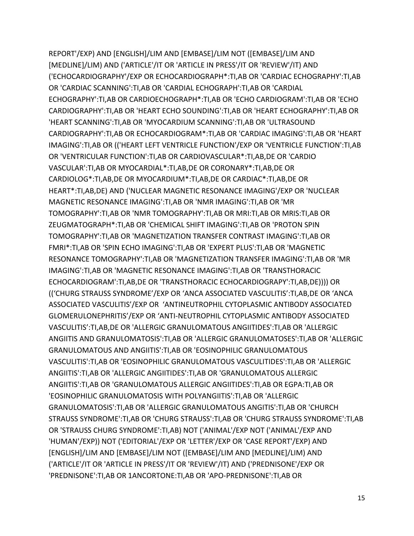REPORT'/EXP) AND [ENGLISH]/LIM AND [EMBASE]/LIM NOT ([EMBASE]/LIM AND [MEDLINE]/LIM) AND ('ARTICLE'/IT OR 'ARTICLE IN PRESS'/IT OR 'REVIEW'/IT) AND ('ECHOCARDIOGRAPHY'/EXP OR ECHOCARDIOGRAPH\*:TI,AB OR 'CARDIAC ECHOGRAPHY':TI,AB OR 'CARDIAC SCANNING':TI,AB OR 'CARDIAL ECHOGRAPH':TI,AB OR 'CARDIAL ECHOGRAPHY':TI,AB OR CARDIOECHOGRAPH\*:TI,AB OR 'ECHO CARDIOGRAM':TI,AB OR 'ECHO CARDIOGRAPHY':TI,AB OR 'HEART ECHO SOUNDING':TI,AB OR 'HEART ECHOGRAPHY':TI,AB OR 'HEART SCANNING':TI,AB OR 'MYOCARDIUM SCANNING':TI,AB OR 'ULTRASOUND CARDIOGRAPHY':TI,AB OR ECHOCARDIOGRAM\*:TI,AB OR 'CARDIAC IMAGING':TI,AB OR 'HEART IMAGING':TI,AB OR (('HEART LEFT VENTRICLE FUNCTION'/EXP OR 'VENTRICLE FUNCTION':TI,AB OR 'VENTRICULAR FUNCTION':TI,AB OR CARDIOVASCULAR\*:TI,AB,DE OR 'CARDIO VASCULAR':TI,AB OR MYOCARDIAL\*:TI,AB,DE OR CORONARY\*:TI,AB,DE OR CARDIOLOG\*:TI,AB,DE OR MYOCARDIUM\*:TI,AB,DE OR CARDIAC\*:TI,AB,DE OR HEART\*:TI,AB,DE) AND ('NUCLEAR MAGNETIC RESONANCE IMAGING'/EXP OR 'NUCLEAR MAGNETIC RESONANCE IMAGING':TI,AB OR 'NMR IMAGING':TI,AB OR 'MR TOMOGRAPHY':TI,AB OR 'NMR TOMOGRAPHY':TI,AB OR MRI:TI,AB OR MRIS:TI,AB OR ZEUGMATOGRAPH\*:TI,AB OR 'CHEMICAL SHIFT IMAGING':TI,AB OR 'PROTON SPIN TOMOGRAPHY':TI,AB OR 'MAGNETIZATION TRANSFER CONTRAST IMAGING':TI,AB OR FMRI\*:TI,AB OR 'SPIN ECHO IMAGING':TI,AB OR 'EXPERT PLUS':TI,AB OR 'MAGNETIC RESONANCE TOMOGRAPHY':TI,AB OR 'MAGNETIZATION TRANSFER IMAGING':TI,AB OR 'MR IMAGING':TI,AB OR 'MAGNETIC RESONANCE IMAGING':TI,AB OR 'TRANSTHORACIC ECHOCARDIOGRAM':TI,AB,DE OR 'TRANSTHORACIC ECHOCARDIOGRAPY':TI,AB,DE)))) OR (('CHURG STRAUSS SYNDROME'/EXP OR 'ANCA ASSOCIATED VASCULITIS':TI,AB,DE OR 'ANCA ASSOCIATED VASCULITIS'/EXP OR 'ANTINEUTROPHIL CYTOPLASMIC ANTIBODY ASSOCIATED GLOMERULONEPHRITIS'/EXP OR 'ANTI-NEUTROPHIL CYTOPLASMIC ANTIBODY ASSOCIATED VASCULITIS':TI,AB,DE OR 'ALLERGIC GRANULOMATOUS ANGIITIDES':TI,AB OR 'ALLERGIC ANGIITIS AND GRANULOMATOSIS':TI,AB OR 'ALLERGIC GRANULOMATOSES':TI,AB OR 'ALLERGIC GRANULOMATOUS AND ANGIITIS':TI,AB OR 'EOSINOPHILIC GRANULOMATOUS VASCULITIS':TI,AB OR 'EOSINOPHILIC GRANULOMATOUS VASCULITIDES':TI,AB OR 'ALLERGIC ANGIITIS':TI,AB OR 'ALLERGIC ANGIITIDES':TI,AB OR 'GRANULOMATOUS ALLERGIC ANGIITIS':TI,AB OR 'GRANULOMATOUS ALLERGIC ANGIITIDES':TI,AB OR EGPA:TI,AB OR 'EOSINOPHILIC GRANULOMATOSIS WITH POLYANGIITIS':TI,AB OR 'ALLERGIC GRANULOMATOSIS':TI,AB OR 'ALLERGIC GRANULOMATOUS ANGITIS':TI,AB OR 'CHURCH STRAUSS SYNDROME':TI,AB OR 'CHURG STRAUSS':TI,AB OR 'CHURG STRAUSS SYNDROME':TI,AB OR 'STRAUSS CHURG SYNDROME':TI,AB) NOT ('ANIMAL'/EXP NOT ('ANIMAL'/EXP AND 'HUMAN'/EXP)) NOT ('EDITORIAL'/EXP OR 'LETTER'/EXP OR 'CASE REPORT'/EXP) AND [ENGLISH]/LIM AND [EMBASE]/LIM NOT ([EMBASE]/LIM AND [MEDLINE]/LIM) AND ('ARTICLE'/IT OR 'ARTICLE IN PRESS'/IT OR 'REVIEW'/IT) AND ('PREDNISONE'/EXP OR 'PREDNISONE':TI,AB OR 1ANCORTONE:TI,AB OR 'APO-PREDNISONE':TI,AB OR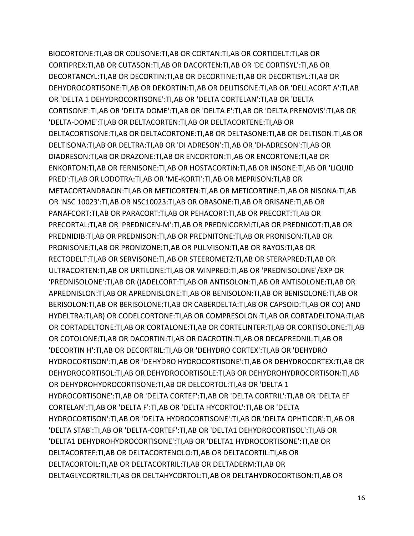BIOCORTONE:TI,AB OR COLISONE:TI,AB OR CORTAN:TI,AB OR CORTIDELT:TI,AB OR CORTIPREX:TI,AB OR CUTASON:TI,AB OR DACORTEN:TI,AB OR 'DE CORTISYL':TI,AB OR DECORTANCYL:TI,AB OR DECORTIN:TI,AB OR DECORTINE:TI,AB OR DECORTISYL:TI,AB OR DEHYDROCORTISONE:TI,AB OR DEKORTIN:TI,AB OR DELITISONE:TI,AB OR 'DELLACORT A':TI,AB OR 'DELTA 1 DEHYDROCORTISONE':TI,AB OR 'DELTA CORTELAN':TI,AB OR 'DELTA CORTISONE':TI,AB OR 'DELTA DOME':TI,AB OR 'DELTA E':TI,AB OR 'DELTA PRENOVIS':TI,AB OR 'DELTA-DOME':TI,AB OR DELTACORTEN:TI,AB OR DELTACORTENE:TI,AB OR DELTACORTISONE:TI,AB OR DELTACORTONE:TI,AB OR DELTASONE:TI,AB OR DELTISON:TI,AB OR DELTISONA:TI,AB OR DELTRA:TI,AB OR 'DI ADRESON':TI,AB OR 'DI-ADRESON':TI,AB OR DIADRESON:TI,AB OR DRAZONE:TI,AB OR ENCORTON:TI,AB OR ENCORTONE:TI,AB OR ENKORTON:TI,AB OR FERNISONE:TI,AB OR HOSTACORTIN:TI,AB OR INSONE:TI,AB OR 'LIQUID PRED':TI,AB OR LODOTRA:TI,AB OR 'ME-KORTI':TI,AB OR MEPRISON:TI,AB OR METACORTANDRACIN:TI,AB OR METICORTEN:TI,AB OR METICORTINE:TI,AB OR NISONA:TI,AB OR 'NSC 10023':TI,AB OR NSC10023:TI,AB OR ORASONE:TI,AB OR ORISANE:TI,AB OR PANAFCORT:TI,AB OR PARACORT:TI,AB OR PEHACORT:TI,AB OR PRECORT:TI,AB OR PRECORTAL:TI,AB OR 'PREDNICEN-M':TI,AB OR PREDNICORM:TI,AB OR PREDNICOT:TI,AB OR PREDNIDIB:TI,AB OR PREDNISON:TI,AB OR PREDNITONE:TI,AB OR PRONISON:TI,AB OR PRONISONE:TI,AB OR PRONIZONE:TI,AB OR PULMISON:TI,AB OR RAYOS:TI,AB OR RECTODELT:TI,AB OR SERVISONE:TI,AB OR STEEROMETZ:TI,AB OR STERAPRED:TI,AB OR ULTRACORTEN:TI,AB OR URTILONE:TI,AB OR WINPRED:TI,AB OR 'PREDNISOLONE'/EXP OR 'PREDNISOLONE':TI,AB OR ((ADELCORT:TI,AB OR ANTISOLON:TI,AB OR ANTISOLONE:TI,AB OR APREDNISLON:TI,AB OR APREDNISLONE:TI,AB OR BENISOLON:TI,AB OR BENISOLONE:TI,AB OR BERISOLON:TI,AB OR BERISOLONE:TI,AB OR CABERDELTA:TI,AB OR CAPSOID:TI,AB OR CO) AND HYDELTRA:TI,AB) OR CODELCORTONE:TI,AB OR COMPRESOLON:TI,AB OR CORTADELTONA:TI,AB OR CORTADELTONE:TI,AB OR CORTALONE:TI,AB OR CORTELINTER:TI,AB OR CORTISOLONE:TI,AB OR COTOLONE:TI,AB OR DACORTIN:TI,AB OR DACROTIN:TI,AB OR DECAPREDNIL:TI,AB OR 'DECORTIN H':TI,AB OR DECORTRIL:TI,AB OR 'DEHYDRO CORTEX':TI,AB OR 'DEHYDRO HYDROCORTISON':TI,AB OR 'DEHYDRO HYDROCORTISONE':TI,AB OR DEHYDROCORTEX:TI,AB OR DEHYDROCORTISOL:TI,AB OR DEHYDROCORTISOLE:TI,AB OR DEHYDROHYDROCORTISON:TI,AB OR DEHYDROHYDROCORTISONE:TI,AB OR DELCORTOL:TI,AB OR 'DELTA 1 HYDROCORTISONE':TI,AB OR 'DELTA CORTEF':TI,AB OR 'DELTA CORTRIL':TI,AB OR 'DELTA EF CORTELAN':TI,AB OR 'DELTA F':TI,AB OR 'DELTA HYCORTOL':TI,AB OR 'DELTA HYDROCORTISON':TI,AB OR 'DELTA HYDROCORTISONE':TI,AB OR 'DELTA OPHTICOR':TI,AB OR 'DELTA STAB':TI,AB OR 'DELTA-CORTEF':TI,AB OR 'DELTA1 DEHYDROCORTISOL':TI,AB OR 'DELTA1 DEHYDROHYDROCORTISONE':TI,AB OR 'DELTA1 HYDROCORTISONE':TI,AB OR DELTACORTEF:TI,AB OR DELTACORTENOLO:TI,AB OR DELTACORTIL:TI,AB OR DELTACORTOIL:TI,AB OR DELTACORTRIL:TI,AB OR DELTADERM:TI,AB OR DELTAGLYCORTRIL:TI,AB OR DELTAHYCORTOL:TI,AB OR DELTAHYDROCORTISON:TI,AB OR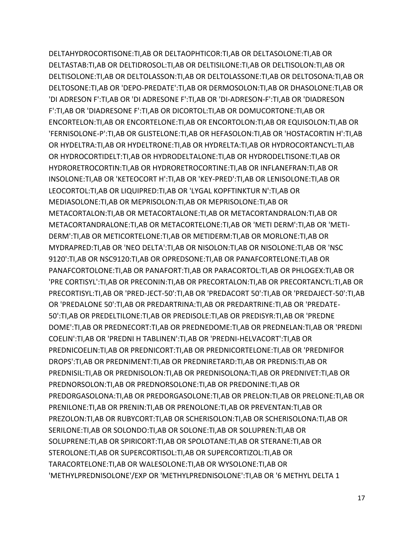DELTAHYDROCORTISONE:TI,AB OR DELTAOPHTICOR:TI,AB OR DELTASOLONE:TI,AB OR DELTASTAB:TI,AB OR DELTIDROSOL:TI,AB OR DELTISILONE:TI,AB OR DELTISOLON:TI,AB OR DELTISOLONE:TI,AB OR DELTOLASSON:TI,AB OR DELTOLASSONE:TI,AB OR DELTOSONA:TI,AB OR DELTOSONE:TI,AB OR 'DEPO-PREDATE':TI,AB OR DERMOSOLON:TI,AB OR DHASOLONE:TI,AB OR 'DI ADRESON F':TI,AB OR 'DI ADRESONE F':TI,AB OR 'DI-ADRESON-F':TI,AB OR 'DIADRESON F':TI,AB OR 'DIADRESONE F':TI,AB OR DICORTOL:TI,AB OR DOMUCORTONE:TI,AB OR ENCORTELON:TI,AB OR ENCORTELONE:TI,AB OR ENCORTOLON:TI,AB OR EQUISOLON:TI,AB OR 'FERNISOLONE-P':TI,AB OR GLISTELONE:TI,AB OR HEFASOLON:TI,AB OR 'HOSTACORTIN H':TI,AB OR HYDELTRA:TI,AB OR HYDELTRONE:TI,AB OR HYDRELTA:TI,AB OR HYDROCORTANCYL:TI,AB OR HYDROCORTIDELT:TI,AB OR HYDRODELTALONE:TI,AB OR HYDRODELTISONE:TI,AB OR HYDRORETROCORTIN:TI,AB OR HYDRORETROCORTINE:TI,AB OR INFLANEFRAN:TI,AB OR INSOLONE:TI,AB OR 'KETEOCORT H':TI,AB OR 'KEY-PRED':TI,AB OR LENISOLONE:TI,AB OR LEOCORTOL:TI,AB OR LIQUIPRED:TI,AB OR 'LYGAL KOPFTINKTUR N':TI,AB OR MEDIASOLONE:TI,AB OR MEPRISOLON:TI,AB OR MEPRISOLONE:TI,AB OR METACORTALON:TI,AB OR METACORTALONE:TI,AB OR METACORTANDRALON:TI,AB OR METACORTANDRALONE:TI,AB OR METACORTELONE:TI,AB OR 'METI DERM':TI,AB OR 'METI-DERM':TI,AB OR METICORTELONE:TI,AB OR METIDERM:TI,AB OR MORLONE:TI,AB OR MYDRAPRED:TI,AB OR 'NEO DELTA':TI,AB OR NISOLON:TI,AB OR NISOLONE:TI,AB OR 'NSC 9120':TI,AB OR NSC9120:TI,AB OR OPREDSONE:TI,AB OR PANAFCORTELONE:TI,AB OR PANAFCORTOLONE:TI,AB OR PANAFORT:TI,AB OR PARACORTOL:TI,AB OR PHLOGEX:TI,AB OR 'PRE CORTISYL':TI,AB OR PRECONIN:TI,AB OR PRECORTALON:TI,AB OR PRECORTANCYL:TI,AB OR PRECORTISYL:TI,AB OR 'PRED-JECT-50':TI,AB OR 'PREDACORT 50':TI,AB OR 'PREDAJECT-50':TI,AB OR 'PREDALONE 50':TI,AB OR PREDARTRINA:TI,AB OR PREDARTRINE:TI,AB OR 'PREDATE-50':TI,AB OR PREDELTILONE:TI,AB OR PREDISOLE:TI,AB OR PREDISYR:TI,AB OR 'PREDNE DOME':TI,AB OR PREDNECORT:TI,AB OR PREDNEDOME:TI,AB OR PREDNELAN:TI,AB OR 'PREDNI COELIN':TI,AB OR 'PREDNI H TABLINEN':TI,AB OR 'PREDNI-HELVACORT':TI,AB OR PREDNICOELIN:TI,AB OR PREDNICORT:TI,AB OR PREDNICORTELONE:TI,AB OR 'PREDNIFOR DROPS':TI,AB OR PREDNIMENT:TI,AB OR PREDNIRETARD:TI,AB OR PREDNIS:TI,AB OR PREDNISIL:TI,AB OR PREDNISOLON:TI,AB OR PREDNISOLONA:TI,AB OR PREDNIVET:TI,AB OR PREDNORSOLON:TI,AB OR PREDNORSOLONE:TI,AB OR PREDONINE:TI,AB OR PREDORGASOLONA:TI,AB OR PREDORGASOLONE:TI,AB OR PRELON:TI,AB OR PRELONE:TI,AB OR PRENILONE:TI,AB OR PRENIN:TI,AB OR PRENOLONE:TI,AB OR PREVENTAN:TI,AB OR PREZOLON:TI,AB OR RUBYCORT:TI,AB OR SCHERISOLON:TI,AB OR SCHERISOLONA:TI,AB OR SERILONE:TI,AB OR SOLONDO:TI,AB OR SOLONE:TI,AB OR SOLUPREN:TI,AB OR SOLUPRENE:TI,AB OR SPIRICORT:TI,AB OR SPOLOTANE:TI,AB OR STERANE:TI,AB OR STEROLONE:TI,AB OR SUPERCORTISOL:TI,AB OR SUPERCORTIZOL:TI,AB OR TARACORTELONE:TI,AB OR WALESOLONE:TI,AB OR WYSOLONE:TI,AB OR 'METHYLPREDNISOLONE'/EXP OR 'METHYLPREDNISOLONE':TI,AB OR '6 METHYL DELTA 1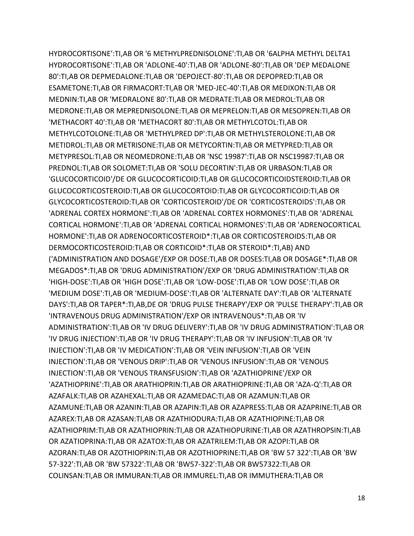HYDROCORTISONE':TI,AB OR '6 METHYLPREDNISOLONE':TI,AB OR '6ALPHA METHYL DELTA1 HYDROCORTISONE':TI,AB OR 'ADLONE-40':TI,AB OR 'ADLONE-80':TI,AB OR 'DEP MEDALONE 80':TI,AB OR DEPMEDALONE:TI,AB OR 'DEPOJECT-80':TI,AB OR DEPOPRED:TI,AB OR ESAMETONE:TI,AB OR FIRMACORT:TI,AB OR 'MED-JEC-40':TI,AB OR MEDIXON:TI,AB OR MEDNIN:TI,AB OR 'MEDRALONE 80':TI,AB OR MEDRATE:TI,AB OR MEDROL:TI,AB OR MEDRONE:TI,AB OR MEPREDNISOLONE:TI,AB OR MEPRELON:TI,AB OR MESOPREN:TI,AB OR 'METHACORT 40':TI,AB OR 'METHACORT 80':TI,AB OR METHYLCOTOL:TI,AB OR METHYLCOTOLONE:TI,AB OR 'METHYLPRED DP':TI,AB OR METHYLSTEROLONE:TI,AB OR METIDROL:TI,AB OR METRISONE:TI,AB OR METYCORTIN:TI,AB OR METYPRED:TI,AB OR METYPRESOL:TI,AB OR NEOMEDRONE:TI,AB OR 'NSC 19987':TI,AB OR NSC19987:TI,AB OR PREDNOL:TI,AB OR SOLOMET:TI,AB OR 'SOLU DECORTIN':TI,AB OR URBASON:TI,AB OR 'GLUCOCORTICOID'/DE OR GLUCOCORTICOID:TI,AB OR GLUCOCORTICOIDSTEROID:TI,AB OR GLUCOCORTICOSTEROID:TI,AB OR GLUCOCORTOID:TI,AB OR GLYCOCORTICOID:TI,AB OR GLYCOCORTICOSTEROID:TI,AB OR 'CORTICOSTEROID'/DE OR 'CORTICOSTEROIDS':TI,AB OR 'ADRENAL CORTEX HORMONE':TI,AB OR 'ADRENAL CORTEX HORMONES':TI,AB OR 'ADRENAL CORTICAL HORMONE':TI,AB OR 'ADRENAL CORTICAL HORMONES':TI,AB OR 'ADRENOCORTICAL HORMONE':TI,AB OR ADRENOCORTICOSTEROID\*:TI,AB OR CORTICOSTEROIDS:TI,AB OR DERMOCORTICOSTEROID:TI,AB OR CORTICOID\*:TI,AB OR STEROID\*:TI,AB) AND ('ADMINISTRATION AND DOSAGE'/EXP OR DOSE:TI,AB OR DOSES:TI,AB OR DOSAGE\*:TI,AB OR MEGADOS\*:TI,AB OR 'DRUG ADMINISTRATION'/EXP OR 'DRUG ADMINISTRATION':TI,AB OR 'HIGH-DOSE':TI,AB OR 'HIGH DOSE':TI,AB OR 'LOW-DOSE':TI,AB OR 'LOW DOSE':TI,AB OR 'MEDIUM DOSE':TI,AB OR 'MEDIUM-DOSE':TI,AB OR 'ALTERNATE DAY':TI,AB OR 'ALTERNATE DAYS':TI,AB OR TAPER\*:TI,AB,DE OR 'DRUG PULSE THERAPY'/EXP OR 'PULSE THERAPY':TI,AB OR 'INTRAVENOUS DRUG ADMINISTRATION'/EXP OR INTRAVENOUS\*:TI,AB OR 'IV ADMINISTRATION':TI,AB OR 'IV DRUG DELIVERY':TI,AB OR 'IV DRUG ADMINISTRATION':TI,AB OR 'IV DRUG INJECTION':TI,AB OR 'IV DRUG THERAPY':TI,AB OR 'IV INFUSION':TI,AB OR 'IV INJECTION':TI,AB OR 'IV MEDICATION':TI,AB OR 'VEIN INFUSION':TI,AB OR 'VEIN INJECTION':TI,AB OR 'VENOUS DRIP':TI,AB OR 'VENOUS INFUSION':TI,AB OR 'VENOUS INJECTION':TI,AB OR 'VENOUS TRANSFUSION':TI,AB OR 'AZATHIOPRINE'/EXP OR 'AZATHIOPRINE':TI,AB OR ARATHIOPRIN:TI,AB OR ARATHIOPRINE:TI,AB OR 'AZA-Q':TI,AB OR AZAFALK:TI,AB OR AZAHEXAL:TI,AB OR AZAMEDAC:TI,AB OR AZAMUN:TI,AB OR AZAMUNE:TI,AB OR AZANIN:TI,AB OR AZAPIN:TI,AB OR AZAPRESS:TI,AB OR AZAPRINE:TI,AB OR AZAREX:TI,AB OR AZASAN:TI,AB OR AZATHIODURA:TI,AB OR AZATHIOPINE:TI,AB OR AZATHIOPRIM:TI,AB OR AZATHIOPRIN:TI,AB OR AZATHIOPURINE:TI,AB OR AZATHROPSIN:TI,AB OR AZATIOPRINA:TI,AB OR AZATOX:TI,AB OR AZATRILEM:TI,AB OR AZOPI:TI,AB OR AZORAN:TI,AB OR AZOTHIOPRIN:TI,AB OR AZOTHIOPRINE:TI,AB OR 'BW 57 322':TI,AB OR 'BW 57-322':TI,AB OR 'BW 57322':TI,AB OR 'BW57-322':TI,AB OR BW57322:TI,AB OR COLINSAN:TI,AB OR IMMURAN:TI,AB OR IMMUREL:TI,AB OR IMMUTHERA:TI,AB OR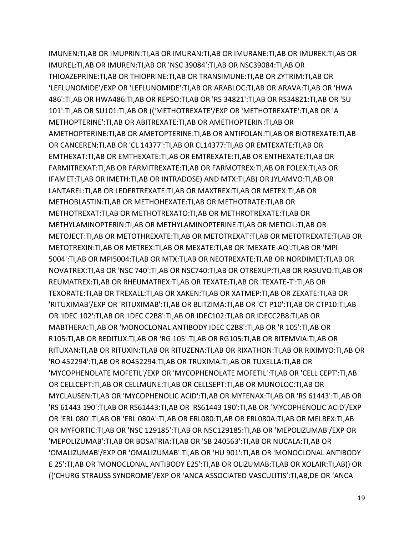IMUNEN:TI,AB OR IMUPRIN:TI,AB OR IMURAN:TI,AB OR IMURANE:TI,AB OR IMUREK:TI,AB OR IMUREL:TI,AB OR IMUREN:TI,AB OR 'NSC 39084':TI,AB OR NSC39084:TI,AB OR THIOAZEPRINE:TI,AB OR THIOPRINE:TI,AB OR TRANSIMUNE:TI,AB OR ZYTRIM:TI,AB OR 'LEFLUNOMIDE'/EXP OR 'LEFLUNOMIDE':TI,AB OR ARABLOC:TI,AB OR ARAVA:TI,AB OR 'HWA 486':TI,AB OR HWA486:TI,AB OR REPSO:TI,AB OR 'RS 34821':TI,AB OR RS34821:TI,AB OR 'SU 101':TI,AB OR SU101:TI,AB OR (('METHOTREXATE'/EXP OR 'METHOTREXATE':TI,AB OR 'A METHOPTERINE':TI,AB OR ABITREXATE:TI,AB OR AMETHOPTERIN:TI,AB OR AMETHOPTERINE:TI,AB OR AMETOPTERINE:TI,AB OR ANTIFOLAN:TI,AB OR BIOTREXATE:TI,AB OR CANCEREN:TI,AB OR 'CL 14377':TI,AB OR CL14377:TI,AB OR EMTEXATE:TI,AB OR EMTHEXAT:TI,AB OR EMTHEXATE:TI,AB OR EMTREXATE:TI,AB OR ENTHEXATE:TI,AB OR FARMITREXAT:TI,AB OR FARMITREXATE:TI,AB OR FARMOTREX:TI,AB OR FOLEX:TI,AB OR IFAMET:TI,AB OR IMETH:TI,AB OR INTRADOSE) AND MTX:TI,AB) OR JYLAMVO:TI,AB OR LANTAREL:TI,AB OR LEDERTREXATE:TI,AB OR MAXTREX:TI,AB OR METEX:TI,AB OR METHOBLASTIN:TI,AB OR METHOHEXATE:TI,AB OR METHOTRATE:TI,AB OR METHOTREXAT:TI,AB OR METHOTREXATO:TI,AB OR METHROTREXATE:TI,AB OR METHYLAMINOPTERIN:TI,AB OR METHYLAMINOPTERINE:TI,AB OR METICIL:TI,AB OR METOJECT:TI,AB OR METOTHREXATE:TI,AB OR METOTREXAT:TI,AB OR METOTREXATE:TI,AB OR METOTREXIN:TI,AB OR METREX:TI,AB OR MEXATE:TI,AB OR 'MEXATE-AQ':TI,AB OR 'MPI 5004':TI,AB OR MPI5004:TI,AB OR MTX:TI,AB OR NEOTREXATE:TI,AB OR NORDIMET:TI,AB OR NOVATREX:TI,AB OR 'NSC 740':TI,AB OR NSC740:TI,AB OR OTREXUP:TI,AB OR RASUVO:TI,AB OR REUMATREX:TI,AB OR RHEUMATREX:TI,AB OR TEXATE:TI,AB OR 'TEXATE-T':TI,AB OR TEXORATE:TI,AB OR TREXALL:TI,AB OR XAKEN:TI,AB OR XATMEP:TI,AB OR ZEXATE:TI,AB OR 'RITUXIMAB'/EXP OR 'RITUXIMAB':TI,AB OR BLITZIMA:TI,AB OR 'CT P10':TI,AB OR CTP10:TI,AB OR 'IDEC 102':TI,AB OR 'IDEC C2B8':TI,AB OR IDEC102:TI,AB OR IDECC2B8:TI,AB OR MABTHERA:TI,AB OR 'MONOCLONAL ANTIBODY IDEC C2B8':TI,AB OR 'R 105':TI,AB OR R105:TI,AB OR REDITUX:TI,AB OR 'RG 105':TI,AB OR RG105:TI,AB OR RITEMVIA:TI,AB OR RITUXAN:TI,AB OR RITUXIN:TI,AB OR RITUZENA:TI,AB OR RIXATHON:TI,AB OR RIXIMYO:TI,AB OR 'RO 452294':TI,AB OR RO452294:TI,AB OR TRUXIMA:TI,AB OR TUXELLA:TI,AB OR 'MYCOPHENOLATE MOFETIL'/EXP OR 'MYCOPHENOLATE MOFETIL':TI,AB OR 'CELL CEPT':TI,AB OR CELLCEPT:TI,AB OR CELLMUNE:TI,AB OR CELLSEPT:TI,AB OR MUNOLOC:TI,AB OR MYCLAUSEN:TI,AB OR 'MYCOPHENOLIC ACID':TI,AB OR MYFENAX:TI,AB OR 'RS 61443':TI,AB OR 'RS 61443 190':TI,AB OR RS61443:TI,AB OR 'RS61443 190':TI,AB OR 'MYCOPHENOLIC ACID'/EXP OR 'ERL 080':TI,AB OR 'ERL 080A':TI,AB OR ERL080:TI,AB OR ERL080A:TI,AB OR MELBEX:TI,AB OR MYFORTIC:TI,AB OR 'NSC 129185':TI,AB OR NSC129185:TI,AB OR 'MEPOLIZUMAB'/EXP OR 'MEPOLIZUMAB':TI,AB OR BOSATRIA:TI,AB OR 'SB 240563':TI,AB OR NUCALA:TI,AB OR 'OMALIZUMAB'/EXP OR 'OMALIZUMAB':TI,AB OR 'HU 901':TI,AB OR 'MONOCLONAL ANTIBODY E 25':TI,AB OR 'MONOCLONAL ANTIBODY E25':TI,AB OR OLIZUMAB:TI,AB OR XOLAIR:TI,AB)) OR (('CHURG STRAUSS SYNDROME'/EXP OR 'ANCA ASSOCIATED VASCULITIS':TI,AB,DE OR 'ANCA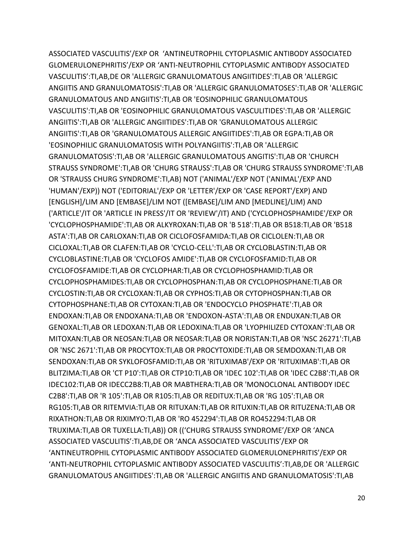ASSOCIATED VASCULITIS'/EXP OR 'ANTINEUTROPHIL CYTOPLASMIC ANTIBODY ASSOCIATED GLOMERULONEPHRITIS'/EXP OR 'ANTI-NEUTROPHIL CYTOPLASMIC ANTIBODY ASSOCIATED VASCULITIS':TI,AB,DE OR 'ALLERGIC GRANULOMATOUS ANGIITIDES':TI,AB OR 'ALLERGIC ANGIITIS AND GRANULOMATOSIS':TI,AB OR 'ALLERGIC GRANULOMATOSES':TI,AB OR 'ALLERGIC GRANULOMATOUS AND ANGIITIS':TI,AB OR 'EOSINOPHILIC GRANULOMATOUS VASCULITIS':TI,AB OR 'EOSINOPHILIC GRANULOMATOUS VASCULITIDES':TI,AB OR 'ALLERGIC ANGIITIS':TI,AB OR 'ALLERGIC ANGIITIDES':TI,AB OR 'GRANULOMATOUS ALLERGIC ANGIITIS':TI,AB OR 'GRANULOMATOUS ALLERGIC ANGIITIDES':TI,AB OR EGPA:TI,AB OR 'EOSINOPHILIC GRANULOMATOSIS WITH POLYANGIITIS':TI,AB OR 'ALLERGIC GRANULOMATOSIS':TI,AB OR 'ALLERGIC GRANULOMATOUS ANGITIS':TI,AB OR 'CHURCH STRAUSS SYNDROME':TI,AB OR 'CHURG STRAUSS':TI,AB OR 'CHURG STRAUSS SYNDROME':TI,AB OR 'STRAUSS CHURG SYNDROME':TI,AB) NOT ('ANIMAL'/EXP NOT ('ANIMAL'/EXP AND 'HUMAN'/EXP)) NOT ('EDITORIAL'/EXP OR 'LETTER'/EXP OR 'CASE REPORT'/EXP) AND [ENGLISH]/LIM AND [EMBASE]/LIM NOT ([EMBASE]/LIM AND [MEDLINE]/LIM) AND ('ARTICLE'/IT OR 'ARTICLE IN PRESS'/IT OR 'REVIEW'/IT) AND ('CYCLOPHOSPHAMIDE'/EXP OR 'CYCLOPHOSPHAMIDE':TI,AB OR ALKYROXAN:TI,AB OR 'B 518':TI,AB OR B518:TI,AB OR 'B518 ASTA':TI,AB OR CARLOXAN:TI,AB OR CICLOFOSFAMIDA:TI,AB OR CICLOLEN:TI,AB OR CICLOXAL:TI,AB OR CLAFEN:TI,AB OR 'CYCLO-CELL':TI,AB OR CYCLOBLASTIN:TI,AB OR CYCLOBLASTINE:TI,AB OR 'CYCLOFOS AMIDE':TI,AB OR CYCLOFOSFAMID:TI,AB OR CYCLOFOSFAMIDE:TI,AB OR CYCLOPHAR:TI,AB OR CYCLOPHOSPHAMID:TI,AB OR CYCLOPHOSPHAMIDES:TI,AB OR CYCLOPHOSPHAN:TI,AB OR CYCLOPHOSPHANE:TI,AB OR CYCLOSTIN:TI,AB OR CYCLOXAN:TI,AB OR CYPHOS:TI,AB OR CYTOPHOSPHAN:TI,AB OR CYTOPHOSPHANE:TI,AB OR CYTOXAN:TI,AB OR 'ENDOCYCLO PHOSPHATE':TI,AB OR ENDOXAN:TI,AB OR ENDOXANA:TI,AB OR 'ENDOXON-ASTA':TI,AB OR ENDUXAN:TI,AB OR GENOXAL:TI,AB OR LEDOXAN:TI,AB OR LEDOXINA:TI,AB OR 'LYOPHILIZED CYTOXAN':TI,AB OR MITOXAN:TI,AB OR NEOSAN:TI,AB OR NEOSAR:TI,AB OR NORISTAN:TI,AB OR 'NSC 26271':TI,AB OR 'NSC 2671':TI,AB OR PROCYTOX:TI,AB OR PROCYTOXIDE:TI,AB OR SEMDOXAN:TI,AB OR SENDOXAN:TI,AB OR SYKLOFOSFAMID:TI,AB OR 'RITUXIMAB'/EXP OR 'RITUXIMAB':TI,AB OR BLITZIMA:TI,AB OR 'CT P10':TI,AB OR CTP10:TI,AB OR 'IDEC 102':TI,AB OR 'IDEC C2B8':TI,AB OR IDEC102:TI,AB OR IDECC2B8:TI,AB OR MABTHERA:TI,AB OR 'MONOCLONAL ANTIBODY IDEC C2B8':TI,AB OR 'R 105':TI,AB OR R105:TI,AB OR REDITUX:TI,AB OR 'RG 105':TI,AB OR RG105:TI,AB OR RITEMVIA:TI,AB OR RITUXAN:TI,AB OR RITUXIN:TI,AB OR RITUZENA:TI,AB OR RIXATHON:TI,AB OR RIXIMYO:TI,AB OR 'RO 452294':TI,AB OR RO452294:TI,AB OR TRUXIMA:TI,AB OR TUXELLA:TI,AB)) OR (('CHURG STRAUSS SYNDROME'/EXP OR 'ANCA ASSOCIATED VASCULITIS':TI,AB,DE OR 'ANCA ASSOCIATED VASCULITIS'/EXP OR 'ANTINEUTROPHIL CYTOPLASMIC ANTIBODY ASSOCIATED GLOMERULONEPHRITIS'/EXP OR 'ANTI-NEUTROPHIL CYTOPLASMIC ANTIBODY ASSOCIATED VASCULITIS':TI,AB,DE OR 'ALLERGIC GRANULOMATOUS ANGIITIDES':TI,AB OR 'ALLERGIC ANGIITIS AND GRANULOMATOSIS':TI,AB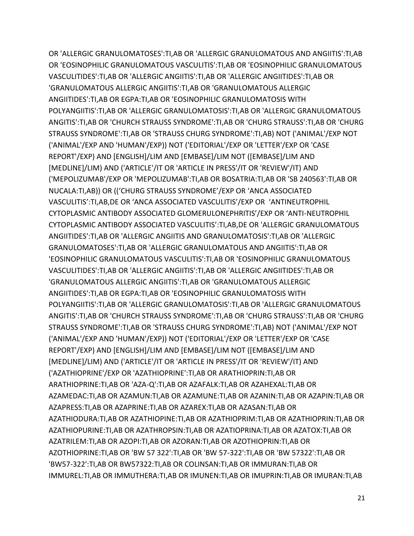OR 'ALLERGIC GRANULOMATOSES':TI,AB OR 'ALLERGIC GRANULOMATOUS AND ANGIITIS':TI,AB OR 'EOSINOPHILIC GRANULOMATOUS VASCULITIS':TI,AB OR 'EOSINOPHILIC GRANULOMATOUS VASCULITIDES':TI,AB OR 'ALLERGIC ANGIITIS':TI,AB OR 'ALLERGIC ANGIITIDES':TI,AB OR 'GRANULOMATOUS ALLERGIC ANGIITIS':TI,AB OR 'GRANULOMATOUS ALLERGIC ANGIITIDES':TI,AB OR EGPA:TI,AB OR 'EOSINOPHILIC GRANULOMATOSIS WITH POLYANGIITIS':TI,AB OR 'ALLERGIC GRANULOMATOSIS':TI,AB OR 'ALLERGIC GRANULOMATOUS ANGITIS':TI,AB OR 'CHURCH STRAUSS SYNDROME':TI,AB OR 'CHURG STRAUSS':TI,AB OR 'CHURG STRAUSS SYNDROME':TI,AB OR 'STRAUSS CHURG SYNDROME':TI,AB) NOT ('ANIMAL'/EXP NOT ('ANIMAL'/EXP AND 'HUMAN'/EXP)) NOT ('EDITORIAL'/EXP OR 'LETTER'/EXP OR 'CASE REPORT'/EXP) AND [ENGLISH]/LIM AND [EMBASE]/LIM NOT ([EMBASE]/LIM AND [MEDLINE]/LIM) AND ('ARTICLE'/IT OR 'ARTICLE IN PRESS'/IT OR 'REVIEW'/IT) AND ('MEPOLIZUMAB'/EXP OR 'MEPOLIZUMAB':TI,AB OR BOSATRIA:TI,AB OR 'SB 240563':TI,AB OR NUCALA:TI,AB)) OR (('CHURG STRAUSS SYNDROME'/EXP OR 'ANCA ASSOCIATED VASCULITIS':TI,AB,DE OR 'ANCA ASSOCIATED VASCULITIS'/EXP OR 'ANTINEUTROPHIL CYTOPLASMIC ANTIBODY ASSOCIATED GLOMERULONEPHRITIS'/EXP OR 'ANTI-NEUTROPHIL CYTOPLASMIC ANTIBODY ASSOCIATED VASCULITIS':TI,AB,DE OR 'ALLERGIC GRANULOMATOUS ANGIITIDES':TI,AB OR 'ALLERGIC ANGIITIS AND GRANULOMATOSIS':TI,AB OR 'ALLERGIC GRANULOMATOSES':TI,AB OR 'ALLERGIC GRANULOMATOUS AND ANGIITIS':TI,AB OR 'EOSINOPHILIC GRANULOMATOUS VASCULITIS':TI,AB OR 'EOSINOPHILIC GRANULOMATOUS VASCULITIDES':TI,AB OR 'ALLERGIC ANGIITIS':TI,AB OR 'ALLERGIC ANGIITIDES':TI,AB OR 'GRANULOMATOUS ALLERGIC ANGIITIS':TI,AB OR 'GRANULOMATOUS ALLERGIC ANGIITIDES':TI,AB OR EGPA:TI,AB OR 'EOSINOPHILIC GRANULOMATOSIS WITH POLYANGIITIS':TI,AB OR 'ALLERGIC GRANULOMATOSIS':TI,AB OR 'ALLERGIC GRANULOMATOUS ANGITIS':TI,AB OR 'CHURCH STRAUSS SYNDROME':TI,AB OR 'CHURG STRAUSS':TI,AB OR 'CHURG STRAUSS SYNDROME':TI,AB OR 'STRAUSS CHURG SYNDROME':TI,AB) NOT ('ANIMAL'/EXP NOT ('ANIMAL'/EXP AND 'HUMAN'/EXP)) NOT ('EDITORIAL'/EXP OR 'LETTER'/EXP OR 'CASE REPORT'/EXP) AND [ENGLISH]/LIM AND [EMBASE]/LIM NOT ([EMBASE]/LIM AND [MEDLINE]/LIM) AND ('ARTICLE'/IT OR 'ARTICLE IN PRESS'/IT OR 'REVIEW'/IT) AND ('AZATHIOPRINE'/EXP OR 'AZATHIOPRINE':TI,AB OR ARATHIOPRIN:TI,AB OR ARATHIOPRINE:TI,AB OR 'AZA-Q':TI,AB OR AZAFALK:TI,AB OR AZAHEXAL:TI,AB OR AZAMEDAC:TI,AB OR AZAMUN:TI,AB OR AZAMUNE:TI,AB OR AZANIN:TI,AB OR AZAPIN:TI,AB OR AZAPRESS:TI,AB OR AZAPRINE:TI,AB OR AZAREX:TI,AB OR AZASAN:TI,AB OR AZATHIODURA:TI,AB OR AZATHIOPINE:TI,AB OR AZATHIOPRIM:TI,AB OR AZATHIOPRIN:TI,AB OR AZATHIOPURINE:TI,AB OR AZATHROPSIN:TI,AB OR AZATIOPRINA:TI,AB OR AZATOX:TI,AB OR AZATRILEM:TI,AB OR AZOPI:TI,AB OR AZORAN:TI,AB OR AZOTHIOPRIN:TI,AB OR AZOTHIOPRINE:TI,AB OR 'BW 57 322':TI,AB OR 'BW 57-322':TI,AB OR 'BW 57322':TI,AB OR 'BW57-322':TI,AB OR BW57322:TI,AB OR COLINSAN:TI,AB OR IMMURAN:TI,AB OR IMMUREL:TI,AB OR IMMUTHERA:TI,AB OR IMUNEN:TI,AB OR IMUPRIN:TI,AB OR IMURAN:TI,AB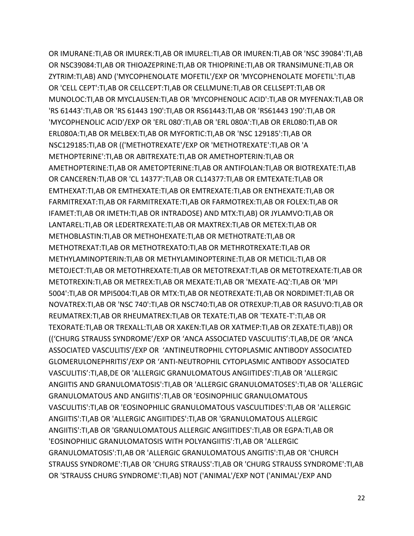OR IMURANE:TI,AB OR IMUREK:TI,AB OR IMUREL:TI,AB OR IMUREN:TI,AB OR 'NSC 39084':TI,AB OR NSC39084:TI,AB OR THIOAZEPRINE:TI,AB OR THIOPRINE:TI,AB OR TRANSIMUNE:TI,AB OR ZYTRIM:TI,AB) AND ('MYCOPHENOLATE MOFETIL'/EXP OR 'MYCOPHENOLATE MOFETIL':TI,AB OR 'CELL CEPT':TI,AB OR CELLCEPT:TI,AB OR CELLMUNE:TI,AB OR CELLSEPT:TI,AB OR MUNOLOC:TI,AB OR MYCLAUSEN:TI,AB OR 'MYCOPHENOLIC ACID':TI,AB OR MYFENAX:TI,AB OR 'RS 61443':TI,AB OR 'RS 61443 190':TI,AB OR RS61443:TI,AB OR 'RS61443 190':TI,AB OR 'MYCOPHENOLIC ACID'/EXP OR 'ERL 080':TI,AB OR 'ERL 080A':TI,AB OR ERL080:TI,AB OR ERL080A:TI,AB OR MELBEX:TI,AB OR MYFORTIC:TI,AB OR 'NSC 129185':TI,AB OR NSC129185:TI,AB OR (('METHOTREXATE'/EXP OR 'METHOTREXATE':TI,AB OR 'A METHOPTERINE':TI,AB OR ABITREXATE:TI,AB OR AMETHOPTERIN:TI,AB OR AMETHOPTERINE:TI,AB OR AMETOPTERINE:TI,AB OR ANTIFOLAN:TI,AB OR BIOTREXATE:TI,AB OR CANCEREN:TI,AB OR 'CL 14377':TI,AB OR CL14377:TI,AB OR EMTEXATE:TI,AB OR EMTHEXAT:TI,AB OR EMTHEXATE:TI,AB OR EMTREXATE:TI,AB OR ENTHEXATE:TI,AB OR FARMITREXAT:TI,AB OR FARMITREXATE:TI,AB OR FARMOTREX:TI,AB OR FOLEX:TI,AB OR IFAMET:TI,AB OR IMETH:TI,AB OR INTRADOSE) AND MTX:TI,AB) OR JYLAMVO:TI,AB OR LANTAREL:TI,AB OR LEDERTREXATE:TI,AB OR MAXTREX:TI,AB OR METEX:TI,AB OR METHOBLASTIN:TI,AB OR METHOHEXATE:TI,AB OR METHOTRATE:TI,AB OR METHOTREXAT:TI,AB OR METHOTREXATO:TI,AB OR METHROTREXATE:TI,AB OR METHYLAMINOPTERIN:TI,AB OR METHYLAMINOPTERINE:TI,AB OR METICIL:TI,AB OR METOJECT:TI,AB OR METOTHREXATE:TI,AB OR METOTREXAT:TI,AB OR METOTREXATE:TI,AB OR METOTREXIN:TI,AB OR METREX:TI,AB OR MEXATE:TI,AB OR 'MEXATE-AQ':TI,AB OR 'MPI 5004':TI,AB OR MPI5004:TI,AB OR MTX:TI,AB OR NEOTREXATE:TI,AB OR NORDIMET:TI,AB OR NOVATREX:TI,AB OR 'NSC 740':TI,AB OR NSC740:TI,AB OR OTREXUP:TI,AB OR RASUVO:TI,AB OR REUMATREX:TI,AB OR RHEUMATREX:TI,AB OR TEXATE:TI,AB OR 'TEXATE-T':TI,AB OR TEXORATE:TI,AB OR TREXALL:TI,AB OR XAKEN:TI,AB OR XATMEP:TI,AB OR ZEXATE:TI,AB)) OR (('CHURG STRAUSS SYNDROME'/EXP OR 'ANCA ASSOCIATED VASCULITIS':TI,AB,DE OR 'ANCA ASSOCIATED VASCULITIS'/EXP OR 'ANTINEUTROPHIL CYTOPLASMIC ANTIBODY ASSOCIATED GLOMERULONEPHRITIS'/EXP OR 'ANTI-NEUTROPHIL CYTOPLASMIC ANTIBODY ASSOCIATED VASCULITIS':TI,AB,DE OR 'ALLERGIC GRANULOMATOUS ANGIITIDES':TI,AB OR 'ALLERGIC ANGIITIS AND GRANULOMATOSIS':TI,AB OR 'ALLERGIC GRANULOMATOSES':TI,AB OR 'ALLERGIC GRANULOMATOUS AND ANGIITIS':TI,AB OR 'EOSINOPHILIC GRANULOMATOUS VASCULITIS':TI,AB OR 'EOSINOPHILIC GRANULOMATOUS VASCULITIDES':TI,AB OR 'ALLERGIC ANGIITIS':TI,AB OR 'ALLERGIC ANGIITIDES':TI,AB OR 'GRANULOMATOUS ALLERGIC ANGIITIS':TI,AB OR 'GRANULOMATOUS ALLERGIC ANGIITIDES':TI,AB OR EGPA:TI,AB OR 'EOSINOPHILIC GRANULOMATOSIS WITH POLYANGIITIS':TI,AB OR 'ALLERGIC GRANULOMATOSIS':TI,AB OR 'ALLERGIC GRANULOMATOUS ANGITIS':TI,AB OR 'CHURCH STRAUSS SYNDROME':TI,AB OR 'CHURG STRAUSS':TI,AB OR 'CHURG STRAUSS SYNDROME':TI,AB OR 'STRAUSS CHURG SYNDROME':TI,AB) NOT ('ANIMAL'/EXP NOT ('ANIMAL'/EXP AND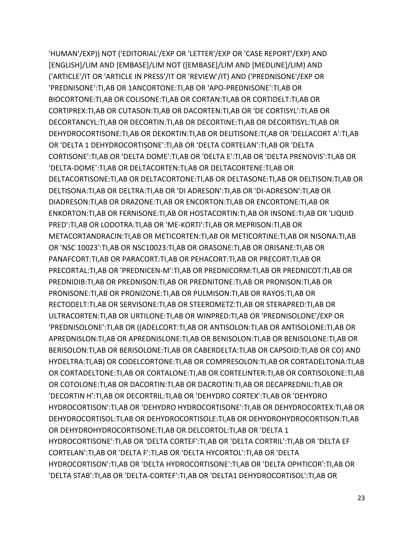'HUMAN'/EXP)) NOT ('EDITORIAL'/EXP OR 'LETTER'/EXP OR 'CASE REPORT'/EXP) AND [ENGLISH]/LIM AND [EMBASE]/LIM NOT ([EMBASE]/LIM AND [MEDLINE]/LIM) AND ('ARTICLE'/IT OR 'ARTICLE IN PRESS'/IT OR 'REVIEW'/IT) AND ('PREDNISONE'/EXP OR 'PREDNISONE':TI,AB OR 1ANCORTONE:TI,AB OR 'APO-PREDNISONE':TI,AB OR BIOCORTONE:TI,AB OR COLISONE:TI,AB OR CORTAN:TI,AB OR CORTIDELT:TI,AB OR CORTIPREX:TI,AB OR CUTASON:TI,AB OR DACORTEN:TI,AB OR 'DE CORTISYL':TI,AB OR DECORTANCYL:TI,AB OR DECORTIN:TI,AB OR DECORTINE:TI,AB OR DECORTISYL:TI,AB OR DEHYDROCORTISONE:TI,AB OR DEKORTIN:TI,AB OR DELITISONE:TI,AB OR 'DELLACORT A':TI,AB OR 'DELTA 1 DEHYDROCORTISONE':TI,AB OR 'DELTA CORTELAN':TI,AB OR 'DELTA CORTISONE':TI,AB OR 'DELTA DOME':TI,AB OR 'DELTA E':TI,AB OR 'DELTA PRENOVIS':TI,AB OR 'DELTA-DOME':TI,AB OR DELTACORTEN:TI,AB OR DELTACORTENE:TI,AB OR DELTACORTISONE:TI,AB OR DELTACORTONE:TI,AB OR DELTASONE:TI,AB OR DELTISON:TI,AB OR DELTISONA:TI,AB OR DELTRA:TI,AB OR 'DI ADRESON':TI,AB OR 'DI-ADRESON':TI,AB OR DIADRESON:TI,AB OR DRAZONE:TI,AB OR ENCORTON:TI,AB OR ENCORTONE:TI,AB OR ENKORTON:TI,AB OR FERNISONE:TI,AB OR HOSTACORTIN:TI,AB OR INSONE:TI,AB OR 'LIQUID PRED':TI,AB OR LODOTRA:TI,AB OR 'ME-KORTI':TI,AB OR MEPRISON:TI,AB OR METACORTANDRACIN:TI,AB OR METICORTEN:TI,AB OR METICORTINE:TI,AB OR NISONA:TI,AB OR 'NSC 10023':TI,AB OR NSC10023:TI,AB OR ORASONE:TI,AB OR ORISANE:TI,AB OR PANAFCORT:TI,AB OR PARACORT:TI,AB OR PEHACORT:TI,AB OR PRECORT:TI,AB OR PRECORTAL:TI,AB OR 'PREDNICEN-M':TI,AB OR PREDNICORM:TI,AB OR PREDNICOT:TI,AB OR PREDNIDIB:TI,AB OR PREDNISON:TI,AB OR PREDNITONE:TI,AB OR PRONISON:TI,AB OR PRONISONE:TI,AB OR PRONIZONE:TI,AB OR PULMISON:TI,AB OR RAYOS:TI,AB OR RECTODELT:TI,AB OR SERVISONE:TI,AB OR STEEROMETZ:TI,AB OR STERAPRED:TI,AB OR ULTRACORTEN:TI,AB OR URTILONE:TI,AB OR WINPRED:TI,AB OR 'PREDNISOLONE'/EXP OR 'PREDNISOLONE':TI,AB OR ((ADELCORT:TI,AB OR ANTISOLON:TI,AB OR ANTISOLONE:TI,AB OR APREDNISLON:TI,AB OR APREDNISLONE:TI,AB OR BENISOLON:TI,AB OR BENISOLONE:TI,AB OR BERISOLON:TI,AB OR BERISOLONE:TI,AB OR CABERDELTA:TI,AB OR CAPSOID:TI,AB OR CO) AND HYDELTRA:TI,AB) OR CODELCORTONE:TI,AB OR COMPRESOLON:TI,AB OR CORTADELTONA:TI,AB OR CORTADELTONE:TI,AB OR CORTALONE:TI,AB OR CORTELINTER:TI,AB OR CORTISOLONE:TI,AB OR COTOLONE:TI,AB OR DACORTIN:TI,AB OR DACROTIN:TI,AB OR DECAPREDNIL:TI,AB OR 'DECORTIN H':TI,AB OR DECORTRIL:TI,AB OR 'DEHYDRO CORTEX':TI,AB OR 'DEHYDRO HYDROCORTISON':TI,AB OR 'DEHYDRO HYDROCORTISONE':TI,AB OR DEHYDROCORTEX:TI,AB OR DEHYDROCORTISOL:TI,AB OR DEHYDROCORTISOLE:TI,AB OR DEHYDROHYDROCORTISON:TI,AB OR DEHYDROHYDROCORTISONE:TI,AB OR DELCORTOL:TI,AB OR 'DELTA 1 HYDROCORTISONE':TI,AB OR 'DELTA CORTEF':TI,AB OR 'DELTA CORTRIL':TI,AB OR 'DELTA EF CORTELAN':TI,AB OR 'DELTA F':TI,AB OR 'DELTA HYCORTOL':TI,AB OR 'DELTA HYDROCORTISON':TI,AB OR 'DELTA HYDROCORTISONE':TI,AB OR 'DELTA OPHTICOR':TI,AB OR 'DELTA STAB':TI,AB OR 'DELTA-CORTEF':TI,AB OR 'DELTA1 DEHYDROCORTISOL':TI,AB OR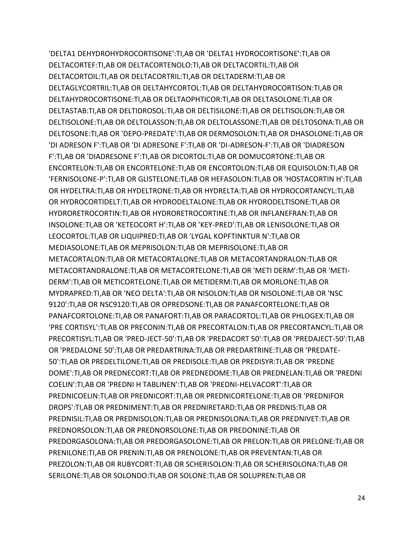'DELTA1 DEHYDROHYDROCORTISONE':TI,AB OR 'DELTA1 HYDROCORTISONE':TI,AB OR DELTACORTEF:TI,AB OR DELTACORTENOLO:TI,AB OR DELTACORTIL:TI,AB OR DELTACORTOIL:TI,AB OR DELTACORTRIL:TI,AB OR DELTADERM:TI,AB OR DELTAGLYCORTRIL:TI,AB OR DELTAHYCORTOL:TI,AB OR DELTAHYDROCORTISON:TI,AB OR DELTAHYDROCORTISONE:TI,AB OR DELTAOPHTICOR:TI,AB OR DELTASOLONE:TI,AB OR DELTASTAB:TI,AB OR DELTIDROSOL:TI,AB OR DELTISILONE:TI,AB OR DELTISOLON:TI,AB OR DELTISOLONE:TI,AB OR DELTOLASSON:TI,AB OR DELTOLASSONE:TI,AB OR DELTOSONA:TI,AB OR DELTOSONE:TI,AB OR 'DEPO-PREDATE':TI,AB OR DERMOSOLON:TI,AB OR DHASOLONE:TI,AB OR 'DI ADRESON F':TI,AB OR 'DI ADRESONE F':TI,AB OR 'DI-ADRESON-F':TI,AB OR 'DIADRESON F':TI,AB OR 'DIADRESONE F':TI,AB OR DICORTOL:TI,AB OR DOMUCORTONE:TI,AB OR ENCORTELON:TI,AB OR ENCORTELONE:TI,AB OR ENCORTOLON:TI,AB OR EQUISOLON:TI,AB OR 'FERNISOLONE-P':TI,AB OR GLISTELONE:TI,AB OR HEFASOLON:TI,AB OR 'HOSTACORTIN H':TI,AB OR HYDELTRA:TI,AB OR HYDELTRONE:TI,AB OR HYDRELTA:TI,AB OR HYDROCORTANCYL:TI,AB OR HYDROCORTIDELT:TI,AB OR HYDRODELTALONE:TI,AB OR HYDRODELTISONE:TI,AB OR HYDRORETROCORTIN:TI,AB OR HYDRORETROCORTINE:TI,AB OR INFLANEFRAN:TI,AB OR INSOLONE:TI,AB OR 'KETEOCORT H':TI,AB OR 'KEY-PRED':TI,AB OR LENISOLONE:TI,AB OR LEOCORTOL:TI,AB OR LIQUIPRED:TI,AB OR 'LYGAL KOPFTINKTUR N':TI,AB OR MEDIASOLONE:TI,AB OR MEPRISOLON:TI,AB OR MEPRISOLONE:TI,AB OR METACORTALON:TI,AB OR METACORTALONE:TI,AB OR METACORTANDRALON:TI,AB OR METACORTANDRALONE:TI,AB OR METACORTELONE:TI,AB OR 'METI DERM':TI,AB OR 'METI-DERM':TI,AB OR METICORTELONE:TI,AB OR METIDERM:TI,AB OR MORLONE:TI,AB OR MYDRAPRED:TI,AB OR 'NEO DELTA':TI,AB OR NISOLON:TI,AB OR NISOLONE:TI,AB OR 'NSC 9120':TI,AB OR NSC9120:TI,AB OR OPREDSONE:TI,AB OR PANAFCORTELONE:TI,AB OR PANAFCORTOLONE:TI,AB OR PANAFORT:TI,AB OR PARACORTOL:TI,AB OR PHLOGEX:TI,AB OR 'PRE CORTISYL':TI,AB OR PRECONIN:TI,AB OR PRECORTALON:TI,AB OR PRECORTANCYL:TI,AB OR PRECORTISYL:TI,AB OR 'PRED-JECT-50':TI,AB OR 'PREDACORT 50':TI,AB OR 'PREDAJECT-50':TI,AB OR 'PREDALONE 50':TI,AB OR PREDARTRINA:TI,AB OR PREDARTRINE:TI,AB OR 'PREDATE-50':TI,AB OR PREDELTILONE:TI,AB OR PREDISOLE:TI,AB OR PREDISYR:TI,AB OR 'PREDNE DOME':TI,AB OR PREDNECORT:TI,AB OR PREDNEDOME:TI,AB OR PREDNELAN:TI,AB OR 'PREDNI COELIN':TI,AB OR 'PREDNI H TABLINEN':TI,AB OR 'PREDNI-HELVACORT':TI,AB OR PREDNICOELIN:TI,AB OR PREDNICORT:TI,AB OR PREDNICORTELONE:TI,AB OR 'PREDNIFOR DROPS':TI,AB OR PREDNIMENT:TI,AB OR PREDNIRETARD:TI,AB OR PREDNIS:TI,AB OR PREDNISIL:TI,AB OR PREDNISOLON:TI,AB OR PREDNISOLONA:TI,AB OR PREDNIVET:TI,AB OR PREDNORSOLON:TI,AB OR PREDNORSOLONE:TI,AB OR PREDONINE:TI,AB OR PREDORGASOLONA:TI,AB OR PREDORGASOLONE:TI,AB OR PRELON:TI,AB OR PRELONE:TI,AB OR PRENILONE:TI,AB OR PRENIN:TI,AB OR PRENOLONE:TI,AB OR PREVENTAN:TI,AB OR PREZOLON:TI,AB OR RUBYCORT:TI,AB OR SCHERISOLON:TI,AB OR SCHERISOLONA:TI,AB OR SERILONE:TI,AB OR SOLONDO:TI,AB OR SOLONE:TI,AB OR SOLUPREN:TI,AB OR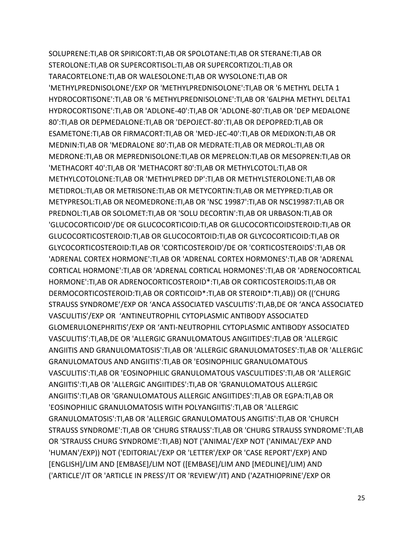SOLUPRENE:TI,AB OR SPIRICORT:TI,AB OR SPOLOTANE:TI,AB OR STERANE:TI,AB OR STEROLONE:TI,AB OR SUPERCORTISOL:TI,AB OR SUPERCORTIZOL:TI,AB OR TARACORTELONE:TI,AB OR WALESOLONE:TI,AB OR WYSOLONE:TI,AB OR 'METHYLPREDNISOLONE'/EXP OR 'METHYLPREDNISOLONE':TI,AB OR '6 METHYL DELTA 1 HYDROCORTISONE':TI,AB OR '6 METHYLPREDNISOLONE':TI,AB OR '6ALPHA METHYL DELTA1 HYDROCORTISONE':TI,AB OR 'ADLONE-40':TI,AB OR 'ADLONE-80':TI,AB OR 'DEP MEDALONE 80':TI,AB OR DEPMEDALONE:TI,AB OR 'DEPOJECT-80':TI,AB OR DEPOPRED:TI,AB OR ESAMETONE:TI,AB OR FIRMACORT:TI,AB OR 'MED-JEC-40':TI,AB OR MEDIXON:TI,AB OR MEDNIN:TI,AB OR 'MEDRALONE 80':TI,AB OR MEDRATE:TI,AB OR MEDROL:TI,AB OR MEDRONE:TI,AB OR MEPREDNISOLONE:TI,AB OR MEPRELON:TI,AB OR MESOPREN:TI,AB OR 'METHACORT 40':TI,AB OR 'METHACORT 80':TI,AB OR METHYLCOTOL:TI,AB OR METHYLCOTOLONE:TI,AB OR 'METHYLPRED DP':TI,AB OR METHYLSTEROLONE:TI,AB OR METIDROL:TI,AB OR METRISONE:TI,AB OR METYCORTIN:TI,AB OR METYPRED:TI,AB OR METYPRESOL:TI,AB OR NEOMEDRONE:TI,AB OR 'NSC 19987':TI,AB OR NSC19987:TI,AB OR PREDNOL:TI,AB OR SOLOMET:TI,AB OR 'SOLU DECORTIN':TI,AB OR URBASON:TI,AB OR 'GLUCOCORTICOID'/DE OR GLUCOCORTICOID:TI,AB OR GLUCOCORTICOIDSTEROID:TI,AB OR GLUCOCORTICOSTEROID:TI,AB OR GLUCOCORTOID:TI,AB OR GLYCOCORTICOID:TI,AB OR GLYCOCORTICOSTEROID:TI,AB OR 'CORTICOSTEROID'/DE OR 'CORTICOSTEROIDS':TI,AB OR 'ADRENAL CORTEX HORMONE':TI,AB OR 'ADRENAL CORTEX HORMONES':TI,AB OR 'ADRENAL CORTICAL HORMONE':TI,AB OR 'ADRENAL CORTICAL HORMONES':TI,AB OR 'ADRENOCORTICAL HORMONE':TI,AB OR ADRENOCORTICOSTEROID\*:TI,AB OR CORTICOSTEROIDS:TI,AB OR DERMOCORTICOSTEROID:TI,AB OR CORTICOID\*:TI,AB OR STEROID\*:TI,AB)) OR (('CHURG STRAUSS SYNDROME'/EXP OR 'ANCA ASSOCIATED VASCULITIS':TI,AB,DE OR 'ANCA ASSOCIATED VASCULITIS'/EXP OR 'ANTINEUTROPHIL CYTOPLASMIC ANTIBODY ASSOCIATED GLOMERULONEPHRITIS'/EXP OR 'ANTI-NEUTROPHIL CYTOPLASMIC ANTIBODY ASSOCIATED VASCULITIS':TI,AB,DE OR 'ALLERGIC GRANULOMATOUS ANGIITIDES':TI,AB OR 'ALLERGIC ANGIITIS AND GRANULOMATOSIS':TI,AB OR 'ALLERGIC GRANULOMATOSES':TI,AB OR 'ALLERGIC GRANULOMATOUS AND ANGIITIS':TI,AB OR 'EOSINOPHILIC GRANULOMATOUS VASCULITIS':TI,AB OR 'EOSINOPHILIC GRANULOMATOUS VASCULITIDES':TI,AB OR 'ALLERGIC ANGIITIS':TI,AB OR 'ALLERGIC ANGIITIDES':TI,AB OR 'GRANULOMATOUS ALLERGIC ANGIITIS':TI,AB OR 'GRANULOMATOUS ALLERGIC ANGIITIDES':TI,AB OR EGPA:TI,AB OR 'EOSINOPHILIC GRANULOMATOSIS WITH POLYANGIITIS':TI,AB OR 'ALLERGIC GRANULOMATOSIS':TI,AB OR 'ALLERGIC GRANULOMATOUS ANGITIS':TI,AB OR 'CHURCH STRAUSS SYNDROME':TI,AB OR 'CHURG STRAUSS':TI,AB OR 'CHURG STRAUSS SYNDROME':TI,AB OR 'STRAUSS CHURG SYNDROME':TI,AB) NOT ('ANIMAL'/EXP NOT ('ANIMAL'/EXP AND 'HUMAN'/EXP)) NOT ('EDITORIAL'/EXP OR 'LETTER'/EXP OR 'CASE REPORT'/EXP) AND [ENGLISH]/LIM AND [EMBASE]/LIM NOT ([EMBASE]/LIM AND [MEDLINE]/LIM) AND ('ARTICLE'/IT OR 'ARTICLE IN PRESS'/IT OR 'REVIEW'/IT) AND ('AZATHIOPRINE'/EXP OR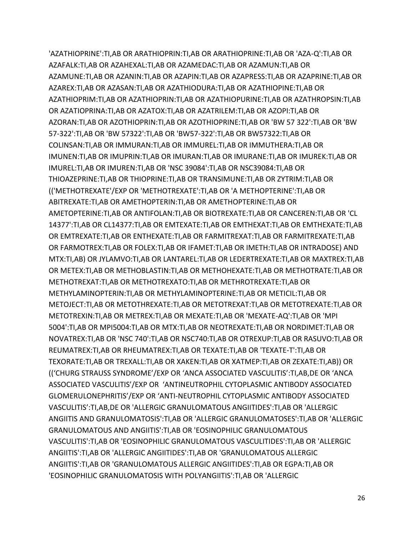'AZATHIOPRINE':TI,AB OR ARATHIOPRIN:TI,AB OR ARATHIOPRINE:TI,AB OR 'AZA-Q':TI,AB OR AZAFALK:TI,AB OR AZAHEXAL:TI,AB OR AZAMEDAC:TI,AB OR AZAMUN:TI,AB OR AZAMUNE:TI,AB OR AZANIN:TI,AB OR AZAPIN:TI,AB OR AZAPRESS:TI,AB OR AZAPRINE:TI,AB OR AZAREX:TI,AB OR AZASAN:TI,AB OR AZATHIODURA:TI,AB OR AZATHIOPINE:TI,AB OR AZATHIOPRIM:TI,AB OR AZATHIOPRIN:TI,AB OR AZATHIOPURINE:TI,AB OR AZATHROPSIN:TI,AB OR AZATIOPRINA:TI,AB OR AZATOX:TI,AB OR AZATRILEM:TI,AB OR AZOPI:TI,AB OR AZORAN:TI,AB OR AZOTHIOPRIN:TI,AB OR AZOTHIOPRINE:TI,AB OR 'BW 57 322':TI,AB OR 'BW 57-322':TI,AB OR 'BW 57322':TI,AB OR 'BW57-322':TI,AB OR BW57322:TI,AB OR COLINSAN:TI,AB OR IMMURAN:TI,AB OR IMMUREL:TI,AB OR IMMUTHERA:TI,AB OR IMUNEN:TI,AB OR IMUPRIN:TI,AB OR IMURAN:TI,AB OR IMURANE:TI,AB OR IMUREK:TI,AB OR IMUREL:TI,AB OR IMUREN:TI,AB OR 'NSC 39084':TI,AB OR NSC39084:TI,AB OR THIOAZEPRINE:TI,AB OR THIOPRINE:TI,AB OR TRANSIMUNE:TI,AB OR ZYTRIM:TI,AB OR (('METHOTREXATE'/EXP OR 'METHOTREXATE':TI,AB OR 'A METHOPTERINE':TI,AB OR ABITREXATE:TI,AB OR AMETHOPTERIN:TI,AB OR AMETHOPTERINE:TI,AB OR AMETOPTERINE:TI,AB OR ANTIFOLAN:TI,AB OR BIOTREXATE:TI,AB OR CANCEREN:TI,AB OR 'CL 14377':TI,AB OR CL14377:TI,AB OR EMTEXATE:TI,AB OR EMTHEXAT:TI,AB OR EMTHEXATE:TI,AB OR EMTREXATE:TI,AB OR ENTHEXATE:TI,AB OR FARMITREXAT:TI,AB OR FARMITREXATE:TI,AB OR FARMOTREX:TI,AB OR FOLEX:TI,AB OR IFAMET:TI,AB OR IMETH:TI,AB OR INTRADOSE) AND MTX:TI,AB) OR JYLAMVO:TI,AB OR LANTAREL:TI,AB OR LEDERTREXATE:TI,AB OR MAXTREX:TI,AB OR METEX:TI,AB OR METHOBLASTIN:TI,AB OR METHOHEXATE:TI,AB OR METHOTRATE:TI,AB OR METHOTREXAT:TI,AB OR METHOTREXATO:TI,AB OR METHROTREXATE:TI,AB OR METHYLAMINOPTERIN:TI,AB OR METHYLAMINOPTERINE:TI,AB OR METICIL:TI,AB OR METOJECT:TI,AB OR METOTHREXATE:TI,AB OR METOTREXAT:TI,AB OR METOTREXATE:TI,AB OR METOTREXIN:TI,AB OR METREX:TI,AB OR MEXATE:TI,AB OR 'MEXATE-AQ':TI,AB OR 'MPI 5004':TI,AB OR MPI5004:TI,AB OR MTX:TI,AB OR NEOTREXATE:TI,AB OR NORDIMET:TI,AB OR NOVATREX:TI,AB OR 'NSC 740':TI,AB OR NSC740:TI,AB OR OTREXUP:TI,AB OR RASUVO:TI,AB OR REUMATREX:TI,AB OR RHEUMATREX:TI,AB OR TEXATE:TI,AB OR 'TEXATE-T':TI,AB OR TEXORATE:TI,AB OR TREXALL:TI,AB OR XAKEN:TI,AB OR XATMEP:TI,AB OR ZEXATE:TI,AB)) OR (('CHURG STRAUSS SYNDROME'/EXP OR 'ANCA ASSOCIATED VASCULITIS':TI,AB,DE OR 'ANCA ASSOCIATED VASCULITIS'/EXP OR 'ANTINEUTROPHIL CYTOPLASMIC ANTIBODY ASSOCIATED GLOMERULONEPHRITIS'/EXP OR 'ANTI-NEUTROPHIL CYTOPLASMIC ANTIBODY ASSOCIATED VASCULITIS':TI,AB,DE OR 'ALLERGIC GRANULOMATOUS ANGIITIDES':TI,AB OR 'ALLERGIC ANGIITIS AND GRANULOMATOSIS':TI,AB OR 'ALLERGIC GRANULOMATOSES':TI,AB OR 'ALLERGIC GRANULOMATOUS AND ANGIITIS':TI,AB OR 'EOSINOPHILIC GRANULOMATOUS VASCULITIS':TI,AB OR 'EOSINOPHILIC GRANULOMATOUS VASCULITIDES':TI,AB OR 'ALLERGIC ANGIITIS':TI,AB OR 'ALLERGIC ANGIITIDES':TI,AB OR 'GRANULOMATOUS ALLERGIC ANGIITIS':TI,AB OR 'GRANULOMATOUS ALLERGIC ANGIITIDES':TI,AB OR EGPA:TI,AB OR 'EOSINOPHILIC GRANULOMATOSIS WITH POLYANGIITIS':TI,AB OR 'ALLERGIC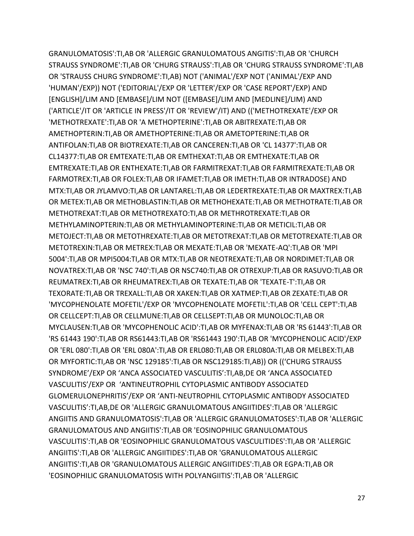GRANULOMATOSIS':TI,AB OR 'ALLERGIC GRANULOMATOUS ANGITIS':TI,AB OR 'CHURCH STRAUSS SYNDROME':TI,AB OR 'CHURG STRAUSS':TI,AB OR 'CHURG STRAUSS SYNDROME':TI,AB OR 'STRAUSS CHURG SYNDROME':TI,AB) NOT ('ANIMAL'/EXP NOT ('ANIMAL'/EXP AND 'HUMAN'/EXP)) NOT ('EDITORIAL'/EXP OR 'LETTER'/EXP OR 'CASE REPORT'/EXP) AND [ENGLISH]/LIM AND [EMBASE]/LIM NOT ([EMBASE]/LIM AND [MEDLINE]/LIM) AND ('ARTICLE'/IT OR 'ARTICLE IN PRESS'/IT OR 'REVIEW'/IT) AND (('METHOTREXATE'/EXP OR 'METHOTREXATE':TI,AB OR 'A METHOPTERINE':TI,AB OR ABITREXATE:TI,AB OR AMETHOPTERIN:TI,AB OR AMETHOPTERINE:TI,AB OR AMETOPTERINE:TI,AB OR ANTIFOLAN:TI,AB OR BIOTREXATE:TI,AB OR CANCEREN:TI,AB OR 'CL 14377':TI,AB OR CL14377:TI,AB OR EMTEXATE:TI,AB OR EMTHEXAT:TI,AB OR EMTHEXATE:TI,AB OR EMTREXATE:TI,AB OR ENTHEXATE:TI,AB OR FARMITREXAT:TI,AB OR FARMITREXATE:TI,AB OR FARMOTREX:TI,AB OR FOLEX:TI,AB OR IFAMET:TI,AB OR IMETH:TI,AB OR INTRADOSE) AND MTX:TI,AB OR JYLAMVO:TI,AB OR LANTAREL:TI,AB OR LEDERTREXATE:TI,AB OR MAXTREX:TI,AB OR METEX:TI,AB OR METHOBLASTIN:TI,AB OR METHOHEXATE:TI,AB OR METHOTRATE:TI,AB OR METHOTREXAT:TI,AB OR METHOTREXATO:TI,AB OR METHROTREXATE:TI,AB OR METHYLAMINOPTERIN:TI,AB OR METHYLAMINOPTERINE:TI,AB OR METICIL:TI,AB OR METOJECT:TI,AB OR METOTHREXATE:TI,AB OR METOTREXAT:TI,AB OR METOTREXATE:TI,AB OR METOTREXIN:TI,AB OR METREX:TI,AB OR MEXATE:TI,AB OR 'MEXATE-AQ':TI,AB OR 'MPI 5004':TI,AB OR MPI5004:TI,AB OR MTX:TI,AB OR NEOTREXATE:TI,AB OR NORDIMET:TI,AB OR NOVATREX:TI,AB OR 'NSC 740':TI,AB OR NSC740:TI,AB OR OTREXUP:TI,AB OR RASUVO:TI,AB OR REUMATREX:TI,AB OR RHEUMATREX:TI,AB OR TEXATE:TI,AB OR 'TEXATE-T':TI,AB OR TEXORATE:TI,AB OR TREXALL:TI,AB OR XAKEN:TI,AB OR XATMEP:TI,AB OR ZEXATE:TI,AB OR 'MYCOPHENOLATE MOFETIL'/EXP OR 'MYCOPHENOLATE MOFETIL':TI,AB OR 'CELL CEPT':TI,AB OR CELLCEPT:TI,AB OR CELLMUNE:TI,AB OR CELLSEPT:TI,AB OR MUNOLOC:TI,AB OR MYCLAUSEN:TI,AB OR 'MYCOPHENOLIC ACID':TI,AB OR MYFENAX:TI,AB OR 'RS 61443':TI,AB OR 'RS 61443 190':TI,AB OR RS61443:TI,AB OR 'RS61443 190':TI,AB OR 'MYCOPHENOLIC ACID'/EXP OR 'ERL 080':TI,AB OR 'ERL 080A':TI,AB OR ERL080:TI,AB OR ERL080A:TI,AB OR MELBEX:TI,AB OR MYFORTIC:TI,AB OR 'NSC 129185':TI,AB OR NSC129185:TI,AB)) OR (('CHURG STRAUSS SYNDROME'/EXP OR 'ANCA ASSOCIATED VASCULITIS':TI,AB,DE OR 'ANCA ASSOCIATED VASCULITIS'/EXP OR 'ANTINEUTROPHIL CYTOPLASMIC ANTIBODY ASSOCIATED GLOMERULONEPHRITIS'/EXP OR 'ANTI-NEUTROPHIL CYTOPLASMIC ANTIBODY ASSOCIATED VASCULITIS':TI,AB,DE OR 'ALLERGIC GRANULOMATOUS ANGIITIDES':TI,AB OR 'ALLERGIC ANGIITIS AND GRANULOMATOSIS':TI,AB OR 'ALLERGIC GRANULOMATOSES':TI,AB OR 'ALLERGIC GRANULOMATOUS AND ANGIITIS':TI,AB OR 'EOSINOPHILIC GRANULOMATOUS VASCULITIS':TI,AB OR 'EOSINOPHILIC GRANULOMATOUS VASCULITIDES':TI,AB OR 'ALLERGIC ANGIITIS':TI,AB OR 'ALLERGIC ANGIITIDES':TI,AB OR 'GRANULOMATOUS ALLERGIC ANGIITIS':TI,AB OR 'GRANULOMATOUS ALLERGIC ANGIITIDES':TI,AB OR EGPA:TI,AB OR 'EOSINOPHILIC GRANULOMATOSIS WITH POLYANGIITIS':TI,AB OR 'ALLERGIC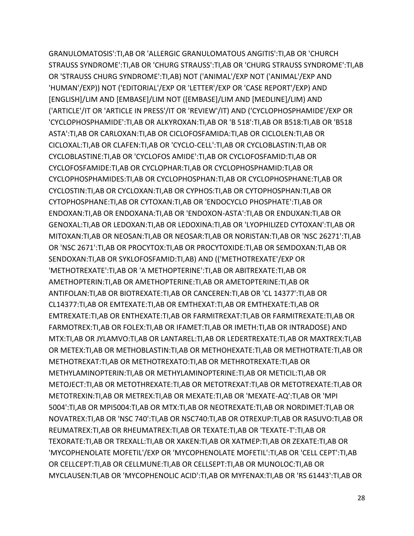GRANULOMATOSIS':TI,AB OR 'ALLERGIC GRANULOMATOUS ANGITIS':TI,AB OR 'CHURCH STRAUSS SYNDROME':TI,AB OR 'CHURG STRAUSS':TI,AB OR 'CHURG STRAUSS SYNDROME':TI,AB OR 'STRAUSS CHURG SYNDROME':TI,AB) NOT ('ANIMAL'/EXP NOT ('ANIMAL'/EXP AND 'HUMAN'/EXP)) NOT ('EDITORIAL'/EXP OR 'LETTER'/EXP OR 'CASE REPORT'/EXP) AND [ENGLISH]/LIM AND [EMBASE]/LIM NOT ([EMBASE]/LIM AND [MEDLINE]/LIM) AND ('ARTICLE'/IT OR 'ARTICLE IN PRESS'/IT OR 'REVIEW'/IT) AND ('CYCLOPHOSPHAMIDE'/EXP OR 'CYCLOPHOSPHAMIDE':TI,AB OR ALKYROXAN:TI,AB OR 'B 518':TI,AB OR B518:TI,AB OR 'B518 ASTA':TI,AB OR CARLOXAN:TI,AB OR CICLOFOSFAMIDA:TI,AB OR CICLOLEN:TI,AB OR CICLOXAL:TI,AB OR CLAFEN:TI,AB OR 'CYCLO-CELL':TI,AB OR CYCLOBLASTIN:TI,AB OR CYCLOBLASTINE:TI,AB OR 'CYCLOFOS AMIDE':TI,AB OR CYCLOFOSFAMID:TI,AB OR CYCLOFOSFAMIDE:TI,AB OR CYCLOPHAR:TI,AB OR CYCLOPHOSPHAMID:TI,AB OR CYCLOPHOSPHAMIDES:TI,AB OR CYCLOPHOSPHAN:TI,AB OR CYCLOPHOSPHANE:TI,AB OR CYCLOSTIN:TI,AB OR CYCLOXAN:TI,AB OR CYPHOS:TI,AB OR CYTOPHOSPHAN:TI,AB OR CYTOPHOSPHANE:TI,AB OR CYTOXAN:TI,AB OR 'ENDOCYCLO PHOSPHATE':TI,AB OR ENDOXAN:TI,AB OR ENDOXANA:TI,AB OR 'ENDOXON-ASTA':TI,AB OR ENDUXAN:TI,AB OR GENOXAL:TI,AB OR LEDOXAN:TI,AB OR LEDOXINA:TI,AB OR 'LYOPHILIZED CYTOXAN':TI,AB OR MITOXAN:TI,AB OR NEOSAN:TI,AB OR NEOSAR:TI,AB OR NORISTAN:TI,AB OR 'NSC 26271':TI,AB OR 'NSC 2671':TI,AB OR PROCYTOX:TI,AB OR PROCYTOXIDE:TI,AB OR SEMDOXAN:TI,AB OR SENDOXAN:TI,AB OR SYKLOFOSFAMID:TI,AB) AND (('METHOTREXATE'/EXP OR 'METHOTREXATE':TI,AB OR 'A METHOPTERINE':TI,AB OR ABITREXATE:TI,AB OR AMETHOPTERIN:TI,AB OR AMETHOPTERINE:TI,AB OR AMETOPTERINE:TI,AB OR ANTIFOLAN:TI,AB OR BIOTREXATE:TI,AB OR CANCEREN:TI,AB OR 'CL 14377':TI,AB OR CL14377:TI,AB OR EMTEXATE:TI,AB OR EMTHEXAT:TI,AB OR EMTHEXATE:TI,AB OR EMTREXATE:TI,AB OR ENTHEXATE:TI,AB OR FARMITREXAT:TI,AB OR FARMITREXATE:TI,AB OR FARMOTREX:TI,AB OR FOLEX:TI,AB OR IFAMET:TI,AB OR IMETH:TI,AB OR INTRADOSE) AND MTX:TI,AB OR JYLAMVO:TI,AB OR LANTAREL:TI,AB OR LEDERTREXATE:TI,AB OR MAXTREX:TI,AB OR METEX:TI,AB OR METHOBLASTIN:TI,AB OR METHOHEXATE:TI,AB OR METHOTRATE:TI,AB OR METHOTREXAT:TI,AB OR METHOTREXATO:TI,AB OR METHROTREXATE:TI,AB OR METHYLAMINOPTERIN:TI,AB OR METHYLAMINOPTERINE:TI,AB OR METICIL:TI,AB OR METOJECT:TI,AB OR METOTHREXATE:TI,AB OR METOTREXAT:TI,AB OR METOTREXATE:TI,AB OR METOTREXIN:TI,AB OR METREX:TI,AB OR MEXATE:TI,AB OR 'MEXATE-AQ':TI,AB OR 'MPI 5004':TI,AB OR MPI5004:TI,AB OR MTX:TI,AB OR NEOTREXATE:TI,AB OR NORDIMET:TI,AB OR NOVATREX:TI,AB OR 'NSC 740':TI,AB OR NSC740:TI,AB OR OTREXUP:TI,AB OR RASUVO:TI,AB OR REUMATREX:TI,AB OR RHEUMATREX:TI,AB OR TEXATE:TI,AB OR 'TEXATE-T':TI,AB OR TEXORATE:TI,AB OR TREXALL:TI,AB OR XAKEN:TI,AB OR XATMEP:TI,AB OR ZEXATE:TI,AB OR 'MYCOPHENOLATE MOFETIL'/EXP OR 'MYCOPHENOLATE MOFETIL':TI,AB OR 'CELL CEPT':TI,AB OR CELLCEPT:TI,AB OR CELLMUNE:TI,AB OR CELLSEPT:TI,AB OR MUNOLOC:TI,AB OR MYCLAUSEN:TI,AB OR 'MYCOPHENOLIC ACID':TI,AB OR MYFENAX:TI,AB OR 'RS 61443':TI,AB OR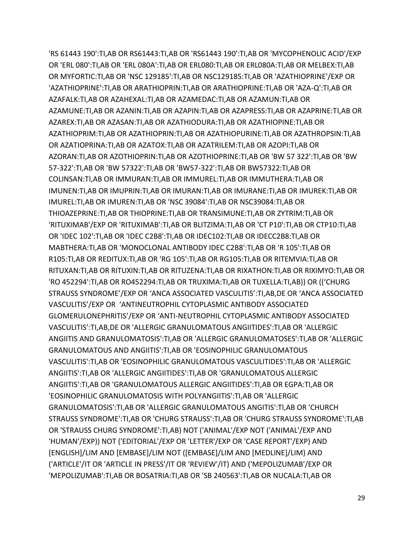'RS 61443 190':TI,AB OR RS61443:TI,AB OR 'RS61443 190':TI,AB OR 'MYCOPHENOLIC ACID'/EXP OR 'ERL 080':TI,AB OR 'ERL 080A':TI,AB OR ERL080:TI,AB OR ERL080A:TI,AB OR MELBEX:TI,AB OR MYFORTIC:TI,AB OR 'NSC 129185':TI,AB OR NSC129185:TI,AB OR 'AZATHIOPRINE'/EXP OR 'AZATHIOPRINE':TI,AB OR ARATHIOPRIN:TI,AB OR ARATHIOPRINE:TI,AB OR 'AZA-Q':TI,AB OR AZAFALK:TI,AB OR AZAHEXAL:TI,AB OR AZAMEDAC:TI,AB OR AZAMUN:TI,AB OR AZAMUNE:TI,AB OR AZANIN:TI,AB OR AZAPIN:TI,AB OR AZAPRESS:TI,AB OR AZAPRINE:TI,AB OR AZAREX:TI,AB OR AZASAN:TI,AB OR AZATHIODURA:TI,AB OR AZATHIOPINE:TI,AB OR AZATHIOPRIM:TI,AB OR AZATHIOPRIN:TI,AB OR AZATHIOPURINE:TI,AB OR AZATHROPSIN:TI,AB OR AZATIOPRINA:TI,AB OR AZATOX:TI,AB OR AZATRILEM:TI,AB OR AZOPI:TI,AB OR AZORAN:TI,AB OR AZOTHIOPRIN:TI,AB OR AZOTHIOPRINE:TI,AB OR 'BW 57 322':TI,AB OR 'BW 57-322':TI,AB OR 'BW 57322':TI,AB OR 'BW57-322':TI,AB OR BW57322:TI,AB OR COLINSAN:TI,AB OR IMMURAN:TI,AB OR IMMUREL:TI,AB OR IMMUTHERA:TI,AB OR IMUNEN:TI,AB OR IMUPRIN:TI,AB OR IMURAN:TI,AB OR IMURANE:TI,AB OR IMUREK:TI,AB OR IMUREL:TI,AB OR IMUREN:TI,AB OR 'NSC 39084':TI,AB OR NSC39084:TI,AB OR THIOAZEPRINE:TI,AB OR THIOPRINE:TI,AB OR TRANSIMUNE:TI,AB OR ZYTRIM:TI,AB OR 'RITUXIMAB'/EXP OR 'RITUXIMAB':TI,AB OR BLITZIMA:TI,AB OR 'CT P10':TI,AB OR CTP10:TI,AB OR 'IDEC 102':TI,AB OR 'IDEC C2B8':TI,AB OR IDEC102:TI,AB OR IDECC2B8:TI,AB OR MABTHERA:TI,AB OR 'MONOCLONAL ANTIBODY IDEC C2B8':TI,AB OR 'R 105':TI,AB OR R105:TI,AB OR REDITUX:TI,AB OR 'RG 105':TI,AB OR RG105:TI,AB OR RITEMVIA:TI,AB OR RITUXAN:TI,AB OR RITUXIN:TI,AB OR RITUZENA:TI,AB OR RIXATHON:TI,AB OR RIXIMYO:TI,AB OR 'RO 452294':TI,AB OR RO452294:TI,AB OR TRUXIMA:TI,AB OR TUXELLA:TI,AB)) OR (('CHURG STRAUSS SYNDROME'/EXP OR 'ANCA ASSOCIATED VASCULITIS':TI,AB,DE OR 'ANCA ASSOCIATED VASCULITIS'/EXP OR 'ANTINEUTROPHIL CYTOPLASMIC ANTIBODY ASSOCIATED GLOMERULONEPHRITIS'/EXP OR 'ANTI-NEUTROPHIL CYTOPLASMIC ANTIBODY ASSOCIATED VASCULITIS':TI,AB,DE OR 'ALLERGIC GRANULOMATOUS ANGIITIDES':TI,AB OR 'ALLERGIC ANGIITIS AND GRANULOMATOSIS':TI,AB OR 'ALLERGIC GRANULOMATOSES':TI,AB OR 'ALLERGIC GRANULOMATOUS AND ANGIITIS':TI,AB OR 'EOSINOPHILIC GRANULOMATOUS VASCULITIS':TI,AB OR 'EOSINOPHILIC GRANULOMATOUS VASCULITIDES':TI,AB OR 'ALLERGIC ANGIITIS':TI,AB OR 'ALLERGIC ANGIITIDES':TI,AB OR 'GRANULOMATOUS ALLERGIC ANGIITIS':TI,AB OR 'GRANULOMATOUS ALLERGIC ANGIITIDES':TI,AB OR EGPA:TI,AB OR 'EOSINOPHILIC GRANULOMATOSIS WITH POLYANGIITIS':TI,AB OR 'ALLERGIC GRANULOMATOSIS':TI,AB OR 'ALLERGIC GRANULOMATOUS ANGITIS':TI,AB OR 'CHURCH STRAUSS SYNDROME':TI,AB OR 'CHURG STRAUSS':TI,AB OR 'CHURG STRAUSS SYNDROME':TI,AB OR 'STRAUSS CHURG SYNDROME':TI,AB) NOT ('ANIMAL'/EXP NOT ('ANIMAL'/EXP AND 'HUMAN'/EXP)) NOT ('EDITORIAL'/EXP OR 'LETTER'/EXP OR 'CASE REPORT'/EXP) AND [ENGLISH]/LIM AND [EMBASE]/LIM NOT ([EMBASE]/LIM AND [MEDLINE]/LIM) AND ('ARTICLE'/IT OR 'ARTICLE IN PRESS'/IT OR 'REVIEW'/IT) AND ('MEPOLIZUMAB'/EXP OR 'MEPOLIZUMAB':TI,AB OR BOSATRIA:TI,AB OR 'SB 240563':TI,AB OR NUCALA:TI,AB OR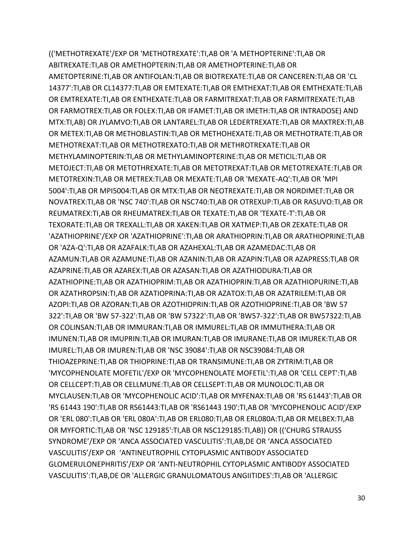(('METHOTREXATE'/EXP OR 'METHOTREXATE':TI,AB OR 'A METHOPTERINE':TI,AB OR ABITREXATE:TI,AB OR AMETHOPTERIN:TI,AB OR AMETHOPTERINE:TI,AB OR AMETOPTERINE:TI,AB OR ANTIFOLAN:TI,AB OR BIOTREXATE:TI,AB OR CANCEREN:TI,AB OR 'CL 14377':TI,AB OR CL14377:TI,AB OR EMTEXATE:TI,AB OR EMTHEXAT:TI,AB OR EMTHEXATE:TI,AB OR EMTREXATE:TI,AB OR ENTHEXATE:TI,AB OR FARMITREXAT:TI,AB OR FARMITREXATE:TI,AB OR FARMOTREX:TI,AB OR FOLEX:TI,AB OR IFAMET:TI,AB OR IMETH:TI,AB OR INTRADOSE) AND MTX:TI,AB) OR JYLAMVO:TI,AB OR LANTAREL:TI,AB OR LEDERTREXATE:TI,AB OR MAXTREX:TI,AB OR METEX:TI,AB OR METHOBLASTIN:TI,AB OR METHOHEXATE:TI,AB OR METHOTRATE:TI,AB OR METHOTREXAT:TI,AB OR METHOTREXATO:TI,AB OR METHROTREXATE:TI,AB OR METHYLAMINOPTERIN:TI,AB OR METHYLAMINOPTERINE:TI,AB OR METICIL:TI,AB OR METOJECT:TI,AB OR METOTHREXATE:TI,AB OR METOTREXAT:TI,AB OR METOTREXATE:TI,AB OR METOTREXIN:TI,AB OR METREX:TI,AB OR MEXATE:TI,AB OR 'MEXATE-AQ':TI,AB OR 'MPI 5004':TI,AB OR MPI5004:TI,AB OR MTX:TI,AB OR NEOTREXATE:TI,AB OR NORDIMET:TI,AB OR NOVATREX:TI,AB OR 'NSC 740':TI,AB OR NSC740:TI,AB OR OTREXUP:TI,AB OR RASUVO:TI,AB OR REUMATREX:TI,AB OR RHEUMATREX:TI,AB OR TEXATE:TI,AB OR 'TEXATE-T':TI,AB OR TEXORATE:TI,AB OR TREXALL:TI,AB OR XAKEN:TI,AB OR XATMEP:TI,AB OR ZEXATE:TI,AB OR 'AZATHIOPRINE'/EXP OR 'AZATHIOPRINE':TI,AB OR ARATHIOPRIN:TI,AB OR ARATHIOPRINE:TI,AB OR 'AZA-Q':TI,AB OR AZAFALK:TI,AB OR AZAHEXAL:TI,AB OR AZAMEDAC:TI,AB OR AZAMUN:TI,AB OR AZAMUNE:TI,AB OR AZANIN:TI,AB OR AZAPIN:TI,AB OR AZAPRESS:TI,AB OR AZAPRINE:TI,AB OR AZAREX:TI,AB OR AZASAN:TI,AB OR AZATHIODURA:TI,AB OR AZATHIOPINE:TI,AB OR AZATHIOPRIM:TI,AB OR AZATHIOPRIN:TI,AB OR AZATHIOPURINE:TI,AB OR AZATHROPSIN:TI,AB OR AZATIOPRINA:TI,AB OR AZATOX:TI,AB OR AZATRILEM:TI,AB OR AZOPI:TI,AB OR AZORAN:TI,AB OR AZOTHIOPRIN:TI,AB OR AZOTHIOPRINE:TI,AB OR 'BW 57 322':TI,AB OR 'BW 57-322':TI,AB OR 'BW 57322':TI,AB OR 'BW57-322':TI,AB OR BW57322:TI,AB OR COLINSAN:TI,AB OR IMMURAN:TI,AB OR IMMUREL:TI,AB OR IMMUTHERA:TI,AB OR IMUNEN:TI,AB OR IMUPRIN:TI,AB OR IMURAN:TI,AB OR IMURANE:TI,AB OR IMUREK:TI,AB OR IMUREL:TI,AB OR IMUREN:TI,AB OR 'NSC 39084':TI,AB OR NSC39084:TI,AB OR THIOAZEPRINE:TI,AB OR THIOPRINE:TI,AB OR TRANSIMUNE:TI,AB OR ZYTRIM:TI,AB OR 'MYCOPHENOLATE MOFETIL'/EXP OR 'MYCOPHENOLATE MOFETIL':TI,AB OR 'CELL CEPT':TI,AB OR CELLCEPT:TI,AB OR CELLMUNE:TI,AB OR CELLSEPT:TI,AB OR MUNOLOC:TI,AB OR MYCLAUSEN:TI,AB OR 'MYCOPHENOLIC ACID':TI,AB OR MYFENAX:TI,AB OR 'RS 61443':TI,AB OR 'RS 61443 190':TI,AB OR RS61443:TI,AB OR 'RS61443 190':TI,AB OR 'MYCOPHENOLIC ACID'/EXP OR 'ERL 080':TI,AB OR 'ERL 080A':TI,AB OR ERL080:TI,AB OR ERL080A:TI,AB OR MELBEX:TI,AB OR MYFORTIC:TI,AB OR 'NSC 129185':TI,AB OR NSC129185:TI,AB)) OR (('CHURG STRAUSS SYNDROME'/EXP OR 'ANCA ASSOCIATED VASCULITIS':TI,AB,DE OR 'ANCA ASSOCIATED VASCULITIS'/EXP OR 'ANTINEUTROPHIL CYTOPLASMIC ANTIBODY ASSOCIATED GLOMERULONEPHRITIS'/EXP OR 'ANTI-NEUTROPHIL CYTOPLASMIC ANTIBODY ASSOCIATED VASCULITIS':TI,AB,DE OR 'ALLERGIC GRANULOMATOUS ANGIITIDES':TI,AB OR 'ALLERGIC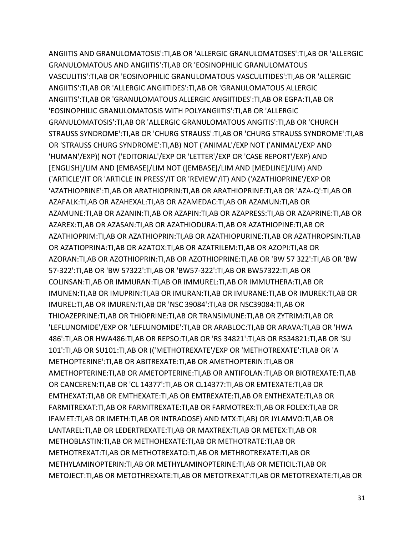ANGIITIS AND GRANULOMATOSIS':TI,AB OR 'ALLERGIC GRANULOMATOSES':TI,AB OR 'ALLERGIC GRANULOMATOUS AND ANGIITIS':TI,AB OR 'EOSINOPHILIC GRANULOMATOUS VASCULITIS':TI,AB OR 'EOSINOPHILIC GRANULOMATOUS VASCULITIDES':TI,AB OR 'ALLERGIC ANGIITIS':TI,AB OR 'ALLERGIC ANGIITIDES':TI,AB OR 'GRANULOMATOUS ALLERGIC ANGIITIS':TI,AB OR 'GRANULOMATOUS ALLERGIC ANGIITIDES':TI,AB OR EGPA:TI,AB OR 'EOSINOPHILIC GRANULOMATOSIS WITH POLYANGIITIS':TI,AB OR 'ALLERGIC GRANULOMATOSIS':TI,AB OR 'ALLERGIC GRANULOMATOUS ANGITIS':TI,AB OR 'CHURCH STRAUSS SYNDROME':TI,AB OR 'CHURG STRAUSS':TI,AB OR 'CHURG STRAUSS SYNDROME':TI,AB OR 'STRAUSS CHURG SYNDROME':TI,AB) NOT ('ANIMAL'/EXP NOT ('ANIMAL'/EXP AND 'HUMAN'/EXP)) NOT ('EDITORIAL'/EXP OR 'LETTER'/EXP OR 'CASE REPORT'/EXP) AND [ENGLISH]/LIM AND [EMBASE]/LIM NOT ([EMBASE]/LIM AND [MEDLINE]/LIM) AND ('ARTICLE'/IT OR 'ARTICLE IN PRESS'/IT OR 'REVIEW'/IT) AND ('AZATHIOPRINE'/EXP OR 'AZATHIOPRINE':TI,AB OR ARATHIOPRIN:TI,AB OR ARATHIOPRINE:TI,AB OR 'AZA-Q':TI,AB OR AZAFALK:TI,AB OR AZAHEXAL:TI,AB OR AZAMEDAC:TI,AB OR AZAMUN:TI,AB OR AZAMUNE:TI,AB OR AZANIN:TI,AB OR AZAPIN:TI,AB OR AZAPRESS:TI,AB OR AZAPRINE:TI,AB OR AZAREX:TI,AB OR AZASAN:TI,AB OR AZATHIODURA:TI,AB OR AZATHIOPINE:TI,AB OR AZATHIOPRIM:TI,AB OR AZATHIOPRIN:TI,AB OR AZATHIOPURINE:TI,AB OR AZATHROPSIN:TI,AB OR AZATIOPRINA:TI,AB OR AZATOX:TI,AB OR AZATRILEM:TI,AB OR AZOPI:TI,AB OR AZORAN:TI,AB OR AZOTHIOPRIN:TI,AB OR AZOTHIOPRINE:TI,AB OR 'BW 57 322':TI,AB OR 'BW 57-322':TI,AB OR 'BW 57322':TI,AB OR 'BW57-322':TI,AB OR BW57322:TI,AB OR COLINSAN:TI,AB OR IMMURAN:TI,AB OR IMMUREL:TI,AB OR IMMUTHERA:TI,AB OR IMUNEN:TI,AB OR IMUPRIN:TI,AB OR IMURAN:TI,AB OR IMURANE:TI,AB OR IMUREK:TI,AB OR IMUREL:TI,AB OR IMUREN:TI,AB OR 'NSC 39084':TI,AB OR NSC39084:TI,AB OR THIOAZEPRINE:TI,AB OR THIOPRINE:TI,AB OR TRANSIMUNE:TI,AB OR ZYTRIM:TI,AB OR 'LEFLUNOMIDE'/EXP OR 'LEFLUNOMIDE':TI,AB OR ARABLOC:TI,AB OR ARAVA:TI,AB OR 'HWA 486':TI,AB OR HWA486:TI,AB OR REPSO:TI,AB OR 'RS 34821':TI,AB OR RS34821:TI,AB OR 'SU 101':TI,AB OR SU101:TI,AB OR (('METHOTREXATE'/EXP OR 'METHOTREXATE':TI,AB OR 'A METHOPTERINE':TI,AB OR ABITREXATE:TI,AB OR AMETHOPTERIN:TI,AB OR AMETHOPTERINE:TI,AB OR AMETOPTERINE:TI,AB OR ANTIFOLAN:TI,AB OR BIOTREXATE:TI,AB OR CANCEREN:TI,AB OR 'CL 14377':TI,AB OR CL14377:TI,AB OR EMTEXATE:TI,AB OR EMTHEXAT:TI,AB OR EMTHEXATE:TI,AB OR EMTREXATE:TI,AB OR ENTHEXATE:TI,AB OR FARMITREXAT:TI,AB OR FARMITREXATE:TI,AB OR FARMOTREX:TI,AB OR FOLEX:TI,AB OR IFAMET:TI,AB OR IMETH:TI,AB OR INTRADOSE) AND MTX:TI,AB) OR JYLAMVO:TI,AB OR LANTAREL:TI,AB OR LEDERTREXATE:TI,AB OR MAXTREX:TI,AB OR METEX:TI,AB OR METHOBLASTIN:TI,AB OR METHOHEXATE:TI,AB OR METHOTRATE:TI,AB OR METHOTREXAT:TI,AB OR METHOTREXATO:TI,AB OR METHROTREXATE:TI,AB OR METHYLAMINOPTERIN:TI,AB OR METHYLAMINOPTERINE:TI,AB OR METICIL:TI,AB OR METOJECT:TI,AB OR METOTHREXATE:TI,AB OR METOTREXAT:TI,AB OR METOTREXATE:TI,AB OR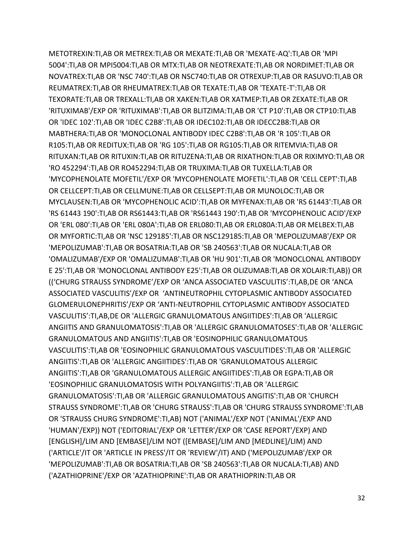METOTREXIN:TI,AB OR METREX:TI,AB OR MEXATE:TI,AB OR 'MEXATE-AQ':TI,AB OR 'MPI 5004':TI,AB OR MPI5004:TI,AB OR MTX:TI,AB OR NEOTREXATE:TI,AB OR NORDIMET:TI,AB OR NOVATREX:TI,AB OR 'NSC 740':TI,AB OR NSC740:TI,AB OR OTREXUP:TI,AB OR RASUVO:TI,AB OR REUMATREX:TI,AB OR RHEUMATREX:TI,AB OR TEXATE:TI,AB OR 'TEXATE-T':TI,AB OR TEXORATE:TI,AB OR TREXALL:TI,AB OR XAKEN:TI,AB OR XATMEP:TI,AB OR ZEXATE:TI,AB OR 'RITUXIMAB'/EXP OR 'RITUXIMAB':TI,AB OR BLITZIMA:TI,AB OR 'CT P10':TI,AB OR CTP10:TI,AB OR 'IDEC 102':TI,AB OR 'IDEC C2B8':TI,AB OR IDEC102:TI,AB OR IDECC2B8:TI,AB OR MABTHERA:TI,AB OR 'MONOCLONAL ANTIBODY IDEC C2B8':TI,AB OR 'R 105':TI,AB OR R105:TI,AB OR REDITUX:TI,AB OR 'RG 105':TI,AB OR RG105:TI,AB OR RITEMVIA:TI,AB OR RITUXAN:TI,AB OR RITUXIN:TI,AB OR RITUZENA:TI,AB OR RIXATHON:TI,AB OR RIXIMYO:TI,AB OR 'RO 452294':TI,AB OR RO452294:TI,AB OR TRUXIMA:TI,AB OR TUXELLA:TI,AB OR 'MYCOPHENOLATE MOFETIL'/EXP OR 'MYCOPHENOLATE MOFETIL':TI,AB OR 'CELL CEPT':TI,AB OR CELLCEPT:TI,AB OR CELLMUNE:TI,AB OR CELLSEPT:TI,AB OR MUNOLOC:TI,AB OR MYCLAUSEN:TI,AB OR 'MYCOPHENOLIC ACID':TI,AB OR MYFENAX:TI,AB OR 'RS 61443':TI,AB OR 'RS 61443 190':TI,AB OR RS61443:TI,AB OR 'RS61443 190':TI,AB OR 'MYCOPHENOLIC ACID'/EXP OR 'ERL 080':TI,AB OR 'ERL 080A':TI,AB OR ERL080:TI,AB OR ERL080A:TI,AB OR MELBEX:TI,AB OR MYFORTIC:TI,AB OR 'NSC 129185':TI,AB OR NSC129185:TI,AB OR 'MEPOLIZUMAB'/EXP OR 'MEPOLIZUMAB':TI,AB OR BOSATRIA:TI,AB OR 'SB 240563':TI,AB OR NUCALA:TI,AB OR 'OMALIZUMAB'/EXP OR 'OMALIZUMAB':TI,AB OR 'HU 901':TI,AB OR 'MONOCLONAL ANTIBODY E 25':TI,AB OR 'MONOCLONAL ANTIBODY E25':TI,AB OR OLIZUMAB:TI,AB OR XOLAIR:TI,AB)) OR (('CHURG STRAUSS SYNDROME'/EXP OR 'ANCA ASSOCIATED VASCULITIS':TI,AB,DE OR 'ANCA ASSOCIATED VASCULITIS'/EXP OR 'ANTINEUTROPHIL CYTOPLASMIC ANTIBODY ASSOCIATED GLOMERULONEPHRITIS'/EXP OR 'ANTI-NEUTROPHIL CYTOPLASMIC ANTIBODY ASSOCIATED VASCULITIS':TI,AB,DE OR 'ALLERGIC GRANULOMATOUS ANGIITIDES':TI,AB OR 'ALLERGIC ANGIITIS AND GRANULOMATOSIS':TI,AB OR 'ALLERGIC GRANULOMATOSES':TI,AB OR 'ALLERGIC GRANULOMATOUS AND ANGIITIS':TI,AB OR 'EOSINOPHILIC GRANULOMATOUS VASCULITIS':TI,AB OR 'EOSINOPHILIC GRANULOMATOUS VASCULITIDES':TI,AB OR 'ALLERGIC ANGIITIS':TI,AB OR 'ALLERGIC ANGIITIDES':TI,AB OR 'GRANULOMATOUS ALLERGIC ANGIITIS':TI,AB OR 'GRANULOMATOUS ALLERGIC ANGIITIDES':TI,AB OR EGPA:TI,AB OR 'EOSINOPHILIC GRANULOMATOSIS WITH POLYANGIITIS':TI,AB OR 'ALLERGIC GRANULOMATOSIS':TI,AB OR 'ALLERGIC GRANULOMATOUS ANGITIS':TI,AB OR 'CHURCH STRAUSS SYNDROME':TI,AB OR 'CHURG STRAUSS':TI,AB OR 'CHURG STRAUSS SYNDROME':TI,AB OR 'STRAUSS CHURG SYNDROME':TI,AB) NOT ('ANIMAL'/EXP NOT ('ANIMAL'/EXP AND 'HUMAN'/EXP)) NOT ('EDITORIAL'/EXP OR 'LETTER'/EXP OR 'CASE REPORT'/EXP) AND [ENGLISH]/LIM AND [EMBASE]/LIM NOT ([EMBASE]/LIM AND [MEDLINE]/LIM) AND ('ARTICLE'/IT OR 'ARTICLE IN PRESS'/IT OR 'REVIEW'/IT) AND ('MEPOLIZUMAB'/EXP OR 'MEPOLIZUMAB':TI,AB OR BOSATRIA:TI,AB OR 'SB 240563':TI,AB OR NUCALA:TI,AB) AND ('AZATHIOPRINE'/EXP OR 'AZATHIOPRINE':TI,AB OR ARATHIOPRIN:TI,AB OR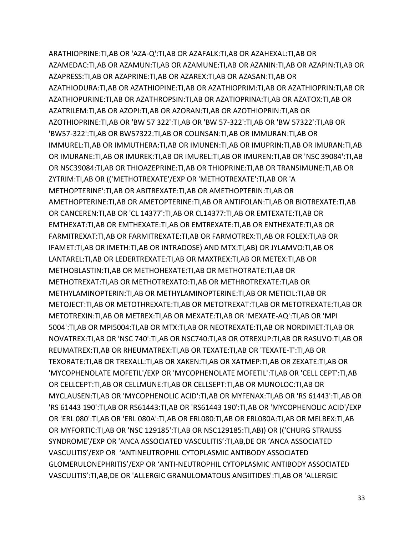ARATHIOPRINE:TI,AB OR 'AZA-Q':TI,AB OR AZAFALK:TI,AB OR AZAHEXAL:TI,AB OR AZAMEDAC:TI,AB OR AZAMUN:TI,AB OR AZAMUNE:TI,AB OR AZANIN:TI,AB OR AZAPIN:TI,AB OR AZAPRESS:TI,AB OR AZAPRINE:TI,AB OR AZAREX:TI,AB OR AZASAN:TI,AB OR AZATHIODURA:TI,AB OR AZATHIOPINE:TI,AB OR AZATHIOPRIM:TI,AB OR AZATHIOPRIN:TI,AB OR AZATHIOPURINE:TI,AB OR AZATHROPSIN:TI,AB OR AZATIOPRINA:TI,AB OR AZATOX:TI,AB OR AZATRILEM:TI,AB OR AZOPI:TI,AB OR AZORAN:TI,AB OR AZOTHIOPRIN:TI,AB OR AZOTHIOPRINE:TI,AB OR 'BW 57 322':TI,AB OR 'BW 57-322':TI,AB OR 'BW 57322':TI,AB OR 'BW57-322':TI,AB OR BW57322:TI,AB OR COLINSAN:TI,AB OR IMMURAN:TI,AB OR IMMUREL:TI,AB OR IMMUTHERA:TI,AB OR IMUNEN:TI,AB OR IMUPRIN:TI,AB OR IMURAN:TI,AB OR IMURANE:TI,AB OR IMUREK:TI,AB OR IMUREL:TI,AB OR IMUREN:TI,AB OR 'NSC 39084':TI,AB OR NSC39084:TI,AB OR THIOAZEPRINE:TI,AB OR THIOPRINE:TI,AB OR TRANSIMUNE:TI,AB OR ZYTRIM:TI,AB OR (('METHOTREXATE'/EXP OR 'METHOTREXATE':TI,AB OR 'A METHOPTERINE':TI,AB OR ABITREXATE:TI,AB OR AMETHOPTERIN:TI,AB OR AMETHOPTERINE:TI,AB OR AMETOPTERINE:TI,AB OR ANTIFOLAN:TI,AB OR BIOTREXATE:TI,AB OR CANCEREN:TI,AB OR 'CL 14377':TI,AB OR CL14377:TI,AB OR EMTEXATE:TI,AB OR EMTHEXAT:TI,AB OR EMTHEXATE:TI,AB OR EMTREXATE:TI,AB OR ENTHEXATE:TI,AB OR FARMITREXAT:TI,AB OR FARMITREXATE:TI,AB OR FARMOTREX:TI,AB OR FOLEX:TI,AB OR IFAMET:TI,AB OR IMETH:TI,AB OR INTRADOSE) AND MTX:TI,AB) OR JYLAMVO:TI,AB OR LANTAREL:TI,AB OR LEDERTREXATE:TI,AB OR MAXTREX:TI,AB OR METEX:TI,AB OR METHOBLASTIN:TI,AB OR METHOHEXATE:TI,AB OR METHOTRATE:TI,AB OR METHOTREXAT:TI,AB OR METHOTREXATO:TI,AB OR METHROTREXATE:TI,AB OR METHYLAMINOPTERIN:TI,AB OR METHYLAMINOPTERINE:TI,AB OR METICIL:TI,AB OR METOJECT:TI,AB OR METOTHREXATE:TI,AB OR METOTREXAT:TI,AB OR METOTREXATE:TI,AB OR METOTREXIN:TI,AB OR METREX:TI,AB OR MEXATE:TI,AB OR 'MEXATE-AQ':TI,AB OR 'MPI 5004':TI,AB OR MPI5004:TI,AB OR MTX:TI,AB OR NEOTREXATE:TI,AB OR NORDIMET:TI,AB OR NOVATREX:TI,AB OR 'NSC 740':TI,AB OR NSC740:TI,AB OR OTREXUP:TI,AB OR RASUVO:TI,AB OR REUMATREX:TI,AB OR RHEUMATREX:TI,AB OR TEXATE:TI,AB OR 'TEXATE-T':TI,AB OR TEXORATE:TI,AB OR TREXALL:TI,AB OR XAKEN:TI,AB OR XATMEP:TI,AB OR ZEXATE:TI,AB OR 'MYCOPHENOLATE MOFETIL'/EXP OR 'MYCOPHENOLATE MOFETIL':TI,AB OR 'CELL CEPT':TI,AB OR CELLCEPT:TI,AB OR CELLMUNE:TI,AB OR CELLSEPT:TI,AB OR MUNOLOC:TI,AB OR MYCLAUSEN:TI,AB OR 'MYCOPHENOLIC ACID':TI,AB OR MYFENAX:TI,AB OR 'RS 61443':TI,AB OR 'RS 61443 190':TI,AB OR RS61443:TI,AB OR 'RS61443 190':TI,AB OR 'MYCOPHENOLIC ACID'/EXP OR 'ERL 080':TI,AB OR 'ERL 080A':TI,AB OR ERL080:TI,AB OR ERL080A:TI,AB OR MELBEX:TI,AB OR MYFORTIC:TI,AB OR 'NSC 129185':TI,AB OR NSC129185:TI,AB)) OR (('CHURG STRAUSS SYNDROME'/EXP OR 'ANCA ASSOCIATED VASCULITIS':TI,AB,DE OR 'ANCA ASSOCIATED VASCULITIS'/EXP OR 'ANTINEUTROPHIL CYTOPLASMIC ANTIBODY ASSOCIATED GLOMERULONEPHRITIS'/EXP OR 'ANTI-NEUTROPHIL CYTOPLASMIC ANTIBODY ASSOCIATED VASCULITIS':TI,AB,DE OR 'ALLERGIC GRANULOMATOUS ANGIITIDES':TI,AB OR 'ALLERGIC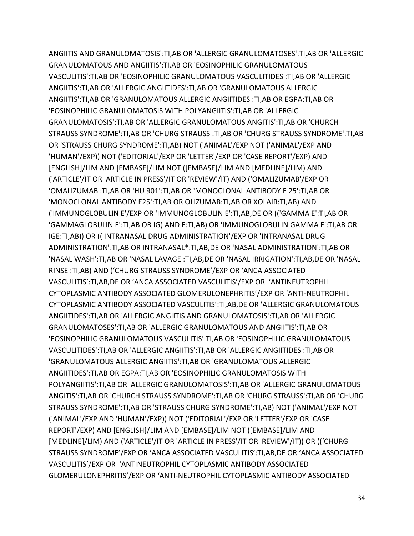ANGIITIS AND GRANULOMATOSIS':TI,AB OR 'ALLERGIC GRANULOMATOSES':TI,AB OR 'ALLERGIC GRANULOMATOUS AND ANGIITIS':TI,AB OR 'EOSINOPHILIC GRANULOMATOUS VASCULITIS':TI,AB OR 'EOSINOPHILIC GRANULOMATOUS VASCULITIDES':TI,AB OR 'ALLERGIC ANGIITIS':TI,AB OR 'ALLERGIC ANGIITIDES':TI,AB OR 'GRANULOMATOUS ALLERGIC ANGIITIS':TI,AB OR 'GRANULOMATOUS ALLERGIC ANGIITIDES':TI,AB OR EGPA:TI,AB OR 'EOSINOPHILIC GRANULOMATOSIS WITH POLYANGIITIS':TI,AB OR 'ALLERGIC GRANULOMATOSIS':TI,AB OR 'ALLERGIC GRANULOMATOUS ANGITIS':TI,AB OR 'CHURCH STRAUSS SYNDROME':TI,AB OR 'CHURG STRAUSS':TI,AB OR 'CHURG STRAUSS SYNDROME':TI,AB OR 'STRAUSS CHURG SYNDROME':TI,AB) NOT ('ANIMAL'/EXP NOT ('ANIMAL'/EXP AND 'HUMAN'/EXP)) NOT ('EDITORIAL'/EXP OR 'LETTER'/EXP OR 'CASE REPORT'/EXP) AND [ENGLISH]/LIM AND [EMBASE]/LIM NOT ([EMBASE]/LIM AND [MEDLINE]/LIM) AND ('ARTICLE'/IT OR 'ARTICLE IN PRESS'/IT OR 'REVIEW'/IT) AND ('OMALIZUMAB'/EXP OR 'OMALIZUMAB':TI,AB OR 'HU 901':TI,AB OR 'MONOCLONAL ANTIBODY E 25':TI,AB OR 'MONOCLONAL ANTIBODY E25':TI,AB OR OLIZUMAB:TI,AB OR XOLAIR:TI,AB) AND ('IMMUNOGLOBULIN E'/EXP OR 'IMMUNOGLOBULIN E':TI,AB,DE OR (('GAMMA E':TI,AB OR 'GAMMAGLOBULIN E':TI,AB OR IG) AND E:TI,AB) OR 'IMMUNOGLOBULIN GAMMA E':TI,AB OR IGE:TI,AB)) OR (('INTRANASAL DRUG ADMINISTRATION'/EXP OR 'INTRANASAL DRUG ADMINISTRATION':TI,AB OR INTRANASAL\*:TI,AB,DE OR 'NASAL ADMINISTRATION':TI,AB OR 'NASAL WASH':TI,AB OR 'NASAL LAVAGE':TI,AB,DE OR 'NASAL IRRIGATION':TI,AB,DE OR 'NASAL RINSE':TI,AB) AND ('CHURG STRAUSS SYNDROME'/EXP OR 'ANCA ASSOCIATED VASCULITIS':TI,AB,DE OR 'ANCA ASSOCIATED VASCULITIS'/EXP OR 'ANTINEUTROPHIL CYTOPLASMIC ANTIBODY ASSOCIATED GLOMERULONEPHRITIS'/EXP OR 'ANTI-NEUTROPHIL CYTOPLASMIC ANTIBODY ASSOCIATED VASCULITIS':TI,AB,DE OR 'ALLERGIC GRANULOMATOUS ANGIITIDES':TI,AB OR 'ALLERGIC ANGIITIS AND GRANULOMATOSIS':TI,AB OR 'ALLERGIC GRANULOMATOSES':TI,AB OR 'ALLERGIC GRANULOMATOUS AND ANGIITIS':TI,AB OR 'EOSINOPHILIC GRANULOMATOUS VASCULITIS':TI,AB OR 'EOSINOPHILIC GRANULOMATOUS VASCULITIDES':TI,AB OR 'ALLERGIC ANGIITIS':TI,AB OR 'ALLERGIC ANGIITIDES':TI,AB OR 'GRANULOMATOUS ALLERGIC ANGIITIS':TI,AB OR 'GRANULOMATOUS ALLERGIC ANGIITIDES':TI,AB OR EGPA:TI,AB OR 'EOSINOPHILIC GRANULOMATOSIS WITH POLYANGIITIS':TI,AB OR 'ALLERGIC GRANULOMATOSIS':TI,AB OR 'ALLERGIC GRANULOMATOUS ANGITIS':TI,AB OR 'CHURCH STRAUSS SYNDROME':TI,AB OR 'CHURG STRAUSS':TI,AB OR 'CHURG STRAUSS SYNDROME':TI,AB OR 'STRAUSS CHURG SYNDROME':TI,AB) NOT ('ANIMAL'/EXP NOT ('ANIMAL'/EXP AND 'HUMAN'/EXP)) NOT ('EDITORIAL'/EXP OR 'LETTER'/EXP OR 'CASE REPORT'/EXP) AND [ENGLISH]/LIM AND [EMBASE]/LIM NOT ([EMBASE]/LIM AND [MEDLINE]/LIM) AND ('ARTICLE'/IT OR 'ARTICLE IN PRESS'/IT OR 'REVIEW'/IT)) OR (('CHURG STRAUSS SYNDROME'/EXP OR 'ANCA ASSOCIATED VASCULITIS':TI,AB,DE OR 'ANCA ASSOCIATED VASCULITIS'/EXP OR 'ANTINEUTROPHIL CYTOPLASMIC ANTIBODY ASSOCIATED GLOMERULONEPHRITIS'/EXP OR 'ANTI-NEUTROPHIL CYTOPLASMIC ANTIBODY ASSOCIATED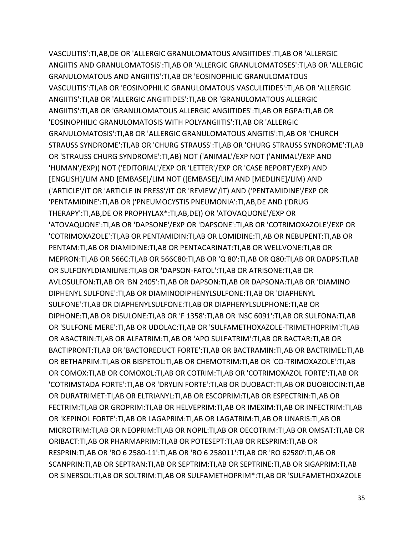VASCULITIS':TI,AB,DE OR 'ALLERGIC GRANULOMATOUS ANGIITIDES':TI,AB OR 'ALLERGIC ANGIITIS AND GRANULOMATOSIS':TI,AB OR 'ALLERGIC GRANULOMATOSES':TI,AB OR 'ALLERGIC GRANULOMATOUS AND ANGIITIS':TI,AB OR 'EOSINOPHILIC GRANULOMATOUS VASCULITIS':TI,AB OR 'EOSINOPHILIC GRANULOMATOUS VASCULITIDES':TI,AB OR 'ALLERGIC ANGIITIS':TI,AB OR 'ALLERGIC ANGIITIDES':TI,AB OR 'GRANULOMATOUS ALLERGIC ANGIITIS':TI,AB OR 'GRANULOMATOUS ALLERGIC ANGIITIDES':TI,AB OR EGPA:TI,AB OR 'EOSINOPHILIC GRANULOMATOSIS WITH POLYANGIITIS':TI,AB OR 'ALLERGIC GRANULOMATOSIS':TI,AB OR 'ALLERGIC GRANULOMATOUS ANGITIS':TI,AB OR 'CHURCH STRAUSS SYNDROME':TI,AB OR 'CHURG STRAUSS':TI,AB OR 'CHURG STRAUSS SYNDROME':TI,AB OR 'STRAUSS CHURG SYNDROME':TI,AB) NOT ('ANIMAL'/EXP NOT ('ANIMAL'/EXP AND 'HUMAN'/EXP)) NOT ('EDITORIAL'/EXP OR 'LETTER'/EXP OR 'CASE REPORT'/EXP) AND [ENGLISH]/LIM AND [EMBASE]/LIM NOT ([EMBASE]/LIM AND [MEDLINE]/LIM) AND ('ARTICLE'/IT OR 'ARTICLE IN PRESS'/IT OR 'REVIEW'/IT) AND ('PENTAMIDINE'/EXP OR 'PENTAMIDINE':TI,AB OR ('PNEUMOCYSTIS PNEUMONIA':TI,AB,DE AND ('DRUG THERAPY':TI,AB,DE OR PROPHYLAX\*:TI,AB,DE)) OR 'ATOVAQUONE'/EXP OR 'ATOVAQUONE':TI,AB OR 'DAPSONE'/EXP OR 'DAPSONE':TI,AB OR 'COTRIMOXAZOLE'/EXP OR 'COTRIMOXAZOLE':TI,AB OR PENTAMIDIN:TI,AB OR LOMIDINE:TI,AB OR NEBUPENT:TI,AB OR PENTAM:TI,AB OR DIAMIDINE:TI,AB OR PENTACARINAT:TI,AB OR WELLVONE:TI,AB OR MEPRON:TI,AB OR 566C:TI,AB OR 566C80:TI,AB OR 'Q 80':TI,AB OR Q80:TI,AB OR DADPS:TI,AB OR SULFONYLDIANILINE:TI,AB OR 'DAPSON-FATOL':TI,AB OR ATRISONE:TI,AB OR AVLOSULFON:TI,AB OR 'BN 2405':TI,AB OR DAPSON:TI,AB OR DAPSONA:TI,AB OR 'DIAMINO DIPHENYL SULFONE':TI,AB OR DIAMINODIPHENYLSULFONE:TI,AB OR 'DIAPHENYL SULFONE':TI,AB OR DIAPHENYLSULFONE:TI,AB OR DIAPHENYLSULPHONE:TI,AB OR DIPHONE:TI,AB OR DISULONE:TI,AB OR 'F 1358':TI,AB OR 'NSC 6091':TI,AB OR SULFONA:TI,AB OR 'SULFONE MERE':TI,AB OR UDOLAC:TI,AB OR 'SULFAMETHOXAZOLE-TRIMETHOPRIM':TI,AB OR ABACTRIN:TI,AB OR ALFATRIM:TI,AB OR 'APO SULFATRIM':TI,AB OR BACTAR:TI,AB OR BACTIPRONT:TI,AB OR 'BACTOREDUCT FORTE':TI,AB OR BACTRAMIN:TI,AB OR BACTRIMEL:TI,AB OR BETHAPRIM:TI,AB OR BISPETOL:TI,AB OR CHEMOTRIM:TI,AB OR 'CO-TRIMOXAZOLE':TI,AB OR COMOX:TI,AB OR COMOXOL:TI,AB OR COTRIM:TI,AB OR 'COTRIMOXAZOL FORTE':TI,AB OR 'COTRIMSTADA FORTE':TI,AB OR 'DRYLIN FORTE':TI,AB OR DUOBACT:TI,AB OR DUOBIOCIN:TI,AB OR DURATRIMET:TI,AB OR ELTRIANYL:TI,AB OR ESCOPRIM:TI,AB OR ESPECTRIN:TI,AB OR FECTRIM:TI,AB OR GROPRIM:TI,AB OR HELVEPRIM:TI,AB OR IMEXIM:TI,AB OR INFECTRIM:TI,AB OR 'KEPINOL FORTE':TI,AB OR LAGAPRIM:TI,AB OR LAGATRIM:TI,AB OR LINARIS:TI,AB OR MICROTRIM:TI,AB OR NEOPRIM:TI,AB OR NOPIL:TI,AB OR OECOTRIM:TI,AB OR OMSAT:TI,AB OR ORIBACT:TI,AB OR PHARMAPRIM:TI,AB OR POTESEPT:TI,AB OR RESPRIM:TI,AB OR RESPRIN:TI,AB OR 'RO 6 2580-11':TI,AB OR 'RO 6 258011':TI,AB OR 'RO 62580':TI,AB OR SCANPRIN:TI,AB OR SEPTRAN:TI,AB OR SEPTRIM:TI,AB OR SEPTRINE:TI,AB OR SIGAPRIM:TI,AB OR SINERSOL:TI,AB OR SOLTRIM:TI,AB OR SULFAMETHOPRIM\*:TI,AB OR 'SULFAMETHOXAZOLE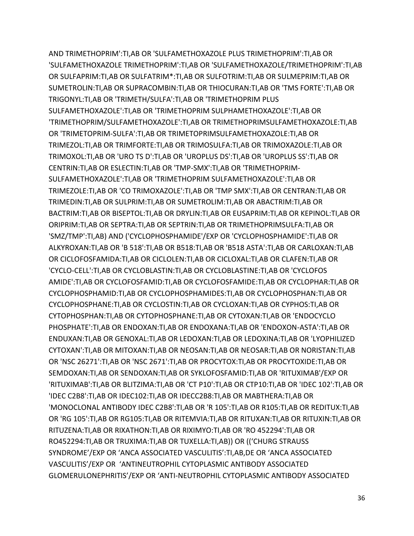AND TRIMETHOPRIM':TI,AB OR 'SULFAMETHOXAZOLE PLUS TRIMETHOPRIM':TI,AB OR 'SULFAMETHOXAZOLE TRIMETHOPRIM':TI,AB OR 'SULFAMETHOXAZOLE/TRIMETHOPRIM':TI,AB OR SULFAPRIM:TI,AB OR SULFATRIM\*:TI,AB OR SULFOTRIM:TI,AB OR SULMEPRIM:TI,AB OR SUMETROLIN:TI,AB OR SUPRACOMBIN:TI,AB OR THIOCURAN:TI,AB OR 'TMS FORTE':TI,AB OR TRIGONYL:TI,AB OR 'TRIMETH/SULFA':TI,AB OR 'TRIMETHOPRIM PLUS SULFAMETHOXAZOLE':TI,AB OR 'TRIMETHOPRIM SULPHAMETHOXAZOLE':TI,AB OR 'TRIMETHOPRIM/SULFAMETHOXAZOLE':TI,AB OR TRIMETHOPRIMSULFAMETHOXAZOLE:TI,AB OR 'TRIMETOPRIM-SULFA':TI,AB OR TRIMETOPRIMSULFAMETHOXAZOLE:TI,AB OR TRIMEZOL:TI,AB OR TRIMFORTE:TI,AB OR TRIMOSULFA:TI,AB OR TRIMOXAZOLE:TI,AB OR TRIMOXOL:TI,AB OR 'URO TS D':TI,AB OR 'UROPLUS DS':TI,AB OR 'UROPLUS SS':TI,AB OR CENTRIN:TI,AB OR ESLECTIN:TI,AB OR 'TMP-SMX':TI,AB OR 'TRIMETHOPRIM-SULFAMETHOXAZOLE':TI,AB OR 'TRIMETHOPRIM SULFAMETHOXAZOLE':TI,AB OR TRIMEZOLE:TI,AB OR 'CO TRIMOXAZOLE':TI,AB OR 'TMP SMX':TI,AB OR CENTRAN:TI,AB OR TRIMEDIN:TI,AB OR SULPRIM:TI,AB OR SUMETROLIM:TI,AB OR ABACTRIM:TI,AB OR BACTRIM:TI,AB OR BISEPTOL:TI,AB OR DRYLIN:TI,AB OR EUSAPRIM:TI,AB OR KEPINOL:TI,AB OR ORIPRIM:TI,AB OR SEPTRA:TI,AB OR SEPTRIN:TI,AB OR TRIMETHOPRIMSULFA:TI,AB OR 'SMZ/TMP':TI,AB) AND ('CYCLOPHOSPHAMIDE'/EXP OR 'CYCLOPHOSPHAMIDE':TI,AB OR ALKYROXAN:TI,AB OR 'B 518':TI,AB OR B518:TI,AB OR 'B518 ASTA':TI,AB OR CARLOXAN:TI,AB OR CICLOFOSFAMIDA:TI,AB OR CICLOLEN:TI,AB OR CICLOXAL:TI,AB OR CLAFEN:TI,AB OR 'CYCLO-CELL':TI,AB OR CYCLOBLASTIN:TI,AB OR CYCLOBLASTINE:TI,AB OR 'CYCLOFOS AMIDE':TI,AB OR CYCLOFOSFAMID:TI,AB OR CYCLOFOSFAMIDE:TI,AB OR CYCLOPHAR:TI,AB OR CYCLOPHOSPHAMID:TI,AB OR CYCLOPHOSPHAMIDES:TI,AB OR CYCLOPHOSPHAN:TI,AB OR CYCLOPHOSPHANE:TI,AB OR CYCLOSTIN:TI,AB OR CYCLOXAN:TI,AB OR CYPHOS:TI,AB OR CYTOPHOSPHAN:TI,AB OR CYTOPHOSPHANE:TI,AB OR CYTOXAN:TI,AB OR 'ENDOCYCLO PHOSPHATE':TI,AB OR ENDOXAN:TI,AB OR ENDOXANA:TI,AB OR 'ENDOXON-ASTA':TI,AB OR ENDUXAN:TI,AB OR GENOXAL:TI,AB OR LEDOXAN:TI,AB OR LEDOXINA:TI,AB OR 'LYOPHILIZED CYTOXAN':TI,AB OR MITOXAN:TI,AB OR NEOSAN:TI,AB OR NEOSAR:TI,AB OR NORISTAN:TI,AB OR 'NSC 26271':TI,AB OR 'NSC 2671':TI,AB OR PROCYTOX:TI,AB OR PROCYTOXIDE:TI,AB OR SEMDOXAN:TI,AB OR SENDOXAN:TI,AB OR SYKLOFOSFAMID:TI,AB OR 'RITUXIMAB'/EXP OR 'RITUXIMAB':TI,AB OR BLITZIMA:TI,AB OR 'CT P10':TI,AB OR CTP10:TI,AB OR 'IDEC 102':TI,AB OR 'IDEC C2B8':TI,AB OR IDEC102:TI,AB OR IDECC2B8:TI,AB OR MABTHERA:TI,AB OR 'MONOCLONAL ANTIBODY IDEC C2B8':TI,AB OR 'R 105':TI,AB OR R105:TI,AB OR REDITUX:TI,AB OR 'RG 105':TI,AB OR RG105:TI,AB OR RITEMVIA:TI,AB OR RITUXAN:TI,AB OR RITUXIN:TI,AB OR RITUZENA:TI,AB OR RIXATHON:TI,AB OR RIXIMYO:TI,AB OR 'RO 452294':TI,AB OR RO452294:TI,AB OR TRUXIMA:TI,AB OR TUXELLA:TI,AB)) OR (('CHURG STRAUSS SYNDROME'/EXP OR 'ANCA ASSOCIATED VASCULITIS':TI,AB,DE OR 'ANCA ASSOCIATED VASCULITIS'/EXP OR 'ANTINEUTROPHIL CYTOPLASMIC ANTIBODY ASSOCIATED GLOMERULONEPHRITIS'/EXP OR 'ANTI-NEUTROPHIL CYTOPLASMIC ANTIBODY ASSOCIATED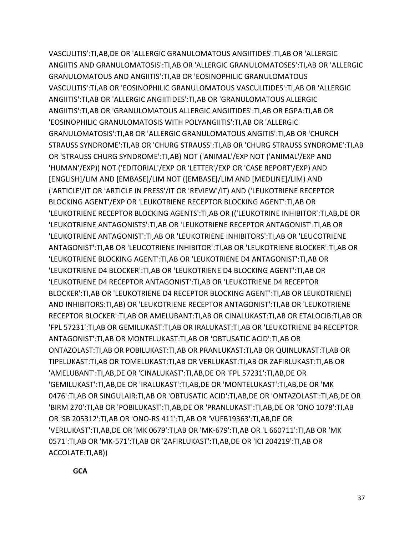VASCULITIS':TI,AB,DE OR 'ALLERGIC GRANULOMATOUS ANGIITIDES':TI,AB OR 'ALLERGIC ANGIITIS AND GRANULOMATOSIS':TI,AB OR 'ALLERGIC GRANULOMATOSES':TI,AB OR 'ALLERGIC GRANULOMATOUS AND ANGIITIS':TI,AB OR 'EOSINOPHILIC GRANULOMATOUS VASCULITIS':TI,AB OR 'EOSINOPHILIC GRANULOMATOUS VASCULITIDES':TI,AB OR 'ALLERGIC ANGIITIS':TI,AB OR 'ALLERGIC ANGIITIDES':TI,AB OR 'GRANULOMATOUS ALLERGIC ANGIITIS':TI,AB OR 'GRANULOMATOUS ALLERGIC ANGIITIDES':TI,AB OR EGPA:TI,AB OR 'EOSINOPHILIC GRANULOMATOSIS WITH POLYANGIITIS':TI,AB OR 'ALLERGIC GRANULOMATOSIS':TI,AB OR 'ALLERGIC GRANULOMATOUS ANGITIS':TI,AB OR 'CHURCH STRAUSS SYNDROME':TI,AB OR 'CHURG STRAUSS':TI,AB OR 'CHURG STRAUSS SYNDROME':TI,AB OR 'STRAUSS CHURG SYNDROME':TI,AB) NOT ('ANIMAL'/EXP NOT ('ANIMAL'/EXP AND 'HUMAN'/EXP)) NOT ('EDITORIAL'/EXP OR 'LETTER'/EXP OR 'CASE REPORT'/EXP) AND [ENGLISH]/LIM AND [EMBASE]/LIM NOT ([EMBASE]/LIM AND [MEDLINE]/LIM) AND ('ARTICLE'/IT OR 'ARTICLE IN PRESS'/IT OR 'REVIEW'/IT) AND ('LEUKOTRIENE RECEPTOR BLOCKING AGENT'/EXP OR 'LEUKOTRIENE RECEPTOR BLOCKING AGENT':TI,AB OR 'LEUKOTRIENE RECEPTOR BLOCKING AGENTS':TI,AB OR (('LEUKOTRINE INHIBITOR':TI,AB,DE OR 'LEUKOTRIENE ANTAGONISTS':TI,AB OR 'LEUKOTRIENE RECEPTOR ANTAGONIST':TI,AB OR 'LEUKOTRIENE ANTAGONIST':TI,AB OR 'LEUKOTRIENE INHIBITORS':TI,AB OR 'LEUCOTRIENE ANTAGONIST':TI,AB OR 'LEUCOTRIENE INHIBITOR':TI,AB OR 'LEUKOTRIENE BLOCKER':TI,AB OR 'LEUKOTRIENE BLOCKING AGENT':TI,AB OR 'LEUKOTRIENE D4 ANTAGONIST':TI,AB OR 'LEUKOTRIENE D4 BLOCKER':TI,AB OR 'LEUKOTRIENE D4 BLOCKING AGENT':TI,AB OR 'LEUKOTRIENE D4 RECEPTOR ANTAGONIST':TI,AB OR 'LEUKOTRIENE D4 RECEPTOR BLOCKER':TI,AB OR 'LEUKOTRIENE D4 RECEPTOR BLOCKING AGENT':TI,AB OR LEUKOTRIENE) AND INHIBITORS:TI,AB) OR 'LEUKOTRIENE RECEPTOR ANTAGONIST':TI,AB OR 'LEUKOTRIENE RECEPTOR BLOCKER':TI,AB OR AMELUBANT:TI,AB OR CINALUKAST:TI,AB OR ETALOCIB:TI,AB OR 'FPL 57231':TI,AB OR GEMILUKAST:TI,AB OR IRALUKAST:TI,AB OR 'LEUKOTRIENE B4 RECEPTOR ANTAGONIST':TI,AB OR MONTELUKAST:TI,AB OR 'OBTUSATIC ACID':TI,AB OR ONTAZOLAST:TI,AB OR POBILUKAST:TI,AB OR PRANLUKAST:TI,AB OR QUINLUKAST:TI,AB OR TIPELUKAST:TI,AB OR TOMELUKAST:TI,AB OR VERLUKAST:TI,AB OR ZAFIRLUKAST:TI,AB OR 'AMELUBANT':TI,AB,DE OR 'CINALUKAST':TI,AB,DE OR 'FPL 57231':TI,AB,DE OR 'GEMILUKAST':TI,AB,DE OR 'IRALUKAST':TI,AB,DE OR 'MONTELUKAST':TI,AB,DE OR 'MK 0476':TI,AB OR SINGULAIR:TI,AB OR 'OBTUSATIC ACID':TI,AB,DE OR 'ONTAZOLAST':TI,AB,DE OR 'BIRM 270':TI,AB OR 'POBILUKAST':TI,AB,DE OR 'PRANLUKAST':TI,AB,DE OR 'ONO 1078':TI,AB OR 'SB 205312':TI,AB OR 'ONO-RS 411':TI,AB OR 'VUFB19363':TI,AB,DE OR 'VERLUKAST':TI,AB,DE OR 'MK 0679':TI,AB OR 'MK-679':TI,AB OR 'L 660711':TI,AB OR 'MK 0571':TI,AB OR 'MK-571':TI,AB OR 'ZAFIRLUKAST':TI,AB,DE OR 'ICI 204219':TI,AB OR ACCOLATE:TI,AB))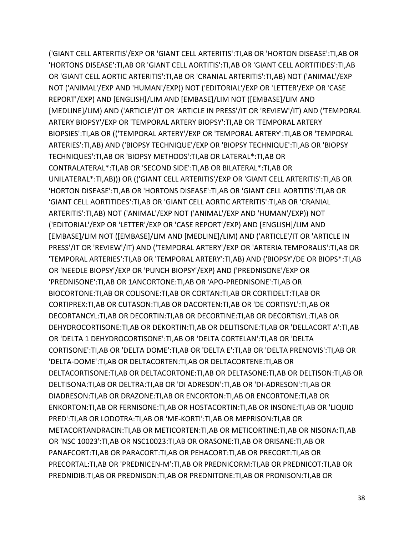('GIANT CELL ARTERITIS'/EXP OR 'GIANT CELL ARTERITIS':TI,AB OR 'HORTON DISEASE':TI,AB OR 'HORTONS DISEASE':TI,AB OR 'GIANT CELL AORTITIS':TI,AB OR 'GIANT CELL AORTITIDES':TI,AB OR 'GIANT CELL AORTIC ARTERITIS':TI,AB OR 'CRANIAL ARTERITIS':TI,AB) NOT ('ANIMAL'/EXP NOT ('ANIMAL'/EXP AND 'HUMAN'/EXP)) NOT ('EDITORIAL'/EXP OR 'LETTER'/EXP OR 'CASE REPORT'/EXP) AND [ENGLISH]/LIM AND [EMBASE]/LIM NOT ([EMBASE]/LIM AND [MEDLINE]/LIM) AND ('ARTICLE'/IT OR 'ARTICLE IN PRESS'/IT OR 'REVIEW'/IT) AND ('TEMPORAL ARTERY BIOPSY'/EXP OR 'TEMPORAL ARTERY BIOPSY':TI,AB OR 'TEMPORAL ARTERY BIOPSIES':TI,AB OR (('TEMPORAL ARTERY'/EXP OR 'TEMPORAL ARTERY':TI,AB OR 'TEMPORAL ARTERIES':TI,AB) AND ('BIOPSY TECHNIQUE'/EXP OR 'BIOPSY TECHNIQUE':TI,AB OR 'BIOPSY TECHNIQUES':TI,AB OR 'BIOPSY METHODS':TI,AB OR LATERAL\*:TI,AB OR CONTRALATERAL\*:TI,AB OR 'SECOND SIDE':TI,AB OR BILATERAL\*:TI,AB OR UNILATERAL\*:TI,AB))) OR (('GIANT CELL ARTERITIS'/EXP OR 'GIANT CELL ARTERITIS':TI,AB OR 'HORTON DISEASE':TI,AB OR 'HORTONS DISEASE':TI,AB OR 'GIANT CELL AORTITIS':TI,AB OR 'GIANT CELL AORTITIDES':TI,AB OR 'GIANT CELL AORTIC ARTERITIS':TI,AB OR 'CRANIAL ARTERITIS':TI,AB) NOT ('ANIMAL'/EXP NOT ('ANIMAL'/EXP AND 'HUMAN'/EXP)) NOT ('EDITORIAL'/EXP OR 'LETTER'/EXP OR 'CASE REPORT'/EXP) AND [ENGLISH]/LIM AND [EMBASE]/LIM NOT ([EMBASE]/LIM AND [MEDLINE]/LIM) AND ('ARTICLE'/IT OR 'ARTICLE IN PRESS'/IT OR 'REVIEW'/IT) AND ('TEMPORAL ARTERY'/EXP OR 'ARTERIA TEMPORALIS':TI,AB OR 'TEMPORAL ARTERIES':TI,AB OR 'TEMPORAL ARTERY':TI,AB) AND ('BIOPSY'/DE OR BIOPS\*:TI,AB OR 'NEEDLE BIOPSY'/EXP OR 'PUNCH BIOPSY'/EXP) AND ('PREDNISONE'/EXP OR 'PREDNISONE':TI,AB OR 1ANCORTONE:TI,AB OR 'APO-PREDNISONE':TI,AB OR BIOCORTONE:TI,AB OR COLISONE:TI,AB OR CORTAN:TI,AB OR CORTIDELT:TI,AB OR CORTIPREX:TI,AB OR CUTASON:TI,AB OR DACORTEN:TI,AB OR 'DE CORTISYL':TI,AB OR DECORTANCYL:TI,AB OR DECORTIN:TI,AB OR DECORTINE:TI,AB OR DECORTISYL:TI,AB OR DEHYDROCORTISONE:TI,AB OR DEKORTIN:TI,AB OR DELITISONE:TI,AB OR 'DELLACORT A':TI,AB OR 'DELTA 1 DEHYDROCORTISONE':TI,AB OR 'DELTA CORTELAN':TI,AB OR 'DELTA CORTISONE':TI,AB OR 'DELTA DOME':TI,AB OR 'DELTA E':TI,AB OR 'DELTA PRENOVIS':TI,AB OR 'DELTA-DOME':TI,AB OR DELTACORTEN:TI,AB OR DELTACORTENE:TI,AB OR DELTACORTISONE:TI,AB OR DELTACORTONE:TI,AB OR DELTASONE:TI,AB OR DELTISON:TI,AB OR DELTISONA:TI,AB OR DELTRA:TI,AB OR 'DI ADRESON':TI,AB OR 'DI-ADRESON':TI,AB OR DIADRESON:TI,AB OR DRAZONE:TI,AB OR ENCORTON:TI,AB OR ENCORTONE:TI,AB OR ENKORTON:TI,AB OR FERNISONE:TI,AB OR HOSTACORTIN:TI,AB OR INSONE:TI,AB OR 'LIQUID PRED':TI,AB OR LODOTRA:TI,AB OR 'ME-KORTI':TI,AB OR MEPRISON:TI,AB OR METACORTANDRACIN:TI,AB OR METICORTEN:TI,AB OR METICORTINE:TI,AB OR NISONA:TI,AB OR 'NSC 10023':TI,AB OR NSC10023:TI,AB OR ORASONE:TI,AB OR ORISANE:TI,AB OR PANAFCORT:TI,AB OR PARACORT:TI,AB OR PEHACORT:TI,AB OR PRECORT:TI,AB OR PRECORTAL:TI,AB OR 'PREDNICEN-M':TI,AB OR PREDNICORM:TI,AB OR PREDNICOT:TI,AB OR PREDNIDIB:TI,AB OR PREDNISON:TI,AB OR PREDNITONE:TI,AB OR PRONISON:TI,AB OR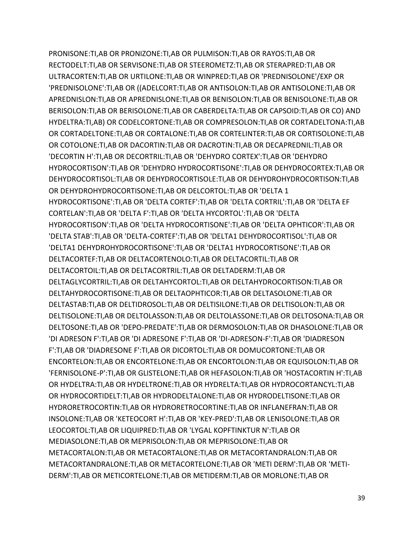PRONISONE:TI,AB OR PRONIZONE:TI,AB OR PULMISON:TI,AB OR RAYOS:TI,AB OR RECTODELT:TI,AB OR SERVISONE:TI,AB OR STEEROMETZ:TI,AB OR STERAPRED:TI,AB OR ULTRACORTEN:TI,AB OR URTILONE:TI,AB OR WINPRED:TI,AB OR 'PREDNISOLONE'/EXP OR 'PREDNISOLONE':TI,AB OR ((ADELCORT:TI,AB OR ANTISOLON:TI,AB OR ANTISOLONE:TI,AB OR APREDNISLON:TI,AB OR APREDNISLONE:TI,AB OR BENISOLON:TI,AB OR BENISOLONE:TI,AB OR BERISOLON:TI,AB OR BERISOLONE:TI,AB OR CABERDELTA:TI,AB OR CAPSOID:TI,AB OR CO) AND HYDELTRA:TI,AB) OR CODELCORTONE:TI,AB OR COMPRESOLON:TI,AB OR CORTADELTONA:TI,AB OR CORTADELTONE:TI,AB OR CORTALONE:TI,AB OR CORTELINTER:TI,AB OR CORTISOLONE:TI,AB OR COTOLONE:TI,AB OR DACORTIN:TI,AB OR DACROTIN:TI,AB OR DECAPREDNIL:TI,AB OR 'DECORTIN H':TI,AB OR DECORTRIL:TI,AB OR 'DEHYDRO CORTEX':TI,AB OR 'DEHYDRO HYDROCORTISON':TI,AB OR 'DEHYDRO HYDROCORTISONE':TI,AB OR DEHYDROCORTEX:TI,AB OR DEHYDROCORTISOL:TI,AB OR DEHYDROCORTISOLE:TI,AB OR DEHYDROHYDROCORTISON:TI,AB OR DEHYDROHYDROCORTISONE:TI,AB OR DELCORTOL:TI,AB OR 'DELTA 1 HYDROCORTISONE':TI,AB OR 'DELTA CORTEF':TI,AB OR 'DELTA CORTRIL':TI,AB OR 'DELTA EF CORTELAN':TI,AB OR 'DELTA F':TI,AB OR 'DELTA HYCORTOL':TI,AB OR 'DELTA HYDROCORTISON':TI,AB OR 'DELTA HYDROCORTISONE':TI,AB OR 'DELTA OPHTICOR':TI,AB OR 'DELTA STAB':TI,AB OR 'DELTA-CORTEF':TI,AB OR 'DELTA1 DEHYDROCORTISOL':TI,AB OR 'DELTA1 DEHYDROHYDROCORTISONE':TI,AB OR 'DELTA1 HYDROCORTISONE':TI,AB OR DELTACORTEF:TI,AB OR DELTACORTENOLO:TI,AB OR DELTACORTIL:TI,AB OR DELTACORTOIL:TI,AB OR DELTACORTRIL:TI,AB OR DELTADERM:TI,AB OR DELTAGLYCORTRIL:TI,AB OR DELTAHYCORTOL:TI,AB OR DELTAHYDROCORTISON:TI,AB OR DELTAHYDROCORTISONE:TI,AB OR DELTAOPHTICOR:TI,AB OR DELTASOLONE:TI,AB OR DELTASTAB:TI,AB OR DELTIDROSOL:TI,AB OR DELTISILONE:TI,AB OR DELTISOLON:TI,AB OR DELTISOLONE:TI,AB OR DELTOLASSON:TI,AB OR DELTOLASSONE:TI,AB OR DELTOSONA:TI,AB OR DELTOSONE:TI,AB OR 'DEPO-PREDATE':TI,AB OR DERMOSOLON:TI,AB OR DHASOLONE:TI,AB OR 'DI ADRESON F':TI,AB OR 'DI ADRESONE F':TI,AB OR 'DI-ADRESON-F':TI,AB OR 'DIADRESON F':TI,AB OR 'DIADRESONE F':TI,AB OR DICORTOL:TI,AB OR DOMUCORTONE:TI,AB OR ENCORTELON:TI,AB OR ENCORTELONE:TI,AB OR ENCORTOLON:TI,AB OR EQUISOLON:TI,AB OR 'FERNISOLONE-P':TI,AB OR GLISTELONE:TI,AB OR HEFASOLON:TI,AB OR 'HOSTACORTIN H':TI,AB OR HYDELTRA:TI,AB OR HYDELTRONE:TI,AB OR HYDRELTA:TI,AB OR HYDROCORTANCYL:TI,AB OR HYDROCORTIDELT:TI,AB OR HYDRODELTALONE:TI,AB OR HYDRODELTISONE:TI,AB OR HYDRORETROCORTIN:TI,AB OR HYDRORETROCORTINE:TI,AB OR INFLANEFRAN:TI,AB OR INSOLONE:TI,AB OR 'KETEOCORT H':TI,AB OR 'KEY-PRED':TI,AB OR LENISOLONE:TI,AB OR LEOCORTOL:TI,AB OR LIQUIPRED:TI,AB OR 'LYGAL KOPFTINKTUR N':TI,AB OR MEDIASOLONE:TI,AB OR MEPRISOLON:TI,AB OR MEPRISOLONE:TI,AB OR METACORTALON:TI,AB OR METACORTALONE:TI,AB OR METACORTANDRALON:TI,AB OR METACORTANDRALONE:TI,AB OR METACORTELONE:TI,AB OR 'METI DERM':TI,AB OR 'METI-DERM':TI,AB OR METICORTELONE:TI,AB OR METIDERM:TI,AB OR MORLONE:TI,AB OR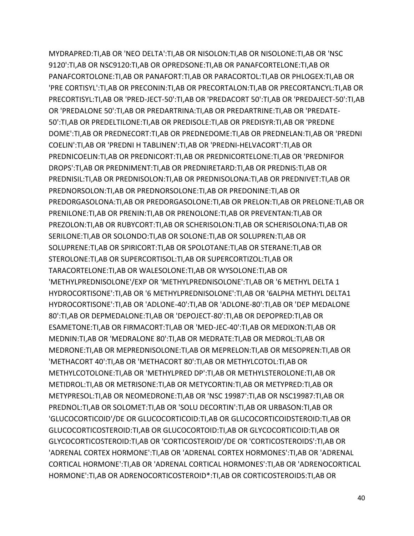MYDRAPRED:TI,AB OR 'NEO DELTA':TI,AB OR NISOLON:TI,AB OR NISOLONE:TI,AB OR 'NSC 9120':TI,AB OR NSC9120:TI,AB OR OPREDSONE:TI,AB OR PANAFCORTELONE:TI,AB OR PANAFCORTOLONE:TI,AB OR PANAFORT:TI,AB OR PARACORTOL:TI,AB OR PHLOGEX:TI,AB OR 'PRE CORTISYL':TI,AB OR PRECONIN:TI,AB OR PRECORTALON:TI,AB OR PRECORTANCYL:TI,AB OR PRECORTISYL:TI,AB OR 'PRED-JECT-50':TI,AB OR 'PREDACORT 50':TI,AB OR 'PREDAJECT-50':TI,AB OR 'PREDALONE 50':TI,AB OR PREDARTRINA:TI,AB OR PREDARTRINE:TI,AB OR 'PREDATE-50':TI,AB OR PREDELTILONE:TI,AB OR PREDISOLE:TI,AB OR PREDISYR:TI,AB OR 'PREDNE DOME':TI,AB OR PREDNECORT:TI,AB OR PREDNEDOME:TI,AB OR PREDNELAN:TI,AB OR 'PREDNI COELIN':TI,AB OR 'PREDNI H TABLINEN':TI,AB OR 'PREDNI-HELVACORT':TI,AB OR PREDNICOELIN:TI,AB OR PREDNICORT:TI,AB OR PREDNICORTELONE:TI,AB OR 'PREDNIFOR DROPS':TI,AB OR PREDNIMENT:TI,AB OR PREDNIRETARD:TI,AB OR PREDNIS:TI,AB OR PREDNISIL:TI,AB OR PREDNISOLON:TI,AB OR PREDNISOLONA:TI,AB OR PREDNIVET:TI,AB OR PREDNORSOLON:TI,AB OR PREDNORSOLONE:TI,AB OR PREDONINE:TI,AB OR PREDORGASOLONA:TI,AB OR PREDORGASOLONE:TI,AB OR PRELON:TI,AB OR PRELONE:TI,AB OR PRENILONE:TI,AB OR PRENIN:TI,AB OR PRENOLONE:TI,AB OR PREVENTAN:TI,AB OR PREZOLON:TI,AB OR RUBYCORT:TI,AB OR SCHERISOLON:TI,AB OR SCHERISOLONA:TI,AB OR SERILONE:TI,AB OR SOLONDO:TI,AB OR SOLONE:TI,AB OR SOLUPREN:TI,AB OR SOLUPRENE:TI,AB OR SPIRICORT:TI,AB OR SPOLOTANE:TI,AB OR STERANE:TI,AB OR STEROLONE:TI,AB OR SUPERCORTISOL:TI,AB OR SUPERCORTIZOL:TI,AB OR TARACORTELONE:TI,AB OR WALESOLONE:TI,AB OR WYSOLONE:TI,AB OR 'METHYLPREDNISOLONE'/EXP OR 'METHYLPREDNISOLONE':TI,AB OR '6 METHYL DELTA 1 HYDROCORTISONE':TI,AB OR '6 METHYLPREDNISOLONE':TI,AB OR '6ALPHA METHYL DELTA1 HYDROCORTISONE':TI,AB OR 'ADLONE-40':TI,AB OR 'ADLONE-80':TI,AB OR 'DEP MEDALONE 80':TI,AB OR DEPMEDALONE:TI,AB OR 'DEPOJECT-80':TI,AB OR DEPOPRED:TI,AB OR ESAMETONE:TI,AB OR FIRMACORT:TI,AB OR 'MED-JEC-40':TI,AB OR MEDIXON:TI,AB OR MEDNIN:TI,AB OR 'MEDRALONE 80':TI,AB OR MEDRATE:TI,AB OR MEDROL:TI,AB OR MEDRONE:TI,AB OR MEPREDNISOLONE:TI,AB OR MEPRELON:TI,AB OR MESOPREN:TI,AB OR 'METHACORT 40':TI,AB OR 'METHACORT 80':TI,AB OR METHYLCOTOL:TI,AB OR METHYLCOTOLONE:TI,AB OR 'METHYLPRED DP':TI,AB OR METHYLSTEROLONE:TI,AB OR METIDROL:TI,AB OR METRISONE:TI,AB OR METYCORTIN:TI,AB OR METYPRED:TI,AB OR METYPRESOL:TI,AB OR NEOMEDRONE:TI,AB OR 'NSC 19987':TI,AB OR NSC19987:TI,AB OR PREDNOL:TI,AB OR SOLOMET:TI,AB OR 'SOLU DECORTIN':TI,AB OR URBASON:TI,AB OR 'GLUCOCORTICOID'/DE OR GLUCOCORTICOID:TI,AB OR GLUCOCORTICOIDSTEROID:TI,AB OR GLUCOCORTICOSTEROID:TI,AB OR GLUCOCORTOID:TI,AB OR GLYCOCORTICOID:TI,AB OR GLYCOCORTICOSTEROID:TI,AB OR 'CORTICOSTEROID'/DE OR 'CORTICOSTEROIDS':TI,AB OR 'ADRENAL CORTEX HORMONE':TI,AB OR 'ADRENAL CORTEX HORMONES':TI,AB OR 'ADRENAL CORTICAL HORMONE':TI,AB OR 'ADRENAL CORTICAL HORMONES':TI,AB OR 'ADRENOCORTICAL HORMONE':TI,AB OR ADRENOCORTICOSTEROID\*:TI,AB OR CORTICOSTEROIDS:TI,AB OR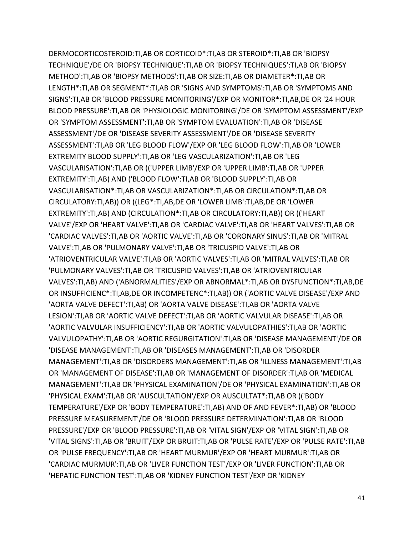DERMOCORTICOSTEROID:TI,AB OR CORTICOID\*:TI,AB OR STEROID\*:TI,AB OR 'BIOPSY TECHNIQUE'/DE OR 'BIOPSY TECHNIQUE':TI,AB OR 'BIOPSY TECHNIQUES':TI,AB OR 'BIOPSY METHOD':TI,AB OR 'BIOPSY METHODS':TI,AB OR SIZE:TI,AB OR DIAMETER\*:TI,AB OR LENGTH\*:TI,AB OR SEGMENT\*:TI,AB OR 'SIGNS AND SYMPTOMS':TI,AB OR 'SYMPTOMS AND SIGNS':TI,AB OR 'BLOOD PRESSURE MONITORING'/EXP OR MONITOR\*:TI,AB,DE OR '24 HOUR BLOOD PRESSURE':TI,AB OR 'PHYSIOLOGIC MONITORING'/DE OR 'SYMPTOM ASSESSMENT'/EXP OR 'SYMPTOM ASSESSMENT':TI,AB OR 'SYMPTOM EVALUATION':TI,AB OR 'DISEASE ASSESSMENT'/DE OR 'DISEASE SEVERITY ASSESSMENT'/DE OR 'DISEASE SEVERITY ASSESSMENT':TI,AB OR 'LEG BLOOD FLOW'/EXP OR 'LEG BLOOD FLOW':TI,AB OR 'LOWER EXTREMITY BLOOD SUPPLY':TI,AB OR 'LEG VASCULARIZATION':TI,AB OR 'LEG VASCULARISATION':TI,AB OR (('UPPER LIMB'/EXP OR 'UPPER LIMB':TI,AB OR 'UPPER EXTREMITY':TI,AB) AND ('BLOOD FLOW':TI,AB OR 'BLOOD SUPPLY':TI,AB OR VASCULARISATION\*:TI,AB OR VASCULARIZATION\*:TI,AB OR CIRCULATION\*:TI,AB OR CIRCULATORY:TI,AB)) OR ((LEG\*:TI,AB,DE OR 'LOWER LIMB':TI,AB,DE OR 'LOWER EXTREMITY':TI,AB) AND (CIRCULATION\*:TI,AB OR CIRCULATORY:TI,AB)) OR (('HEART VALVE'/EXP OR 'HEART VALVE':TI,AB OR 'CARDIAC VALVE':TI,AB OR 'HEART VALVES':TI,AB OR 'CARDIAC VALVES':TI,AB OR 'AORTIC VALVE':TI,AB OR 'CORONARY SINUS':TI,AB OR 'MITRAL VALVE':TI,AB OR 'PULMONARY VALVE':TI,AB OR 'TRICUSPID VALVE':TI,AB OR 'ATRIOVENTRICULAR VALVE':TI,AB OR 'AORTIC VALVES':TI,AB OR 'MITRAL VALVES':TI,AB OR 'PULMONARY VALVES':TI,AB OR 'TRICUSPID VALVES':TI,AB OR 'ATRIOVENTRICULAR VALVES':TI,AB) AND ('ABNORMALITIES'/EXP OR ABNORMAL\*:TI,AB OR DYSFUNCTION\*:TI,AB,DE OR INSUFFICIENC\*:TI,AB,DE OR INCOMPETENC\*:TI,AB)) OR ('AORTIC VALVE DISEASE'/EXP AND 'AORTA VALVE DEFECT':TI,AB) OR 'AORTA VALVE DISEASE':TI,AB OR 'AORTA VALVE LESION':TI,AB OR 'AORTIC VALVE DEFECT':TI,AB OR 'AORTIC VALVULAR DISEASE':TI,AB OR 'AORTIC VALVULAR INSUFFICIENCY':TI,AB OR 'AORTIC VALVULOPATHIES':TI,AB OR 'AORTIC VALVULOPATHY':TI,AB OR 'AORTIC REGURGITATION':TI,AB OR 'DISEASE MANAGEMENT'/DE OR 'DISEASE MANAGEMENT':TI,AB OR 'DISEASES MANAGEMENT':TI,AB OR 'DISORDER MANAGEMENT':TI,AB OR 'DISORDERS MANAGEMENT':TI,AB OR 'ILLNESS MANAGEMENT':TI,AB OR 'MANAGEMENT OF DISEASE':TI,AB OR 'MANAGEMENT OF DISORDER':TI,AB OR 'MEDICAL MANAGEMENT':TI,AB OR 'PHYSICAL EXAMINATION'/DE OR 'PHYSICAL EXAMINATION':TI,AB OR 'PHYSICAL EXAM':TI,AB OR 'AUSCULTATION'/EXP OR AUSCULTAT\*:TI,AB OR (('BODY TEMPERATURE'/EXP OR 'BODY TEMPERATURE':TI,AB) AND OF AND FEVER\*:TI,AB) OR 'BLOOD PRESSURE MEASUREMENT'/DE OR 'BLOOD PRESSURE DETERMINATION':TI,AB OR 'BLOOD PRESSURE'/EXP OR 'BLOOD PRESSURE':TI,AB OR 'VITAL SIGN'/EXP OR 'VITAL SIGN':TI,AB OR 'VITAL SIGNS':TI,AB OR 'BRUIT'/EXP OR BRUIT:TI,AB OR 'PULSE RATE'/EXP OR 'PULSE RATE':TI,AB OR 'PULSE FREQUENCY':TI,AB OR 'HEART MURMUR'/EXP OR 'HEART MURMUR':TI,AB OR 'CARDIAC MURMUR':TI,AB OR 'LIVER FUNCTION TEST'/EXP OR 'LIVER FUNCTION':TI,AB OR 'HEPATIC FUNCTION TEST':TI,AB OR 'KIDNEY FUNCTION TEST'/EXP OR 'KIDNEY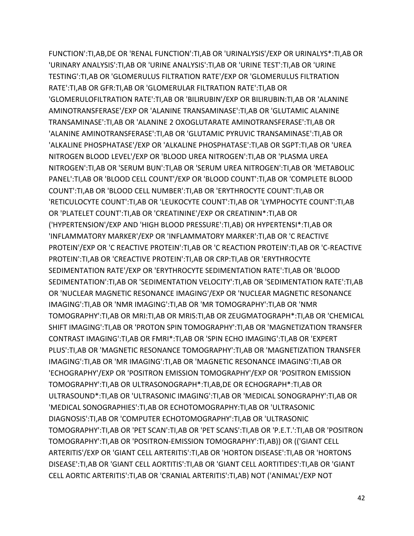FUNCTION':TI,AB,DE OR 'RENAL FUNCTION':TI,AB OR 'URINALYSIS'/EXP OR URINALYS\*:TI,AB OR 'URINARY ANALYSIS':TI,AB OR 'URINE ANALYSIS':TI,AB OR 'URINE TEST':TI,AB OR 'URINE TESTING':TI,AB OR 'GLOMERULUS FILTRATION RATE'/EXP OR 'GLOMERULUS FILTRATION RATE':TI,AB OR GFR:TI,AB OR 'GLOMERULAR FILTRATION RATE':TI,AB OR 'GLOMERULOFILTRATION RATE':TI,AB OR 'BILIRUBIN'/EXP OR BILIRUBIN:TI,AB OR 'ALANINE AMINOTRANSFERASE'/EXP OR 'ALANINE TRANSAMINASE':TI,AB OR 'GLUTAMIC ALANINE TRANSAMINASE':TI,AB OR 'ALANINE 2 OXOGLUTARATE AMINOTRANSFERASE':TI,AB OR 'ALANINE AMINOTRANSFERASE':TI,AB OR 'GLUTAMIC PYRUVIC TRANSAMINASE':TI,AB OR 'ALKALINE PHOSPHATASE'/EXP OR 'ALKALINE PHOSPHATASE':TI,AB OR SGPT:TI,AB OR 'UREA NITROGEN BLOOD LEVEL'/EXP OR 'BLOOD UREA NITROGEN':TI,AB OR 'PLASMA UREA NITROGEN':TI,AB OR 'SERUM BUN':TI,AB OR 'SERUM UREA NITROGEN':TI,AB OR 'METABOLIC PANEL':TI,AB OR 'BLOOD CELL COUNT'/EXP OR 'BLOOD COUNT':TI,AB OR 'COMPLETE BLOOD COUNT':TI,AB OR 'BLOOD CELL NUMBER':TI,AB OR 'ERYTHROCYTE COUNT':TI,AB OR 'RETICULOCYTE COUNT':TI,AB OR 'LEUKOCYTE COUNT':TI,AB OR 'LYMPHOCYTE COUNT':TI,AB OR 'PLATELET COUNT':TI,AB OR 'CREATININE'/EXP OR CREATININ\*:TI,AB OR ('HYPERTENSION'/EXP AND 'HIGH BLOOD PRESSURE':TI,AB) OR HYPERTENSI\*:TI,AB OR 'INFLAMMATORY MARKER'/EXP OR 'INFLAMMATORY MARKER':TI,AB OR 'C REACTIVE PROTEIN'/EXP OR 'C REACTIVE PROTEIN':TI,AB OR 'C REACTION PROTEIN':TI,AB OR 'C-REACTIVE PROTEIN':TI,AB OR 'CREACTIVE PROTEIN':TI,AB OR CRP:TI,AB OR 'ERYTHROCYTE SEDIMENTATION RATE'/EXP OR 'ERYTHROCYTE SEDIMENTATION RATE':TI,AB OR 'BLOOD SEDIMENTATION':TI,AB OR 'SEDIMENTATION VELOCITY':TI,AB OR 'SEDIMENTATION RATE':TI,AB OR 'NUCLEAR MAGNETIC RESONANCE IMAGING'/EXP OR 'NUCLEAR MAGNETIC RESONANCE IMAGING':TI,AB OR 'NMR IMAGING':TI,AB OR 'MR TOMOGRAPHY':TI,AB OR 'NMR TOMOGRAPHY':TI,AB OR MRI:TI,AB OR MRIS:TI,AB OR ZEUGMATOGRAPH\*:TI,AB OR 'CHEMICAL SHIFT IMAGING':TI,AB OR 'PROTON SPIN TOMOGRAPHY':TI,AB OR 'MAGNETIZATION TRANSFER CONTRAST IMAGING':TI,AB OR FMRI\*:TI,AB OR 'SPIN ECHO IMAGING':TI,AB OR 'EXPERT PLUS':TI,AB OR 'MAGNETIC RESONANCE TOMOGRAPHY':TI,AB OR 'MAGNETIZATION TRANSFER IMAGING':TI,AB OR 'MR IMAGING':TI,AB OR 'MAGNETIC RESONANCE IMAGING':TI,AB OR 'ECHOGRAPHY'/EXP OR 'POSITRON EMISSION TOMOGRAPHY'/EXP OR 'POSITRON EMISSION TOMOGRAPHY':TI,AB OR ULTRASONOGRAPH\*:TI,AB,DE OR ECHOGRAPH\*:TI,AB OR ULTRASOUND\*:TI,AB OR 'ULTRASONIC IMAGING':TI,AB OR 'MEDICAL SONOGRAPHY':TI,AB OR 'MEDICAL SONOGRAPHIES':TI,AB OR ECHOTOMOGRAPHY:TI,AB OR 'ULTRASONIC DIAGNOSIS':TI,AB OR 'COMPUTER ECHOTOMOGRAPHY':TI,AB OR 'ULTRASONIC TOMOGRAPHY':TI,AB OR 'PET SCAN':TI,AB OR 'PET SCANS':TI,AB OR 'P.E.T.':TI,AB OR 'POSITRON TOMOGRAPHY':TI,AB OR 'POSITRON-EMISSION TOMOGRAPHY':TI,AB)) OR (('GIANT CELL ARTERITIS'/EXP OR 'GIANT CELL ARTERITIS':TI,AB OR 'HORTON DISEASE':TI,AB OR 'HORTONS DISEASE':TI,AB OR 'GIANT CELL AORTITIS':TI,AB OR 'GIANT CELL AORTITIDES':TI,AB OR 'GIANT CELL AORTIC ARTERITIS':TI,AB OR 'CRANIAL ARTERITIS':TI,AB) NOT ('ANIMAL'/EXP NOT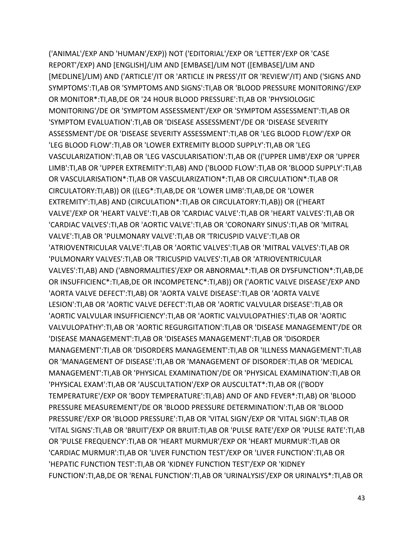('ANIMAL'/EXP AND 'HUMAN'/EXP)) NOT ('EDITORIAL'/EXP OR 'LETTER'/EXP OR 'CASE REPORT'/EXP) AND [ENGLISH]/LIM AND [EMBASE]/LIM NOT ([EMBASE]/LIM AND [MEDLINE]/LIM) AND ('ARTICLE'/IT OR 'ARTICLE IN PRESS'/IT OR 'REVIEW'/IT) AND ('SIGNS AND SYMPTOMS':TI,AB OR 'SYMPTOMS AND SIGNS':TI,AB OR 'BLOOD PRESSURE MONITORING'/EXP OR MONITOR\*:TI,AB,DE OR '24 HOUR BLOOD PRESSURE':TI,AB OR 'PHYSIOLOGIC MONITORING'/DE OR 'SYMPTOM ASSESSMENT'/EXP OR 'SYMPTOM ASSESSMENT':TI,AB OR 'SYMPTOM EVALUATION':TI,AB OR 'DISEASE ASSESSMENT'/DE OR 'DISEASE SEVERITY ASSESSMENT'/DE OR 'DISEASE SEVERITY ASSESSMENT':TI,AB OR 'LEG BLOOD FLOW'/EXP OR 'LEG BLOOD FLOW':TI,AB OR 'LOWER EXTREMITY BLOOD SUPPLY':TI,AB OR 'LEG VASCULARIZATION':TI,AB OR 'LEG VASCULARISATION':TI,AB OR (('UPPER LIMB'/EXP OR 'UPPER LIMB':TI,AB OR 'UPPER EXTREMITY':TI,AB) AND ('BLOOD FLOW':TI,AB OR 'BLOOD SUPPLY':TI,AB OR VASCULARISATION\*:TI,AB OR VASCULARIZATION\*:TI,AB OR CIRCULATION\*:TI,AB OR CIRCULATORY:TI,AB)) OR ((LEG\*:TI,AB,DE OR 'LOWER LIMB':TI,AB,DE OR 'LOWER EXTREMITY':TI,AB) AND (CIRCULATION\*:TI,AB OR CIRCULATORY:TI,AB)) OR (('HEART VALVE'/EXP OR 'HEART VALVE':TI,AB OR 'CARDIAC VALVE':TI,AB OR 'HEART VALVES':TI,AB OR 'CARDIAC VALVES':TI,AB OR 'AORTIC VALVE':TI,AB OR 'CORONARY SINUS':TI,AB OR 'MITRAL VALVE':TI,AB OR 'PULMONARY VALVE':TI,AB OR 'TRICUSPID VALVE':TI,AB OR 'ATRIOVENTRICULAR VALVE':TI,AB OR 'AORTIC VALVES':TI,AB OR 'MITRAL VALVES':TI,AB OR 'PULMONARY VALVES':TI,AB OR 'TRICUSPID VALVES':TI,AB OR 'ATRIOVENTRICULAR VALVES':TI,AB) AND ('ABNORMALITIES'/EXP OR ABNORMAL\*:TI,AB OR DYSFUNCTION\*:TI,AB,DE OR INSUFFICIENC\*:TI,AB,DE OR INCOMPETENC\*:TI,AB)) OR ('AORTIC VALVE DISEASE'/EXP AND 'AORTA VALVE DEFECT':TI,AB) OR 'AORTA VALVE DISEASE':TI,AB OR 'AORTA VALVE LESION':TI,AB OR 'AORTIC VALVE DEFECT':TI,AB OR 'AORTIC VALVULAR DISEASE':TI,AB OR 'AORTIC VALVULAR INSUFFICIENCY':TI,AB OR 'AORTIC VALVULOPATHIES':TI,AB OR 'AORTIC VALVULOPATHY':TI,AB OR 'AORTIC REGURGITATION':TI,AB OR 'DISEASE MANAGEMENT'/DE OR 'DISEASE MANAGEMENT':TI,AB OR 'DISEASES MANAGEMENT':TI,AB OR 'DISORDER MANAGEMENT':TI,AB OR 'DISORDERS MANAGEMENT':TI,AB OR 'ILLNESS MANAGEMENT':TI,AB OR 'MANAGEMENT OF DISEASE':TI,AB OR 'MANAGEMENT OF DISORDER':TI,AB OR 'MEDICAL MANAGEMENT':TI,AB OR 'PHYSICAL EXAMINATION'/DE OR 'PHYSICAL EXAMINATION':TI,AB OR 'PHYSICAL EXAM':TI,AB OR 'AUSCULTATION'/EXP OR AUSCULTAT\*:TI,AB OR (('BODY TEMPERATURE'/EXP OR 'BODY TEMPERATURE':TI,AB) AND OF AND FEVER\*:TI,AB) OR 'BLOOD PRESSURE MEASUREMENT'/DE OR 'BLOOD PRESSURE DETERMINATION':TI,AB OR 'BLOOD PRESSURE'/EXP OR 'BLOOD PRESSURE':TI,AB OR 'VITAL SIGN'/EXP OR 'VITAL SIGN':TI,AB OR 'VITAL SIGNS':TI,AB OR 'BRUIT'/EXP OR BRUIT:TI,AB OR 'PULSE RATE'/EXP OR 'PULSE RATE':TI,AB OR 'PULSE FREQUENCY':TI,AB OR 'HEART MURMUR'/EXP OR 'HEART MURMUR':TI,AB OR 'CARDIAC MURMUR':TI,AB OR 'LIVER FUNCTION TEST'/EXP OR 'LIVER FUNCTION':TI,AB OR 'HEPATIC FUNCTION TEST':TI,AB OR 'KIDNEY FUNCTION TEST'/EXP OR 'KIDNEY FUNCTION':TI,AB,DE OR 'RENAL FUNCTION':TI,AB OR 'URINALYSIS'/EXP OR URINALYS\*:TI,AB OR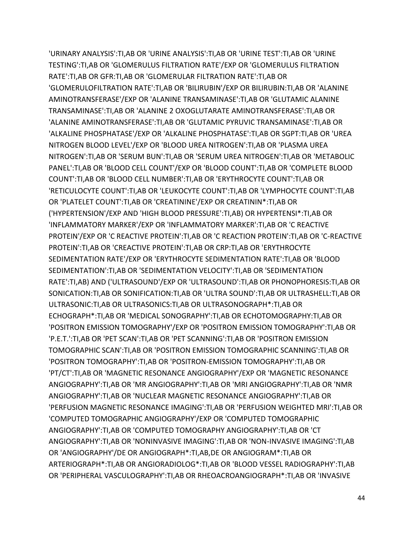'URINARY ANALYSIS':TI,AB OR 'URINE ANALYSIS':TI,AB OR 'URINE TEST':TI,AB OR 'URINE TESTING':TI,AB OR 'GLOMERULUS FILTRATION RATE'/EXP OR 'GLOMERULUS FILTRATION RATE':TI,AB OR GFR:TI,AB OR 'GLOMERULAR FILTRATION RATE':TI,AB OR 'GLOMERULOFILTRATION RATE':TI,AB OR 'BILIRUBIN'/EXP OR BILIRUBIN:TI,AB OR 'ALANINE AMINOTRANSFERASE'/EXP OR 'ALANINE TRANSAMINASE':TI,AB OR 'GLUTAMIC ALANINE TRANSAMINASE':TI,AB OR 'ALANINE 2 OXOGLUTARATE AMINOTRANSFERASE':TI,AB OR 'ALANINE AMINOTRANSFERASE':TI,AB OR 'GLUTAMIC PYRUVIC TRANSAMINASE':TI,AB OR 'ALKALINE PHOSPHATASE'/EXP OR 'ALKALINE PHOSPHATASE':TI,AB OR SGPT:TI,AB OR 'UREA NITROGEN BLOOD LEVEL'/EXP OR 'BLOOD UREA NITROGEN':TI,AB OR 'PLASMA UREA NITROGEN':TI,AB OR 'SERUM BUN':TI,AB OR 'SERUM UREA NITROGEN':TI,AB OR 'METABOLIC PANEL':TI,AB OR 'BLOOD CELL COUNT'/EXP OR 'BLOOD COUNT':TI,AB OR 'COMPLETE BLOOD COUNT':TI,AB OR 'BLOOD CELL NUMBER':TI,AB OR 'ERYTHROCYTE COUNT':TI,AB OR 'RETICULOCYTE COUNT':TI,AB OR 'LEUKOCYTE COUNT':TI,AB OR 'LYMPHOCYTE COUNT':TI,AB OR 'PLATELET COUNT':TI,AB OR 'CREATININE'/EXP OR CREATININ\*:TI,AB OR ('HYPERTENSION'/EXP AND 'HIGH BLOOD PRESSURE':TI,AB) OR HYPERTENSI\*:TI,AB OR 'INFLAMMATORY MARKER'/EXP OR 'INFLAMMATORY MARKER':TI,AB OR 'C REACTIVE PROTEIN'/EXP OR 'C REACTIVE PROTEIN':TI,AB OR 'C REACTION PROTEIN':TI,AB OR 'C-REACTIVE PROTEIN':TI,AB OR 'CREACTIVE PROTEIN':TI,AB OR CRP:TI,AB OR 'ERYTHROCYTE SEDIMENTATION RATE'/EXP OR 'ERYTHROCYTE SEDIMENTATION RATE':TI,AB OR 'BLOOD SEDIMENTATION':TI,AB OR 'SEDIMENTATION VELOCITY':TI,AB OR 'SEDIMENTATION RATE':TI,AB) AND ('ULTRASOUND'/EXP OR 'ULTRASOUND':TI,AB OR PHONOPHORESIS:TI,AB OR SONICATION:TI,AB OR SONIFICATION:TI,AB OR 'ULTRA SOUND':TI,AB OR ULTRASHELL:TI,AB OR ULTRASONIC:TI,AB OR ULTRASONICS:TI,AB OR ULTRASONOGRAPH\*:TI,AB OR ECHOGRAPH\*:TI,AB OR 'MEDICAL SONOGRAPHY':TI,AB OR ECHOTOMOGRAPHY:TI,AB OR 'POSITRON EMISSION TOMOGRAPHY'/EXP OR 'POSITRON EMISSION TOMOGRAPHY':TI,AB OR 'P.E.T.':TI,AB OR 'PET SCAN':TI,AB OR 'PET SCANNING':TI,AB OR 'POSITRON EMISSION TOMOGRAPHIC SCAN':TI,AB OR 'POSITRON EMISSION TOMOGRAPHIC SCANNING':TI,AB OR 'POSITRON TOMOGRAPHY':TI,AB OR 'POSITRON-EMISSION TOMOGRAPHY':TI,AB OR 'PT/CT':TI,AB OR 'MAGNETIC RESONANCE ANGIOGRAPHY'/EXP OR 'MAGNETIC RESONANCE ANGIOGRAPHY':TI,AB OR 'MR ANGIOGRAPHY':TI,AB OR 'MRI ANGIOGRAPHY':TI,AB OR 'NMR ANGIOGRAPHY':TI,AB OR 'NUCLEAR MAGNETIC RESONANCE ANGIOGRAPHY':TI,AB OR 'PERFUSION MAGNETIC RESONANCE IMAGING':TI,AB OR 'PERFUSION WEIGHTED MRI':TI,AB OR 'COMPUTED TOMOGRAPHIC ANGIOGRAPHY'/EXP OR 'COMPUTED TOMOGRAPHIC ANGIOGRAPHY':TI,AB OR 'COMPUTED TOMOGRAPHY ANGIOGRAPHY':TI,AB OR 'CT ANGIOGRAPHY':TI,AB OR 'NONINVASIVE IMAGING':TI,AB OR 'NON-INVASIVE IMAGING':TI,AB OR 'ANGIOGRAPHY'/DE OR ANGIOGRAPH\*:TI,AB,DE OR ANGIOGRAM\*:TI,AB OR ARTERIOGRAPH\*:TI,AB OR ANGIORADIOLOG\*:TI,AB OR 'BLOOD VESSEL RADIOGRAPHY':TI,AB OR 'PERIPHERAL VASCULOGRAPHY':TI,AB OR RHEOACROANGIOGRAPH\*:TI,AB OR 'INVASIVE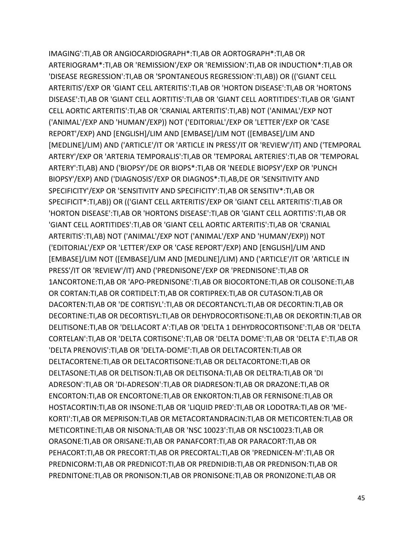IMAGING':TI,AB OR ANGIOCARDIOGRAPH\*:TI,AB OR AORTOGRAPH\*:TI,AB OR ARTERIOGRAM\*:TI,AB OR 'REMISSION'/EXP OR 'REMISSION':TI,AB OR INDUCTION\*:TI,AB OR 'DISEASE REGRESSION':TI,AB OR 'SPONTANEOUS REGRESSION':TI,AB)) OR (('GIANT CELL ARTERITIS'/EXP OR 'GIANT CELL ARTERITIS':TI,AB OR 'HORTON DISEASE':TI,AB OR 'HORTONS DISEASE':TI,AB OR 'GIANT CELL AORTITIS':TI,AB OR 'GIANT CELL AORTITIDES':TI,AB OR 'GIANT CELL AORTIC ARTERITIS':TI,AB OR 'CRANIAL ARTERITIS':TI,AB) NOT ('ANIMAL'/EXP NOT ('ANIMAL'/EXP AND 'HUMAN'/EXP)) NOT ('EDITORIAL'/EXP OR 'LETTER'/EXP OR 'CASE REPORT'/EXP) AND [ENGLISH]/LIM AND [EMBASE]/LIM NOT ([EMBASE]/LIM AND [MEDLINE]/LIM) AND ('ARTICLE'/IT OR 'ARTICLE IN PRESS'/IT OR 'REVIEW'/IT) AND ('TEMPORAL ARTERY'/EXP OR 'ARTERIA TEMPORALIS':TI,AB OR 'TEMPORAL ARTERIES':TI,AB OR 'TEMPORAL ARTERY':TI,AB) AND ('BIOPSY'/DE OR BIOPS\*:TI,AB OR 'NEEDLE BIOPSY'/EXP OR 'PUNCH BIOPSY'/EXP) AND ('DIAGNOSIS'/EXP OR DIAGNOS\*:TI,AB,DE OR 'SENSITIVITY AND SPECIFICITY'/EXP OR 'SENSITIVITY AND SPECIFICITY':TI,AB OR SENSITIV\*:TI,AB OR SPECIFICIT\*:TI,AB)) OR (('GIANT CELL ARTERITIS'/EXP OR 'GIANT CELL ARTERITIS':TI,AB OR 'HORTON DISEASE':TI,AB OR 'HORTONS DISEASE':TI,AB OR 'GIANT CELL AORTITIS':TI,AB OR 'GIANT CELL AORTITIDES':TI,AB OR 'GIANT CELL AORTIC ARTERITIS':TI,AB OR 'CRANIAL ARTERITIS':TI,AB) NOT ('ANIMAL'/EXP NOT ('ANIMAL'/EXP AND 'HUMAN'/EXP)) NOT ('EDITORIAL'/EXP OR 'LETTER'/EXP OR 'CASE REPORT'/EXP) AND [ENGLISH]/LIM AND [EMBASE]/LIM NOT ([EMBASE]/LIM AND [MEDLINE]/LIM) AND ('ARTICLE'/IT OR 'ARTICLE IN PRESS'/IT OR 'REVIEW'/IT) AND ('PREDNISONE'/EXP OR 'PREDNISONE':TI,AB OR 1ANCORTONE:TI,AB OR 'APO-PREDNISONE':TI,AB OR BIOCORTONE:TI,AB OR COLISONE:TI,AB OR CORTAN:TI,AB OR CORTIDELT:TI,AB OR CORTIPREX:TI,AB OR CUTASON:TI,AB OR DACORTEN:TI,AB OR 'DE CORTISYL':TI,AB OR DECORTANCYL:TI,AB OR DECORTIN:TI,AB OR DECORTINE:TI,AB OR DECORTISYL:TI,AB OR DEHYDROCORTISONE:TI,AB OR DEKORTIN:TI,AB OR DELITISONE:TI,AB OR 'DELLACORT A':TI,AB OR 'DELTA 1 DEHYDROCORTISONE':TI,AB OR 'DELTA CORTELAN':TI,AB OR 'DELTA CORTISONE':TI,AB OR 'DELTA DOME':TI,AB OR 'DELTA E':TI,AB OR 'DELTA PRENOVIS':TI,AB OR 'DELTA-DOME':TI,AB OR DELTACORTEN:TI,AB OR DELTACORTENE:TI,AB OR DELTACORTISONE:TI,AB OR DELTACORTONE:TI,AB OR DELTASONE:TI,AB OR DELTISON:TI,AB OR DELTISONA:TI,AB OR DELTRA:TI,AB OR 'DI ADRESON':TI,AB OR 'DI-ADRESON':TI,AB OR DIADRESON:TI,AB OR DRAZONE:TI,AB OR ENCORTON:TI,AB OR ENCORTONE:TI,AB OR ENKORTON:TI,AB OR FERNISONE:TI,AB OR HOSTACORTIN:TI,AB OR INSONE:TI,AB OR 'LIQUID PRED':TI,AB OR LODOTRA:TI,AB OR 'ME-KORTI':TI,AB OR MEPRISON:TI,AB OR METACORTANDRACIN:TI,AB OR METICORTEN:TI,AB OR METICORTINE:TI,AB OR NISONA:TI,AB OR 'NSC 10023':TI,AB OR NSC10023:TI,AB OR ORASONE:TI,AB OR ORISANE:TI,AB OR PANAFCORT:TI,AB OR PARACORT:TI,AB OR PEHACORT:TI,AB OR PRECORT:TI,AB OR PRECORTAL:TI,AB OR 'PREDNICEN-M':TI,AB OR PREDNICORM:TI,AB OR PREDNICOT:TI,AB OR PREDNIDIB:TI,AB OR PREDNISON:TI,AB OR PREDNITONE:TI,AB OR PRONISON:TI,AB OR PRONISONE:TI,AB OR PRONIZONE:TI,AB OR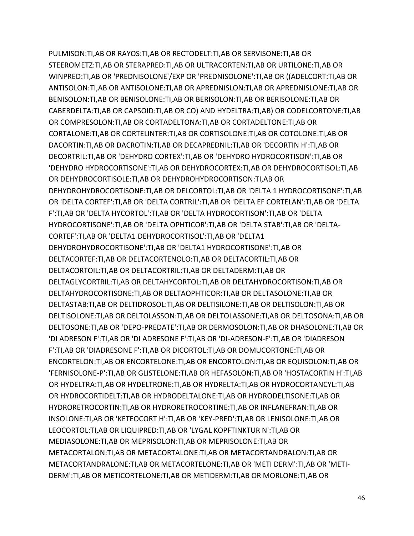PULMISON:TI,AB OR RAYOS:TI,AB OR RECTODELT:TI,AB OR SERVISONE:TI,AB OR STEEROMETZ:TI,AB OR STERAPRED:TI,AB OR ULTRACORTEN:TI,AB OR URTILONE:TI,AB OR WINPRED:TI,AB OR 'PREDNISOLONE'/EXP OR 'PREDNISOLONE':TI,AB OR ((ADELCORT:TI,AB OR ANTISOLON:TI,AB OR ANTISOLONE:TI,AB OR APREDNISLON:TI,AB OR APREDNISLONE:TI,AB OR BENISOLON:TI,AB OR BENISOLONE:TI,AB OR BERISOLON:TI,AB OR BERISOLONE:TI,AB OR CABERDELTA:TI,AB OR CAPSOID:TI,AB OR CO) AND HYDELTRA:TI,AB) OR CODELCORTONE:TI,AB OR COMPRESOLON:TI,AB OR CORTADELTONA:TI,AB OR CORTADELTONE:TI,AB OR CORTALONE:TI,AB OR CORTELINTER:TI,AB OR CORTISOLONE:TI,AB OR COTOLONE:TI,AB OR DACORTIN:TI,AB OR DACROTIN:TI,AB OR DECAPREDNIL:TI,AB OR 'DECORTIN H':TI,AB OR DECORTRIL:TI,AB OR 'DEHYDRO CORTEX':TI,AB OR 'DEHYDRO HYDROCORTISON':TI,AB OR 'DEHYDRO HYDROCORTISONE':TI,AB OR DEHYDROCORTEX:TI,AB OR DEHYDROCORTISOL:TI,AB OR DEHYDROCORTISOLE:TI,AB OR DEHYDROHYDROCORTISON:TI,AB OR DEHYDROHYDROCORTISONE:TI,AB OR DELCORTOL:TI,AB OR 'DELTA 1 HYDROCORTISONE':TI,AB OR 'DELTA CORTEF':TI,AB OR 'DELTA CORTRIL':TI,AB OR 'DELTA EF CORTELAN':TI,AB OR 'DELTA F':TI,AB OR 'DELTA HYCORTOL':TI,AB OR 'DELTA HYDROCORTISON':TI,AB OR 'DELTA HYDROCORTISONE':TI,AB OR 'DELTA OPHTICOR':TI,AB OR 'DELTA STAB':TI,AB OR 'DELTA-CORTEF':TI,AB OR 'DELTA1 DEHYDROCORTISOL':TI,AB OR 'DELTA1 DEHYDROHYDROCORTISONE':TI,AB OR 'DELTA1 HYDROCORTISONE':TI,AB OR DELTACORTEF:TI,AB OR DELTACORTENOLO:TI,AB OR DELTACORTIL:TI,AB OR DELTACORTOIL:TI,AB OR DELTACORTRIL:TI,AB OR DELTADERM:TI,AB OR DELTAGLYCORTRIL:TI,AB OR DELTAHYCORTOL:TI,AB OR DELTAHYDROCORTISON:TI,AB OR DELTAHYDROCORTISONE:TI,AB OR DELTAOPHTICOR:TI,AB OR DELTASOLONE:TI,AB OR DELTASTAB:TI,AB OR DELTIDROSOL:TI,AB OR DELTISILONE:TI,AB OR DELTISOLON:TI,AB OR DELTISOLONE:TI,AB OR DELTOLASSON:TI,AB OR DELTOLASSONE:TI,AB OR DELTOSONA:TI,AB OR DELTOSONE:TI,AB OR 'DEPO-PREDATE':TI,AB OR DERMOSOLON:TI,AB OR DHASOLONE:TI,AB OR 'DI ADRESON F':TI,AB OR 'DI ADRESONE F':TI,AB OR 'DI-ADRESON-F':TI,AB OR 'DIADRESON F':TI,AB OR 'DIADRESONE F':TI,AB OR DICORTOL:TI,AB OR DOMUCORTONE:TI,AB OR ENCORTELON:TI,AB OR ENCORTELONE:TI,AB OR ENCORTOLON:TI,AB OR EQUISOLON:TI,AB OR 'FERNISOLONE-P':TI,AB OR GLISTELONE:TI,AB OR HEFASOLON:TI,AB OR 'HOSTACORTIN H':TI,AB OR HYDELTRA:TI,AB OR HYDELTRONE:TI,AB OR HYDRELTA:TI,AB OR HYDROCORTANCYL:TI,AB OR HYDROCORTIDELT:TI,AB OR HYDRODELTALONE:TI,AB OR HYDRODELTISONE:TI,AB OR HYDRORETROCORTIN:TI,AB OR HYDRORETROCORTINE:TI,AB OR INFLANEFRAN:TI,AB OR INSOLONE:TI,AB OR 'KETEOCORT H':TI,AB OR 'KEY-PRED':TI,AB OR LENISOLONE:TI,AB OR LEOCORTOL:TI,AB OR LIQUIPRED:TI,AB OR 'LYGAL KOPFTINKTUR N':TI,AB OR MEDIASOLONE:TI,AB OR MEPRISOLON:TI,AB OR MEPRISOLONE:TI,AB OR METACORTALON:TI,AB OR METACORTALONE:TI,AB OR METACORTANDRALON:TI,AB OR METACORTANDRALONE:TI,AB OR METACORTELONE:TI,AB OR 'METI DERM':TI,AB OR 'METI-DERM':TI,AB OR METICORTELONE:TI,AB OR METIDERM:TI,AB OR MORLONE:TI,AB OR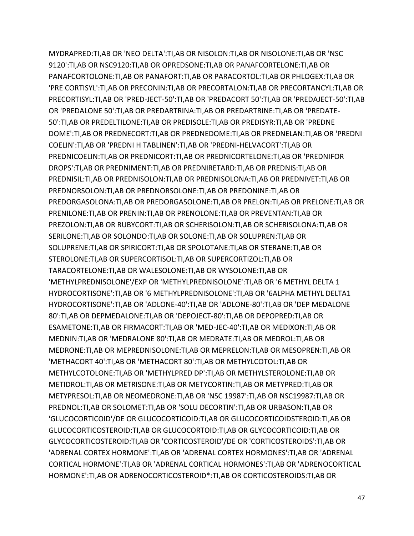MYDRAPRED:TI,AB OR 'NEO DELTA':TI,AB OR NISOLON:TI,AB OR NISOLONE:TI,AB OR 'NSC 9120':TI,AB OR NSC9120:TI,AB OR OPREDSONE:TI,AB OR PANAFCORTELONE:TI,AB OR PANAFCORTOLONE:TI,AB OR PANAFORT:TI,AB OR PARACORTOL:TI,AB OR PHLOGEX:TI,AB OR 'PRE CORTISYL':TI,AB OR PRECONIN:TI,AB OR PRECORTALON:TI,AB OR PRECORTANCYL:TI,AB OR PRECORTISYL:TI,AB OR 'PRED-JECT-50':TI,AB OR 'PREDACORT 50':TI,AB OR 'PREDAJECT-50':TI,AB OR 'PREDALONE 50':TI,AB OR PREDARTRINA:TI,AB OR PREDARTRINE:TI,AB OR 'PREDATE-50':TI,AB OR PREDELTILONE:TI,AB OR PREDISOLE:TI,AB OR PREDISYR:TI,AB OR 'PREDNE DOME':TI,AB OR PREDNECORT:TI,AB OR PREDNEDOME:TI,AB OR PREDNELAN:TI,AB OR 'PREDNI COELIN':TI,AB OR 'PREDNI H TABLINEN':TI,AB OR 'PREDNI-HELVACORT':TI,AB OR PREDNICOELIN:TI,AB OR PREDNICORT:TI,AB OR PREDNICORTELONE:TI,AB OR 'PREDNIFOR DROPS':TI,AB OR PREDNIMENT:TI,AB OR PREDNIRETARD:TI,AB OR PREDNIS:TI,AB OR PREDNISIL:TI,AB OR PREDNISOLON:TI,AB OR PREDNISOLONA:TI,AB OR PREDNIVET:TI,AB OR PREDNORSOLON:TI,AB OR PREDNORSOLONE:TI,AB OR PREDONINE:TI,AB OR PREDORGASOLONA:TI,AB OR PREDORGASOLONE:TI,AB OR PRELON:TI,AB OR PRELONE:TI,AB OR PRENILONE:TI,AB OR PRENIN:TI,AB OR PRENOLONE:TI,AB OR PREVENTAN:TI,AB OR PREZOLON:TI,AB OR RUBYCORT:TI,AB OR SCHERISOLON:TI,AB OR SCHERISOLONA:TI,AB OR SERILONE:TI,AB OR SOLONDO:TI,AB OR SOLONE:TI,AB OR SOLUPREN:TI,AB OR SOLUPRENE:TI,AB OR SPIRICORT:TI,AB OR SPOLOTANE:TI,AB OR STERANE:TI,AB OR STEROLONE:TI,AB OR SUPERCORTISOL:TI,AB OR SUPERCORTIZOL:TI,AB OR TARACORTELONE:TI,AB OR WALESOLONE:TI,AB OR WYSOLONE:TI,AB OR 'METHYLPREDNISOLONE'/EXP OR 'METHYLPREDNISOLONE':TI,AB OR '6 METHYL DELTA 1 HYDROCORTISONE':TI,AB OR '6 METHYLPREDNISOLONE':TI,AB OR '6ALPHA METHYL DELTA1 HYDROCORTISONE':TI,AB OR 'ADLONE-40':TI,AB OR 'ADLONE-80':TI,AB OR 'DEP MEDALONE 80':TI,AB OR DEPMEDALONE:TI,AB OR 'DEPOJECT-80':TI,AB OR DEPOPRED:TI,AB OR ESAMETONE:TI,AB OR FIRMACORT:TI,AB OR 'MED-JEC-40':TI,AB OR MEDIXON:TI,AB OR MEDNIN:TI,AB OR 'MEDRALONE 80':TI,AB OR MEDRATE:TI,AB OR MEDROL:TI,AB OR MEDRONE:TI,AB OR MEPREDNISOLONE:TI,AB OR MEPRELON:TI,AB OR MESOPREN:TI,AB OR 'METHACORT 40':TI,AB OR 'METHACORT 80':TI,AB OR METHYLCOTOL:TI,AB OR METHYLCOTOLONE:TI,AB OR 'METHYLPRED DP':TI,AB OR METHYLSTEROLONE:TI,AB OR METIDROL:TI,AB OR METRISONE:TI,AB OR METYCORTIN:TI,AB OR METYPRED:TI,AB OR METYPRESOL:TI,AB OR NEOMEDRONE:TI,AB OR 'NSC 19987':TI,AB OR NSC19987:TI,AB OR PREDNOL:TI,AB OR SOLOMET:TI,AB OR 'SOLU DECORTIN':TI,AB OR URBASON:TI,AB OR 'GLUCOCORTICOID'/DE OR GLUCOCORTICOID:TI,AB OR GLUCOCORTICOIDSTEROID:TI,AB OR GLUCOCORTICOSTEROID:TI,AB OR GLUCOCORTOID:TI,AB OR GLYCOCORTICOID:TI,AB OR GLYCOCORTICOSTEROID:TI,AB OR 'CORTICOSTEROID'/DE OR 'CORTICOSTEROIDS':TI,AB OR 'ADRENAL CORTEX HORMONE':TI,AB OR 'ADRENAL CORTEX HORMONES':TI,AB OR 'ADRENAL CORTICAL HORMONE':TI,AB OR 'ADRENAL CORTICAL HORMONES':TI,AB OR 'ADRENOCORTICAL HORMONE':TI,AB OR ADRENOCORTICOSTEROID\*:TI,AB OR CORTICOSTEROIDS:TI,AB OR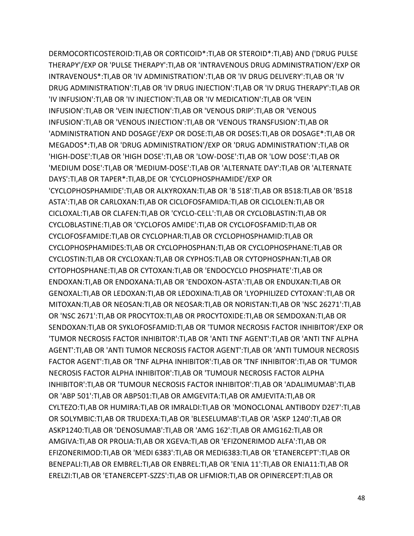DERMOCORTICOSTEROID:TI,AB OR CORTICOID\*:TI,AB OR STEROID\*:TI,AB) AND ('DRUG PULSE THERAPY'/EXP OR 'PULSE THERAPY':TI,AB OR 'INTRAVENOUS DRUG ADMINISTRATION'/EXP OR INTRAVENOUS\*:TI,AB OR 'IV ADMINISTRATION':TI,AB OR 'IV DRUG DELIVERY':TI,AB OR 'IV DRUG ADMINISTRATION':TI,AB OR 'IV DRUG INJECTION':TI,AB OR 'IV DRUG THERAPY':TI,AB OR 'IV INFUSION':TI,AB OR 'IV INJECTION':TI,AB OR 'IV MEDICATION':TI,AB OR 'VEIN INFUSION':TI,AB OR 'VEIN INJECTION':TI,AB OR 'VENOUS DRIP':TI,AB OR 'VENOUS INFUSION':TI,AB OR 'VENOUS INJECTION':TI,AB OR 'VENOUS TRANSFUSION':TI,AB OR 'ADMINISTRATION AND DOSAGE'/EXP OR DOSE:TI,AB OR DOSES:TI,AB OR DOSAGE\*:TI,AB OR MEGADOS\*:TI,AB OR 'DRUG ADMINISTRATION'/EXP OR 'DRUG ADMINISTRATION':TI,AB OR 'HIGH-DOSE':TI,AB OR 'HIGH DOSE':TI,AB OR 'LOW-DOSE':TI,AB OR 'LOW DOSE':TI,AB OR 'MEDIUM DOSE':TI,AB OR 'MEDIUM-DOSE':TI,AB OR 'ALTERNATE DAY':TI,AB OR 'ALTERNATE DAYS':TI,AB OR TAPER\*:TI,AB,DE OR 'CYCLOPHOSPHAMIDE'/EXP OR 'CYCLOPHOSPHAMIDE':TI,AB OR ALKYROXAN:TI,AB OR 'B 518':TI,AB OR B518:TI,AB OR 'B518 ASTA':TI,AB OR CARLOXAN:TI,AB OR CICLOFOSFAMIDA:TI,AB OR CICLOLEN:TI,AB OR CICLOXAL:TI,AB OR CLAFEN:TI,AB OR 'CYCLO-CELL':TI,AB OR CYCLOBLASTIN:TI,AB OR CYCLOBLASTINE:TI,AB OR 'CYCLOFOS AMIDE':TI,AB OR CYCLOFOSFAMID:TI,AB OR CYCLOFOSFAMIDE:TI,AB OR CYCLOPHAR:TI,AB OR CYCLOPHOSPHAMID:TI,AB OR CYCLOPHOSPHAMIDES:TI,AB OR CYCLOPHOSPHAN:TI,AB OR CYCLOPHOSPHANE:TI,AB OR CYCLOSTIN:TI,AB OR CYCLOXAN:TI,AB OR CYPHOS:TI,AB OR CYTOPHOSPHAN:TI,AB OR CYTOPHOSPHANE:TI,AB OR CYTOXAN:TI,AB OR 'ENDOCYCLO PHOSPHATE':TI,AB OR ENDOXAN:TI,AB OR ENDOXANA:TI,AB OR 'ENDOXON-ASTA':TI,AB OR ENDUXAN:TI,AB OR GENOXAL:TI,AB OR LEDOXAN:TI,AB OR LEDOXINA:TI,AB OR 'LYOPHILIZED CYTOXAN':TI,AB OR MITOXAN:TI,AB OR NEOSAN:TI,AB OR NEOSAR:TI,AB OR NORISTAN:TI,AB OR 'NSC 26271':TI,AB OR 'NSC 2671':TI,AB OR PROCYTOX:TI,AB OR PROCYTOXIDE:TI,AB OR SEMDOXAN:TI,AB OR SENDOXAN:TI,AB OR SYKLOFOSFAMID:TI,AB OR 'TUMOR NECROSIS FACTOR INHIBITOR'/EXP OR 'TUMOR NECROSIS FACTOR INHIBITOR':TI,AB OR 'ANTI TNF AGENT':TI,AB OR 'ANTI TNF ALPHA AGENT':TI,AB OR 'ANTI TUMOR NECROSIS FACTOR AGENT':TI,AB OR 'ANTI TUMOUR NECROSIS FACTOR AGENT':TI,AB OR 'TNF ALPHA INHIBITOR':TI,AB OR 'TNF INHIBITOR':TI,AB OR 'TUMOR NECROSIS FACTOR ALPHA INHIBITOR':TI,AB OR 'TUMOUR NECROSIS FACTOR ALPHA INHIBITOR':TI,AB OR 'TUMOUR NECROSIS FACTOR INHIBITOR':TI,AB OR 'ADALIMUMAB':TI,AB OR 'ABP 501':TI,AB OR ABP501:TI,AB OR AMGEVITA:TI,AB OR AMJEVITA:TI,AB OR CYLTEZO:TI,AB OR HUMIRA:TI,AB OR IMRALDI:TI,AB OR 'MONOCLONAL ANTIBODY D2E7':TI,AB OR SOLYMBIC:TI,AB OR TRUDEXA:TI,AB OR 'BLESELUMAB':TI,AB OR 'ASKP 1240':TI,AB OR ASKP1240:TI,AB OR 'DENOSUMAB':TI,AB OR 'AMG 162':TI,AB OR AMG162:TI,AB OR AMGIVA:TI,AB OR PROLIA:TI,AB OR XGEVA:TI,AB OR 'EFIZONERIMOD ALFA':TI,AB OR EFIZONERIMOD:TI,AB OR 'MEDI 6383':TI,AB OR MEDI6383:TI,AB OR 'ETANERCEPT':TI,AB OR BENEPALI:TI,AB OR EMBREL:TI,AB OR ENBREL:TI,AB OR 'ENIA 11':TI,AB OR ENIA11:TI,AB OR ERELZI:TI,AB OR 'ETANERCEPT-SZZS':TI,AB OR LIFMIOR:TI,AB OR OPINERCEPT:TI,AB OR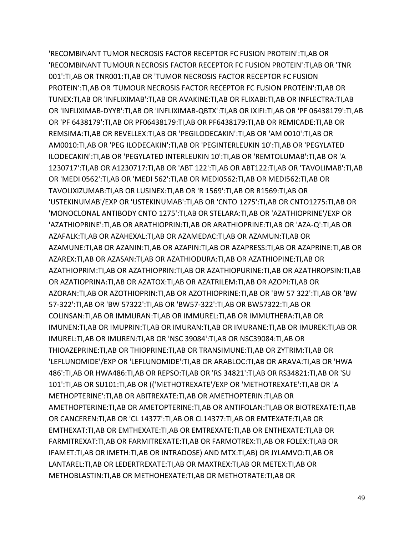'RECOMBINANT TUMOR NECROSIS FACTOR RECEPTOR FC FUSION PROTEIN':TI,AB OR 'RECOMBINANT TUMOUR NECROSIS FACTOR RECEPTOR FC FUSION PROTEIN':TI,AB OR 'TNR 001':TI,AB OR TNR001:TI,AB OR 'TUMOR NECROSIS FACTOR RECEPTOR FC FUSION PROTEIN':TI,AB OR 'TUMOUR NECROSIS FACTOR RECEPTOR FC FUSION PROTEIN':TI,AB OR TUNEX:TI,AB OR 'INFLIXIMAB':TI,AB OR AVAKINE:TI,AB OR FLIXABI:TI,AB OR INFLECTRA:TI,AB OR 'INFLIXIMAB-DYYB':TI,AB OR 'INFLIXIMAB-QBTX':TI,AB OR IXIFI:TI,AB OR 'PF 06438179':TI,AB OR 'PF 6438179':TI,AB OR PF06438179:TI,AB OR PF6438179:TI,AB OR REMICADE:TI,AB OR REMSIMA:TI,AB OR REVELLEX:TI,AB OR 'PEGILODECAKIN':TI,AB OR 'AM 0010':TI,AB OR AM0010:TI,AB OR 'PEG ILODECAKIN':TI,AB OR 'PEGINTERLEUKIN 10':TI,AB OR 'PEGYLATED ILODECAKIN':TI,AB OR 'PEGYLATED INTERLEUKIN 10':TI,AB OR 'REMTOLUMAB':TI,AB OR 'A 1230717':TI,AB OR A1230717:TI,AB OR 'ABT 122':TI,AB OR ABT122:TI,AB OR 'TAVOLIMAB':TI,AB OR 'MEDI 0562':TI,AB OR 'MEDI 562':TI,AB OR MEDI0562:TI,AB OR MEDI562:TI,AB OR TAVOLIXIZUMAB:TI,AB OR LUSINEX:TI,AB OR 'R 1569':TI,AB OR R1569:TI,AB OR 'USTEKINUMAB'/EXP OR 'USTEKINUMAB':TI,AB OR 'CNTO 1275':TI,AB OR CNTO1275:TI,AB OR 'MONOCLONAL ANTIBODY CNTO 1275':TI,AB OR STELARA:TI,AB OR 'AZATHIOPRINE'/EXP OR 'AZATHIOPRINE':TI,AB OR ARATHIOPRIN:TI,AB OR ARATHIOPRINE:TI,AB OR 'AZA-Q':TI,AB OR AZAFALK:TI,AB OR AZAHEXAL:TI,AB OR AZAMEDAC:TI,AB OR AZAMUN:TI,AB OR AZAMUNE:TI,AB OR AZANIN:TI,AB OR AZAPIN:TI,AB OR AZAPRESS:TI,AB OR AZAPRINE:TI,AB OR AZAREX:TI,AB OR AZASAN:TI,AB OR AZATHIODURA:TI,AB OR AZATHIOPINE:TI,AB OR AZATHIOPRIM:TI,AB OR AZATHIOPRIN:TI,AB OR AZATHIOPURINE:TI,AB OR AZATHROPSIN:TI,AB OR AZATIOPRINA:TI,AB OR AZATOX:TI,AB OR AZATRILEM:TI,AB OR AZOPI:TI,AB OR AZORAN:TI,AB OR AZOTHIOPRIN:TI,AB OR AZOTHIOPRINE:TI,AB OR 'BW 57 322':TI,AB OR 'BW 57-322':TI,AB OR 'BW 57322':TI,AB OR 'BW57-322':TI,AB OR BW57322:TI,AB OR COLINSAN:TI,AB OR IMMURAN:TI,AB OR IMMUREL:TI,AB OR IMMUTHERA:TI,AB OR IMUNEN:TI,AB OR IMUPRIN:TI,AB OR IMURAN:TI,AB OR IMURANE:TI,AB OR IMUREK:TI,AB OR IMUREL:TI,AB OR IMUREN:TI,AB OR 'NSC 39084':TI,AB OR NSC39084:TI,AB OR THIOAZEPRINE:TI,AB OR THIOPRINE:TI,AB OR TRANSIMUNE:TI,AB OR ZYTRIM:TI,AB OR 'LEFLUNOMIDE'/EXP OR 'LEFLUNOMIDE':TI,AB OR ARABLOC:TI,AB OR ARAVA:TI,AB OR 'HWA 486':TI,AB OR HWA486:TI,AB OR REPSO:TI,AB OR 'RS 34821':TI,AB OR RS34821:TI,AB OR 'SU 101':TI,AB OR SU101:TI,AB OR (('METHOTREXATE'/EXP OR 'METHOTREXATE':TI,AB OR 'A METHOPTERINE':TI,AB OR ABITREXATE:TI,AB OR AMETHOPTERIN:TI,AB OR AMETHOPTERINE:TI,AB OR AMETOPTERINE:TI,AB OR ANTIFOLAN:TI,AB OR BIOTREXATE:TI,AB OR CANCEREN:TI,AB OR 'CL 14377':TI,AB OR CL14377:TI,AB OR EMTEXATE:TI,AB OR EMTHEXAT:TI,AB OR EMTHEXATE:TI,AB OR EMTREXATE:TI,AB OR ENTHEXATE:TI,AB OR FARMITREXAT:TI,AB OR FARMITREXATE:TI,AB OR FARMOTREX:TI,AB OR FOLEX:TI,AB OR IFAMET:TI,AB OR IMETH:TI,AB OR INTRADOSE) AND MTX:TI,AB) OR JYLAMVO:TI,AB OR LANTAREL:TI,AB OR LEDERTREXATE:TI,AB OR MAXTREX:TI,AB OR METEX:TI,AB OR METHOBLASTIN:TI,AB OR METHOHEXATE:TI,AB OR METHOTRATE:TI,AB OR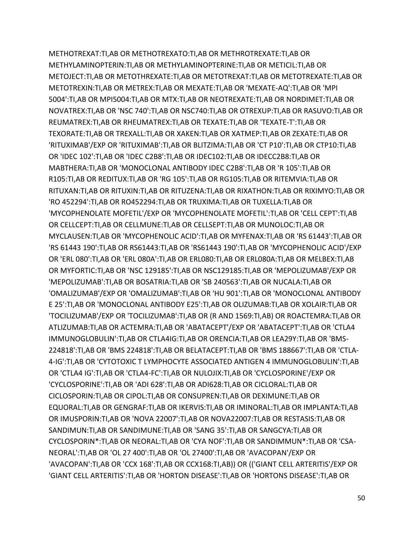METHOTREXAT:TI,AB OR METHOTREXATO:TI,AB OR METHROTREXATE:TI,AB OR METHYLAMINOPTERIN:TI,AB OR METHYLAMINOPTERINE:TI,AB OR METICIL:TI,AB OR METOJECT:TI,AB OR METOTHREXATE:TI,AB OR METOTREXAT:TI,AB OR METOTREXATE:TI,AB OR METOTREXIN:TI,AB OR METREX:TI,AB OR MEXATE:TI,AB OR 'MEXATE-AQ':TI,AB OR 'MPI 5004':TI,AB OR MPI5004:TI,AB OR MTX:TI,AB OR NEOTREXATE:TI,AB OR NORDIMET:TI,AB OR NOVATREX:TI,AB OR 'NSC 740':TI,AB OR NSC740:TI,AB OR OTREXUP:TI,AB OR RASUVO:TI,AB OR REUMATREX:TI,AB OR RHEUMATREX:TI,AB OR TEXATE:TI,AB OR 'TEXATE-T':TI,AB OR TEXORATE:TI,AB OR TREXALL:TI,AB OR XAKEN:TI,AB OR XATMEP:TI,AB OR ZEXATE:TI,AB OR 'RITUXIMAB'/EXP OR 'RITUXIMAB':TI,AB OR BLITZIMA:TI,AB OR 'CT P10':TI,AB OR CTP10:TI,AB OR 'IDEC 102':TI,AB OR 'IDEC C2B8':TI,AB OR IDEC102:TI,AB OR IDECC2B8:TI,AB OR MABTHERA:TI,AB OR 'MONOCLONAL ANTIBODY IDEC C2B8':TI,AB OR 'R 105':TI,AB OR R105:TI,AB OR REDITUX:TI,AB OR 'RG 105':TI,AB OR RG105:TI,AB OR RITEMVIA:TI,AB OR RITUXAN:TI,AB OR RITUXIN:TI,AB OR RITUZENA:TI,AB OR RIXATHON:TI,AB OR RIXIMYO:TI,AB OR 'RO 452294':TI,AB OR RO452294:TI,AB OR TRUXIMA:TI,AB OR TUXELLA:TI,AB OR 'MYCOPHENOLATE MOFETIL'/EXP OR 'MYCOPHENOLATE MOFETIL':TI,AB OR 'CELL CEPT':TI,AB OR CELLCEPT:TI,AB OR CELLMUNE:TI,AB OR CELLSEPT:TI,AB OR MUNOLOC:TI,AB OR MYCLAUSEN:TI,AB OR 'MYCOPHENOLIC ACID':TI,AB OR MYFENAX:TI,AB OR 'RS 61443':TI,AB OR 'RS 61443 190':TI,AB OR RS61443:TI,AB OR 'RS61443 190':TI,AB OR 'MYCOPHENOLIC ACID'/EXP OR 'ERL 080':TI,AB OR 'ERL 080A':TI,AB OR ERL080:TI,AB OR ERL080A:TI,AB OR MELBEX:TI,AB OR MYFORTIC:TI,AB OR 'NSC 129185':TI,AB OR NSC129185:TI,AB OR 'MEPOLIZUMAB'/EXP OR 'MEPOLIZUMAB':TI,AB OR BOSATRIA:TI,AB OR 'SB 240563':TI,AB OR NUCALA:TI,AB OR 'OMALIZUMAB'/EXP OR 'OMALIZUMAB':TI,AB OR 'HU 901':TI,AB OR 'MONOCLONAL ANTIBODY E 25':TI,AB OR 'MONOCLONAL ANTIBODY E25':TI,AB OR OLIZUMAB:TI,AB OR XOLAIR:TI,AB OR 'TOCILIZUMAB'/EXP OR 'TOCILIZUMAB':TI,AB OR (R AND 1569:TI,AB) OR ROACTEMRA:TI,AB OR ATLIZUMAB:TI,AB OR ACTEMRA:TI,AB OR 'ABATACEPT'/EXP OR 'ABATACEPT':TI,AB OR 'CTLA4 IMMUNOGLOBULIN':TI,AB OR CTLA4IG:TI,AB OR ORENCIA:TI,AB OR LEA29Y:TI,AB OR 'BMS-224818':TI,AB OR 'BMS 224818':TI,AB OR BELATACEPT:TI,AB OR 'BMS 188667':TI,AB OR 'CTLA-4-IG':TI,AB OR 'CYTOTOXIC T LYMPHOCYTE ASSOCIATED ANTIGEN 4 IMMUNOGLOBULIN':TI,AB OR 'CTLA4 IG':TI,AB OR 'CTLA4-FC':TI,AB OR NULOJIX:TI,AB OR 'CYCLOSPORINE'/EXP OR 'CYCLOSPORINE':TI,AB OR 'ADI 628':TI,AB OR ADI628:TI,AB OR CICLORAL:TI,AB OR CICLOSPORIN:TI,AB OR CIPOL:TI,AB OR CONSUPREN:TI,AB OR DEXIMUNE:TI,AB OR EQUORAL:TI,AB OR GENGRAF:TI,AB OR IKERVIS:TI,AB OR IMINORAL:TI,AB OR IMPLANTA:TI,AB OR IMUSPORIN:TI,AB OR 'NOVA 22007':TI,AB OR NOVA22007:TI,AB OR RESTASIS:TI,AB OR SANDIMUN:TI,AB OR SANDIMUNE:TI,AB OR 'SANG 35':TI,AB OR SANGCYA:TI,AB OR CYCLOSPORIN\*:TI,AB OR NEORAL:TI,AB OR 'CYA NOF':TI,AB OR SANDIMMUN\*:TI,AB OR 'CSA-NEORAL':TI,AB OR 'OL 27 400':TI,AB OR 'OL 27400':TI,AB OR 'AVACOPAN'/EXP OR 'AVACOPAN':TI,AB OR 'CCX 168':TI,AB OR CCX168:TI,AB)) OR (('GIANT CELL ARTERITIS'/EXP OR 'GIANT CELL ARTERITIS':TI,AB OR 'HORTON DISEASE':TI,AB OR 'HORTONS DISEASE':TI,AB OR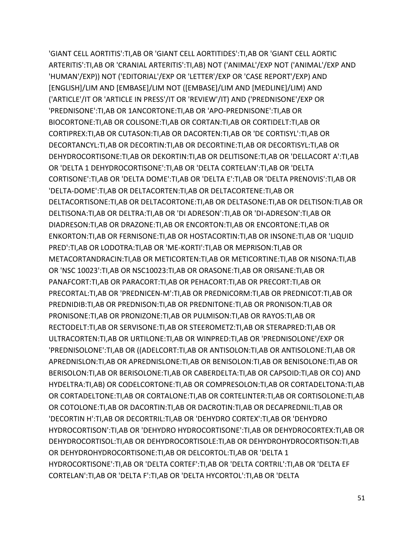'GIANT CELL AORTITIS':TI,AB OR 'GIANT CELL AORTITIDES':TI,AB OR 'GIANT CELL AORTIC ARTERITIS':TI,AB OR 'CRANIAL ARTERITIS':TI,AB) NOT ('ANIMAL'/EXP NOT ('ANIMAL'/EXP AND 'HUMAN'/EXP)) NOT ('EDITORIAL'/EXP OR 'LETTER'/EXP OR 'CASE REPORT'/EXP) AND [ENGLISH]/LIM AND [EMBASE]/LIM NOT ([EMBASE]/LIM AND [MEDLINE]/LIM) AND ('ARTICLE'/IT OR 'ARTICLE IN PRESS'/IT OR 'REVIEW'/IT) AND ('PREDNISONE'/EXP OR 'PREDNISONE':TI,AB OR 1ANCORTONE:TI,AB OR 'APO-PREDNISONE':TI,AB OR BIOCORTONE:TI,AB OR COLISONE:TI,AB OR CORTAN:TI,AB OR CORTIDELT:TI,AB OR CORTIPREX:TI,AB OR CUTASON:TI,AB OR DACORTEN:TI,AB OR 'DE CORTISYL':TI,AB OR DECORTANCYL:TI,AB OR DECORTIN:TI,AB OR DECORTINE:TI,AB OR DECORTISYL:TI,AB OR DEHYDROCORTISONE:TI,AB OR DEKORTIN:TI,AB OR DELITISONE:TI,AB OR 'DELLACORT A':TI,AB OR 'DELTA 1 DEHYDROCORTISONE':TI,AB OR 'DELTA CORTELAN':TI,AB OR 'DELTA CORTISONE':TI,AB OR 'DELTA DOME':TI,AB OR 'DELTA E':TI,AB OR 'DELTA PRENOVIS':TI,AB OR 'DELTA-DOME':TI,AB OR DELTACORTEN:TI,AB OR DELTACORTENE:TI,AB OR DELTACORTISONE:TI,AB OR DELTACORTONE:TI,AB OR DELTASONE:TI,AB OR DELTISON:TI,AB OR DELTISONA:TI,AB OR DELTRA:TI,AB OR 'DI ADRESON':TI,AB OR 'DI-ADRESON':TI,AB OR DIADRESON:TI,AB OR DRAZONE:TI,AB OR ENCORTON:TI,AB OR ENCORTONE:TI,AB OR ENKORTON:TI,AB OR FERNISONE:TI,AB OR HOSTACORTIN:TI,AB OR INSONE:TI,AB OR 'LIQUID PRED':TI,AB OR LODOTRA:TI,AB OR 'ME-KORTI':TI,AB OR MEPRISON:TI,AB OR METACORTANDRACIN:TI,AB OR METICORTEN:TI,AB OR METICORTINE:TI,AB OR NISONA:TI,AB OR 'NSC 10023':TI,AB OR NSC10023:TI,AB OR ORASONE:TI,AB OR ORISANE:TI,AB OR PANAFCORT:TI,AB OR PARACORT:TI,AB OR PEHACORT:TI,AB OR PRECORT:TI,AB OR PRECORTAL:TI,AB OR 'PREDNICEN-M':TI,AB OR PREDNICORM:TI,AB OR PREDNICOT:TI,AB OR PREDNIDIB:TI,AB OR PREDNISON:TI,AB OR PREDNITONE:TI,AB OR PRONISON:TI,AB OR PRONISONE:TI,AB OR PRONIZONE:TI,AB OR PULMISON:TI,AB OR RAYOS:TI,AB OR RECTODELT:TI,AB OR SERVISONE:TI,AB OR STEEROMETZ:TI,AB OR STERAPRED:TI,AB OR ULTRACORTEN:TI,AB OR URTILONE:TI,AB OR WINPRED:TI,AB OR 'PREDNISOLONE'/EXP OR 'PREDNISOLONE':TI,AB OR ((ADELCORT:TI,AB OR ANTISOLON:TI,AB OR ANTISOLONE:TI,AB OR APREDNISLON:TI,AB OR APREDNISLONE:TI,AB OR BENISOLON:TI,AB OR BENISOLONE:TI,AB OR BERISOLON:TI,AB OR BERISOLONE:TI,AB OR CABERDELTA:TI,AB OR CAPSOID:TI,AB OR CO) AND HYDELTRA:TI,AB) OR CODELCORTONE:TI,AB OR COMPRESOLON:TI,AB OR CORTADELTONA:TI,AB OR CORTADELTONE:TI,AB OR CORTALONE:TI,AB OR CORTELINTER:TI,AB OR CORTISOLONE:TI,AB OR COTOLONE:TI,AB OR DACORTIN:TI,AB OR DACROTIN:TI,AB OR DECAPREDNIL:TI,AB OR 'DECORTIN H':TI,AB OR DECORTRIL:TI,AB OR 'DEHYDRO CORTEX':TI,AB OR 'DEHYDRO HYDROCORTISON':TI,AB OR 'DEHYDRO HYDROCORTISONE':TI,AB OR DEHYDROCORTEX:TI,AB OR DEHYDROCORTISOL:TI,AB OR DEHYDROCORTISOLE:TI,AB OR DEHYDROHYDROCORTISON:TI,AB OR DEHYDROHYDROCORTISONE:TI,AB OR DELCORTOL:TI,AB OR 'DELTA 1 HYDROCORTISONE':TI,AB OR 'DELTA CORTEF':TI,AB OR 'DELTA CORTRIL':TI,AB OR 'DELTA EF CORTELAN':TI,AB OR 'DELTA F':TI,AB OR 'DELTA HYCORTOL':TI,AB OR 'DELTA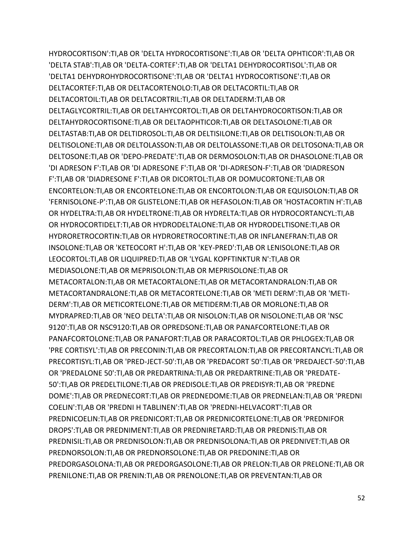HYDROCORTISON':TI,AB OR 'DELTA HYDROCORTISONE':TI,AB OR 'DELTA OPHTICOR':TI,AB OR 'DELTA STAB':TI,AB OR 'DELTA-CORTEF':TI,AB OR 'DELTA1 DEHYDROCORTISOL':TI,AB OR 'DELTA1 DEHYDROHYDROCORTISONE':TI,AB OR 'DELTA1 HYDROCORTISONE':TI,AB OR DELTACORTEF:TI,AB OR DELTACORTENOLO:TI,AB OR DELTACORTIL:TI,AB OR DELTACORTOIL:TI,AB OR DELTACORTRIL:TI,AB OR DELTADERM:TI,AB OR DELTAGLYCORTRIL:TI,AB OR DELTAHYCORTOL:TI,AB OR DELTAHYDROCORTISON:TI,AB OR DELTAHYDROCORTISONE:TI,AB OR DELTAOPHTICOR:TI,AB OR DELTASOLONE:TI,AB OR DELTASTAB:TI,AB OR DELTIDROSOL:TI,AB OR DELTISILONE:TI,AB OR DELTISOLON:TI,AB OR DELTISOLONE:TI,AB OR DELTOLASSON:TI,AB OR DELTOLASSONE:TI,AB OR DELTOSONA:TI,AB OR DELTOSONE:TI,AB OR 'DEPO-PREDATE':TI,AB OR DERMOSOLON:TI,AB OR DHASOLONE:TI,AB OR 'DI ADRESON F':TI,AB OR 'DI ADRESONE F':TI,AB OR 'DI-ADRESON-F':TI,AB OR 'DIADRESON F':TI,AB OR 'DIADRESONE F':TI,AB OR DICORTOL:TI,AB OR DOMUCORTONE:TI,AB OR ENCORTELON:TI,AB OR ENCORTELONE:TI,AB OR ENCORTOLON:TI,AB OR EQUISOLON:TI,AB OR 'FERNISOLONE-P':TI,AB OR GLISTELONE:TI,AB OR HEFASOLON:TI,AB OR 'HOSTACORTIN H':TI,AB OR HYDELTRA:TI,AB OR HYDELTRONE:TI,AB OR HYDRELTA:TI,AB OR HYDROCORTANCYL:TI,AB OR HYDROCORTIDELT:TI,AB OR HYDRODELTALONE:TI,AB OR HYDRODELTISONE:TI,AB OR HYDRORETROCORTIN:TI,AB OR HYDRORETROCORTINE:TI,AB OR INFLANEFRAN:TI,AB OR INSOLONE:TI,AB OR 'KETEOCORT H':TI,AB OR 'KEY-PRED':TI,AB OR LENISOLONE:TI,AB OR LEOCORTOL:TI,AB OR LIQUIPRED:TI,AB OR 'LYGAL KOPFTINKTUR N':TI,AB OR MEDIASOLONE:TI,AB OR MEPRISOLON:TI,AB OR MEPRISOLONE:TI,AB OR METACORTALON:TI,AB OR METACORTALONE:TI,AB OR METACORTANDRALON:TI,AB OR METACORTANDRALONE:TI,AB OR METACORTELONE:TI,AB OR 'METI DERM':TI,AB OR 'METI-DERM':TI,AB OR METICORTELONE:TI,AB OR METIDERM:TI,AB OR MORLONE:TI,AB OR MYDRAPRED:TI,AB OR 'NEO DELTA':TI,AB OR NISOLON:TI,AB OR NISOLONE:TI,AB OR 'NSC 9120':TI,AB OR NSC9120:TI,AB OR OPREDSONE:TI,AB OR PANAFCORTELONE:TI,AB OR PANAFCORTOLONE:TI,AB OR PANAFORT:TI,AB OR PARACORTOL:TI,AB OR PHLOGEX:TI,AB OR 'PRE CORTISYL':TI,AB OR PRECONIN:TI,AB OR PRECORTALON:TI,AB OR PRECORTANCYL:TI,AB OR PRECORTISYL:TI,AB OR 'PRED-JECT-50':TI,AB OR 'PREDACORT 50':TI,AB OR 'PREDAJECT-50':TI,AB OR 'PREDALONE 50':TI,AB OR PREDARTRINA:TI,AB OR PREDARTRINE:TI,AB OR 'PREDATE-50':TI,AB OR PREDELTILONE:TI,AB OR PREDISOLE:TI,AB OR PREDISYR:TI,AB OR 'PREDNE DOME':TI,AB OR PREDNECORT:TI,AB OR PREDNEDOME:TI,AB OR PREDNELAN:TI,AB OR 'PREDNI COELIN':TI,AB OR 'PREDNI H TABLINEN':TI,AB OR 'PREDNI-HELVACORT':TI,AB OR PREDNICOELIN:TI,AB OR PREDNICORT:TI,AB OR PREDNICORTELONE:TI,AB OR 'PREDNIFOR DROPS':TI,AB OR PREDNIMENT:TI,AB OR PREDNIRETARD:TI,AB OR PREDNIS:TI,AB OR PREDNISIL:TI,AB OR PREDNISOLON:TI,AB OR PREDNISOLONA:TI,AB OR PREDNIVET:TI,AB OR PREDNORSOLON:TI,AB OR PREDNORSOLONE:TI,AB OR PREDONINE:TI,AB OR PREDORGASOLONA:TI,AB OR PREDORGASOLONE:TI,AB OR PRELON:TI,AB OR PRELONE:TI,AB OR PRENILONE:TI,AB OR PRENIN:TI,AB OR PRENOLONE:TI,AB OR PREVENTAN:TI,AB OR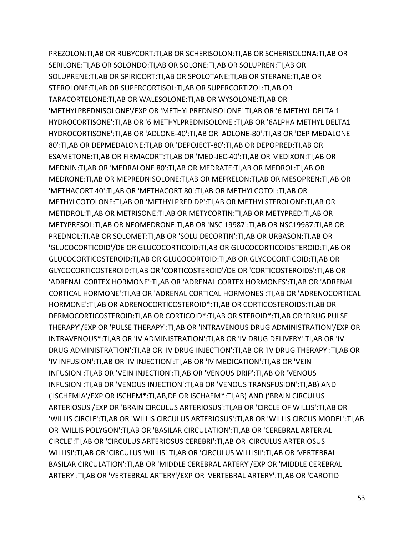PREZOLON:TI,AB OR RUBYCORT:TI,AB OR SCHERISOLON:TI,AB OR SCHERISOLONA:TI,AB OR SERILONE:TI,AB OR SOLONDO:TI,AB OR SOLONE:TI,AB OR SOLUPREN:TI,AB OR SOLUPRENE:TI,AB OR SPIRICORT:TI,AB OR SPOLOTANE:TI,AB OR STERANE:TI,AB OR STEROLONE:TI,AB OR SUPERCORTISOL:TI,AB OR SUPERCORTIZOL:TI,AB OR TARACORTELONE:TI,AB OR WALESOLONE:TI,AB OR WYSOLONE:TI,AB OR 'METHYLPREDNISOLONE'/EXP OR 'METHYLPREDNISOLONE':TI,AB OR '6 METHYL DELTA 1 HYDROCORTISONE':TI,AB OR '6 METHYLPREDNISOLONE':TI,AB OR '6ALPHA METHYL DELTA1 HYDROCORTISONE':TI,AB OR 'ADLONE-40':TI,AB OR 'ADLONE-80':TI,AB OR 'DEP MEDALONE 80':TI,AB OR DEPMEDALONE:TI,AB OR 'DEPOJECT-80':TI,AB OR DEPOPRED:TI,AB OR ESAMETONE:TI,AB OR FIRMACORT:TI,AB OR 'MED-JEC-40':TI,AB OR MEDIXON:TI,AB OR MEDNIN:TI,AB OR 'MEDRALONE 80':TI,AB OR MEDRATE:TI,AB OR MEDROL:TI,AB OR MEDRONE:TI,AB OR MEPREDNISOLONE:TI,AB OR MEPRELON:TI,AB OR MESOPREN:TI,AB OR 'METHACORT 40':TI,AB OR 'METHACORT 80':TI,AB OR METHYLCOTOL:TI,AB OR METHYLCOTOLONE:TI,AB OR 'METHYLPRED DP':TI,AB OR METHYLSTEROLONE:TI,AB OR METIDROL:TI,AB OR METRISONE:TI,AB OR METYCORTIN:TI,AB OR METYPRED:TI,AB OR METYPRESOL:TI,AB OR NEOMEDRONE:TI,AB OR 'NSC 19987':TI,AB OR NSC19987:TI,AB OR PREDNOL:TI,AB OR SOLOMET:TI,AB OR 'SOLU DECORTIN':TI,AB OR URBASON:TI,AB OR 'GLUCOCORTICOID'/DE OR GLUCOCORTICOID:TI,AB OR GLUCOCORTICOIDSTEROID:TI,AB OR GLUCOCORTICOSTEROID:TI,AB OR GLUCOCORTOID:TI,AB OR GLYCOCORTICOID:TI,AB OR GLYCOCORTICOSTEROID:TI,AB OR 'CORTICOSTEROID'/DE OR 'CORTICOSTEROIDS':TI,AB OR 'ADRENAL CORTEX HORMONE':TI,AB OR 'ADRENAL CORTEX HORMONES':TI,AB OR 'ADRENAL CORTICAL HORMONE':TI,AB OR 'ADRENAL CORTICAL HORMONES':TI,AB OR 'ADRENOCORTICAL HORMONE':TI,AB OR ADRENOCORTICOSTEROID\*:TI,AB OR CORTICOSTEROIDS:TI,AB OR DERMOCORTICOSTEROID:TI,AB OR CORTICOID\*:TI,AB OR STEROID\*:TI,AB OR 'DRUG PULSE THERAPY'/EXP OR 'PULSE THERAPY':TI,AB OR 'INTRAVENOUS DRUG ADMINISTRATION'/EXP OR INTRAVENOUS\*:TI,AB OR 'IV ADMINISTRATION':TI,AB OR 'IV DRUG DELIVERY':TI,AB OR 'IV DRUG ADMINISTRATION':TI,AB OR 'IV DRUG INJECTION':TI,AB OR 'IV DRUG THERAPY':TI,AB OR 'IV INFUSION':TI,AB OR 'IV INJECTION':TI,AB OR 'IV MEDICATION':TI,AB OR 'VEIN INFUSION':TI,AB OR 'VEIN INJECTION':TI,AB OR 'VENOUS DRIP':TI,AB OR 'VENOUS INFUSION':TI,AB OR 'VENOUS INJECTION':TI,AB OR 'VENOUS TRANSFUSION':TI,AB) AND ('ISCHEMIA'/EXP OR ISCHEM\*:TI,AB,DE OR ISCHAEM\*:TI,AB) AND ('BRAIN CIRCULUS ARTERIOSUS'/EXP OR 'BRAIN CIRCULUS ARTERIOSUS':TI,AB OR 'CIRCLE OF WILLIS':TI,AB OR 'WILLIS CIRCLE':TI,AB OR 'WILLIS CIRCULUS ARTERIOSUS':TI,AB OR 'WILLIS CIRCUS MODEL':TI,AB OR 'WILLIS POLYGON':TI,AB OR 'BASILAR CIRCULATION':TI,AB OR 'CEREBRAL ARTERIAL CIRCLE':TI,AB OR 'CIRCULUS ARTERIOSUS CEREBRI':TI,AB OR 'CIRCULUS ARTERIOSUS WILLISI':TI,AB OR 'CIRCULUS WILLIS':TI,AB OR 'CIRCULUS WILLISII':TI,AB OR 'VERTEBRAL BASILAR CIRCULATION':TI,AB OR 'MIDDLE CEREBRAL ARTERY'/EXP OR 'MIDDLE CEREBRAL ARTERY':TI,AB OR 'VERTEBRAL ARTERY'/EXP OR 'VERTEBRAL ARTERY':TI,AB OR 'CAROTID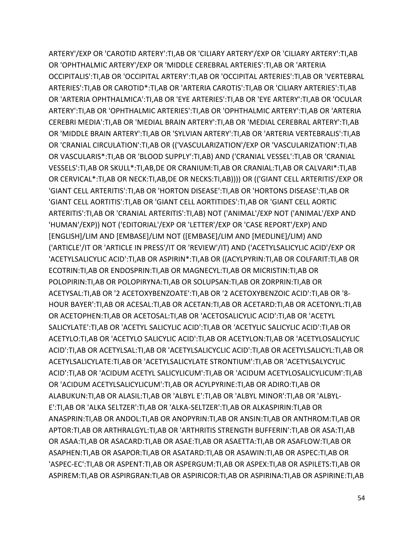ARTERY'/EXP OR 'CAROTID ARTERY':TI,AB OR 'CILIARY ARTERY'/EXP OR 'CILIARY ARTERY':TI,AB OR 'OPHTHALMIC ARTERY'/EXP OR 'MIDDLE CEREBRAL ARTERIES':TI,AB OR 'ARTERIA OCCIPITALIS':TI,AB OR 'OCCIPITAL ARTERY':TI,AB OR 'OCCIPITAL ARTERIES':TI,AB OR 'VERTEBRAL ARTERIES':TI,AB OR CAROTID\*:TI,AB OR 'ARTERIA CAROTIS':TI,AB OR 'CILIARY ARTERIES':TI,AB OR 'ARTERIA OPHTHALMICA':TI,AB OR 'EYE ARTERIES':TI,AB OR 'EYE ARTERY':TI,AB OR 'OCULAR ARTERY':TI,AB OR 'OPHTHALMIC ARTERIES':TI,AB OR 'OPHTHALMIC ARTERY':TI,AB OR 'ARTERIA CEREBRI MEDIA':TI,AB OR 'MEDIAL BRAIN ARTERY':TI,AB OR 'MEDIAL CEREBRAL ARTERY':TI,AB OR 'MIDDLE BRAIN ARTERY':TI,AB OR 'SYLVIAN ARTERY':TI,AB OR 'ARTERIA VERTEBRALIS':TI,AB OR 'CRANIAL CIRCULATION':TI,AB OR (('VASCULARIZATION'/EXP OR 'VASCULARIZATION':TI,AB OR VASCULARIS\*:TI,AB OR 'BLOOD SUPPLY':TI,AB) AND ('CRANIAL VESSEL':TI,AB OR 'CRANIAL VESSELS':TI,AB OR SKULL\*:TI,AB,DE OR CRANIUM:TI,AB OR CRANIAL:TI,AB OR CALVARI\*:TI,AB OR CERVICAL\*:TI,AB OR NECK:TI,AB,DE OR NECKS:TI,AB)))) OR (('GIANT CELL ARTERITIS'/EXP OR 'GIANT CELL ARTERITIS':TI,AB OR 'HORTON DISEASE':TI,AB OR 'HORTONS DISEASE':TI,AB OR 'GIANT CELL AORTITIS':TI,AB OR 'GIANT CELL AORTITIDES':TI,AB OR 'GIANT CELL AORTIC ARTERITIS':TI,AB OR 'CRANIAL ARTERITIS':TI,AB) NOT ('ANIMAL'/EXP NOT ('ANIMAL'/EXP AND 'HUMAN'/EXP)) NOT ('EDITORIAL'/EXP OR 'LETTER'/EXP OR 'CASE REPORT'/EXP) AND [ENGLISH]/LIM AND [EMBASE]/LIM NOT ([EMBASE]/LIM AND [MEDLINE]/LIM) AND ('ARTICLE'/IT OR 'ARTICLE IN PRESS'/IT OR 'REVIEW'/IT) AND ('ACETYLSALICYLIC ACID'/EXP OR 'ACETYLSALICYLIC ACID':TI,AB OR ASPIRIN\*:TI,AB OR ((ACYLPYRIN:TI,AB OR COLFARIT:TI,AB OR ECOTRIN:TI,AB OR ENDOSPRIN:TI,AB OR MAGNECYL:TI,AB OR MICRISTIN:TI,AB OR POLOPIRIN:TI,AB OR POLOPIRYNA:TI,AB OR SOLUPSAN:TI,AB OR ZORPRIN:TI,AB OR ACETYSAL:TI,AB OR '2 ACETOXYBENZOATE':TI,AB OR '2 ACETOXYBENZOIC ACID':TI,AB OR '8- HOUR BAYER':TI,AB OR ACESAL:TI,AB OR ACETAN:TI,AB OR ACETARD:TI,AB OR ACETONYL:TI,AB OR ACETOPHEN:TI,AB OR ACETOSAL:TI,AB OR 'ACETOSALICYLIC ACID':TI,AB OR 'ACETYL SALICYLATE':TI,AB OR 'ACETYL SALICYLIC ACID':TI,AB OR 'ACETYLIC SALICYLIC ACID':TI,AB OR ACETYLO:TI,AB OR 'ACETYLO SALICYLIC ACID':TI,AB OR ACETYLON:TI,AB OR 'ACETYLOSALICYLIC ACID':TI,AB OR ACETYLSAL:TI,AB OR 'ACETYLSALICYCLIC ACID':TI,AB OR ACETYLSALICYL:TI,AB OR ACETYLSALICYLATE:TI,AB OR 'ACETYLSALICYLATE STRONTIUM':TI,AB OR 'ACETYLSALYCYLIC ACID':TI,AB OR 'ACIDUM ACETYL SALICYLICUM':TI,AB OR 'ACIDUM ACETYLOSALICYLICUM':TI,AB OR 'ACIDUM ACETYLSALICYLICUM':TI,AB OR ACYLPYRINE:TI,AB OR ADIRO:TI,AB OR ALABUKUN:TI,AB OR ALASIL:TI,AB OR 'ALBYL E':TI,AB OR 'ALBYL MINOR':TI,AB OR 'ALBYL-E':TI,AB OR 'ALKA SELTZER':TI,AB OR 'ALKA-SELTZER':TI,AB OR ALKASPIRIN:TI,AB OR ANASPRIN:TI,AB OR ANDOL:TI,AB OR ANOPYRIN:TI,AB OR ANSIN:TI,AB OR ANTHROM:TI,AB OR APTOR:TI,AB OR ARTHRALGYL:TI,AB OR 'ARTHRITIS STRENGTH BUFFERIN':TI,AB OR ASA:TI,AB OR ASAA:TI,AB OR ASACARD:TI,AB OR ASAE:TI,AB OR ASAETTA:TI,AB OR ASAFLOW:TI,AB OR ASAPHEN:TI,AB OR ASAPOR:TI,AB OR ASATARD:TI,AB OR ASAWIN:TI,AB OR ASPEC:TI,AB OR 'ASPEC-EC':TI,AB OR ASPENT:TI,AB OR ASPERGUM:TI,AB OR ASPEX:TI,AB OR ASPILETS:TI,AB OR ASPIREM:TI,AB OR ASPIRGRAN:TI,AB OR ASPIRICOR:TI,AB OR ASPIRINA:TI,AB OR ASPIRINE:TI,AB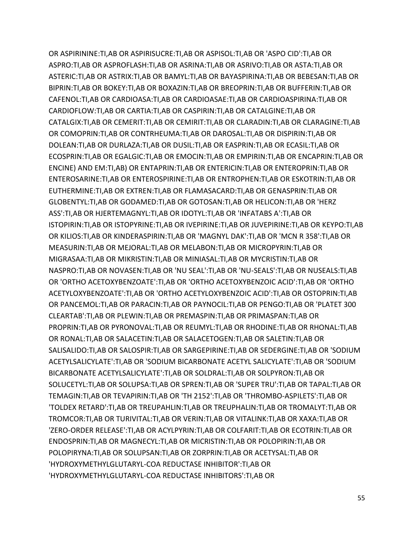OR ASPIRININE:TI,AB OR ASPIRISUCRE:TI,AB OR ASPISOL:TI,AB OR 'ASPO CID':TI,AB OR ASPRO:TI,AB OR ASPROFLASH:TI,AB OR ASRINA:TI,AB OR ASRIVO:TI,AB OR ASTA:TI,AB OR ASTERIC:TI,AB OR ASTRIX:TI,AB OR BAMYL:TI,AB OR BAYASPIRINA:TI,AB OR BEBESAN:TI,AB OR BIPRIN:TI,AB OR BOKEY:TI,AB OR BOXAZIN:TI,AB OR BREOPRIN:TI,AB OR BUFFERIN:TI,AB OR CAFENOL:TI,AB OR CARDIOASA:TI,AB OR CARDIOASAE:TI,AB OR CARDIOASPIRINA:TI,AB OR CARDIOFLOW:TI,AB OR CARTIA:TI,AB OR CASPIRIN:TI,AB OR CATALGINE:TI,AB OR CATALGIX:TI,AB OR CEMERIT:TI,AB OR CEMIRIT:TI,AB OR CLARADIN:TI,AB OR CLARAGINE:TI,AB OR COMOPRIN:TI,AB OR CONTRHEUMA:TI,AB OR DAROSAL:TI,AB OR DISPIRIN:TI,AB OR DOLEAN:TI,AB OR DURLAZA:TI,AB OR DUSIL:TI,AB OR EASPRIN:TI,AB OR ECASIL:TI,AB OR ECOSPRIN:TI,AB OR EGALGIC:TI,AB OR EMOCIN:TI,AB OR EMPIRIN:TI,AB OR ENCAPRIN:TI,AB OR ENCINE) AND EM:TI,AB) OR ENTAPRIN:TI,AB OR ENTERICIN:TI,AB OR ENTEROPRIN:TI,AB OR ENTEROSARINE:TI,AB OR ENTEROSPIRINE:TI,AB OR ENTROPHEN:TI,AB OR ESKOTRIN:TI,AB OR EUTHERMINE:TI,AB OR EXTREN:TI,AB OR FLAMASACARD:TI,AB OR GENASPRIN:TI,AB OR GLOBENTYL:TI,AB OR GODAMED:TI,AB OR GOTOSAN:TI,AB OR HELICON:TI,AB OR 'HERZ ASS':TI,AB OR HJERTEMAGNYL:TI,AB OR IDOTYL:TI,AB OR 'INFATABS A':TI,AB OR ISTOPIRIN:TI,AB OR ISTOPYRINE:TI,AB OR IVEPIRINE:TI,AB OR JUVEPIRINE:TI,AB OR KEYPO:TI,AB OR KILIOS:TI,AB OR KINDERASPIRIN:TI,AB OR 'MAGNYL DAK':TI,AB OR 'MCN R 358':TI,AB OR MEASURIN:TI,AB OR MEJORAL:TI,AB OR MELABON:TI,AB OR MICROPYRIN:TI,AB OR MIGRASAA:TI,AB OR MIKRISTIN:TI,AB OR MINIASAL:TI,AB OR MYCRISTIN:TI,AB OR NASPRO:TI,AB OR NOVASEN:TI,AB OR 'NU SEAL':TI,AB OR 'NU-SEALS':TI,AB OR NUSEALS:TI,AB OR 'ORTHO ACETOXYBENZOATE':TI,AB OR 'ORTHO ACETOXYBENZOIC ACID':TI,AB OR 'ORTHO ACETYLOXYBENZOATE':TI,AB OR 'ORTHO ACETYLOXYBENZOIC ACID':TI,AB OR OSTOPRIN:TI,AB OR PANCEMOL:TI,AB OR PARACIN:TI,AB OR PAYNOCIL:TI,AB OR PENGO:TI,AB OR 'PLATET 300 CLEARTAB':TI,AB OR PLEWIN:TI,AB OR PREMASPIN:TI,AB OR PRIMASPAN:TI,AB OR PROPRIN:TI,AB OR PYRONOVAL:TI,AB OR REUMYL:TI,AB OR RHODINE:TI,AB OR RHONAL:TI,AB OR RONAL:TI,AB OR SALACETIN:TI,AB OR SALACETOGEN:TI,AB OR SALETIN:TI,AB OR SALISALIDO:TI,AB OR SALOSPIR:TI,AB OR SARGEPIRINE:TI,AB OR SEDERGINE:TI,AB OR 'SODIUM ACETYLSALICYLATE':TI,AB OR 'SODIUM BICARBONATE ACETYL SALICYLATE':TI,AB OR 'SODIUM BICARBONATE ACETYLSALICYLATE':TI,AB OR SOLDRAL:TI,AB OR SOLPYRON:TI,AB OR SOLUCETYL:TI,AB OR SOLUPSA:TI,AB OR SPREN:TI,AB OR 'SUPER TRU':TI,AB OR TAPAL:TI,AB OR TEMAGIN:TI,AB OR TEVAPIRIN:TI,AB OR 'TH 2152':TI,AB OR 'THROMBO-ASPILETS':TI,AB OR 'TOLDEX RETARD':TI,AB OR TREUPAHLIN:TI,AB OR TREUPHALIN:TI,AB OR TROMALYT:TI,AB OR TROMCOR:TI,AB OR TURIVITAL:TI,AB OR VERIN:TI,AB OR VITALINK:TI,AB OR XAXA:TI,AB OR 'ZERO-ORDER RELEASE':TI,AB OR ACYLPYRIN:TI,AB OR COLFARIT:TI,AB OR ECOTRIN:TI,AB OR ENDOSPRIN:TI,AB OR MAGNECYL:TI,AB OR MICRISTIN:TI,AB OR POLOPIRIN:TI,AB OR POLOPIRYNA:TI,AB OR SOLUPSAN:TI,AB OR ZORPRIN:TI,AB OR ACETYSAL:TI,AB OR 'HYDROXYMETHYLGLUTARYL-COA REDUCTASE INHIBITOR':TI,AB OR 'HYDROXYMETHYLGLUTARYL-COA REDUCTASE INHIBITORS':TI,AB OR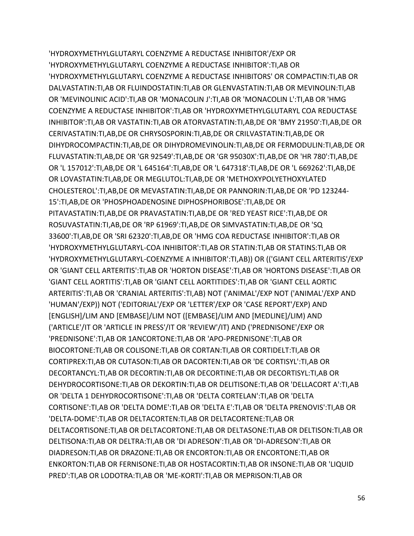'HYDROXYMETHYLGLUTARYL COENZYME A REDUCTASE INHIBITOR'/EXP OR 'HYDROXYMETHYLGLUTARYL COENZYME A REDUCTASE INHIBITOR':TI,AB OR 'HYDROXYMETHYLGLUTARYL COENZYME A REDUCTASE INHIBITORS' OR COMPACTIN:TI,AB OR DALVASTATIN:TI,AB OR FLUINDOSTATIN:TI,AB OR GLENVASTATIN:TI,AB OR MEVINOLIN:TI,AB OR 'MEVINOLINIC ACID':TI,AB OR 'MONACOLIN J':TI,AB OR 'MONACOLIN L':TI,AB OR 'HMG COENZYME A REDUCTASE INHIBITOR':TI,AB OR 'HYDROXYMETHYLGLUTARYL COA REDUCTASE INHIBITOR':TI,AB OR VASTATIN:TI,AB OR ATORVASTATIN:TI,AB,DE OR 'BMY 21950':TI,AB,DE OR CERIVASTATIN:TI,AB,DE OR CHRYSOSPORIN:TI,AB,DE OR CRILVASTATIN:TI,AB,DE OR DIHYDROCOMPACTIN:TI,AB,DE OR DIHYDROMEVINOLIN:TI,AB,DE OR FERMODULIN:TI,AB,DE OR FLUVASTATIN:TI,AB,DE OR 'GR 92549':TI,AB,DE OR 'GR 95030X':TI,AB,DE OR 'HR 780':TI,AB,DE OR 'L 157012':TI,AB,DE OR 'L 645164':TI,AB,DE OR 'L 647318':TI,AB,DE OR 'L 669262':TI,AB,DE OR LOVASTATIN:TI,AB,DE OR MEGLUTOL:TI,AB,DE OR 'METHOXYPOLYETHOXYLATED CHOLESTEROL':TI,AB,DE OR MEVASTATIN:TI,AB,DE OR PANNORIN:TI,AB,DE OR 'PD 123244- 15':TI,AB,DE OR 'PHOSPHOADENOSINE DIPHOSPHORIBOSE':TI,AB,DE OR PITAVASTATIN:TI,AB,DE OR PRAVASTATIN:TI,AB,DE OR 'RED YEAST RICE':TI,AB,DE OR ROSUVASTATIN:TI,AB,DE OR 'RP 61969':TI,AB,DE OR SIMVASTATIN:TI,AB,DE OR 'SQ 33600':TI,AB,DE OR 'SRI 62320':TI,AB,DE OR 'HMG COA REDUCTASE INHIBITOR':TI,AB OR 'HYDROXYMETHYLGLUTARYL-COA INHIBITOR':TI,AB OR STATIN:TI,AB OR STATINS:TI,AB OR 'HYDROXYMETHYLGLUTARYL-COENZYME A INHIBITOR':TI,AB)) OR (('GIANT CELL ARTERITIS'/EXP OR 'GIANT CELL ARTERITIS':TI,AB OR 'HORTON DISEASE':TI,AB OR 'HORTONS DISEASE':TI,AB OR 'GIANT CELL AORTITIS':TI,AB OR 'GIANT CELL AORTITIDES':TI,AB OR 'GIANT CELL AORTIC ARTERITIS':TI,AB OR 'CRANIAL ARTERITIS':TI,AB) NOT ('ANIMAL'/EXP NOT ('ANIMAL'/EXP AND 'HUMAN'/EXP)) NOT ('EDITORIAL'/EXP OR 'LETTER'/EXP OR 'CASE REPORT'/EXP) AND [ENGLISH]/LIM AND [EMBASE]/LIM NOT ([EMBASE]/LIM AND [MEDLINE]/LIM) AND ('ARTICLE'/IT OR 'ARTICLE IN PRESS'/IT OR 'REVIEW'/IT) AND ('PREDNISONE'/EXP OR 'PREDNISONE':TI,AB OR 1ANCORTONE:TI,AB OR 'APO-PREDNISONE':TI,AB OR BIOCORTONE:TI,AB OR COLISONE:TI,AB OR CORTAN:TI,AB OR CORTIDELT:TI,AB OR CORTIPREX:TI,AB OR CUTASON:TI,AB OR DACORTEN:TI,AB OR 'DE CORTISYL':TI,AB OR DECORTANCYL:TI,AB OR DECORTIN:TI,AB OR DECORTINE:TI,AB OR DECORTISYL:TI,AB OR DEHYDROCORTISONE:TI,AB OR DEKORTIN:TI,AB OR DELITISONE:TI,AB OR 'DELLACORT A':TI,AB OR 'DELTA 1 DEHYDROCORTISONE':TI,AB OR 'DELTA CORTELAN':TI,AB OR 'DELTA CORTISONE':TI,AB OR 'DELTA DOME':TI,AB OR 'DELTA E':TI,AB OR 'DELTA PRENOVIS':TI,AB OR 'DELTA-DOME':TI,AB OR DELTACORTEN:TI,AB OR DELTACORTENE:TI,AB OR DELTACORTISONE:TI,AB OR DELTACORTONE:TI,AB OR DELTASONE:TI,AB OR DELTISON:TI,AB OR DELTISONA:TI,AB OR DELTRA:TI,AB OR 'DI ADRESON':TI,AB OR 'DI-ADRESON':TI,AB OR DIADRESON:TI,AB OR DRAZONE:TI,AB OR ENCORTON:TI,AB OR ENCORTONE:TI,AB OR ENKORTON:TI,AB OR FERNISONE:TI,AB OR HOSTACORTIN:TI,AB OR INSONE:TI,AB OR 'LIQUID PRED':TI,AB OR LODOTRA:TI,AB OR 'ME-KORTI':TI,AB OR MEPRISON:TI,AB OR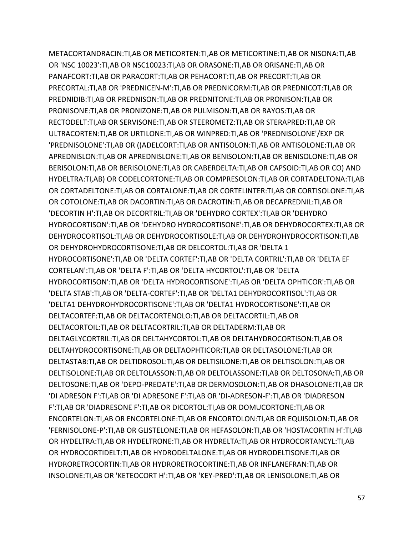METACORTANDRACIN:TI,AB OR METICORTEN:TI,AB OR METICORTINE:TI,AB OR NISONA:TI,AB OR 'NSC 10023':TI,AB OR NSC10023:TI,AB OR ORASONE:TI,AB OR ORISANE:TI,AB OR PANAFCORT:TI,AB OR PARACORT:TI,AB OR PEHACORT:TI,AB OR PRECORT:TI,AB OR PRECORTAL:TI,AB OR 'PREDNICEN-M':TI,AB OR PREDNICORM:TI,AB OR PREDNICOT:TI,AB OR PREDNIDIB:TI,AB OR PREDNISON:TI,AB OR PREDNITONE:TI,AB OR PRONISON:TI,AB OR PRONISONE:TI,AB OR PRONIZONE:TI,AB OR PULMISON:TI,AB OR RAYOS:TI,AB OR RECTODELT:TI,AB OR SERVISONE:TI,AB OR STEEROMETZ:TI,AB OR STERAPRED:TI,AB OR ULTRACORTEN:TI,AB OR URTILONE:TI,AB OR WINPRED:TI,AB OR 'PREDNISOLONE'/EXP OR 'PREDNISOLONE':TI,AB OR ((ADELCORT:TI,AB OR ANTISOLON:TI,AB OR ANTISOLONE:TI,AB OR APREDNISLON:TI,AB OR APREDNISLONE:TI,AB OR BENISOLON:TI,AB OR BENISOLONE:TI,AB OR BERISOLON:TI,AB OR BERISOLONE:TI,AB OR CABERDELTA:TI,AB OR CAPSOID:TI,AB OR CO) AND HYDELTRA:TI,AB) OR CODELCORTONE:TI,AB OR COMPRESOLON:TI,AB OR CORTADELTONA:TI,AB OR CORTADELTONE:TI,AB OR CORTALONE:TI,AB OR CORTELINTER:TI,AB OR CORTISOLONE:TI,AB OR COTOLONE:TI,AB OR DACORTIN:TI,AB OR DACROTIN:TI,AB OR DECAPREDNIL:TI,AB OR 'DECORTIN H':TI,AB OR DECORTRIL:TI,AB OR 'DEHYDRO CORTEX':TI,AB OR 'DEHYDRO HYDROCORTISON':TI,AB OR 'DEHYDRO HYDROCORTISONE':TI,AB OR DEHYDROCORTEX:TI,AB OR DEHYDROCORTISOL:TI,AB OR DEHYDROCORTISOLE:TI,AB OR DEHYDROHYDROCORTISON:TI,AB OR DEHYDROHYDROCORTISONE:TI,AB OR DELCORTOL:TI,AB OR 'DELTA 1 HYDROCORTISONE':TI,AB OR 'DELTA CORTEF':TI,AB OR 'DELTA CORTRIL':TI,AB OR 'DELTA EF CORTELAN':TI,AB OR 'DELTA F':TI,AB OR 'DELTA HYCORTOL':TI,AB OR 'DELTA HYDROCORTISON':TI,AB OR 'DELTA HYDROCORTISONE':TI,AB OR 'DELTA OPHTICOR':TI,AB OR 'DELTA STAB':TI,AB OR 'DELTA-CORTEF':TI,AB OR 'DELTA1 DEHYDROCORTISOL':TI,AB OR 'DELTA1 DEHYDROHYDROCORTISONE':TI,AB OR 'DELTA1 HYDROCORTISONE':TI,AB OR DELTACORTEF:TI,AB OR DELTACORTENOLO:TI,AB OR DELTACORTIL:TI,AB OR DELTACORTOIL:TI,AB OR DELTACORTRIL:TI,AB OR DELTADERM:TI,AB OR DELTAGLYCORTRIL:TI,AB OR DELTAHYCORTOL:TI,AB OR DELTAHYDROCORTISON:TI,AB OR DELTAHYDROCORTISONE:TI,AB OR DELTAOPHTICOR:TI,AB OR DELTASOLONE:TI,AB OR DELTASTAB:TI,AB OR DELTIDROSOL:TI,AB OR DELTISILONE:TI,AB OR DELTISOLON:TI,AB OR DELTISOLONE:TI,AB OR DELTOLASSON:TI,AB OR DELTOLASSONE:TI,AB OR DELTOSONA:TI,AB OR DELTOSONE:TI,AB OR 'DEPO-PREDATE':TI,AB OR DERMOSOLON:TI,AB OR DHASOLONE:TI,AB OR 'DI ADRESON F':TI,AB OR 'DI ADRESONE F':TI,AB OR 'DI-ADRESON-F':TI,AB OR 'DIADRESON F':TI,AB OR 'DIADRESONE F':TI,AB OR DICORTOL:TI,AB OR DOMUCORTONE:TI,AB OR ENCORTELON:TI,AB OR ENCORTELONE:TI,AB OR ENCORTOLON:TI,AB OR EQUISOLON:TI,AB OR 'FERNISOLONE-P':TI,AB OR GLISTELONE:TI,AB OR HEFASOLON:TI,AB OR 'HOSTACORTIN H':TI,AB OR HYDELTRA:TI,AB OR HYDELTRONE:TI,AB OR HYDRELTA:TI,AB OR HYDROCORTANCYL:TI,AB OR HYDROCORTIDELT:TI,AB OR HYDRODELTALONE:TI,AB OR HYDRODELTISONE:TI,AB OR HYDRORETROCORTIN:TI,AB OR HYDRORETROCORTINE:TI,AB OR INFLANEFRAN:TI,AB OR INSOLONE:TI,AB OR 'KETEOCORT H':TI,AB OR 'KEY-PRED':TI,AB OR LENISOLONE:TI,AB OR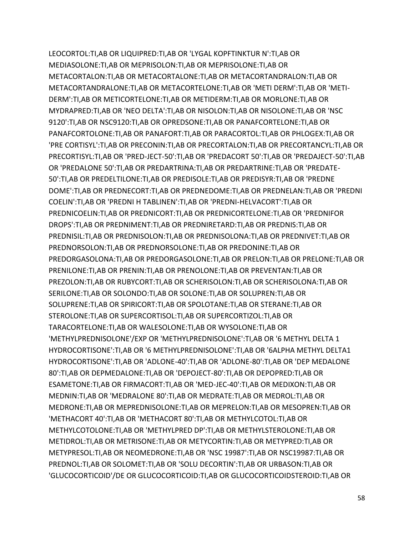LEOCORTOL:TI,AB OR LIQUIPRED:TI,AB OR 'LYGAL KOPFTINKTUR N':TI,AB OR MEDIASOLONE:TI,AB OR MEPRISOLON:TI,AB OR MEPRISOLONE:TI,AB OR METACORTALON:TI,AB OR METACORTALONE:TI,AB OR METACORTANDRALON:TI,AB OR METACORTANDRALONE:TI,AB OR METACORTELONE:TI,AB OR 'METI DERM':TI,AB OR 'METI-DERM':TI,AB OR METICORTELONE:TI,AB OR METIDERM:TI,AB OR MORLONE:TI,AB OR MYDRAPRED:TI,AB OR 'NEO DELTA':TI,AB OR NISOLON:TI,AB OR NISOLONE:TI,AB OR 'NSC 9120':TI,AB OR NSC9120:TI,AB OR OPREDSONE:TI,AB OR PANAFCORTELONE:TI,AB OR PANAFCORTOLONE:TI,AB OR PANAFORT:TI,AB OR PARACORTOL:TI,AB OR PHLOGEX:TI,AB OR 'PRE CORTISYL':TI,AB OR PRECONIN:TI,AB OR PRECORTALON:TI,AB OR PRECORTANCYL:TI,AB OR PRECORTISYL:TI,AB OR 'PRED-JECT-50':TI,AB OR 'PREDACORT 50':TI,AB OR 'PREDAJECT-50':TI,AB OR 'PREDALONE 50':TI,AB OR PREDARTRINA:TI,AB OR PREDARTRINE:TI,AB OR 'PREDATE-50':TI,AB OR PREDELTILONE:TI,AB OR PREDISOLE:TI,AB OR PREDISYR:TI,AB OR 'PREDNE DOME':TI,AB OR PREDNECORT:TI,AB OR PREDNEDOME:TI,AB OR PREDNELAN:TI,AB OR 'PREDNI COELIN':TI,AB OR 'PREDNI H TABLINEN':TI,AB OR 'PREDNI-HELVACORT':TI,AB OR PREDNICOELIN:TI,AB OR PREDNICORT:TI,AB OR PREDNICORTELONE:TI,AB OR 'PREDNIFOR DROPS':TI,AB OR PREDNIMENT:TI,AB OR PREDNIRETARD:TI,AB OR PREDNIS:TI,AB OR PREDNISIL:TI,AB OR PREDNISOLON:TI,AB OR PREDNISOLONA:TI,AB OR PREDNIVET:TI,AB OR PREDNORSOLON:TI,AB OR PREDNORSOLONE:TI,AB OR PREDONINE:TI,AB OR PREDORGASOLONA:TI,AB OR PREDORGASOLONE:TI,AB OR PRELON:TI,AB OR PRELONE:TI,AB OR PRENILONE:TI,AB OR PRENIN:TI,AB OR PRENOLONE:TI,AB OR PREVENTAN:TI,AB OR PREZOLON:TI,AB OR RUBYCORT:TI,AB OR SCHERISOLON:TI,AB OR SCHERISOLONA:TI,AB OR SERILONE:TI,AB OR SOLONDO:TI,AB OR SOLONE:TI,AB OR SOLUPREN:TI,AB OR SOLUPRENE:TI,AB OR SPIRICORT:TI,AB OR SPOLOTANE:TI,AB OR STERANE:TI,AB OR STEROLONE:TI,AB OR SUPERCORTISOL:TI,AB OR SUPERCORTIZOL:TI,AB OR TARACORTELONE:TI,AB OR WALESOLONE:TI,AB OR WYSOLONE:TI,AB OR 'METHYLPREDNISOLONE'/EXP OR 'METHYLPREDNISOLONE':TI,AB OR '6 METHYL DELTA 1 HYDROCORTISONE':TI,AB OR '6 METHYLPREDNISOLONE':TI,AB OR '6ALPHA METHYL DELTA1 HYDROCORTISONE':TI,AB OR 'ADLONE-40':TI,AB OR 'ADLONE-80':TI,AB OR 'DEP MEDALONE 80':TI,AB OR DEPMEDALONE:TI,AB OR 'DEPOJECT-80':TI,AB OR DEPOPRED:TI,AB OR ESAMETONE:TI,AB OR FIRMACORT:TI,AB OR 'MED-JEC-40':TI,AB OR MEDIXON:TI,AB OR MEDNIN:TI,AB OR 'MEDRALONE 80':TI,AB OR MEDRATE:TI,AB OR MEDROL:TI,AB OR MEDRONE:TI,AB OR MEPREDNISOLONE:TI,AB OR MEPRELON:TI,AB OR MESOPREN:TI,AB OR 'METHACORT 40':TI,AB OR 'METHACORT 80':TI,AB OR METHYLCOTOL:TI,AB OR METHYLCOTOLONE:TI,AB OR 'METHYLPRED DP':TI,AB OR METHYLSTEROLONE:TI,AB OR METIDROL:TI,AB OR METRISONE:TI,AB OR METYCORTIN:TI,AB OR METYPRED:TI,AB OR METYPRESOL:TI,AB OR NEOMEDRONE:TI,AB OR 'NSC 19987':TI,AB OR NSC19987:TI,AB OR PREDNOL:TI,AB OR SOLOMET:TI,AB OR 'SOLU DECORTIN':TI,AB OR URBASON:TI,AB OR 'GLUCOCORTICOID'/DE OR GLUCOCORTICOID:TI,AB OR GLUCOCORTICOIDSTEROID:TI,AB OR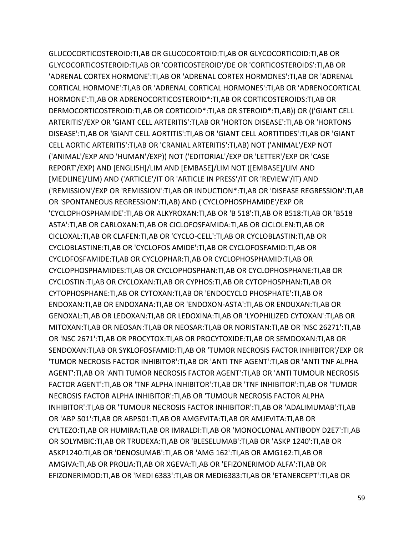GLUCOCORTICOSTEROID:TI,AB OR GLUCOCORTOID:TI,AB OR GLYCOCORTICOID:TI,AB OR GLYCOCORTICOSTEROID:TI,AB OR 'CORTICOSTEROID'/DE OR 'CORTICOSTEROIDS':TI,AB OR 'ADRENAL CORTEX HORMONE':TI,AB OR 'ADRENAL CORTEX HORMONES':TI,AB OR 'ADRENAL CORTICAL HORMONE':TI,AB OR 'ADRENAL CORTICAL HORMONES':TI,AB OR 'ADRENOCORTICAL HORMONE':TI,AB OR ADRENOCORTICOSTEROID\*:TI,AB OR CORTICOSTEROIDS:TI,AB OR DERMOCORTICOSTEROID:TI,AB OR CORTICOID\*:TI,AB OR STEROID\*:TI,AB)) OR (('GIANT CELL ARTERITIS'/EXP OR 'GIANT CELL ARTERITIS':TI,AB OR 'HORTON DISEASE':TI,AB OR 'HORTONS DISEASE':TI,AB OR 'GIANT CELL AORTITIS':TI,AB OR 'GIANT CELL AORTITIDES':TI,AB OR 'GIANT CELL AORTIC ARTERITIS':TI,AB OR 'CRANIAL ARTERITIS':TI,AB) NOT ('ANIMAL'/EXP NOT ('ANIMAL'/EXP AND 'HUMAN'/EXP)) NOT ('EDITORIAL'/EXP OR 'LETTER'/EXP OR 'CASE REPORT'/EXP) AND [ENGLISH]/LIM AND [EMBASE]/LIM NOT ([EMBASE]/LIM AND [MEDLINE]/LIM) AND ('ARTICLE'/IT OR 'ARTICLE IN PRESS'/IT OR 'REVIEW'/IT) AND ('REMISSION'/EXP OR 'REMISSION':TI,AB OR INDUCTION\*:TI,AB OR 'DISEASE REGRESSION':TI,AB OR 'SPONTANEOUS REGRESSION':TI,AB) AND ('CYCLOPHOSPHAMIDE'/EXP OR 'CYCLOPHOSPHAMIDE':TI,AB OR ALKYROXAN:TI,AB OR 'B 518':TI,AB OR B518:TI,AB OR 'B518 ASTA':TI,AB OR CARLOXAN:TI,AB OR CICLOFOSFAMIDA:TI,AB OR CICLOLEN:TI,AB OR CICLOXAL:TI,AB OR CLAFEN:TI,AB OR 'CYCLO-CELL':TI,AB OR CYCLOBLASTIN:TI,AB OR CYCLOBLASTINE:TI,AB OR 'CYCLOFOS AMIDE':TI,AB OR CYCLOFOSFAMID:TI,AB OR CYCLOFOSFAMIDE:TI,AB OR CYCLOPHAR:TI,AB OR CYCLOPHOSPHAMID:TI,AB OR CYCLOPHOSPHAMIDES:TI,AB OR CYCLOPHOSPHAN:TI,AB OR CYCLOPHOSPHANE:TI,AB OR CYCLOSTIN:TI,AB OR CYCLOXAN:TI,AB OR CYPHOS:TI,AB OR CYTOPHOSPHAN:TI,AB OR CYTOPHOSPHANE:TI,AB OR CYTOXAN:TI,AB OR 'ENDOCYCLO PHOSPHATE':TI,AB OR ENDOXAN:TI,AB OR ENDOXANA:TI,AB OR 'ENDOXON-ASTA':TI,AB OR ENDUXAN:TI,AB OR GENOXAL:TI,AB OR LEDOXAN:TI,AB OR LEDOXINA:TI,AB OR 'LYOPHILIZED CYTOXAN':TI,AB OR MITOXAN:TI,AB OR NEOSAN:TI,AB OR NEOSAR:TI,AB OR NORISTAN:TI,AB OR 'NSC 26271':TI,AB OR 'NSC 2671':TI,AB OR PROCYTOX:TI,AB OR PROCYTOXIDE:TI,AB OR SEMDOXAN:TI,AB OR SENDOXAN:TI,AB OR SYKLOFOSFAMID:TI,AB OR 'TUMOR NECROSIS FACTOR INHIBITOR'/EXP OR 'TUMOR NECROSIS FACTOR INHIBITOR':TI,AB OR 'ANTI TNF AGENT':TI,AB OR 'ANTI TNF ALPHA AGENT':TI,AB OR 'ANTI TUMOR NECROSIS FACTOR AGENT':TI,AB OR 'ANTI TUMOUR NECROSIS FACTOR AGENT':TI,AB OR 'TNF ALPHA INHIBITOR':TI,AB OR 'TNF INHIBITOR':TI,AB OR 'TUMOR NECROSIS FACTOR ALPHA INHIBITOR':TI,AB OR 'TUMOUR NECROSIS FACTOR ALPHA INHIBITOR':TI,AB OR 'TUMOUR NECROSIS FACTOR INHIBITOR':TI,AB OR 'ADALIMUMAB':TI,AB OR 'ABP 501':TI,AB OR ABP501:TI,AB OR AMGEVITA:TI,AB OR AMJEVITA:TI,AB OR CYLTEZO:TI,AB OR HUMIRA:TI,AB OR IMRALDI:TI,AB OR 'MONOCLONAL ANTIBODY D2E7':TI,AB OR SOLYMBIC:TI,AB OR TRUDEXA:TI,AB OR 'BLESELUMAB':TI,AB OR 'ASKP 1240':TI,AB OR ASKP1240:TI,AB OR 'DENOSUMAB':TI,AB OR 'AMG 162':TI,AB OR AMG162:TI,AB OR AMGIVA:TI,AB OR PROLIA:TI,AB OR XGEVA:TI,AB OR 'EFIZONERIMOD ALFA':TI,AB OR EFIZONERIMOD:TI,AB OR 'MEDI 6383':TI,AB OR MEDI6383:TI,AB OR 'ETANERCEPT':TI,AB OR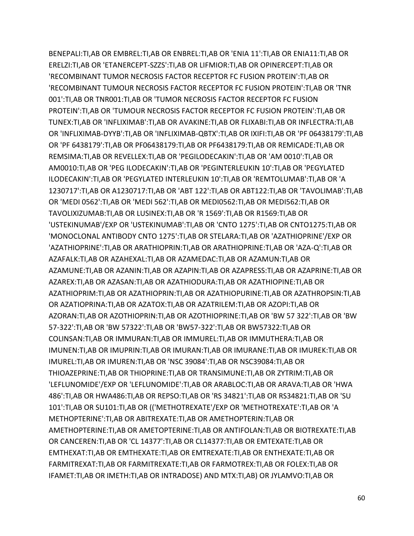BENEPALI:TI,AB OR EMBREL:TI,AB OR ENBREL:TI,AB OR 'ENIA 11':TI,AB OR ENIA11:TI,AB OR ERELZI:TI,AB OR 'ETANERCEPT-SZZS':TI,AB OR LIFMIOR:TI,AB OR OPINERCEPT:TI,AB OR 'RECOMBINANT TUMOR NECROSIS FACTOR RECEPTOR FC FUSION PROTEIN':TI,AB OR 'RECOMBINANT TUMOUR NECROSIS FACTOR RECEPTOR FC FUSION PROTEIN':TI,AB OR 'TNR 001':TI,AB OR TNR001:TI,AB OR 'TUMOR NECROSIS FACTOR RECEPTOR FC FUSION PROTEIN':TI,AB OR 'TUMOUR NECROSIS FACTOR RECEPTOR FC FUSION PROTEIN':TI,AB OR TUNEX:TI,AB OR 'INFLIXIMAB':TI,AB OR AVAKINE:TI,AB OR FLIXABI:TI,AB OR INFLECTRA:TI,AB OR 'INFLIXIMAB-DYYB':TI,AB OR 'INFLIXIMAB-QBTX':TI,AB OR IXIFI:TI,AB OR 'PF 06438179':TI,AB OR 'PF 6438179':TI,AB OR PF06438179:TI,AB OR PF6438179:TI,AB OR REMICADE:TI,AB OR REMSIMA:TI,AB OR REVELLEX:TI,AB OR 'PEGILODECAKIN':TI,AB OR 'AM 0010':TI,AB OR AM0010:TI,AB OR 'PEG ILODECAKIN':TI,AB OR 'PEGINTERLEUKIN 10':TI,AB OR 'PEGYLATED ILODECAKIN':TI,AB OR 'PEGYLATED INTERLEUKIN 10':TI,AB OR 'REMTOLUMAB':TI,AB OR 'A 1230717':TI,AB OR A1230717:TI,AB OR 'ABT 122':TI,AB OR ABT122:TI,AB OR 'TAVOLIMAB':TI,AB OR 'MEDI 0562':TI,AB OR 'MEDI 562':TI,AB OR MEDI0562:TI,AB OR MEDI562:TI,AB OR TAVOLIXIZUMAB:TI,AB OR LUSINEX:TI,AB OR 'R 1569':TI,AB OR R1569:TI,AB OR 'USTEKINUMAB'/EXP OR 'USTEKINUMAB':TI,AB OR 'CNTO 1275':TI,AB OR CNTO1275:TI,AB OR 'MONOCLONAL ANTIBODY CNTO 1275':TI,AB OR STELARA:TI,AB OR 'AZATHIOPRINE'/EXP OR 'AZATHIOPRINE':TI,AB OR ARATHIOPRIN:TI,AB OR ARATHIOPRINE:TI,AB OR 'AZA-Q':TI,AB OR AZAFALK:TI,AB OR AZAHEXAL:TI,AB OR AZAMEDAC:TI,AB OR AZAMUN:TI,AB OR AZAMUNE:TI,AB OR AZANIN:TI,AB OR AZAPIN:TI,AB OR AZAPRESS:TI,AB OR AZAPRINE:TI,AB OR AZAREX:TI,AB OR AZASAN:TI,AB OR AZATHIODURA:TI,AB OR AZATHIOPINE:TI,AB OR AZATHIOPRIM:TI,AB OR AZATHIOPRIN:TI,AB OR AZATHIOPURINE:TI,AB OR AZATHROPSIN:TI,AB OR AZATIOPRINA:TI,AB OR AZATOX:TI,AB OR AZATRILEM:TI,AB OR AZOPI:TI,AB OR AZORAN:TI,AB OR AZOTHIOPRIN:TI,AB OR AZOTHIOPRINE:TI,AB OR 'BW 57 322':TI,AB OR 'BW 57-322':TI,AB OR 'BW 57322':TI,AB OR 'BW57-322':TI,AB OR BW57322:TI,AB OR COLINSAN:TI,AB OR IMMURAN:TI,AB OR IMMUREL:TI,AB OR IMMUTHERA:TI,AB OR IMUNEN:TI,AB OR IMUPRIN:TI,AB OR IMURAN:TI,AB OR IMURANE:TI,AB OR IMUREK:TI,AB OR IMUREL:TI,AB OR IMUREN:TI,AB OR 'NSC 39084':TI,AB OR NSC39084:TI,AB OR THIOAZEPRINE:TI,AB OR THIOPRINE:TI,AB OR TRANSIMUNE:TI,AB OR ZYTRIM:TI,AB OR 'LEFLUNOMIDE'/EXP OR 'LEFLUNOMIDE':TI,AB OR ARABLOC:TI,AB OR ARAVA:TI,AB OR 'HWA 486':TI,AB OR HWA486:TI,AB OR REPSO:TI,AB OR 'RS 34821':TI,AB OR RS34821:TI,AB OR 'SU 101':TI,AB OR SU101:TI,AB OR (('METHOTREXATE'/EXP OR 'METHOTREXATE':TI,AB OR 'A METHOPTERINE':TI,AB OR ABITREXATE:TI,AB OR AMETHOPTERIN:TI,AB OR AMETHOPTERINE:TI,AB OR AMETOPTERINE:TI,AB OR ANTIFOLAN:TI,AB OR BIOTREXATE:TI,AB OR CANCEREN:TI,AB OR 'CL 14377':TI,AB OR CL14377:TI,AB OR EMTEXATE:TI,AB OR EMTHEXAT:TI,AB OR EMTHEXATE:TI,AB OR EMTREXATE:TI,AB OR ENTHEXATE:TI,AB OR FARMITREXAT:TI,AB OR FARMITREXATE:TI,AB OR FARMOTREX:TI,AB OR FOLEX:TI,AB OR IFAMET:TI,AB OR IMETH:TI,AB OR INTRADOSE) AND MTX:TI,AB) OR JYLAMVO:TI,AB OR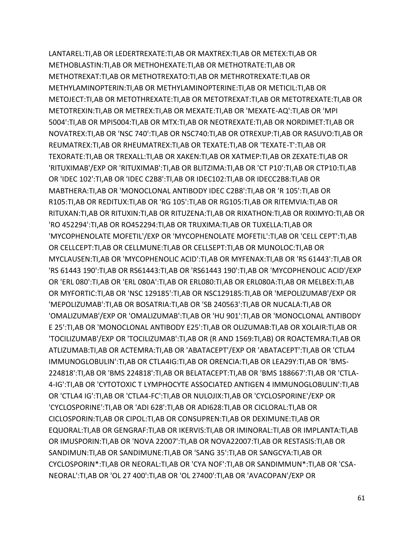LANTAREL:TI,AB OR LEDERTREXATE:TI,AB OR MAXTREX:TI,AB OR METEX:TI,AB OR METHOBLASTIN:TI,AB OR METHOHEXATE:TI,AB OR METHOTRATE:TI,AB OR METHOTREXAT:TI,AB OR METHOTREXATO:TI,AB OR METHROTREXATE:TI,AB OR METHYLAMINOPTERIN:TI,AB OR METHYLAMINOPTERINE:TI,AB OR METICIL:TI,AB OR METOJECT:TI,AB OR METOTHREXATE:TI,AB OR METOTREXAT:TI,AB OR METOTREXATE:TI,AB OR METOTREXIN:TI,AB OR METREX:TI,AB OR MEXATE:TI,AB OR 'MEXATE-AQ':TI,AB OR 'MPI 5004':TI,AB OR MPI5004:TI,AB OR MTX:TI,AB OR NEOTREXATE:TI,AB OR NORDIMET:TI,AB OR NOVATREX:TI,AB OR 'NSC 740':TI,AB OR NSC740:TI,AB OR OTREXUP:TI,AB OR RASUVO:TI,AB OR REUMATREX:TI,AB OR RHEUMATREX:TI,AB OR TEXATE:TI,AB OR 'TEXATE-T':TI,AB OR TEXORATE:TI,AB OR TREXALL:TI,AB OR XAKEN:TI,AB OR XATMEP:TI,AB OR ZEXATE:TI,AB OR 'RITUXIMAB'/EXP OR 'RITUXIMAB':TI,AB OR BLITZIMA:TI,AB OR 'CT P10':TI,AB OR CTP10:TI,AB OR 'IDEC 102':TI,AB OR 'IDEC C2B8':TI,AB OR IDEC102:TI,AB OR IDECC2B8:TI,AB OR MABTHERA:TI,AB OR 'MONOCLONAL ANTIBODY IDEC C2B8':TI,AB OR 'R 105':TI,AB OR R105:TI,AB OR REDITUX:TI,AB OR 'RG 105':TI,AB OR RG105:TI,AB OR RITEMVIA:TI,AB OR RITUXAN:TI,AB OR RITUXIN:TI,AB OR RITUZENA:TI,AB OR RIXATHON:TI,AB OR RIXIMYO:TI,AB OR 'RO 452294':TI,AB OR RO452294:TI,AB OR TRUXIMA:TI,AB OR TUXELLA:TI,AB OR 'MYCOPHENOLATE MOFETIL'/EXP OR 'MYCOPHENOLATE MOFETIL':TI,AB OR 'CELL CEPT':TI,AB OR CELLCEPT:TI,AB OR CELLMUNE:TI,AB OR CELLSEPT:TI,AB OR MUNOLOC:TI,AB OR MYCLAUSEN:TI,AB OR 'MYCOPHENOLIC ACID':TI,AB OR MYFENAX:TI,AB OR 'RS 61443':TI,AB OR 'RS 61443 190':TI,AB OR RS61443:TI,AB OR 'RS61443 190':TI,AB OR 'MYCOPHENOLIC ACID'/EXP OR 'ERL 080':TI,AB OR 'ERL 080A':TI,AB OR ERL080:TI,AB OR ERL080A:TI,AB OR MELBEX:TI,AB OR MYFORTIC:TI,AB OR 'NSC 129185':TI,AB OR NSC129185:TI,AB OR 'MEPOLIZUMAB'/EXP OR 'MEPOLIZUMAB':TI,AB OR BOSATRIA:TI,AB OR 'SB 240563':TI,AB OR NUCALA:TI,AB OR 'OMALIZUMAB'/EXP OR 'OMALIZUMAB':TI,AB OR 'HU 901':TI,AB OR 'MONOCLONAL ANTIBODY E 25':TI,AB OR 'MONOCLONAL ANTIBODY E25':TI,AB OR OLIZUMAB:TI,AB OR XOLAIR:TI,AB OR 'TOCILIZUMAB'/EXP OR 'TOCILIZUMAB':TI,AB OR (R AND 1569:TI,AB) OR ROACTEMRA:TI,AB OR ATLIZUMAB:TI,AB OR ACTEMRA:TI,AB OR 'ABATACEPT'/EXP OR 'ABATACEPT':TI,AB OR 'CTLA4 IMMUNOGLOBULIN':TI,AB OR CTLA4IG:TI,AB OR ORENCIA:TI,AB OR LEA29Y:TI,AB OR 'BMS-224818':TI,AB OR 'BMS 224818':TI,AB OR BELATACEPT:TI,AB OR 'BMS 188667':TI,AB OR 'CTLA-4-IG':TI,AB OR 'CYTOTOXIC T LYMPHOCYTE ASSOCIATED ANTIGEN 4 IMMUNOGLOBULIN':TI,AB OR 'CTLA4 IG':TI,AB OR 'CTLA4-FC':TI,AB OR NULOJIX:TI,AB OR 'CYCLOSPORINE'/EXP OR 'CYCLOSPORINE':TI,AB OR 'ADI 628':TI,AB OR ADI628:TI,AB OR CICLORAL:TI,AB OR CICLOSPORIN:TI,AB OR CIPOL:TI,AB OR CONSUPREN:TI,AB OR DEXIMUNE:TI,AB OR EQUORAL:TI,AB OR GENGRAF:TI,AB OR IKERVIS:TI,AB OR IMINORAL:TI,AB OR IMPLANTA:TI,AB OR IMUSPORIN:TI,AB OR 'NOVA 22007':TI,AB OR NOVA22007:TI,AB OR RESTASIS:TI,AB OR SANDIMUN:TI,AB OR SANDIMUNE:TI,AB OR 'SANG 35':TI,AB OR SANGCYA:TI,AB OR CYCLOSPORIN\*:TI,AB OR NEORAL:TI,AB OR 'CYA NOF':TI,AB OR SANDIMMUN\*:TI,AB OR 'CSA-NEORAL':TI,AB OR 'OL 27 400':TI,AB OR 'OL 27400':TI,AB OR 'AVACOPAN'/EXP OR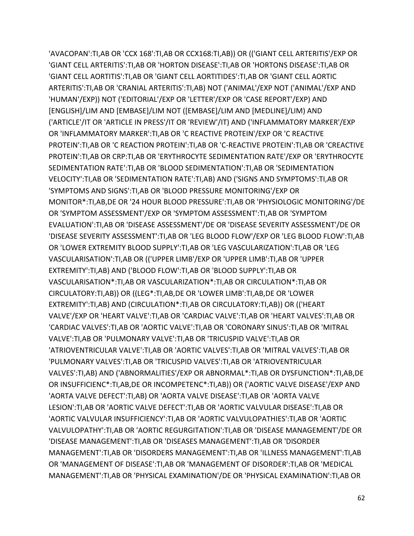'AVACOPAN':TI,AB OR 'CCX 168':TI,AB OR CCX168:TI,AB)) OR (('GIANT CELL ARTERITIS'/EXP OR 'GIANT CELL ARTERITIS':TI,AB OR 'HORTON DISEASE':TI,AB OR 'HORTONS DISEASE':TI,AB OR 'GIANT CELL AORTITIS':TI,AB OR 'GIANT CELL AORTITIDES':TI,AB OR 'GIANT CELL AORTIC ARTERITIS':TI,AB OR 'CRANIAL ARTERITIS':TI,AB) NOT ('ANIMAL'/EXP NOT ('ANIMAL'/EXP AND 'HUMAN'/EXP)) NOT ('EDITORIAL'/EXP OR 'LETTER'/EXP OR 'CASE REPORT'/EXP) AND [ENGLISH]/LIM AND [EMBASE]/LIM NOT ([EMBASE]/LIM AND [MEDLINE]/LIM) AND ('ARTICLE'/IT OR 'ARTICLE IN PRESS'/IT OR 'REVIEW'/IT) AND ('INFLAMMATORY MARKER'/EXP OR 'INFLAMMATORY MARKER':TI,AB OR 'C REACTIVE PROTEIN'/EXP OR 'C REACTIVE PROTEIN':TI,AB OR 'C REACTION PROTEIN':TI,AB OR 'C-REACTIVE PROTEIN':TI,AB OR 'CREACTIVE PROTEIN':TI,AB OR CRP:TI,AB OR 'ERYTHROCYTE SEDIMENTATION RATE'/EXP OR 'ERYTHROCYTE SEDIMENTATION RATE':TI,AB OR 'BLOOD SEDIMENTATION':TI,AB OR 'SEDIMENTATION VELOCITY':TI,AB OR 'SEDIMENTATION RATE':TI,AB) AND ('SIGNS AND SYMPTOMS':TI,AB OR 'SYMPTOMS AND SIGNS':TI,AB OR 'BLOOD PRESSURE MONITORING'/EXP OR MONITOR\*:TI,AB,DE OR '24 HOUR BLOOD PRESSURE':TI,AB OR 'PHYSIOLOGIC MONITORING'/DE OR 'SYMPTOM ASSESSMENT'/EXP OR 'SYMPTOM ASSESSMENT':TI,AB OR 'SYMPTOM EVALUATION':TI,AB OR 'DISEASE ASSESSMENT'/DE OR 'DISEASE SEVERITY ASSESSMENT'/DE OR 'DISEASE SEVERITY ASSESSMENT':TI,AB OR 'LEG BLOOD FLOW'/EXP OR 'LEG BLOOD FLOW':TI,AB OR 'LOWER EXTREMITY BLOOD SUPPLY':TI,AB OR 'LEG VASCULARIZATION':TI,AB OR 'LEG VASCULARISATION':TI,AB OR (('UPPER LIMB'/EXP OR 'UPPER LIMB':TI,AB OR 'UPPER EXTREMITY':TI,AB) AND ('BLOOD FLOW':TI,AB OR 'BLOOD SUPPLY':TI,AB OR VASCULARISATION\*:TI,AB OR VASCULARIZATION\*:TI,AB OR CIRCULATION\*:TI,AB OR CIRCULATORY:TI,AB)) OR ((LEG\*:TI,AB,DE OR 'LOWER LIMB':TI,AB,DE OR 'LOWER EXTREMITY':TI,AB) AND (CIRCULATION\*:TI,AB OR CIRCULATORY:TI,AB)) OR (('HEART VALVE'/EXP OR 'HEART VALVE':TI,AB OR 'CARDIAC VALVE':TI,AB OR 'HEART VALVES':TI,AB OR 'CARDIAC VALVES':TI,AB OR 'AORTIC VALVE':TI,AB OR 'CORONARY SINUS':TI,AB OR 'MITRAL VALVE':TI,AB OR 'PULMONARY VALVE':TI,AB OR 'TRICUSPID VALVE':TI,AB OR 'ATRIOVENTRICULAR VALVE':TI,AB OR 'AORTIC VALVES':TI,AB OR 'MITRAL VALVES':TI,AB OR 'PULMONARY VALVES':TI,AB OR 'TRICUSPID VALVES':TI,AB OR 'ATRIOVENTRICULAR VALVES':TI,AB) AND ('ABNORMALITIES'/EXP OR ABNORMAL\*:TI,AB OR DYSFUNCTION\*:TI,AB,DE OR INSUFFICIENC\*:TI,AB,DE OR INCOMPETENC\*:TI,AB)) OR ('AORTIC VALVE DISEASE'/EXP AND 'AORTA VALVE DEFECT':TI,AB) OR 'AORTA VALVE DISEASE':TI,AB OR 'AORTA VALVE LESION':TI,AB OR 'AORTIC VALVE DEFECT':TI,AB OR 'AORTIC VALVULAR DISEASE':TI,AB OR 'AORTIC VALVULAR INSUFFICIENCY':TI,AB OR 'AORTIC VALVULOPATHIES':TI,AB OR 'AORTIC VALVULOPATHY':TI,AB OR 'AORTIC REGURGITATION':TI,AB OR 'DISEASE MANAGEMENT'/DE OR 'DISEASE MANAGEMENT':TI,AB OR 'DISEASES MANAGEMENT':TI,AB OR 'DISORDER MANAGEMENT':TI,AB OR 'DISORDERS MANAGEMENT':TI,AB OR 'ILLNESS MANAGEMENT':TI,AB OR 'MANAGEMENT OF DISEASE':TI,AB OR 'MANAGEMENT OF DISORDER':TI,AB OR 'MEDICAL MANAGEMENT':TI,AB OR 'PHYSICAL EXAMINATION'/DE OR 'PHYSICAL EXAMINATION':TI,AB OR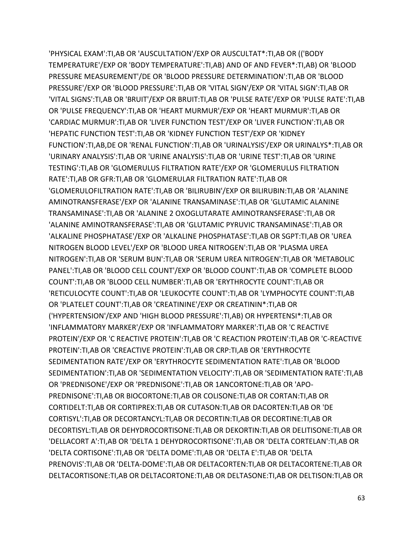'PHYSICAL EXAM':TI,AB OR 'AUSCULTATION'/EXP OR AUSCULTAT\*:TI,AB OR (('BODY TEMPERATURE'/EXP OR 'BODY TEMPERATURE':TI,AB) AND OF AND FEVER\*:TI,AB) OR 'BLOOD PRESSURE MEASUREMENT'/DE OR 'BLOOD PRESSURE DETERMINATION':TI,AB OR 'BLOOD PRESSURE'/EXP OR 'BLOOD PRESSURE':TI,AB OR 'VITAL SIGN'/EXP OR 'VITAL SIGN':TI,AB OR 'VITAL SIGNS':TI,AB OR 'BRUIT'/EXP OR BRUIT:TI,AB OR 'PULSE RATE'/EXP OR 'PULSE RATE':TI,AB OR 'PULSE FREQUENCY':TI,AB OR 'HEART MURMUR'/EXP OR 'HEART MURMUR':TI,AB OR 'CARDIAC MURMUR':TI,AB OR 'LIVER FUNCTION TEST'/EXP OR 'LIVER FUNCTION':TI,AB OR 'HEPATIC FUNCTION TEST':TI,AB OR 'KIDNEY FUNCTION TEST'/EXP OR 'KIDNEY FUNCTION':TI,AB,DE OR 'RENAL FUNCTION':TI,AB OR 'URINALYSIS'/EXP OR URINALYS\*:TI,AB OR 'URINARY ANALYSIS':TI,AB OR 'URINE ANALYSIS':TI,AB OR 'URINE TEST':TI,AB OR 'URINE TESTING':TI,AB OR 'GLOMERULUS FILTRATION RATE'/EXP OR 'GLOMERULUS FILTRATION RATE':TI,AB OR GFR:TI,AB OR 'GLOMERULAR FILTRATION RATE':TI,AB OR 'GLOMERULOFILTRATION RATE':TI,AB OR 'BILIRUBIN'/EXP OR BILIRUBIN:TI,AB OR 'ALANINE AMINOTRANSFERASE'/EXP OR 'ALANINE TRANSAMINASE':TI,AB OR 'GLUTAMIC ALANINE TRANSAMINASE':TI,AB OR 'ALANINE 2 OXOGLUTARATE AMINOTRANSFERASE':TI,AB OR 'ALANINE AMINOTRANSFERASE':TI,AB OR 'GLUTAMIC PYRUVIC TRANSAMINASE':TI,AB OR 'ALKALINE PHOSPHATASE'/EXP OR 'ALKALINE PHOSPHATASE':TI,AB OR SGPT:TI,AB OR 'UREA NITROGEN BLOOD LEVEL'/EXP OR 'BLOOD UREA NITROGEN':TI,AB OR 'PLASMA UREA NITROGEN':TI,AB OR 'SERUM BUN':TI,AB OR 'SERUM UREA NITROGEN':TI,AB OR 'METABOLIC PANEL':TI,AB OR 'BLOOD CELL COUNT'/EXP OR 'BLOOD COUNT':TI,AB OR 'COMPLETE BLOOD COUNT':TI,AB OR 'BLOOD CELL NUMBER':TI,AB OR 'ERYTHROCYTE COUNT':TI,AB OR 'RETICULOCYTE COUNT':TI,AB OR 'LEUKOCYTE COUNT':TI,AB OR 'LYMPHOCYTE COUNT':TI,AB OR 'PLATELET COUNT':TI,AB OR 'CREATININE'/EXP OR CREATININ\*:TI,AB OR ('HYPERTENSION'/EXP AND 'HIGH BLOOD PRESSURE':TI,AB) OR HYPERTENSI\*:TI,AB OR 'INFLAMMATORY MARKER'/EXP OR 'INFLAMMATORY MARKER':TI,AB OR 'C REACTIVE PROTEIN'/EXP OR 'C REACTIVE PROTEIN':TI,AB OR 'C REACTION PROTEIN':TI,AB OR 'C-REACTIVE PROTEIN':TI,AB OR 'CREACTIVE PROTEIN':TI,AB OR CRP:TI,AB OR 'ERYTHROCYTE SEDIMENTATION RATE'/EXP OR 'ERYTHROCYTE SEDIMENTATION RATE':TI,AB OR 'BLOOD SEDIMENTATION':TI,AB OR 'SEDIMENTATION VELOCITY':TI,AB OR 'SEDIMENTATION RATE':TI,AB OR 'PREDNISONE'/EXP OR 'PREDNISONE':TI,AB OR 1ANCORTONE:TI,AB OR 'APO-PREDNISONE':TI,AB OR BIOCORTONE:TI,AB OR COLISONE:TI,AB OR CORTAN:TI,AB OR CORTIDELT:TI,AB OR CORTIPREX:TI,AB OR CUTASON:TI,AB OR DACORTEN:TI,AB OR 'DE CORTISYL':TI,AB OR DECORTANCYL:TI,AB OR DECORTIN:TI,AB OR DECORTINE:TI,AB OR DECORTISYL:TI,AB OR DEHYDROCORTISONE:TI,AB OR DEKORTIN:TI,AB OR DELITISONE:TI,AB OR 'DELLACORT A':TI,AB OR 'DELTA 1 DEHYDROCORTISONE':TI,AB OR 'DELTA CORTELAN':TI,AB OR 'DELTA CORTISONE':TI,AB OR 'DELTA DOME':TI,AB OR 'DELTA E':TI,AB OR 'DELTA PRENOVIS':TI,AB OR 'DELTA-DOME':TI,AB OR DELTACORTEN:TI,AB OR DELTACORTENE:TI,AB OR DELTACORTISONE:TI,AB OR DELTACORTONE:TI,AB OR DELTASONE:TI,AB OR DELTISON:TI,AB OR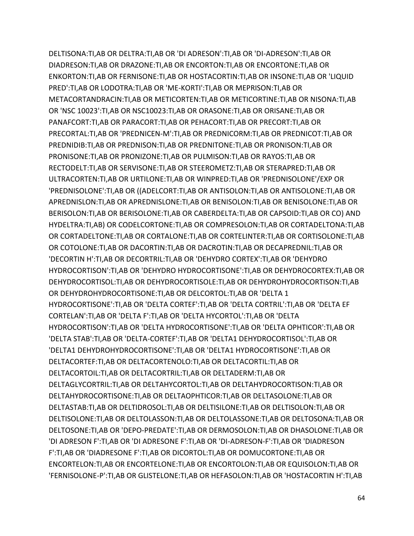DELTISONA:TI,AB OR DELTRA:TI,AB OR 'DI ADRESON':TI,AB OR 'DI-ADRESON':TI,AB OR DIADRESON:TI,AB OR DRAZONE:TI,AB OR ENCORTON:TI,AB OR ENCORTONE:TI,AB OR ENKORTON:TI,AB OR FERNISONE:TI,AB OR HOSTACORTIN:TI,AB OR INSONE:TI,AB OR 'LIQUID PRED':TI,AB OR LODOTRA:TI,AB OR 'ME-KORTI':TI,AB OR MEPRISON:TI,AB OR METACORTANDRACIN:TI,AB OR METICORTEN:TI,AB OR METICORTINE:TI,AB OR NISONA:TI,AB OR 'NSC 10023':TI,AB OR NSC10023:TI,AB OR ORASONE:TI,AB OR ORISANE:TI,AB OR PANAFCORT:TI,AB OR PARACORT:TI,AB OR PEHACORT:TI,AB OR PRECORT:TI,AB OR PRECORTAL:TI,AB OR 'PREDNICEN-M':TI,AB OR PREDNICORM:TI,AB OR PREDNICOT:TI,AB OR PREDNIDIB:TI,AB OR PREDNISON:TI,AB OR PREDNITONE:TI,AB OR PRONISON:TI,AB OR PRONISONE:TI,AB OR PRONIZONE:TI,AB OR PULMISON:TI,AB OR RAYOS:TI,AB OR RECTODELT:TI,AB OR SERVISONE:TI,AB OR STEEROMETZ:TI,AB OR STERAPRED:TI,AB OR ULTRACORTEN:TI,AB OR URTILONE:TI,AB OR WINPRED:TI,AB OR 'PREDNISOLONE'/EXP OR 'PREDNISOLONE':TI,AB OR ((ADELCORT:TI,AB OR ANTISOLON:TI,AB OR ANTISOLONE:TI,AB OR APREDNISLON:TI,AB OR APREDNISLONE:TI,AB OR BENISOLON:TI,AB OR BENISOLONE:TI,AB OR BERISOLON:TI,AB OR BERISOLONE:TI,AB OR CABERDELTA:TI,AB OR CAPSOID:TI,AB OR CO) AND HYDELTRA:TI,AB) OR CODELCORTONE:TI,AB OR COMPRESOLON:TI,AB OR CORTADELTONA:TI,AB OR CORTADELTONE:TI,AB OR CORTALONE:TI,AB OR CORTELINTER:TI,AB OR CORTISOLONE:TI,AB OR COTOLONE:TI,AB OR DACORTIN:TI,AB OR DACROTIN:TI,AB OR DECAPREDNIL:TI,AB OR 'DECORTIN H':TI,AB OR DECORTRIL:TI,AB OR 'DEHYDRO CORTEX':TI,AB OR 'DEHYDRO HYDROCORTISON':TI,AB OR 'DEHYDRO HYDROCORTISONE':TI,AB OR DEHYDROCORTEX:TI,AB OR DEHYDROCORTISOL:TI,AB OR DEHYDROCORTISOLE:TI,AB OR DEHYDROHYDROCORTISON:TI,AB OR DEHYDROHYDROCORTISONE:TI,AB OR DELCORTOL:TI,AB OR 'DELTA 1 HYDROCORTISONE':TI,AB OR 'DELTA CORTEF':TI,AB OR 'DELTA CORTRIL':TI,AB OR 'DELTA EF CORTELAN':TI,AB OR 'DELTA F':TI,AB OR 'DELTA HYCORTOL':TI,AB OR 'DELTA HYDROCORTISON':TI,AB OR 'DELTA HYDROCORTISONE':TI,AB OR 'DELTA OPHTICOR':TI,AB OR 'DELTA STAB':TI,AB OR 'DELTA-CORTEF':TI,AB OR 'DELTA1 DEHYDROCORTISOL':TI,AB OR 'DELTA1 DEHYDROHYDROCORTISONE':TI,AB OR 'DELTA1 HYDROCORTISONE':TI,AB OR DELTACORTEF:TI,AB OR DELTACORTENOLO:TI,AB OR DELTACORTIL:TI,AB OR DELTACORTOIL:TI,AB OR DELTACORTRIL:TI,AB OR DELTADERM:TI,AB OR DELTAGLYCORTRIL:TI,AB OR DELTAHYCORTOL:TI,AB OR DELTAHYDROCORTISON:TI,AB OR DELTAHYDROCORTISONE:TI,AB OR DELTAOPHTICOR:TI,AB OR DELTASOLONE:TI,AB OR DELTASTAB:TI,AB OR DELTIDROSOL:TI,AB OR DELTISILONE:TI,AB OR DELTISOLON:TI,AB OR DELTISOLONE:TI,AB OR DELTOLASSON:TI,AB OR DELTOLASSONE:TI,AB OR DELTOSONA:TI,AB OR DELTOSONE:TI,AB OR 'DEPO-PREDATE':TI,AB OR DERMOSOLON:TI,AB OR DHASOLONE:TI,AB OR 'DI ADRESON F':TI,AB OR 'DI ADRESONE F':TI,AB OR 'DI-ADRESON-F':TI,AB OR 'DIADRESON F':TI,AB OR 'DIADRESONE F':TI,AB OR DICORTOL:TI,AB OR DOMUCORTONE:TI,AB OR ENCORTELON:TI,AB OR ENCORTELONE:TI,AB OR ENCORTOLON:TI,AB OR EQUISOLON:TI,AB OR 'FERNISOLONE-P':TI,AB OR GLISTELONE:TI,AB OR HEFASOLON:TI,AB OR 'HOSTACORTIN H':TI,AB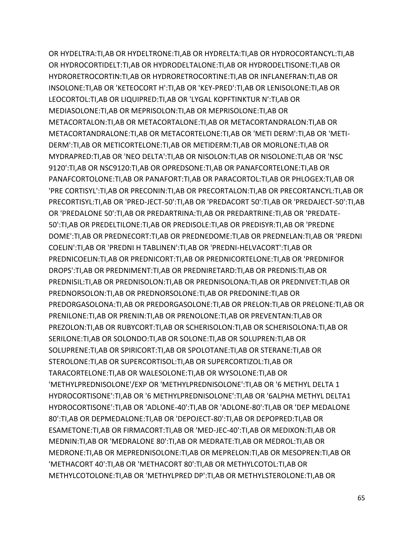OR HYDELTRA:TI,AB OR HYDELTRONE:TI,AB OR HYDRELTA:TI,AB OR HYDROCORTANCYL:TI,AB OR HYDROCORTIDELT:TI,AB OR HYDRODELTALONE:TI,AB OR HYDRODELTISONE:TI,AB OR HYDRORETROCORTIN:TI,AB OR HYDRORETROCORTINE:TI,AB OR INFLANEFRAN:TI,AB OR INSOLONE:TI,AB OR 'KETEOCORT H':TI,AB OR 'KEY-PRED':TI,AB OR LENISOLONE:TI,AB OR LEOCORTOL:TI,AB OR LIQUIPRED:TI,AB OR 'LYGAL KOPFTINKTUR N':TI,AB OR MEDIASOLONE:TI,AB OR MEPRISOLON:TI,AB OR MEPRISOLONE:TI,AB OR METACORTALON:TI,AB OR METACORTALONE:TI,AB OR METACORTANDRALON:TI,AB OR METACORTANDRALONE:TI,AB OR METACORTELONE:TI,AB OR 'METI DERM':TI,AB OR 'METI-DERM':TI,AB OR METICORTELONE:TI,AB OR METIDERM:TI,AB OR MORLONE:TI,AB OR MYDRAPRED:TI,AB OR 'NEO DELTA':TI,AB OR NISOLON:TI,AB OR NISOLONE:TI,AB OR 'NSC 9120':TI,AB OR NSC9120:TI,AB OR OPREDSONE:TI,AB OR PANAFCORTELONE:TI,AB OR PANAFCORTOLONE:TI,AB OR PANAFORT:TI,AB OR PARACORTOL:TI,AB OR PHLOGEX:TI,AB OR 'PRE CORTISYL':TI,AB OR PRECONIN:TI,AB OR PRECORTALON:TI,AB OR PRECORTANCYL:TI,AB OR PRECORTISYL:TI,AB OR 'PRED-JECT-50':TI,AB OR 'PREDACORT 50':TI,AB OR 'PREDAJECT-50':TI,AB OR 'PREDALONE 50':TI,AB OR PREDARTRINA:TI,AB OR PREDARTRINE:TI,AB OR 'PREDATE-50':TI,AB OR PREDELTILONE:TI,AB OR PREDISOLE:TI,AB OR PREDISYR:TI,AB OR 'PREDNE DOME':TI,AB OR PREDNECORT:TI,AB OR PREDNEDOME:TI,AB OR PREDNELAN:TI,AB OR 'PREDNI COELIN':TI,AB OR 'PREDNI H TABLINEN':TI,AB OR 'PREDNI-HELVACORT':TI,AB OR PREDNICOELIN:TI,AB OR PREDNICORT:TI,AB OR PREDNICORTELONE:TI,AB OR 'PREDNIFOR DROPS':TI,AB OR PREDNIMENT:TI,AB OR PREDNIRETARD:TI,AB OR PREDNIS:TI,AB OR PREDNISIL:TI,AB OR PREDNISOLON:TI,AB OR PREDNISOLONA:TI,AB OR PREDNIVET:TI,AB OR PREDNORSOLON:TI,AB OR PREDNORSOLONE:TI,AB OR PREDONINE:TI,AB OR PREDORGASOLONA:TI,AB OR PREDORGASOLONE:TI,AB OR PRELON:TI,AB OR PRELONE:TI,AB OR PRENILONE:TI,AB OR PRENIN:TI,AB OR PRENOLONE:TI,AB OR PREVENTAN:TI,AB OR PREZOLON:TI,AB OR RUBYCORT:TI,AB OR SCHERISOLON:TI,AB OR SCHERISOLONA:TI,AB OR SERILONE:TI,AB OR SOLONDO:TI,AB OR SOLONE:TI,AB OR SOLUPREN:TI,AB OR SOLUPRENE:TI,AB OR SPIRICORT:TI,AB OR SPOLOTANE:TI,AB OR STERANE:TI,AB OR STEROLONE:TI,AB OR SUPERCORTISOL:TI,AB OR SUPERCORTIZOL:TI,AB OR TARACORTELONE:TI,AB OR WALESOLONE:TI,AB OR WYSOLONE:TI,AB OR 'METHYLPREDNISOLONE'/EXP OR 'METHYLPREDNISOLONE':TI,AB OR '6 METHYL DELTA 1 HYDROCORTISONE':TI,AB OR '6 METHYLPREDNISOLONE':TI,AB OR '6ALPHA METHYL DELTA1 HYDROCORTISONE':TI,AB OR 'ADLONE-40':TI,AB OR 'ADLONE-80':TI,AB OR 'DEP MEDALONE 80':TI,AB OR DEPMEDALONE:TI,AB OR 'DEPOJECT-80':TI,AB OR DEPOPRED:TI,AB OR ESAMETONE:TI,AB OR FIRMACORT:TI,AB OR 'MED-JEC-40':TI,AB OR MEDIXON:TI,AB OR MEDNIN:TI,AB OR 'MEDRALONE 80':TI,AB OR MEDRATE:TI,AB OR MEDROL:TI,AB OR MEDRONE:TI,AB OR MEPREDNISOLONE:TI,AB OR MEPRELON:TI,AB OR MESOPREN:TI,AB OR 'METHACORT 40':TI,AB OR 'METHACORT 80':TI,AB OR METHYLCOTOL:TI,AB OR METHYLCOTOLONE:TI,AB OR 'METHYLPRED DP':TI,AB OR METHYLSTEROLONE:TI,AB OR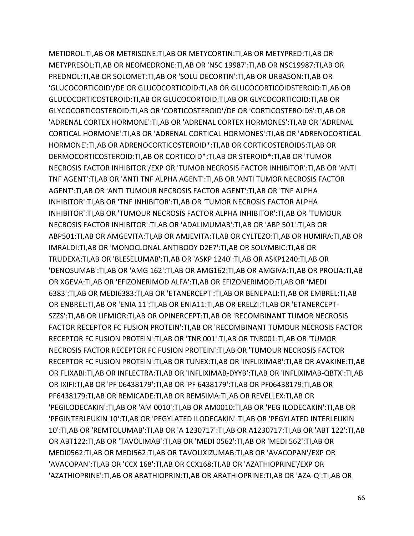METIDROL:TI,AB OR METRISONE:TI,AB OR METYCORTIN:TI,AB OR METYPRED:TI,AB OR METYPRESOL:TI,AB OR NEOMEDRONE:TI,AB OR 'NSC 19987':TI,AB OR NSC19987:TI,AB OR PREDNOL:TI,AB OR SOLOMET:TI,AB OR 'SOLU DECORTIN':TI,AB OR URBASON:TI,AB OR 'GLUCOCORTICOID'/DE OR GLUCOCORTICOID:TI,AB OR GLUCOCORTICOIDSTEROID:TI,AB OR GLUCOCORTICOSTEROID:TI,AB OR GLUCOCORTOID:TI,AB OR GLYCOCORTICOID:TI,AB OR GLYCOCORTICOSTEROID:TI,AB OR 'CORTICOSTEROID'/DE OR 'CORTICOSTEROIDS':TI,AB OR 'ADRENAL CORTEX HORMONE':TI,AB OR 'ADRENAL CORTEX HORMONES':TI,AB OR 'ADRENAL CORTICAL HORMONE':TI,AB OR 'ADRENAL CORTICAL HORMONES':TI,AB OR 'ADRENOCORTICAL HORMONE':TI,AB OR ADRENOCORTICOSTEROID\*:TI,AB OR CORTICOSTEROIDS:TI,AB OR DERMOCORTICOSTEROID:TI,AB OR CORTICOID\*:TI,AB OR STEROID\*:TI,AB OR 'TUMOR NECROSIS FACTOR INHIBITOR'/EXP OR 'TUMOR NECROSIS FACTOR INHIBITOR':TI,AB OR 'ANTI TNF AGENT':TI,AB OR 'ANTI TNF ALPHA AGENT':TI,AB OR 'ANTI TUMOR NECROSIS FACTOR AGENT':TI,AB OR 'ANTI TUMOUR NECROSIS FACTOR AGENT':TI,AB OR 'TNF ALPHA INHIBITOR':TI,AB OR 'TNF INHIBITOR':TI,AB OR 'TUMOR NECROSIS FACTOR ALPHA INHIBITOR':TI,AB OR 'TUMOUR NECROSIS FACTOR ALPHA INHIBITOR':TI,AB OR 'TUMOUR NECROSIS FACTOR INHIBITOR':TI,AB OR 'ADALIMUMAB':TI,AB OR 'ABP 501':TI,AB OR ABP501:TI,AB OR AMGEVITA:TI,AB OR AMJEVITA:TI,AB OR CYLTEZO:TI,AB OR HUMIRA:TI,AB OR IMRALDI:TI,AB OR 'MONOCLONAL ANTIBODY D2E7':TI,AB OR SOLYMBIC:TI,AB OR TRUDEXA:TI,AB OR 'BLESELUMAB':TI,AB OR 'ASKP 1240':TI,AB OR ASKP1240:TI,AB OR 'DENOSUMAB':TI,AB OR 'AMG 162':TI,AB OR AMG162:TI,AB OR AMGIVA:TI,AB OR PROLIA:TI,AB OR XGEVA:TI,AB OR 'EFIZONERIMOD ALFA':TI,AB OR EFIZONERIMOD:TI,AB OR 'MEDI 6383':TI,AB OR MEDI6383:TI,AB OR 'ETANERCEPT':TI,AB OR BENEPALI:TI,AB OR EMBREL:TI,AB OR ENBREL:TI,AB OR 'ENIA 11':TI,AB OR ENIA11:TI,AB OR ERELZI:TI,AB OR 'ETANERCEPT-SZZS':TI,AB OR LIFMIOR:TI,AB OR OPINERCEPT:TI,AB OR 'RECOMBINANT TUMOR NECROSIS FACTOR RECEPTOR FC FUSION PROTEIN':TI,AB OR 'RECOMBINANT TUMOUR NECROSIS FACTOR RECEPTOR FC FUSION PROTEIN':TI,AB OR 'TNR 001':TI,AB OR TNR001:TI,AB OR 'TUMOR NECROSIS FACTOR RECEPTOR FC FUSION PROTEIN':TI,AB OR 'TUMOUR NECROSIS FACTOR RECEPTOR FC FUSION PROTEIN':TI,AB OR TUNEX:TI,AB OR 'INFLIXIMAB':TI,AB OR AVAKINE:TI,AB OR FLIXABI:TI,AB OR INFLECTRA:TI,AB OR 'INFLIXIMAB-DYYB':TI,AB OR 'INFLIXIMAB-QBTX':TI,AB OR IXIFI:TI,AB OR 'PF 06438179':TI,AB OR 'PF 6438179':TI,AB OR PF06438179:TI,AB OR PF6438179:TI,AB OR REMICADE:TI,AB OR REMSIMA:TI,AB OR REVELLEX:TI,AB OR 'PEGILODECAKIN':TI,AB OR 'AM 0010':TI,AB OR AM0010:TI,AB OR 'PEG ILODECAKIN':TI,AB OR 'PEGINTERLEUKIN 10':TI,AB OR 'PEGYLATED ILODECAKIN':TI,AB OR 'PEGYLATED INTERLEUKIN 10':TI,AB OR 'REMTOLUMAB':TI,AB OR 'A 1230717':TI,AB OR A1230717:TI,AB OR 'ABT 122':TI,AB OR ABT122:TI,AB OR 'TAVOLIMAB':TI,AB OR 'MEDI 0562':TI,AB OR 'MEDI 562':TI,AB OR MEDI0562:TI,AB OR MEDI562:TI,AB OR TAVOLIXIZUMAB:TI,AB OR 'AVACOPAN'/EXP OR 'AVACOPAN':TI,AB OR 'CCX 168':TI,AB OR CCX168:TI,AB OR 'AZATHIOPRINE'/EXP OR 'AZATHIOPRINE':TI,AB OR ARATHIOPRIN:TI,AB OR ARATHIOPRINE:TI,AB OR 'AZA-Q':TI,AB OR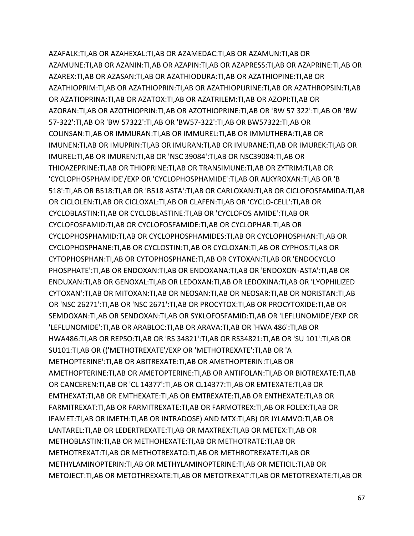AZAFALK:TI,AB OR AZAHEXAL:TI,AB OR AZAMEDAC:TI,AB OR AZAMUN:TI,AB OR AZAMUNE:TI,AB OR AZANIN:TI,AB OR AZAPIN:TI,AB OR AZAPRESS:TI,AB OR AZAPRINE:TI,AB OR AZAREX:TI,AB OR AZASAN:TI,AB OR AZATHIODURA:TI,AB OR AZATHIOPINE:TI,AB OR AZATHIOPRIM:TI,AB OR AZATHIOPRIN:TI,AB OR AZATHIOPURINE:TI,AB OR AZATHROPSIN:TI,AB OR AZATIOPRINA:TI,AB OR AZATOX:TI,AB OR AZATRILEM:TI,AB OR AZOPI:TI,AB OR AZORAN:TI,AB OR AZOTHIOPRIN:TI,AB OR AZOTHIOPRINE:TI,AB OR 'BW 57 322':TI,AB OR 'BW 57-322':TI,AB OR 'BW 57322':TI,AB OR 'BW57-322':TI,AB OR BW57322:TI,AB OR COLINSAN:TI,AB OR IMMURAN:TI,AB OR IMMUREL:TI,AB OR IMMUTHERA:TI,AB OR IMUNEN:TI,AB OR IMUPRIN:TI,AB OR IMURAN:TI,AB OR IMURANE:TI,AB OR IMUREK:TI,AB OR IMUREL:TI,AB OR IMUREN:TI,AB OR 'NSC 39084':TI,AB OR NSC39084:TI,AB OR THIOAZEPRINE:TI,AB OR THIOPRINE:TI,AB OR TRANSIMUNE:TI,AB OR ZYTRIM:TI,AB OR 'CYCLOPHOSPHAMIDE'/EXP OR 'CYCLOPHOSPHAMIDE':TI,AB OR ALKYROXAN:TI,AB OR 'B 518':TI,AB OR B518:TI,AB OR 'B518 ASTA':TI,AB OR CARLOXAN:TI,AB OR CICLOFOSFAMIDA:TI,AB OR CICLOLEN:TI,AB OR CICLOXAL:TI,AB OR CLAFEN:TI,AB OR 'CYCLO-CELL':TI,AB OR CYCLOBLASTIN:TI,AB OR CYCLOBLASTINE:TI,AB OR 'CYCLOFOS AMIDE':TI,AB OR CYCLOFOSFAMID:TI,AB OR CYCLOFOSFAMIDE:TI,AB OR CYCLOPHAR:TI,AB OR CYCLOPHOSPHAMID:TI,AB OR CYCLOPHOSPHAMIDES:TI,AB OR CYCLOPHOSPHAN:TI,AB OR CYCLOPHOSPHANE:TI,AB OR CYCLOSTIN:TI,AB OR CYCLOXAN:TI,AB OR CYPHOS:TI,AB OR CYTOPHOSPHAN:TI,AB OR CYTOPHOSPHANE:TI,AB OR CYTOXAN:TI,AB OR 'ENDOCYCLO PHOSPHATE':TI,AB OR ENDOXAN:TI,AB OR ENDOXANA:TI,AB OR 'ENDOXON-ASTA':TI,AB OR ENDUXAN:TI,AB OR GENOXAL:TI,AB OR LEDOXAN:TI,AB OR LEDOXINA:TI,AB OR 'LYOPHILIZED CYTOXAN':TI,AB OR MITOXAN:TI,AB OR NEOSAN:TI,AB OR NEOSAR:TI,AB OR NORISTAN:TI,AB OR 'NSC 26271':TI,AB OR 'NSC 2671':TI,AB OR PROCYTOX:TI,AB OR PROCYTOXIDE:TI,AB OR SEMDOXAN:TI,AB OR SENDOXAN:TI,AB OR SYKLOFOSFAMID:TI,AB OR 'LEFLUNOMIDE'/EXP OR 'LEFLUNOMIDE':TI,AB OR ARABLOC:TI,AB OR ARAVA:TI,AB OR 'HWA 486':TI,AB OR HWA486:TI,AB OR REPSO:TI,AB OR 'RS 34821':TI,AB OR RS34821:TI,AB OR 'SU 101':TI,AB OR SU101:TI,AB OR (('METHOTREXATE'/EXP OR 'METHOTREXATE':TI,AB OR 'A METHOPTERINE':TI,AB OR ABITREXATE:TI,AB OR AMETHOPTERIN:TI,AB OR AMETHOPTERINE:TI,AB OR AMETOPTERINE:TI,AB OR ANTIFOLAN:TI,AB OR BIOTREXATE:TI,AB OR CANCEREN:TI,AB OR 'CL 14377':TI,AB OR CL14377:TI,AB OR EMTEXATE:TI,AB OR EMTHEXAT:TI,AB OR EMTHEXATE:TI,AB OR EMTREXATE:TI,AB OR ENTHEXATE:TI,AB OR FARMITREXAT:TI,AB OR FARMITREXATE:TI,AB OR FARMOTREX:TI,AB OR FOLEX:TI,AB OR IFAMET:TI,AB OR IMETH:TI,AB OR INTRADOSE) AND MTX:TI,AB) OR JYLAMVO:TI,AB OR LANTAREL:TI,AB OR LEDERTREXATE:TI,AB OR MAXTREX:TI,AB OR METEX:TI,AB OR METHOBLASTIN:TI,AB OR METHOHEXATE:TI,AB OR METHOTRATE:TI,AB OR METHOTREXAT:TI,AB OR METHOTREXATO:TI,AB OR METHROTREXATE:TI,AB OR METHYLAMINOPTERIN:TI,AB OR METHYLAMINOPTERINE:TI,AB OR METICIL:TI,AB OR METOJECT:TI,AB OR METOTHREXATE:TI,AB OR METOTREXAT:TI,AB OR METOTREXATE:TI,AB OR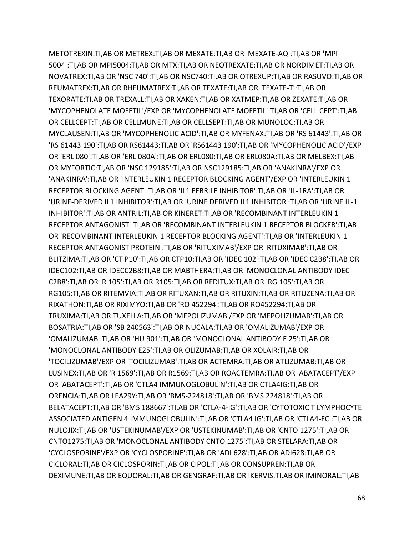METOTREXIN:TI,AB OR METREX:TI,AB OR MEXATE:TI,AB OR 'MEXATE-AQ':TI,AB OR 'MPI 5004':TI,AB OR MPI5004:TI,AB OR MTX:TI,AB OR NEOTREXATE:TI,AB OR NORDIMET:TI,AB OR NOVATREX:TI,AB OR 'NSC 740':TI,AB OR NSC740:TI,AB OR OTREXUP:TI,AB OR RASUVO:TI,AB OR REUMATREX:TI,AB OR RHEUMATREX:TI,AB OR TEXATE:TI,AB OR 'TEXATE-T':TI,AB OR TEXORATE:TI,AB OR TREXALL:TI,AB OR XAKEN:TI,AB OR XATMEP:TI,AB OR ZEXATE:TI,AB OR 'MYCOPHENOLATE MOFETIL'/EXP OR 'MYCOPHENOLATE MOFETIL':TI,AB OR 'CELL CEPT':TI,AB OR CELLCEPT:TI,AB OR CELLMUNE:TI,AB OR CELLSEPT:TI,AB OR MUNOLOC:TI,AB OR MYCLAUSEN:TI,AB OR 'MYCOPHENOLIC ACID':TI,AB OR MYFENAX:TI,AB OR 'RS 61443':TI,AB OR 'RS 61443 190':TI,AB OR RS61443:TI,AB OR 'RS61443 190':TI,AB OR 'MYCOPHENOLIC ACID'/EXP OR 'ERL 080':TI,AB OR 'ERL 080A':TI,AB OR ERL080:TI,AB OR ERL080A:TI,AB OR MELBEX:TI,AB OR MYFORTIC:TI,AB OR 'NSC 129185':TI,AB OR NSC129185:TI,AB OR 'ANAKINRA'/EXP OR 'ANAKINRA':TI,AB OR 'INTERLEUKIN 1 RECEPTOR BLOCKING AGENT'/EXP OR 'INTERLEUKIN 1 RECEPTOR BLOCKING AGENT':TI,AB OR 'IL1 FEBRILE INHIBITOR':TI,AB OR 'IL-1RA':TI,AB OR 'URINE-DERIVED IL1 INHIBITOR':TI,AB OR 'URINE DERIVED IL1 INHIBITOR':TI,AB OR 'URINE IL-1 INHIBITOR':TI,AB OR ANTRIL:TI,AB OR KINERET:TI,AB OR 'RECOMBINANT INTERLEUKIN 1 RECEPTOR ANTAGONIST':TI,AB OR 'RECOMBINANT INTERLEUKIN 1 RECEPTOR BLOCKER':TI,AB OR 'RECOMBINANT INTERLEUKIN 1 RECEPTOR BLOCKING AGENT':TI,AB OR 'INTERLEUKIN 1 RECEPTOR ANTAGONIST PROTEIN':TI,AB OR 'RITUXIMAB'/EXP OR 'RITUXIMAB':TI,AB OR BLITZIMA:TI,AB OR 'CT P10':TI,AB OR CTP10:TI,AB OR 'IDEC 102':TI,AB OR 'IDEC C2B8':TI,AB OR IDEC102:TI,AB OR IDECC2B8:TI,AB OR MABTHERA:TI,AB OR 'MONOCLONAL ANTIBODY IDEC C2B8':TI,AB OR 'R 105':TI,AB OR R105:TI,AB OR REDITUX:TI,AB OR 'RG 105':TI,AB OR RG105:TI,AB OR RITEMVIA:TI,AB OR RITUXAN:TI,AB OR RITUXIN:TI,AB OR RITUZENA:TI,AB OR RIXATHON:TI,AB OR RIXIMYO:TI,AB OR 'RO 452294':TI,AB OR RO452294:TI,AB OR TRUXIMA:TI,AB OR TUXELLA:TI,AB OR 'MEPOLIZUMAB'/EXP OR 'MEPOLIZUMAB':TI,AB OR BOSATRIA:TI,AB OR 'SB 240563':TI,AB OR NUCALA:TI,AB OR 'OMALIZUMAB'/EXP OR 'OMALIZUMAB':TI,AB OR 'HU 901':TI,AB OR 'MONOCLONAL ANTIBODY E 25':TI,AB OR 'MONOCLONAL ANTIBODY E25':TI,AB OR OLIZUMAB:TI,AB OR XOLAIR:TI,AB OR 'TOCILIZUMAB'/EXP OR 'TOCILIZUMAB':TI,AB OR ACTEMRA:TI,AB OR ATLIZUMAB:TI,AB OR LUSINEX:TI,AB OR 'R 1569':TI,AB OR R1569:TI,AB OR ROACTEMRA:TI,AB OR 'ABATACEPT'/EXP OR 'ABATACEPT':TI,AB OR 'CTLA4 IMMUNOGLOBULIN':TI,AB OR CTLA4IG:TI,AB OR ORENCIA:TI,AB OR LEA29Y:TI,AB OR 'BMS-224818':TI,AB OR 'BMS 224818':TI,AB OR BELATACEPT:TI,AB OR 'BMS 188667':TI,AB OR 'CTLA-4-IG':TI,AB OR 'CYTOTOXIC T LYMPHOCYTE ASSOCIATED ANTIGEN 4 IMMUNOGLOBULIN':TI,AB OR 'CTLA4 IG':TI,AB OR 'CTLA4-FC':TI,AB OR NULOJIX:TI,AB OR 'USTEKINUMAB'/EXP OR 'USTEKINUMAB':TI,AB OR 'CNTO 1275':TI,AB OR CNTO1275:TI,AB OR 'MONOCLONAL ANTIBODY CNTO 1275':TI,AB OR STELARA:TI,AB OR 'CYCLOSPORINE'/EXP OR 'CYCLOSPORINE':TI,AB OR 'ADI 628':TI,AB OR ADI628:TI,AB OR CICLORAL:TI,AB OR CICLOSPORIN:TI,AB OR CIPOL:TI,AB OR CONSUPREN:TI,AB OR DEXIMUNE:TI,AB OR EQUORAL:TI,AB OR GENGRAF:TI,AB OR IKERVIS:TI,AB OR IMINORAL:TI,AB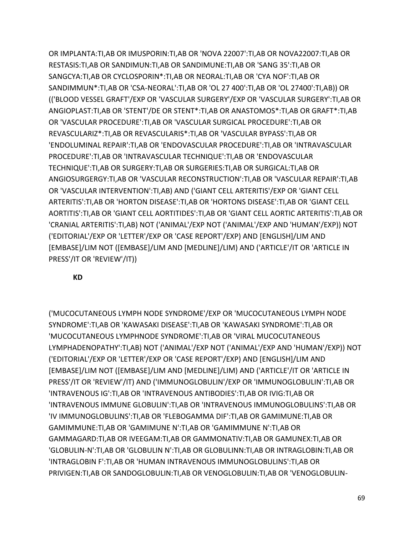OR IMPLANTA:TI,AB OR IMUSPORIN:TI,AB OR 'NOVA 22007':TI,AB OR NOVA22007:TI,AB OR RESTASIS:TI,AB OR SANDIMUN:TI,AB OR SANDIMUNE:TI,AB OR 'SANG 35':TI,AB OR SANGCYA:TI,AB OR CYCLOSPORIN\*:TI,AB OR NEORAL:TI,AB OR 'CYA NOF':TI,AB OR SANDIMMUN\*:TI,AB OR 'CSA-NEORAL':TI,AB OR 'OL 27 400':TI,AB OR 'OL 27400':TI,AB)) OR (('BLOOD VESSEL GRAFT'/EXP OR 'VASCULAR SURGERY'/EXP OR 'VASCULAR SURGERY':TI,AB OR ANGIOPLAST:TI,AB OR 'STENT'/DE OR STENT\*:TI,AB OR ANASTOMOS\*:TI,AB OR GRAFT\*:TI,AB OR 'VASCULAR PROCEDURE':TI,AB OR 'VASCULAR SURGICAL PROCEDURE':TI,AB OR REVASCULARIZ\*:TI,AB OR REVASCULARIS\*:TI,AB OR 'VASCULAR BYPASS':TI,AB OR 'ENDOLUMINAL REPAIR':TI,AB OR 'ENDOVASCULAR PROCEDURE':TI,AB OR 'INTRAVASCULAR PROCEDURE':TI,AB OR 'INTRAVASCULAR TECHNIQUE':TI,AB OR 'ENDOVASCULAR TECHNIQUE':TI,AB OR SURGERY:TI,AB OR SURGERIES:TI,AB OR SURGICAL:TI,AB OR ANGIOSURGERGY:TI,AB OR 'VASCULAR RECONSTRUCTION':TI,AB OR 'VASCULAR REPAIR':TI,AB OR 'VASCULAR INTERVENTION':TI,AB) AND ('GIANT CELL ARTERITIS'/EXP OR 'GIANT CELL ARTERITIS':TI,AB OR 'HORTON DISEASE':TI,AB OR 'HORTONS DISEASE':TI,AB OR 'GIANT CELL AORTITIS':TI,AB OR 'GIANT CELL AORTITIDES':TI,AB OR 'GIANT CELL AORTIC ARTERITIS':TI,AB OR 'CRANIAL ARTERITIS':TI,AB) NOT ('ANIMAL'/EXP NOT ('ANIMAL'/EXP AND 'HUMAN'/EXP)) NOT ('EDITORIAL'/EXP OR 'LETTER'/EXP OR 'CASE REPORT'/EXP) AND [ENGLISH]/LIM AND [EMBASE]/LIM NOT ([EMBASE]/LIM AND [MEDLINE]/LIM) AND ('ARTICLE'/IT OR 'ARTICLE IN PRESS'/IT OR 'REVIEW'/IT))

**KD**

('MUCOCUTANEOUS LYMPH NODE SYNDROME'/EXP OR 'MUCOCUTANEOUS LYMPH NODE SYNDROME':TI,AB OR 'KAWASAKI DISEASE':TI,AB OR 'KAWASAKI SYNDROME':TI,AB OR 'MUCOCUTANEOUS LYMPHNODE SYNDROME':TI,AB OR 'VIRAL MUCOCUTANEOUS LYMPHADENOPATHY':TI,AB) NOT ('ANIMAL'/EXP NOT ('ANIMAL'/EXP AND 'HUMAN'/EXP)) NOT ('EDITORIAL'/EXP OR 'LETTER'/EXP OR 'CASE REPORT'/EXP) AND [ENGLISH]/LIM AND [EMBASE]/LIM NOT ([EMBASE]/LIM AND [MEDLINE]/LIM) AND ('ARTICLE'/IT OR 'ARTICLE IN PRESS'/IT OR 'REVIEW'/IT) AND ('IMMUNOGLOBULIN'/EXP OR 'IMMUNOGLOBULIN':TI,AB OR 'INTRAVENOUS IG':TI,AB OR 'INTRAVENOUS ANTIBODIES':TI,AB OR IVIG:TI,AB OR 'INTRAVENOUS IMMUNE GLOBULIN':TI,AB OR 'INTRAVENOUS IMMUNOGLOBULINS':TI,AB OR 'IV IMMUNOGLOBULINS':TI,AB OR 'FLEBOGAMMA DIF':TI,AB OR GAMIMUNE:TI,AB OR GAMIMMUNE:TI,AB OR 'GAMIMUNE N':TI,AB OR 'GAMIMMUNE N':TI,AB OR GAMMAGARD:TI,AB OR IVEEGAM:TI,AB OR GAMMONATIV:TI,AB OR GAMUNEX:TI,AB OR 'GLOBULIN-N':TI,AB OR 'GLOBULIN N':TI,AB OR GLOBULINN:TI,AB OR INTRAGLOBIN:TI,AB OR 'INTRAGLOBIN F':TI,AB OR 'HUMAN INTRAVENOUS IMMUNOGLOBULINS':TI,AB OR PRIVIGEN:TI,AB OR SANDOGLOBULIN:TI,AB OR VENOGLOBULIN:TI,AB OR 'VENOGLOBULIN-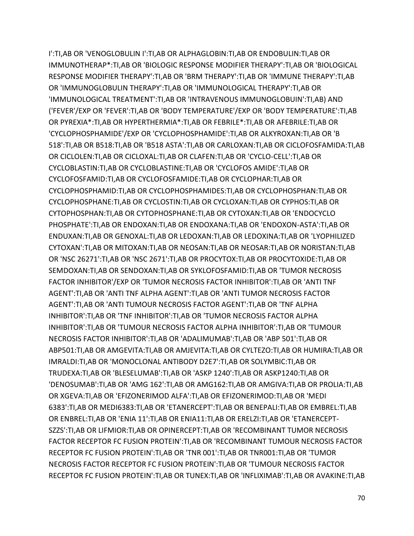I':TI,AB OR 'VENOGLOBULIN I':TI,AB OR ALPHAGLOBIN:TI,AB OR ENDOBULIN:TI,AB OR IMMUNOTHERAP\*:TI,AB OR 'BIOLOGIC RESPONSE MODIFIER THERAPY':TI,AB OR 'BIOLOGICAL RESPONSE MODIFIER THERAPY':TI,AB OR 'BRM THERAPY':TI,AB OR 'IMMUNE THERAPY':TI,AB OR 'IMMUNOGLOBULIN THERAPY':TI,AB OR 'IMMUNOLOGICAL THERAPY':TI,AB OR 'IMMUNOLOGICAL TREATMENT':TI,AB OR 'INTRAVENOUS IMMUNOGLOBUIN':TI,AB) AND ('FEVER'/EXP OR 'FEVER':TI,AB OR 'BODY TEMPERATURE'/EXP OR 'BODY TEMPERATURE':TI,AB OR PYREXIA\*:TI,AB OR HYPERTHERMIA\*:TI,AB OR FEBRILE\*:TI,AB OR AFEBRILE:TI,AB OR 'CYCLOPHOSPHAMIDE'/EXP OR 'CYCLOPHOSPHAMIDE':TI,AB OR ALKYROXAN:TI,AB OR 'B 518':TI,AB OR B518:TI,AB OR 'B518 ASTA':TI,AB OR CARLOXAN:TI,AB OR CICLOFOSFAMIDA:TI,AB OR CICLOLEN:TI,AB OR CICLOXAL:TI,AB OR CLAFEN:TI,AB OR 'CYCLO-CELL':TI,AB OR CYCLOBLASTIN:TI,AB OR CYCLOBLASTINE:TI,AB OR 'CYCLOFOS AMIDE':TI,AB OR CYCLOFOSFAMID:TI,AB OR CYCLOFOSFAMIDE:TI,AB OR CYCLOPHAR:TI,AB OR CYCLOPHOSPHAMID:TI,AB OR CYCLOPHOSPHAMIDES:TI,AB OR CYCLOPHOSPHAN:TI,AB OR CYCLOPHOSPHANE:TI,AB OR CYCLOSTIN:TI,AB OR CYCLOXAN:TI,AB OR CYPHOS:TI,AB OR CYTOPHOSPHAN:TI,AB OR CYTOPHOSPHANE:TI,AB OR CYTOXAN:TI,AB OR 'ENDOCYCLO PHOSPHATE':TI,AB OR ENDOXAN:TI,AB OR ENDOXANA:TI,AB OR 'ENDOXON-ASTA':TI,AB OR ENDUXAN:TI,AB OR GENOXAL:TI,AB OR LEDOXAN:TI,AB OR LEDOXINA:TI,AB OR 'LYOPHILIZED CYTOXAN':TI,AB OR MITOXAN:TI,AB OR NEOSAN:TI,AB OR NEOSAR:TI,AB OR NORISTAN:TI,AB OR 'NSC 26271':TI,AB OR 'NSC 2671':TI,AB OR PROCYTOX:TI,AB OR PROCYTOXIDE:TI,AB OR SEMDOXAN:TI,AB OR SENDOXAN:TI,AB OR SYKLOFOSFAMID:TI,AB OR 'TUMOR NECROSIS FACTOR INHIBITOR'/EXP OR 'TUMOR NECROSIS FACTOR INHIBITOR':TI,AB OR 'ANTI TNF AGENT':TI,AB OR 'ANTI TNF ALPHA AGENT':TI,AB OR 'ANTI TUMOR NECROSIS FACTOR AGENT':TI,AB OR 'ANTI TUMOUR NECROSIS FACTOR AGENT':TI,AB OR 'TNF ALPHA INHIBITOR':TI,AB OR 'TNF INHIBITOR':TI,AB OR 'TUMOR NECROSIS FACTOR ALPHA INHIBITOR':TI,AB OR 'TUMOUR NECROSIS FACTOR ALPHA INHIBITOR':TI,AB OR 'TUMOUR NECROSIS FACTOR INHIBITOR':TI,AB OR 'ADALIMUMAB':TI,AB OR 'ABP 501':TI,AB OR ABP501:TI,AB OR AMGEVITA:TI,AB OR AMJEVITA:TI,AB OR CYLTEZO:TI,AB OR HUMIRA:TI,AB OR IMRALDI:TI,AB OR 'MONOCLONAL ANTIBODY D2E7':TI,AB OR SOLYMBIC:TI,AB OR TRUDEXA:TI,AB OR 'BLESELUMAB':TI,AB OR 'ASKP 1240':TI,AB OR ASKP1240:TI,AB OR 'DENOSUMAB':TI,AB OR 'AMG 162':TI,AB OR AMG162:TI,AB OR AMGIVA:TI,AB OR PROLIA:TI,AB OR XGEVA:TI,AB OR 'EFIZONERIMOD ALFA':TI,AB OR EFIZONERIMOD:TI,AB OR 'MEDI 6383':TI,AB OR MEDI6383:TI,AB OR 'ETANERCEPT':TI,AB OR BENEPALI:TI,AB OR EMBREL:TI,AB OR ENBREL:TI,AB OR 'ENIA 11':TI,AB OR ENIA11:TI,AB OR ERELZI:TI,AB OR 'ETANERCEPT-SZZS':TI,AB OR LIFMIOR:TI,AB OR OPINERCEPT:TI,AB OR 'RECOMBINANT TUMOR NECROSIS FACTOR RECEPTOR FC FUSION PROTEIN':TI,AB OR 'RECOMBINANT TUMOUR NECROSIS FACTOR RECEPTOR FC FUSION PROTEIN':TI,AB OR 'TNR 001':TI,AB OR TNR001:TI,AB OR 'TUMOR NECROSIS FACTOR RECEPTOR FC FUSION PROTEIN':TI,AB OR 'TUMOUR NECROSIS FACTOR RECEPTOR FC FUSION PROTEIN':TI,AB OR TUNEX:TI,AB OR 'INFLIXIMAB':TI,AB OR AVAKINE:TI,AB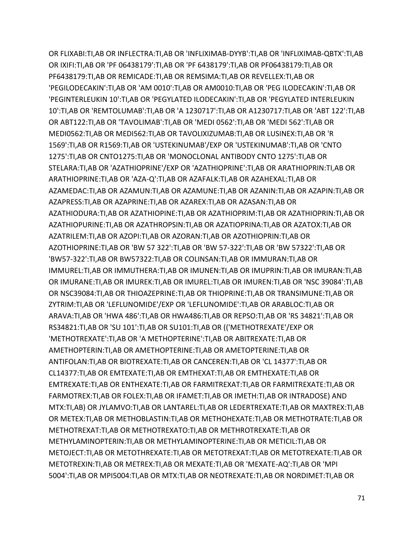OR FLIXABI:TI,AB OR INFLECTRA:TI,AB OR 'INFLIXIMAB-DYYB':TI,AB OR 'INFLIXIMAB-QBTX':TI,AB OR IXIFI:TI,AB OR 'PF 06438179':TI,AB OR 'PF 6438179':TI,AB OR PF06438179:TI,AB OR PF6438179:TI,AB OR REMICADE:TI,AB OR REMSIMA:TI,AB OR REVELLEX:TI,AB OR 'PEGILODECAKIN':TI,AB OR 'AM 0010':TI,AB OR AM0010:TI,AB OR 'PEG ILODECAKIN':TI,AB OR 'PEGINTERLEUKIN 10':TI,AB OR 'PEGYLATED ILODECAKIN':TI,AB OR 'PEGYLATED INTERLEUKIN 10':TI,AB OR 'REMTOLUMAB':TI,AB OR 'A 1230717':TI,AB OR A1230717:TI,AB OR 'ABT 122':TI,AB OR ABT122:TI,AB OR 'TAVOLIMAB':TI,AB OR 'MEDI 0562':TI,AB OR 'MEDI 562':TI,AB OR MEDI0562:TI,AB OR MEDI562:TI,AB OR TAVOLIXIZUMAB:TI,AB OR LUSINEX:TI,AB OR 'R 1569':TI,AB OR R1569:TI,AB OR 'USTEKINUMAB'/EXP OR 'USTEKINUMAB':TI,AB OR 'CNTO 1275':TI,AB OR CNTO1275:TI,AB OR 'MONOCLONAL ANTIBODY CNTO 1275':TI,AB OR STELARA:TI,AB OR 'AZATHIOPRINE'/EXP OR 'AZATHIOPRINE':TI,AB OR ARATHIOPRIN:TI,AB OR ARATHIOPRINE:TI,AB OR 'AZA-Q':TI,AB OR AZAFALK:TI,AB OR AZAHEXAL:TI,AB OR AZAMEDAC:TI,AB OR AZAMUN:TI,AB OR AZAMUNE:TI,AB OR AZANIN:TI,AB OR AZAPIN:TI,AB OR AZAPRESS:TI,AB OR AZAPRINE:TI,AB OR AZAREX:TI,AB OR AZASAN:TI,AB OR AZATHIODURA:TI,AB OR AZATHIOPINE:TI,AB OR AZATHIOPRIM:TI,AB OR AZATHIOPRIN:TI,AB OR AZATHIOPURINE:TI,AB OR AZATHROPSIN:TI,AB OR AZATIOPRINA:TI,AB OR AZATOX:TI,AB OR AZATRILEM:TI,AB OR AZOPI:TI,AB OR AZORAN:TI,AB OR AZOTHIOPRIN:TI,AB OR AZOTHIOPRINE:TI,AB OR 'BW 57 322':TI,AB OR 'BW 57-322':TI,AB OR 'BW 57322':TI,AB OR 'BW57-322':TI,AB OR BW57322:TI,AB OR COLINSAN:TI,AB OR IMMURAN:TI,AB OR IMMUREL:TI,AB OR IMMUTHERA:TI,AB OR IMUNEN:TI,AB OR IMUPRIN:TI,AB OR IMURAN:TI,AB OR IMURANE:TI,AB OR IMUREK:TI,AB OR IMUREL:TI,AB OR IMUREN:TI,AB OR 'NSC 39084':TI,AB OR NSC39084:TI,AB OR THIOAZEPRINE:TI,AB OR THIOPRINE:TI,AB OR TRANSIMUNE:TI,AB OR ZYTRIM:TI,AB OR 'LEFLUNOMIDE'/EXP OR 'LEFLUNOMIDE':TI,AB OR ARABLOC:TI,AB OR ARAVA:TI,AB OR 'HWA 486':TI,AB OR HWA486:TI,AB OR REPSO:TI,AB OR 'RS 34821':TI,AB OR RS34821:TI,AB OR 'SU 101':TI,AB OR SU101:TI,AB OR (('METHOTREXATE'/EXP OR 'METHOTREXATE':TI,AB OR 'A METHOPTERINE':TI,AB OR ABITREXATE:TI,AB OR AMETHOPTERIN:TI,AB OR AMETHOPTERINE:TI,AB OR AMETOPTERINE:TI,AB OR ANTIFOLAN:TI,AB OR BIOTREXATE:TI,AB OR CANCEREN:TI,AB OR 'CL 14377':TI,AB OR CL14377:TI,AB OR EMTEXATE:TI,AB OR EMTHEXAT:TI,AB OR EMTHEXATE:TI,AB OR EMTREXATE:TI,AB OR ENTHEXATE:TI,AB OR FARMITREXAT:TI,AB OR FARMITREXATE:TI,AB OR FARMOTREX:TI,AB OR FOLEX:TI,AB OR IFAMET:TI,AB OR IMETH:TI,AB OR INTRADOSE) AND MTX:TI,AB) OR JYLAMVO:TI,AB OR LANTAREL:TI,AB OR LEDERTREXATE:TI,AB OR MAXTREX:TI,AB OR METEX:TI,AB OR METHOBLASTIN:TI,AB OR METHOHEXATE:TI,AB OR METHOTRATE:TI,AB OR METHOTREXAT:TI,AB OR METHOTREXATO:TI,AB OR METHROTREXATE:TI,AB OR METHYLAMINOPTERIN:TI,AB OR METHYLAMINOPTERINE:TI,AB OR METICIL:TI,AB OR METOJECT:TI,AB OR METOTHREXATE:TI,AB OR METOTREXAT:TI,AB OR METOTREXATE:TI,AB OR METOTREXIN:TI,AB OR METREX:TI,AB OR MEXATE:TI,AB OR 'MEXATE-AQ':TI,AB OR 'MPI 5004':TI,AB OR MPI5004:TI,AB OR MTX:TI,AB OR NEOTREXATE:TI,AB OR NORDIMET:TI,AB OR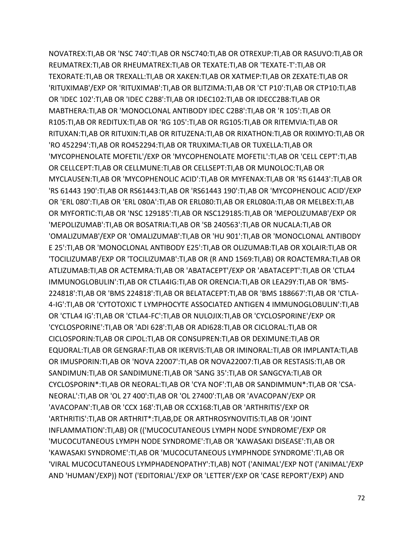NOVATREX:TI,AB OR 'NSC 740':TI,AB OR NSC740:TI,AB OR OTREXUP:TI,AB OR RASUVO:TI,AB OR REUMATREX:TI,AB OR RHEUMATREX:TI,AB OR TEXATE:TI,AB OR 'TEXATE-T':TI,AB OR TEXORATE:TI,AB OR TREXALL:TI,AB OR XAKEN:TI,AB OR XATMEP:TI,AB OR ZEXATE:TI,AB OR 'RITUXIMAB'/EXP OR 'RITUXIMAB':TI,AB OR BLITZIMA:TI,AB OR 'CT P10':TI,AB OR CTP10:TI,AB OR 'IDEC 102':TI,AB OR 'IDEC C2B8':TI,AB OR IDEC102:TI,AB OR IDECC2B8:TI,AB OR MABTHERA:TI,AB OR 'MONOCLONAL ANTIBODY IDEC C2B8':TI,AB OR 'R 105':TI,AB OR R105:TI,AB OR REDITUX:TI,AB OR 'RG 105':TI,AB OR RG105:TI,AB OR RITEMVIA:TI,AB OR RITUXAN:TI,AB OR RITUXIN:TI,AB OR RITUZENA:TI,AB OR RIXATHON:TI,AB OR RIXIMYO:TI,AB OR 'RO 452294':TI,AB OR RO452294:TI,AB OR TRUXIMA:TI,AB OR TUXELLA:TI,AB OR 'MYCOPHENOLATE MOFETIL'/EXP OR 'MYCOPHENOLATE MOFETIL':TI,AB OR 'CELL CEPT':TI,AB OR CELLCEPT:TI,AB OR CELLMUNE:TI,AB OR CELLSEPT:TI,AB OR MUNOLOC:TI,AB OR MYCLAUSEN:TI,AB OR 'MYCOPHENOLIC ACID':TI,AB OR MYFENAX:TI,AB OR 'RS 61443':TI,AB OR 'RS 61443 190':TI,AB OR RS61443:TI,AB OR 'RS61443 190':TI,AB OR 'MYCOPHENOLIC ACID'/EXP OR 'ERL 080':TI,AB OR 'ERL 080A':TI,AB OR ERL080:TI,AB OR ERL080A:TI,AB OR MELBEX:TI,AB OR MYFORTIC:TI,AB OR 'NSC 129185':TI,AB OR NSC129185:TI,AB OR 'MEPOLIZUMAB'/EXP OR 'MEPOLIZUMAB':TI,AB OR BOSATRIA:TI,AB OR 'SB 240563':TI,AB OR NUCALA:TI,AB OR 'OMALIZUMAB'/EXP OR 'OMALIZUMAB':TI,AB OR 'HU 901':TI,AB OR 'MONOCLONAL ANTIBODY E 25':TI,AB OR 'MONOCLONAL ANTIBODY E25':TI,AB OR OLIZUMAB:TI,AB OR XOLAIR:TI,AB OR 'TOCILIZUMAB'/EXP OR 'TOCILIZUMAB':TI,AB OR (R AND 1569:TI,AB) OR ROACTEMRA:TI,AB OR ATLIZUMAB:TI,AB OR ACTEMRA:TI,AB OR 'ABATACEPT'/EXP OR 'ABATACEPT':TI,AB OR 'CTLA4 IMMUNOGLOBULIN':TI,AB OR CTLA4IG:TI,AB OR ORENCIA:TI,AB OR LEA29Y:TI,AB OR 'BMS-224818':TI,AB OR 'BMS 224818':TI,AB OR BELATACEPT:TI,AB OR 'BMS 188667':TI,AB OR 'CTLA-4-IG':TI,AB OR 'CYTOTOXIC T LYMPHOCYTE ASSOCIATED ANTIGEN 4 IMMUNOGLOBULIN':TI,AB OR 'CTLA4 IG':TI,AB OR 'CTLA4-FC':TI,AB OR NULOJIX:TI,AB OR 'CYCLOSPORINE'/EXP OR 'CYCLOSPORINE':TI,AB OR 'ADI 628':TI,AB OR ADI628:TI,AB OR CICLORAL:TI,AB OR CICLOSPORIN:TI,AB OR CIPOL:TI,AB OR CONSUPREN:TI,AB OR DEXIMUNE:TI,AB OR EQUORAL:TI,AB OR GENGRAF:TI,AB OR IKERVIS:TI,AB OR IMINORAL:TI,AB OR IMPLANTA:TI,AB OR IMUSPORIN:TI,AB OR 'NOVA 22007':TI,AB OR NOVA22007:TI,AB OR RESTASIS:TI,AB OR SANDIMUN:TI,AB OR SANDIMUNE:TI,AB OR 'SANG 35':TI,AB OR SANGCYA:TI,AB OR CYCLOSPORIN\*:TI,AB OR NEORAL:TI,AB OR 'CYA NOF':TI,AB OR SANDIMMUN\*:TI,AB OR 'CSA-NEORAL':TI,AB OR 'OL 27 400':TI,AB OR 'OL 27400':TI,AB OR 'AVACOPAN'/EXP OR 'AVACOPAN':TI,AB OR 'CCX 168':TI,AB OR CCX168:TI,AB OR 'ARTHRITIS'/EXP OR 'ARTHRITIS':TI,AB OR ARTHRIT\*:TI,AB,DE OR ARTHROSYNOVITIS:TI,AB OR 'JOINT INFLAMMATION':TI,AB) OR (('MUCOCUTANEOUS LYMPH NODE SYNDROME'/EXP OR 'MUCOCUTANEOUS LYMPH NODE SYNDROME':TI,AB OR 'KAWASAKI DISEASE':TI,AB OR 'KAWASAKI SYNDROME':TI,AB OR 'MUCOCUTANEOUS LYMPHNODE SYNDROME':TI,AB OR 'VIRAL MUCOCUTANEOUS LYMPHADENOPATHY':TI,AB) NOT ('ANIMAL'/EXP NOT ('ANIMAL'/EXP AND 'HUMAN'/EXP)) NOT ('EDITORIAL'/EXP OR 'LETTER'/EXP OR 'CASE REPORT'/EXP) AND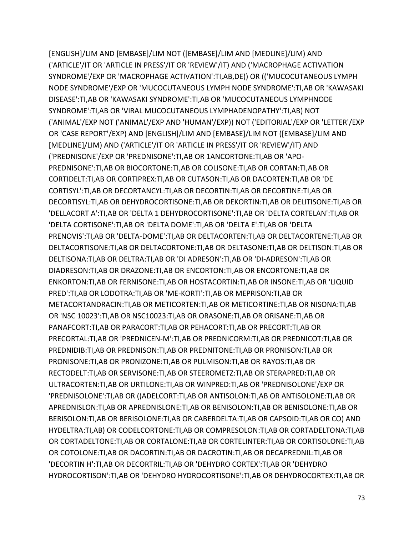[ENGLISH]/LIM AND [EMBASE]/LIM NOT ([EMBASE]/LIM AND [MEDLINE]/LIM) AND ('ARTICLE'/IT OR 'ARTICLE IN PRESS'/IT OR 'REVIEW'/IT) AND ('MACROPHAGE ACTIVATION SYNDROME'/EXP OR 'MACROPHAGE ACTIVATION':TI,AB,DE)) OR (('MUCOCUTANEOUS LYMPH NODE SYNDROME'/EXP OR 'MUCOCUTANEOUS LYMPH NODE SYNDROME':TI,AB OR 'KAWASAKI DISEASE':TI,AB OR 'KAWASAKI SYNDROME':TI,AB OR 'MUCOCUTANEOUS LYMPHNODE SYNDROME':TI,AB OR 'VIRAL MUCOCUTANEOUS LYMPHADENOPATHY':TI,AB) NOT ('ANIMAL'/EXP NOT ('ANIMAL'/EXP AND 'HUMAN'/EXP)) NOT ('EDITORIAL'/EXP OR 'LETTER'/EXP OR 'CASE REPORT'/EXP) AND [ENGLISH]/LIM AND [EMBASE]/LIM NOT ([EMBASE]/LIM AND [MEDLINE]/LIM) AND ('ARTICLE'/IT OR 'ARTICLE IN PRESS'/IT OR 'REVIEW'/IT) AND ('PREDNISONE'/EXP OR 'PREDNISONE':TI,AB OR 1ANCORTONE:TI,AB OR 'APO-PREDNISONE':TI,AB OR BIOCORTONE:TI,AB OR COLISONE:TI,AB OR CORTAN:TI,AB OR CORTIDELT:TI,AB OR CORTIPREX:TI,AB OR CUTASON:TI,AB OR DACORTEN:TI,AB OR 'DE CORTISYL':TI,AB OR DECORTANCYL:TI,AB OR DECORTIN:TI,AB OR DECORTINE:TI,AB OR DECORTISYL:TI,AB OR DEHYDROCORTISONE:TI,AB OR DEKORTIN:TI,AB OR DELITISONE:TI,AB OR 'DELLACORT A':TI,AB OR 'DELTA 1 DEHYDROCORTISONE':TI,AB OR 'DELTA CORTELAN':TI,AB OR 'DELTA CORTISONE':TI,AB OR 'DELTA DOME':TI,AB OR 'DELTA E':TI,AB OR 'DELTA PRENOVIS':TI,AB OR 'DELTA-DOME':TI,AB OR DELTACORTEN:TI,AB OR DELTACORTENE:TI,AB OR DELTACORTISONE:TI,AB OR DELTACORTONE:TI,AB OR DELTASONE:TI,AB OR DELTISON:TI,AB OR DELTISONA:TI,AB OR DELTRA:TI,AB OR 'DI ADRESON':TI,AB OR 'DI-ADRESON':TI,AB OR DIADRESON:TI,AB OR DRAZONE:TI,AB OR ENCORTON:TI,AB OR ENCORTONE:TI,AB OR ENKORTON:TI,AB OR FERNISONE:TI,AB OR HOSTACORTIN:TI,AB OR INSONE:TI,AB OR 'LIQUID PRED':TI,AB OR LODOTRA:TI,AB OR 'ME-KORTI':TI,AB OR MEPRISON:TI,AB OR METACORTANDRACIN:TI,AB OR METICORTEN:TI,AB OR METICORTINE:TI,AB OR NISONA:TI,AB OR 'NSC 10023':TI,AB OR NSC10023:TI,AB OR ORASONE:TI,AB OR ORISANE:TI,AB OR PANAFCORT:TI,AB OR PARACORT:TI,AB OR PEHACORT:TI,AB OR PRECORT:TI,AB OR PRECORTAL:TI,AB OR 'PREDNICEN-M':TI,AB OR PREDNICORM:TI,AB OR PREDNICOT:TI,AB OR PREDNIDIB:TI,AB OR PREDNISON:TI,AB OR PREDNITONE:TI,AB OR PRONISON:TI,AB OR PRONISONE:TI,AB OR PRONIZONE:TI,AB OR PULMISON:TI,AB OR RAYOS:TI,AB OR RECTODELT:TI,AB OR SERVISONE:TI,AB OR STEEROMETZ:TI,AB OR STERAPRED:TI,AB OR ULTRACORTEN:TI,AB OR URTILONE:TI,AB OR WINPRED:TI,AB OR 'PREDNISOLONE'/EXP OR 'PREDNISOLONE':TI,AB OR ((ADELCORT:TI,AB OR ANTISOLON:TI,AB OR ANTISOLONE:TI,AB OR APREDNISLON:TI,AB OR APREDNISLONE:TI,AB OR BENISOLON:TI,AB OR BENISOLONE:TI,AB OR BERISOLON:TI,AB OR BERISOLONE:TI,AB OR CABERDELTA:TI,AB OR CAPSOID:TI,AB OR CO) AND HYDELTRA:TI,AB) OR CODELCORTONE:TI,AB OR COMPRESOLON:TI,AB OR CORTADELTONA:TI,AB OR CORTADELTONE:TI,AB OR CORTALONE:TI,AB OR CORTELINTER:TI,AB OR CORTISOLONE:TI,AB OR COTOLONE:TI,AB OR DACORTIN:TI,AB OR DACROTIN:TI,AB OR DECAPREDNIL:TI,AB OR 'DECORTIN H':TI,AB OR DECORTRIL:TI,AB OR 'DEHYDRO CORTEX':TI,AB OR 'DEHYDRO HYDROCORTISON':TI,AB OR 'DEHYDRO HYDROCORTISONE':TI,AB OR DEHYDROCORTEX:TI,AB OR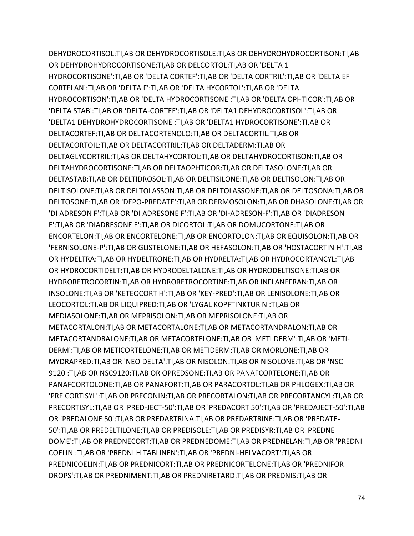DEHYDROCORTISOL:TI,AB OR DEHYDROCORTISOLE:TI,AB OR DEHYDROHYDROCORTISON:TI,AB OR DEHYDROHYDROCORTISONE:TI,AB OR DELCORTOL:TI,AB OR 'DELTA 1 HYDROCORTISONE':TI,AB OR 'DELTA CORTEF':TI,AB OR 'DELTA CORTRIL':TI,AB OR 'DELTA EF CORTELAN':TI,AB OR 'DELTA F':TI,AB OR 'DELTA HYCORTOL':TI,AB OR 'DELTA HYDROCORTISON':TI,AB OR 'DELTA HYDROCORTISONE':TI,AB OR 'DELTA OPHTICOR':TI,AB OR 'DELTA STAB':TI,AB OR 'DELTA-CORTEF':TI,AB OR 'DELTA1 DEHYDROCORTISOL':TI,AB OR 'DELTA1 DEHYDROHYDROCORTISONE':TI,AB OR 'DELTA1 HYDROCORTISONE':TI,AB OR DELTACORTEF:TI,AB OR DELTACORTENOLO:TI,AB OR DELTACORTIL:TI,AB OR DELTACORTOIL:TI,AB OR DELTACORTRIL:TI,AB OR DELTADERM:TI,AB OR DELTAGLYCORTRIL:TI,AB OR DELTAHYCORTOL:TI,AB OR DELTAHYDROCORTISON:TI,AB OR DELTAHYDROCORTISONE:TI,AB OR DELTAOPHTICOR:TI,AB OR DELTASOLONE:TI,AB OR DELTASTAB:TI,AB OR DELTIDROSOL:TI,AB OR DELTISILONE:TI,AB OR DELTISOLON:TI,AB OR DELTISOLONE:TI,AB OR DELTOLASSON:TI,AB OR DELTOLASSONE:TI,AB OR DELTOSONA:TI,AB OR DELTOSONE:TI,AB OR 'DEPO-PREDATE':TI,AB OR DERMOSOLON:TI,AB OR DHASOLONE:TI,AB OR 'DI ADRESON F':TI,AB OR 'DI ADRESONE F':TI,AB OR 'DI-ADRESON-F':TI,AB OR 'DIADRESON F':TI,AB OR 'DIADRESONE F':TI,AB OR DICORTOL:TI,AB OR DOMUCORTONE:TI,AB OR ENCORTELON:TI,AB OR ENCORTELONE:TI,AB OR ENCORTOLON:TI,AB OR EQUISOLON:TI,AB OR 'FERNISOLONE-P':TI,AB OR GLISTELONE:TI,AB OR HEFASOLON:TI,AB OR 'HOSTACORTIN H':TI,AB OR HYDELTRA:TI,AB OR HYDELTRONE:TI,AB OR HYDRELTA:TI,AB OR HYDROCORTANCYL:TI,AB OR HYDROCORTIDELT:TI,AB OR HYDRODELTALONE:TI,AB OR HYDRODELTISONE:TI,AB OR HYDRORETROCORTIN:TI,AB OR HYDRORETROCORTINE:TI,AB OR INFLANEFRAN:TI,AB OR INSOLONE:TI,AB OR 'KETEOCORT H':TI,AB OR 'KEY-PRED':TI,AB OR LENISOLONE:TI,AB OR LEOCORTOL:TI,AB OR LIQUIPRED:TI,AB OR 'LYGAL KOPFTINKTUR N':TI,AB OR MEDIASOLONE:TI,AB OR MEPRISOLON:TI,AB OR MEPRISOLONE:TI,AB OR METACORTALON:TI,AB OR METACORTALONE:TI,AB OR METACORTANDRALON:TI,AB OR METACORTANDRALONE:TI,AB OR METACORTELONE:TI,AB OR 'METI DERM':TI,AB OR 'METI-DERM':TI,AB OR METICORTELONE:TI,AB OR METIDERM:TI,AB OR MORLONE:TI,AB OR MYDRAPRED:TI,AB OR 'NEO DELTA':TI,AB OR NISOLON:TI,AB OR NISOLONE:TI,AB OR 'NSC 9120':TI,AB OR NSC9120:TI,AB OR OPREDSONE:TI,AB OR PANAFCORTELONE:TI,AB OR PANAFCORTOLONE:TI,AB OR PANAFORT:TI,AB OR PARACORTOL:TI,AB OR PHLOGEX:TI,AB OR 'PRE CORTISYL':TI,AB OR PRECONIN:TI,AB OR PRECORTALON:TI,AB OR PRECORTANCYL:TI,AB OR PRECORTISYL:TI,AB OR 'PRED-JECT-50':TI,AB OR 'PREDACORT 50':TI,AB OR 'PREDAJECT-50':TI,AB OR 'PREDALONE 50':TI,AB OR PREDARTRINA:TI,AB OR PREDARTRINE:TI,AB OR 'PREDATE-50':TI,AB OR PREDELTILONE:TI,AB OR PREDISOLE:TI,AB OR PREDISYR:TI,AB OR 'PREDNE DOME':TI,AB OR PREDNECORT:TI,AB OR PREDNEDOME:TI,AB OR PREDNELAN:TI,AB OR 'PREDNI COELIN':TI,AB OR 'PREDNI H TABLINEN':TI,AB OR 'PREDNI-HELVACORT':TI,AB OR PREDNICOELIN:TI,AB OR PREDNICORT:TI,AB OR PREDNICORTELONE:TI,AB OR 'PREDNIFOR DROPS':TI,AB OR PREDNIMENT:TI,AB OR PREDNIRETARD:TI,AB OR PREDNIS:TI,AB OR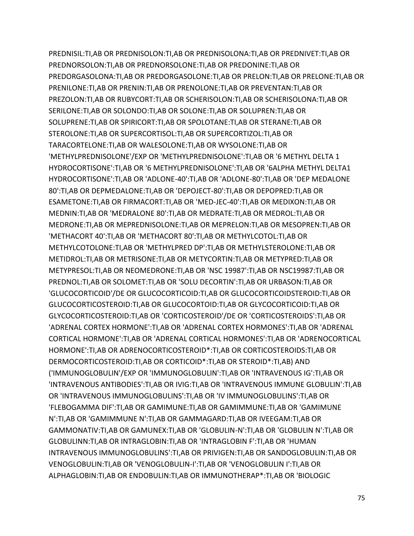PREDNISIL:TI,AB OR PREDNISOLON:TI,AB OR PREDNISOLONA:TI,AB OR PREDNIVET:TI,AB OR PREDNORSOLON:TI,AB OR PREDNORSOLONE:TI,AB OR PREDONINE:TI,AB OR PREDORGASOLONA:TI,AB OR PREDORGASOLONE:TI,AB OR PRELON:TI,AB OR PRELONE:TI,AB OR PRENILONE:TI,AB OR PRENIN:TI,AB OR PRENOLONE:TI,AB OR PREVENTAN:TI,AB OR PREZOLON:TI,AB OR RUBYCORT:TI,AB OR SCHERISOLON:TI,AB OR SCHERISOLONA:TI,AB OR SERILONE:TI,AB OR SOLONDO:TI,AB OR SOLONE:TI,AB OR SOLUPREN:TI,AB OR SOLUPRENE:TI,AB OR SPIRICORT:TI,AB OR SPOLOTANE:TI,AB OR STERANE:TI,AB OR STEROLONE:TI,AB OR SUPERCORTISOL:TI,AB OR SUPERCORTIZOL:TI,AB OR TARACORTELONE:TI,AB OR WALESOLONE:TI,AB OR WYSOLONE:TI,AB OR 'METHYLPREDNISOLONE'/EXP OR 'METHYLPREDNISOLONE':TI,AB OR '6 METHYL DELTA 1 HYDROCORTISONE':TI,AB OR '6 METHYLPREDNISOLONE':TI,AB OR '6ALPHA METHYL DELTA1 HYDROCORTISONE':TI,AB OR 'ADLONE-40':TI,AB OR 'ADLONE-80':TI,AB OR 'DEP MEDALONE 80':TI,AB OR DEPMEDALONE:TI,AB OR 'DEPOJECT-80':TI,AB OR DEPOPRED:TI,AB OR ESAMETONE:TI,AB OR FIRMACORT:TI,AB OR 'MED-JEC-40':TI,AB OR MEDIXON:TI,AB OR MEDNIN:TI,AB OR 'MEDRALONE 80':TI,AB OR MEDRATE:TI,AB OR MEDROL:TI,AB OR MEDRONE:TI,AB OR MEPREDNISOLONE:TI,AB OR MEPRELON:TI,AB OR MESOPREN:TI,AB OR 'METHACORT 40':TI,AB OR 'METHACORT 80':TI,AB OR METHYLCOTOL:TI,AB OR METHYLCOTOLONE:TI,AB OR 'METHYLPRED DP':TI,AB OR METHYLSTEROLONE:TI,AB OR METIDROL:TI,AB OR METRISONE:TI,AB OR METYCORTIN:TI,AB OR METYPRED:TI,AB OR METYPRESOL:TI,AB OR NEOMEDRONE:TI,AB OR 'NSC 19987':TI,AB OR NSC19987:TI,AB OR PREDNOL:TI,AB OR SOLOMET:TI,AB OR 'SOLU DECORTIN':TI,AB OR URBASON:TI,AB OR 'GLUCOCORTICOID'/DE OR GLUCOCORTICOID:TI,AB OR GLUCOCORTICOIDSTEROID:TI,AB OR GLUCOCORTICOSTEROID:TI,AB OR GLUCOCORTOID:TI,AB OR GLYCOCORTICOID:TI,AB OR GLYCOCORTICOSTEROID:TI,AB OR 'CORTICOSTEROID'/DE OR 'CORTICOSTEROIDS':TI,AB OR 'ADRENAL CORTEX HORMONE':TI,AB OR 'ADRENAL CORTEX HORMONES':TI,AB OR 'ADRENAL CORTICAL HORMONE':TI,AB OR 'ADRENAL CORTICAL HORMONES':TI,AB OR 'ADRENOCORTICAL HORMONE':TI,AB OR ADRENOCORTICOSTEROID\*:TI,AB OR CORTICOSTEROIDS:TI,AB OR DERMOCORTICOSTEROID:TI,AB OR CORTICOID\*:TI,AB OR STEROID\*:TI,AB) AND ('IMMUNOGLOBULIN'/EXP OR 'IMMUNOGLOBULIN':TI,AB OR 'INTRAVENOUS IG':TI,AB OR 'INTRAVENOUS ANTIBODIES':TI,AB OR IVIG:TI,AB OR 'INTRAVENOUS IMMUNE GLOBULIN':TI,AB OR 'INTRAVENOUS IMMUNOGLOBULINS':TI,AB OR 'IV IMMUNOGLOBULINS':TI,AB OR 'FLEBOGAMMA DIF':TI,AB OR GAMIMUNE:TI,AB OR GAMIMMUNE:TI,AB OR 'GAMIMUNE N':TI,AB OR 'GAMIMMUNE N':TI,AB OR GAMMAGARD:TI,AB OR IVEEGAM:TI,AB OR GAMMONATIV:TI,AB OR GAMUNEX:TI,AB OR 'GLOBULIN-N':TI,AB OR 'GLOBULIN N':TI,AB OR GLOBULINN:TI,AB OR INTRAGLOBIN:TI,AB OR 'INTRAGLOBIN F':TI,AB OR 'HUMAN INTRAVENOUS IMMUNOGLOBULINS':TI,AB OR PRIVIGEN:TI,AB OR SANDOGLOBULIN:TI,AB OR VENOGLOBULIN:TI,AB OR 'VENOGLOBULIN-I':TI,AB OR 'VENOGLOBULIN I':TI,AB OR ALPHAGLOBIN:TI,AB OR ENDOBULIN:TI,AB OR IMMUNOTHERAP\*:TI,AB OR 'BIOLOGIC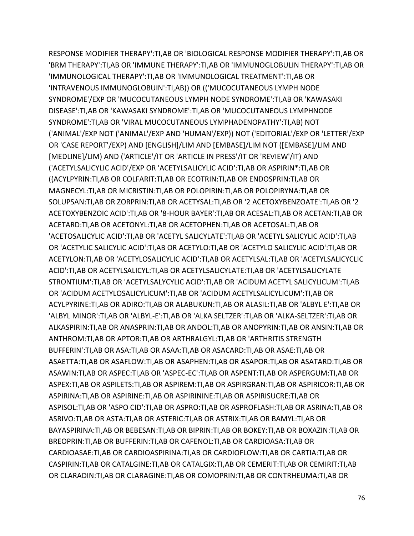RESPONSE MODIFIER THERAPY':TI,AB OR 'BIOLOGICAL RESPONSE MODIFIER THERAPY':TI,AB OR 'BRM THERAPY':TI,AB OR 'IMMUNE THERAPY':TI,AB OR 'IMMUNOGLOBULIN THERAPY':TI,AB OR 'IMMUNOLOGICAL THERAPY':TI,AB OR 'IMMUNOLOGICAL TREATMENT':TI,AB OR 'INTRAVENOUS IMMUNOGLOBUIN':TI,AB)) OR (('MUCOCUTANEOUS LYMPH NODE SYNDROME'/EXP OR 'MUCOCUTANEOUS LYMPH NODE SYNDROME':TI,AB OR 'KAWASAKI DISEASE':TI,AB OR 'KAWASAKI SYNDROME':TI,AB OR 'MUCOCUTANEOUS LYMPHNODE SYNDROME':TI,AB OR 'VIRAL MUCOCUTANEOUS LYMPHADENOPATHY':TI,AB) NOT ('ANIMAL'/EXP NOT ('ANIMAL'/EXP AND 'HUMAN'/EXP)) NOT ('EDITORIAL'/EXP OR 'LETTER'/EXP OR 'CASE REPORT'/EXP) AND [ENGLISH]/LIM AND [EMBASE]/LIM NOT ([EMBASE]/LIM AND [MEDLINE]/LIM) AND ('ARTICLE'/IT OR 'ARTICLE IN PRESS'/IT OR 'REVIEW'/IT) AND ('ACETYLSALICYLIC ACID'/EXP OR 'ACETYLSALICYLIC ACID':TI,AB OR ASPIRIN\*:TI,AB OR ((ACYLPYRIN:TI,AB OR COLFARIT:TI,AB OR ECOTRIN:TI,AB OR ENDOSPRIN:TI,AB OR MAGNECYL:TI,AB OR MICRISTIN:TI,AB OR POLOPIRIN:TI,AB OR POLOPIRYNA:TI,AB OR SOLUPSAN:TI,AB OR ZORPRIN:TI,AB OR ACETYSAL:TI,AB OR '2 ACETOXYBENZOATE':TI,AB OR '2 ACETOXYBENZOIC ACID':TI,AB OR '8-HOUR BAYER':TI,AB OR ACESAL:TI,AB OR ACETAN:TI,AB OR ACETARD:TI,AB OR ACETONYL:TI,AB OR ACETOPHEN:TI,AB OR ACETOSAL:TI,AB OR 'ACETOSALICYLIC ACID':TI,AB OR 'ACETYL SALICYLATE':TI,AB OR 'ACETYL SALICYLIC ACID':TI,AB OR 'ACETYLIC SALICYLIC ACID':TI,AB OR ACETYLO:TI,AB OR 'ACETYLO SALICYLIC ACID':TI,AB OR ACETYLON:TI,AB OR 'ACETYLOSALICYLIC ACID':TI,AB OR ACETYLSAL:TI,AB OR 'ACETYLSALICYCLIC ACID':TI,AB OR ACETYLSALICYL:TI,AB OR ACETYLSALICYLATE:TI,AB OR 'ACETYLSALICYLATE STRONTIUM':TI,AB OR 'ACETYLSALYCYLIC ACID':TI,AB OR 'ACIDUM ACETYL SALICYLICUM':TI,AB OR 'ACIDUM ACETYLOSALICYLICUM':TI,AB OR 'ACIDUM ACETYLSALICYLICUM':TI,AB OR ACYLPYRINE:TI,AB OR ADIRO:TI,AB OR ALABUKUN:TI,AB OR ALASIL:TI,AB OR 'ALBYL E':TI,AB OR 'ALBYL MINOR':TI,AB OR 'ALBYL-E':TI,AB OR 'ALKA SELTZER':TI,AB OR 'ALKA-SELTZER':TI,AB OR ALKASPIRIN:TI,AB OR ANASPRIN:TI,AB OR ANDOL:TI,AB OR ANOPYRIN:TI,AB OR ANSIN:TI,AB OR ANTHROM:TI,AB OR APTOR:TI,AB OR ARTHRALGYL:TI,AB OR 'ARTHRITIS STRENGTH BUFFERIN':TI,AB OR ASA:TI,AB OR ASAA:TI,AB OR ASACARD:TI,AB OR ASAE:TI,AB OR ASAETTA:TI,AB OR ASAFLOW:TI,AB OR ASAPHEN:TI,AB OR ASAPOR:TI,AB OR ASATARD:TI,AB OR ASAWIN:TI,AB OR ASPEC:TI,AB OR 'ASPEC-EC':TI,AB OR ASPENT:TI,AB OR ASPERGUM:TI,AB OR ASPEX:TI,AB OR ASPILETS:TI,AB OR ASPIREM:TI,AB OR ASPIRGRAN:TI,AB OR ASPIRICOR:TI,AB OR ASPIRINA:TI,AB OR ASPIRINE:TI,AB OR ASPIRININE:TI,AB OR ASPIRISUCRE:TI,AB OR ASPISOL:TI,AB OR 'ASPO CID':TI,AB OR ASPRO:TI,AB OR ASPROFLASH:TI,AB OR ASRINA:TI,AB OR ASRIVO:TI,AB OR ASTA:TI,AB OR ASTERIC:TI,AB OR ASTRIX:TI,AB OR BAMYL:TI,AB OR BAYASPIRINA:TI,AB OR BEBESAN:TI,AB OR BIPRIN:TI,AB OR BOKEY:TI,AB OR BOXAZIN:TI,AB OR BREOPRIN:TI,AB OR BUFFERIN:TI,AB OR CAFENOL:TI,AB OR CARDIOASA:TI,AB OR CARDIOASAE:TI,AB OR CARDIOASPIRINA:TI,AB OR CARDIOFLOW:TI,AB OR CARTIA:TI,AB OR CASPIRIN:TI,AB OR CATALGINE:TI,AB OR CATALGIX:TI,AB OR CEMERIT:TI,AB OR CEMIRIT:TI,AB OR CLARADIN:TI,AB OR CLARAGINE:TI,AB OR COMOPRIN:TI,AB OR CONTRHEUMA:TI,AB OR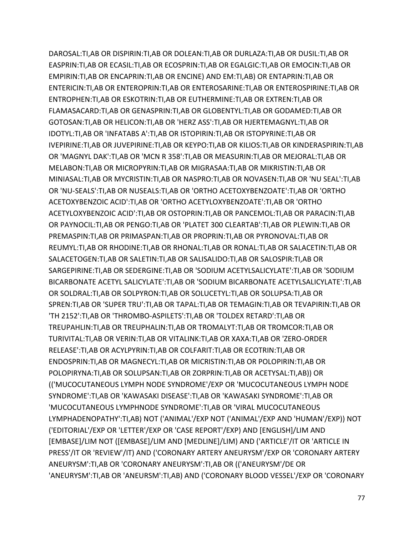DAROSAL:TI,AB OR DISPIRIN:TI,AB OR DOLEAN:TI,AB OR DURLAZA:TI,AB OR DUSIL:TI,AB OR EASPRIN:TI,AB OR ECASIL:TI,AB OR ECOSPRIN:TI,AB OR EGALGIC:TI,AB OR EMOCIN:TI,AB OR EMPIRIN:TI,AB OR ENCAPRIN:TI,AB OR ENCINE) AND EM:TI,AB) OR ENTAPRIN:TI,AB OR ENTERICIN:TI,AB OR ENTEROPRIN:TI,AB OR ENTEROSARINE:TI,AB OR ENTEROSPIRINE:TI,AB OR ENTROPHEN:TI,AB OR ESKOTRIN:TI,AB OR EUTHERMINE:TI,AB OR EXTREN:TI,AB OR FLAMASACARD:TI,AB OR GENASPRIN:TI,AB OR GLOBENTYL:TI,AB OR GODAMED:TI,AB OR GOTOSAN:TI,AB OR HELICON:TI,AB OR 'HERZ ASS':TI,AB OR HJERTEMAGNYL:TI,AB OR IDOTYL:TI,AB OR 'INFATABS A':TI,AB OR ISTOPIRIN:TI,AB OR ISTOPYRINE:TI,AB OR IVEPIRINE:TI,AB OR JUVEPIRINE:TI,AB OR KEYPO:TI,AB OR KILIOS:TI,AB OR KINDERASPIRIN:TI,AB OR 'MAGNYL DAK':TI,AB OR 'MCN R 358':TI,AB OR MEASURIN:TI,AB OR MEJORAL:TI,AB OR MELABON:TI,AB OR MICROPYRIN:TI,AB OR MIGRASAA:TI,AB OR MIKRISTIN:TI,AB OR MINIASAL:TI,AB OR MYCRISTIN:TI,AB OR NASPRO:TI,AB OR NOVASEN:TI,AB OR 'NU SEAL':TI,AB OR 'NU-SEALS':TI,AB OR NUSEALS:TI,AB OR 'ORTHO ACETOXYBENZOATE':TI,AB OR 'ORTHO ACETOXYBENZOIC ACID':TI,AB OR 'ORTHO ACETYLOXYBENZOATE':TI,AB OR 'ORTHO ACETYLOXYBENZOIC ACID':TI,AB OR OSTOPRIN:TI,AB OR PANCEMOL:TI,AB OR PARACIN:TI,AB OR PAYNOCIL:TI,AB OR PENGO:TI,AB OR 'PLATET 300 CLEARTAB':TI,AB OR PLEWIN:TI,AB OR PREMASPIN:TI,AB OR PRIMASPAN:TI,AB OR PROPRIN:TI,AB OR PYRONOVAL:TI,AB OR REUMYL:TI,AB OR RHODINE:TI,AB OR RHONAL:TI,AB OR RONAL:TI,AB OR SALACETIN:TI,AB OR SALACETOGEN:TI,AB OR SALETIN:TI,AB OR SALISALIDO:TI,AB OR SALOSPIR:TI,AB OR SARGEPIRINE:TI,AB OR SEDERGINE:TI,AB OR 'SODIUM ACETYLSALICYLATE':TI,AB OR 'SODIUM BICARBONATE ACETYL SALICYLATE':TI,AB OR 'SODIUM BICARBONATE ACETYLSALICYLATE':TI,AB OR SOLDRAL:TI,AB OR SOLPYRON:TI,AB OR SOLUCETYL:TI,AB OR SOLUPSA:TI,AB OR SPREN:TI,AB OR 'SUPER TRU':TI,AB OR TAPAL:TI,AB OR TEMAGIN:TI,AB OR TEVAPIRIN:TI,AB OR 'TH 2152':TI,AB OR 'THROMBO-ASPILETS':TI,AB OR 'TOLDEX RETARD':TI,AB OR TREUPAHLIN:TI,AB OR TREUPHALIN:TI,AB OR TROMALYT:TI,AB OR TROMCOR:TI,AB OR TURIVITAL:TI,AB OR VERIN:TI,AB OR VITALINK:TI,AB OR XAXA:TI,AB OR 'ZERO-ORDER RELEASE':TI,AB OR ACYLPYRIN:TI,AB OR COLFARIT:TI,AB OR ECOTRIN:TI,AB OR ENDOSPRIN:TI,AB OR MAGNECYL:TI,AB OR MICRISTIN:TI,AB OR POLOPIRIN:TI,AB OR POLOPIRYNA:TI,AB OR SOLUPSAN:TI,AB OR ZORPRIN:TI,AB OR ACETYSAL:TI,AB)) OR (('MUCOCUTANEOUS LYMPH NODE SYNDROME'/EXP OR 'MUCOCUTANEOUS LYMPH NODE SYNDROME':TI,AB OR 'KAWASAKI DISEASE':TI,AB OR 'KAWASAKI SYNDROME':TI,AB OR 'MUCOCUTANEOUS LYMPHNODE SYNDROME':TI,AB OR 'VIRAL MUCOCUTANEOUS LYMPHADENOPATHY':TI,AB) NOT ('ANIMAL'/EXP NOT ('ANIMAL'/EXP AND 'HUMAN'/EXP)) NOT ('EDITORIAL'/EXP OR 'LETTER'/EXP OR 'CASE REPORT'/EXP) AND [ENGLISH]/LIM AND [EMBASE]/LIM NOT ([EMBASE]/LIM AND [MEDLINE]/LIM) AND ('ARTICLE'/IT OR 'ARTICLE IN PRESS'/IT OR 'REVIEW'/IT) AND ('CORONARY ARTERY ANEURYSM'/EXP OR 'CORONARY ARTERY ANEURYSM':TI,AB OR 'CORONARY ANEURYSM':TI,AB OR (('ANEURYSM'/DE OR 'ANEURYSM':TI,AB OR 'ANEURSM':TI,AB) AND ('CORONARY BLOOD VESSEL'/EXP OR 'CORONARY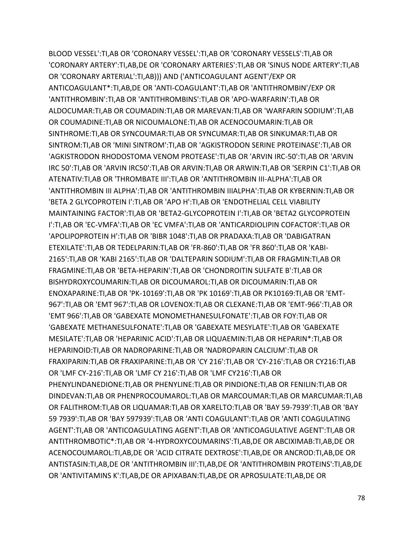BLOOD VESSEL':TI,AB OR 'CORONARY VESSEL':TI,AB OR 'CORONARY VESSELS':TI,AB OR 'CORONARY ARTERY':TI,AB,DE OR 'CORONARY ARTERIES':TI,AB OR 'SINUS NODE ARTERY':TI,AB OR 'CORONARY ARTERIAL':TI,AB))) AND ('ANTICOAGULANT AGENT'/EXP OR ANTICOAGULANT\*:TI,AB,DE OR 'ANTI-COAGULANT':TI,AB OR 'ANTITHROMBIN'/EXP OR 'ANTITHROMBIN':TI,AB OR 'ANTITHROMBINS':TI,AB OR 'APO-WARFARIN':TI,AB OR ALDOCUMAR:TI,AB OR COUMADIN:TI,AB OR MAREVAN:TI,AB OR 'WARFARIN SODIUM':TI,AB OR COUMADINE:TI,AB OR NICOUMALONE:TI,AB OR ACENOCOUMARIN:TI,AB OR SINTHROME:TI,AB OR SYNCOUMAR:TI,AB OR SYNCUMAR:TI,AB OR SINKUMAR:TI,AB OR SINTROM:TI,AB OR 'MINI SINTROM':TI,AB OR 'AGKISTRODON SERINE PROTEINASE':TI,AB OR 'AGKISTRODON RHODOSTOMA VENOM PROTEASE':TI,AB OR 'ARVIN IRC-50':TI,AB OR 'ARVIN IRC 50':TI,AB OR 'ARVIN IRC50':TI,AB OR ARVIN:TI,AB OR ARWIN:TI,AB OR 'SERPIN C1':TI,AB OR ATENATIV:TI,AB OR 'THROMBATE III':TI,AB OR 'ANTITHROMBIN III-ALPHA':TI,AB OR 'ANTITHROMBIN III ALPHA':TI,AB OR 'ANTITHROMBIN IIIALPHA':TI,AB OR KYBERNIN:TI,AB OR 'BETA 2 GLYCOPROTEIN I':TI,AB OR 'APO H':TI,AB OR 'ENDOTHELIAL CELL VIABILITY MAINTAINING FACTOR':TI,AB OR 'BETA2-GLYCOPROTEIN I':TI,AB OR 'BETA2 GLYCOPROTEIN I':TI,AB OR 'EC-VMFA':TI,AB OR 'EC VMFA':TI,AB OR 'ANTICARDIOLIPIN COFACTOR':TI,AB OR 'APOLIPOPROTEIN H':TI,AB OR 'BIBR 1048':TI,AB OR PRADAXA:TI,AB OR 'DABIGATRAN ETEXILATE':TI,AB OR TEDELPARIN:TI,AB OR 'FR-860':TI,AB OR 'FR 860':TI,AB OR 'KABI-2165':TI,AB OR 'KABI 2165':TI,AB OR 'DALTEPARIN SODIUM':TI,AB OR FRAGMIN:TI,AB OR FRAGMINE:TI,AB OR 'BETA-HEPARIN':TI,AB OR 'CHONDROITIN SULFATE B':TI,AB OR BISHYDROXYCOUMARIN:TI,AB OR DICOUMAROL:TI,AB OR DICOUMARIN:TI,AB OR ENOXAPARINE:TI,AB OR 'PK-10169':TI,AB OR 'PK 10169':TI,AB OR PK10169:TI,AB OR 'EMT-967':TI,AB OR 'EMT 967':TI,AB OR LOVENOX:TI,AB OR CLEXANE:TI,AB OR 'EMT-966':TI,AB OR 'EMT 966':TI,AB OR 'GABEXATE MONOMETHANESULFONATE':TI,AB OR FOY:TI,AB OR 'GABEXATE METHANESULFONATE':TI,AB OR 'GABEXATE MESYLATE':TI,AB OR 'GABEXATE MESILATE':TI,AB OR 'HEPARINIC ACID':TI,AB OR LIQUAEMIN:TI,AB OR HEPARIN\*:TI,AB OR HEPARINOID:TI,AB OR NADROPARINE:TI,AB OR 'NADROPARIN CALCIUM':TI,AB OR FRAXIPARIN:TI,AB OR FRAXIPARINE:TI,AB OR 'CY 216':TI,AB OR 'CY-216':TI,AB OR CY216:TI,AB OR 'LMF CY-216':TI,AB OR 'LMF CY 216':TI,AB OR 'LMF CY216':TI,AB OR PHENYLINDANEDIONE:TI,AB OR PHENYLINE:TI,AB OR PINDIONE:TI,AB OR FENILIN:TI,AB OR DINDEVAN:TI,AB OR PHENPROCOUMAROL:TI,AB OR MARCOUMAR:TI,AB OR MARCUMAR:TI,AB OR FALITHROM:TI,AB OR LIQUAMAR:TI,AB OR XARELTO:TI,AB OR 'BAY 59-7939':TI,AB OR 'BAY 59 7939':TI,AB OR 'BAY 597939':TI,AB OR 'ANTI COAGULANT':TI,AB OR 'ANTI COAGULATING AGENT':TI,AB OR 'ANTICOAGULATING AGENT':TI,AB OR 'ANTICOAGULATIVE AGENT':TI,AB OR ANTITHROMBOTIC\*:TI,AB OR '4-HYDROXYCOUMARINS':TI,AB,DE OR ABCIXIMAB:TI,AB,DE OR ACENOCOUMAROL:TI,AB,DE OR 'ACID CITRATE DEXTROSE':TI,AB,DE OR ANCROD:TI,AB,DE OR ANTISTASIN:TI,AB,DE OR 'ANTITHROMBIN III':TI,AB,DE OR 'ANTITHROMBIN PROTEINS':TI,AB,DE OR 'ANTIVITAMINS K':TI,AB,DE OR APIXABAN:TI,AB,DE OR APROSULATE:TI,AB,DE OR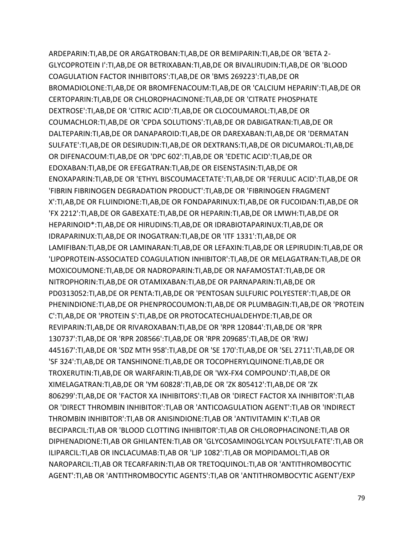ARDEPARIN:TI,AB,DE OR ARGATROBAN:TI,AB,DE OR BEMIPARIN:TI,AB,DE OR 'BETA 2- GLYCOPROTEIN I':TI,AB,DE OR BETRIXABAN:TI,AB,DE OR BIVALIRUDIN:TI,AB,DE OR 'BLOOD COAGULATION FACTOR INHIBITORS':TI,AB,DE OR 'BMS 269223':TI,AB,DE OR BROMADIOLONE:TI,AB,DE OR BROMFENACOUM:TI,AB,DE OR 'CALCIUM HEPARIN':TI,AB,DE OR CERTOPARIN:TI,AB,DE OR CHLOROPHACINONE:TI,AB,DE OR 'CITRATE PHOSPHATE DEXTROSE':TI,AB,DE OR 'CITRIC ACID':TI,AB,DE OR CLOCOUMAROL:TI,AB,DE OR COUMACHLOR:TI,AB,DE OR 'CPDA SOLUTIONS':TI,AB,DE OR DABIGATRAN:TI,AB,DE OR DALTEPARIN:TI,AB,DE OR DANAPAROID:TI,AB,DE OR DAREXABAN:TI,AB,DE OR 'DERMATAN SULFATE':TI,AB,DE OR DESIRUDIN:TI,AB,DE OR DEXTRANS:TI,AB,DE OR DICUMAROL:TI,AB,DE OR DIFENACOUM:TI,AB,DE OR 'DPC 602':TI,AB,DE OR 'EDETIC ACID':TI,AB,DE OR EDOXABAN:TI,AB,DE OR EFEGATRAN:TI,AB,DE OR EISENSTASIN:TI,AB,DE OR ENOXAPARIN:TI,AB,DE OR 'ETHYL BISCOUMACETATE':TI,AB,DE OR 'FERULIC ACID':TI,AB,DE OR 'FIBRIN FIBRINOGEN DEGRADATION PRODUCT':TI,AB,DE OR 'FIBRINOGEN FRAGMENT X':TI,AB,DE OR FLUINDIONE:TI,AB,DE OR FONDAPARINUX:TI,AB,DE OR FUCOIDAN:TI,AB,DE OR 'FX 2212':TI,AB,DE OR GABEXATE:TI,AB,DE OR HEPARIN:TI,AB,DE OR LMWH:TI,AB,DE OR HEPARINOID\*:TI,AB,DE OR HIRUDINS:TI,AB,DE OR IDRABIOTAPARINUX:TI,AB,DE OR IDRAPARINUX:TI,AB,DE OR INOGATRAN:TI,AB,DE OR 'ITF 1331':TI,AB,DE OR LAMIFIBAN:TI,AB,DE OR LAMINARAN:TI,AB,DE OR LEFAXIN:TI,AB,DE OR LEPIRUDIN:TI,AB,DE OR 'LIPOPROTEIN-ASSOCIATED COAGULATION INHIBITOR':TI,AB,DE OR MELAGATRAN:TI,AB,DE OR MOXICOUMONE:TI,AB,DE OR NADROPARIN:TI,AB,DE OR NAFAMOSTAT:TI,AB,DE OR NITROPHORIN:TI,AB,DE OR OTAMIXABAN:TI,AB,DE OR PARNAPARIN:TI,AB,DE OR PD0313052:TI,AB,DE OR PENTA:TI,AB,DE OR 'PENTOSAN SULFURIC POLYESTER':TI,AB,DE OR PHENINDIONE:TI,AB,DE OR PHENPROCOUMON:TI,AB,DE OR PLUMBAGIN:TI,AB,DE OR 'PROTEIN C':TI,AB,DE OR 'PROTEIN S':TI,AB,DE OR PROTOCATECHUALDEHYDE:TI,AB,DE OR REVIPARIN:TI,AB,DE OR RIVAROXABAN:TI,AB,DE OR 'RPR 120844':TI,AB,DE OR 'RPR 130737':TI,AB,DE OR 'RPR 208566':TI,AB,DE OR 'RPR 209685':TI,AB,DE OR 'RWJ 445167':TI,AB,DE OR 'SDZ MTH 958':TI,AB,DE OR 'SE 170':TI,AB,DE OR 'SEL 2711':TI,AB,DE OR 'SF 324':TI,AB,DE OR TANSHINONE:TI,AB,DE OR TOCOPHERYLQUINONE:TI,AB,DE OR TROXERUTIN:TI,AB,DE OR WARFARIN:TI,AB,DE OR 'WX-FX4 COMPOUND':TI,AB,DE OR XIMELAGATRAN:TI,AB,DE OR 'YM 60828':TI,AB,DE OR 'ZK 805412':TI,AB,DE OR 'ZK 806299':TI,AB,DE OR 'FACTOR XA INHIBITORS':TI,AB OR 'DIRECT FACTOR XA INHIBITOR':TI,AB OR 'DIRECT THROMBIN INHIBITOR':TI,AB OR 'ANTICOAGULATION AGENT':TI,AB OR 'INDIRECT THROMBIN INHIBITOR':TI,AB OR ANISINDIONE:TI,AB OR 'ANTIVITAMIN K':TI,AB OR BECIPARCIL:TI,AB OR 'BLOOD CLOTTING INHIBITOR':TI,AB OR CHLOROPHACINONE:TI,AB OR DIPHENADIONE:TI,AB OR GHILANTEN:TI,AB OR 'GLYCOSAMINOGLYCAN POLYSULFATE':TI,AB OR ILIPARCIL:TI,AB OR INCLACUMAB:TI,AB OR 'LJP 1082':TI,AB OR MOPIDAMOL:TI,AB OR NAROPARCIL:TI,AB OR TECARFARIN:TI,AB OR TRETOQUINOL:TI,AB OR 'ANTITHROMBOCYTIC AGENT':TI,AB OR 'ANTITHROMBOCYTIC AGENTS':TI,AB OR 'ANTITHROMBOCYTIC AGENT'/EXP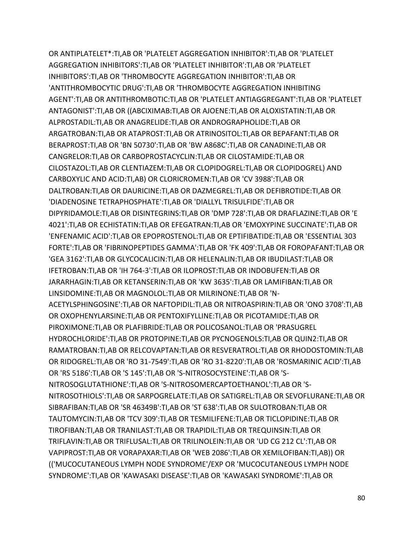OR ANTIPLATELET\*:TI,AB OR 'PLATELET AGGREGATION INHIBITOR':TI,AB OR 'PLATELET AGGREGATION INHIBITORS':TI,AB OR 'PLATELET INHIBITOR':TI,AB OR 'PLATELET INHIBITORS':TI,AB OR 'THROMBOCYTE AGGREGATION INHIBITOR':TI,AB OR 'ANTITHROMBOCYTIC DRUG':TI,AB OR 'THROMBOCYTE AGGREGATION INHIBITING AGENT':TI,AB OR ANTITHROMBOTIC:TI,AB OR 'PLATELET ANTIAGGREGANT':TI,AB OR 'PLATELET ANTAGONIST':TI,AB OR ((ABCIXIMAB:TI,AB OR AJOENE:TI,AB OR ALOXISTATIN:TI,AB OR ALPROSTADIL:TI,AB OR ANAGRELIDE:TI,AB OR ANDROGRAPHOLIDE:TI,AB OR ARGATROBAN:TI,AB OR ATAPROST:TI,AB OR ATRINOSITOL:TI,AB OR BEPAFANT:TI,AB OR BERAPROST:TI,AB OR 'BN 50730':TI,AB OR 'BW A868C':TI,AB OR CANADINE:TI,AB OR CANGRELOR:TI,AB OR CARBOPROSTACYCLIN:TI,AB OR CILOSTAMIDE:TI,AB OR CILOSTAZOL:TI,AB OR CLENTIAZEM:TI,AB OR CLOPIDOGREL:TI,AB OR CLOPIDOGREL) AND CARBOXYLIC AND ACID:TI,AB) OR CLORICROMEN:TI,AB OR 'CV 3988':TI,AB OR DALTROBAN:TI,AB OR DAURICINE:TI,AB OR DAZMEGREL:TI,AB OR DEFIBROTIDE:TI,AB OR 'DIADENOSINE TETRAPHOSPHATE':TI,AB OR 'DIALLYL TRISULFIDE':TI,AB OR DIPYRIDAMOLE:TI,AB OR DISINTEGRINS:TI,AB OR 'DMP 728':TI,AB OR DRAFLAZINE:TI,AB OR 'E 4021':TI,AB OR ECHISTATIN:TI,AB OR EFEGATRAN:TI,AB OR 'EMOXYPINE SUCCINATE':TI,AB OR 'ENFENAMIC ACID':TI,AB OR EPOPROSTENOL:TI,AB OR EPTIFIBATIDE:TI,AB OR 'ESSENTIAL 303 FORTE':TI,AB OR 'FIBRINOPEPTIDES GAMMA':TI,AB OR 'FK 409':TI,AB OR FOROPAFANT:TI,AB OR 'GEA 3162':TI,AB OR GLYCOCALICIN:TI,AB OR HELENALIN:TI,AB OR IBUDILAST:TI,AB OR IFETROBAN:TI,AB OR 'IH 764-3':TI,AB OR ILOPROST:TI,AB OR INDOBUFEN:TI,AB OR JARARHAGIN:TI,AB OR KETANSERIN:TI,AB OR 'KW 3635':TI,AB OR LAMIFIBAN:TI,AB OR LINSIDOMINE:TI,AB OR MAGNOLOL:TI,AB OR MILRINONE:TI,AB OR 'N-ACETYLSPHINGOSINE':TI,AB OR NAFTOPIDIL:TI,AB OR NITROASPIRIN:TI,AB OR 'ONO 3708':TI,AB OR OXOPHENYLARSINE:TI,AB OR PENTOXIFYLLINE:TI,AB OR PICOTAMIDE:TI,AB OR PIROXIMONE:TI,AB OR PLAFIBRIDE:TI,AB OR POLICOSANOL:TI,AB OR 'PRASUGREL HYDROCHLORIDE':TI,AB OR PROTOPINE:TI,AB OR PYCNOGENOLS:TI,AB OR QUIN2:TI,AB OR RAMATROBAN:TI,AB OR RELCOVAPTAN:TI,AB OR RESVERATROL:TI,AB OR RHODOSTOMIN:TI,AB OR RIDOGREL:TI,AB OR 'RO 31-7549':TI,AB OR 'RO 31-8220':TI,AB OR 'ROSMARINIC ACID':TI,AB OR 'RS 5186':TI,AB OR 'S 145':TI,AB OR 'S-NITROSOCYSTEINE':TI,AB OR 'S-NITROSOGLUTATHIONE':TI,AB OR 'S-NITROSOMERCAPTOETHANOL':TI,AB OR 'S-NITROSOTHIOLS':TI,AB OR SARPOGRELATE:TI,AB OR SATIGREL:TI,AB OR SEVOFLURANE:TI,AB OR SIBRAFIBAN:TI,AB OR 'SR 46349B':TI,AB OR 'ST 638':TI,AB OR SULOTROBAN:TI,AB OR TAUTOMYCIN:TI,AB OR 'TCV 309':TI,AB OR TESMILIFENE:TI,AB OR TICLOPIDINE:TI,AB OR TIROFIBAN:TI,AB OR TRANILAST:TI,AB OR TRAPIDIL:TI,AB OR TREQUINSIN:TI,AB OR TRIFLAVIN:TI,AB OR TRIFLUSAL:TI,AB OR TRILINOLEIN:TI,AB OR 'UD CG 212 CL':TI,AB OR VAPIPROST:TI,AB OR VORAPAXAR:TI,AB OR 'WEB 2086':TI,AB OR XEMILOFIBAN:TI,AB)) OR (('MUCOCUTANEOUS LYMPH NODE SYNDROME'/EXP OR 'MUCOCUTANEOUS LYMPH NODE SYNDROME':TI,AB OR 'KAWASAKI DISEASE':TI,AB OR 'KAWASAKI SYNDROME':TI,AB OR